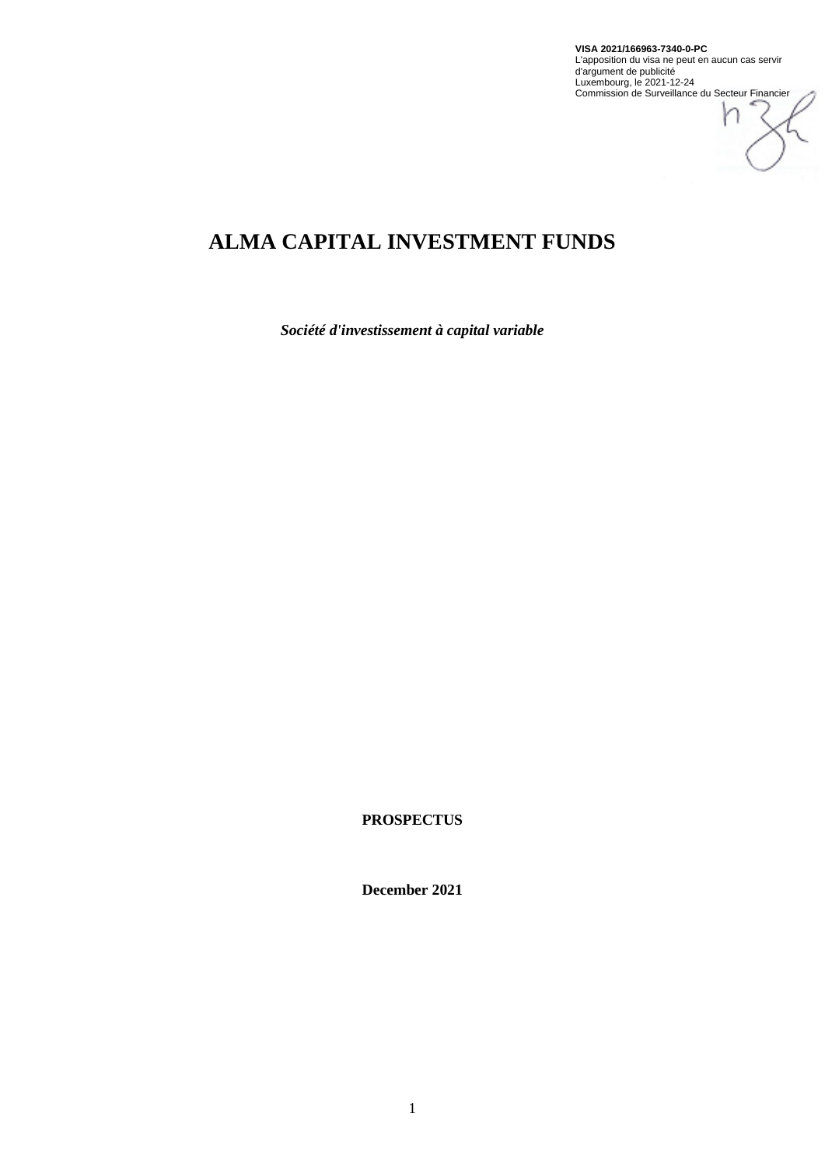

# **ALMA CAPITAL INVESTMENT FUNDS**

*Société d'investissement à capital variable*

**PROSPECTUS**

**December 2021**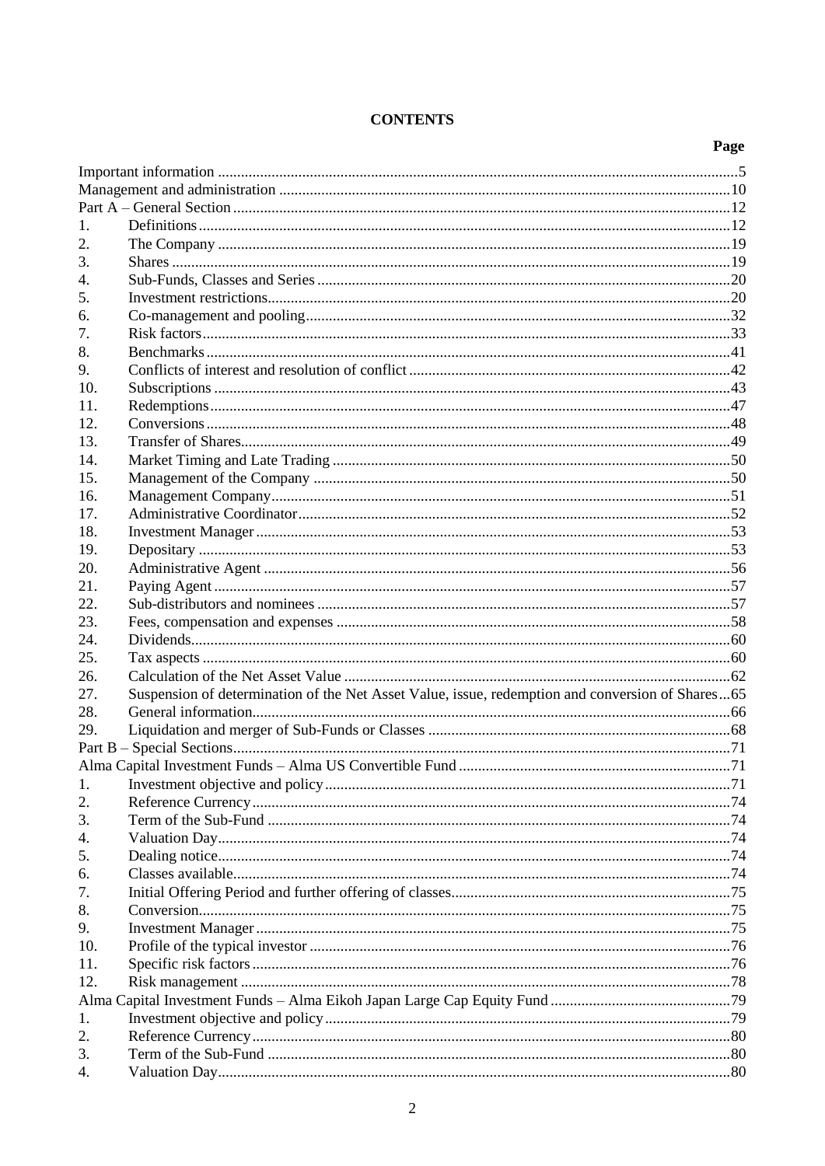# **CONTENTS**

|     |                                                                                                  | Page |
|-----|--------------------------------------------------------------------------------------------------|------|
|     |                                                                                                  |      |
|     |                                                                                                  |      |
|     |                                                                                                  |      |
| 1.  |                                                                                                  |      |
| 2.  |                                                                                                  |      |
| 3.  |                                                                                                  |      |
| 4.  |                                                                                                  |      |
| 5.  |                                                                                                  |      |
| 6.  |                                                                                                  |      |
| 7.  |                                                                                                  |      |
| 8.  |                                                                                                  |      |
| 9.  |                                                                                                  |      |
| 10. |                                                                                                  |      |
| 11. |                                                                                                  |      |
| 12. |                                                                                                  |      |
| 13. |                                                                                                  |      |
| 14. |                                                                                                  |      |
| 15. |                                                                                                  |      |
| 16. |                                                                                                  |      |
| 17. |                                                                                                  |      |
| 18. |                                                                                                  |      |
| 19. |                                                                                                  |      |
| 20. |                                                                                                  |      |
| 21. |                                                                                                  |      |
| 22. |                                                                                                  |      |
| 23. |                                                                                                  |      |
| 24. |                                                                                                  |      |
| 25. |                                                                                                  |      |
| 26. |                                                                                                  |      |
| 27. | Suspension of determination of the Net Asset Value, issue, redemption and conversion of Shares65 |      |
| 28. |                                                                                                  |      |
| 29. |                                                                                                  |      |
|     |                                                                                                  |      |
|     |                                                                                                  |      |
| 1.  |                                                                                                  |      |
| 2.  |                                                                                                  |      |
| 3.  |                                                                                                  |      |
| 4.  |                                                                                                  |      |
| 5.  |                                                                                                  |      |
| 6.  |                                                                                                  |      |
| 7.  |                                                                                                  |      |
| 8.  |                                                                                                  |      |
| 9.  |                                                                                                  |      |
| 10. |                                                                                                  |      |
| 11. |                                                                                                  |      |
| 12. |                                                                                                  |      |
|     |                                                                                                  |      |
| 1.  |                                                                                                  |      |
| 2.  |                                                                                                  |      |
| 3.  |                                                                                                  |      |
| 4.  |                                                                                                  |      |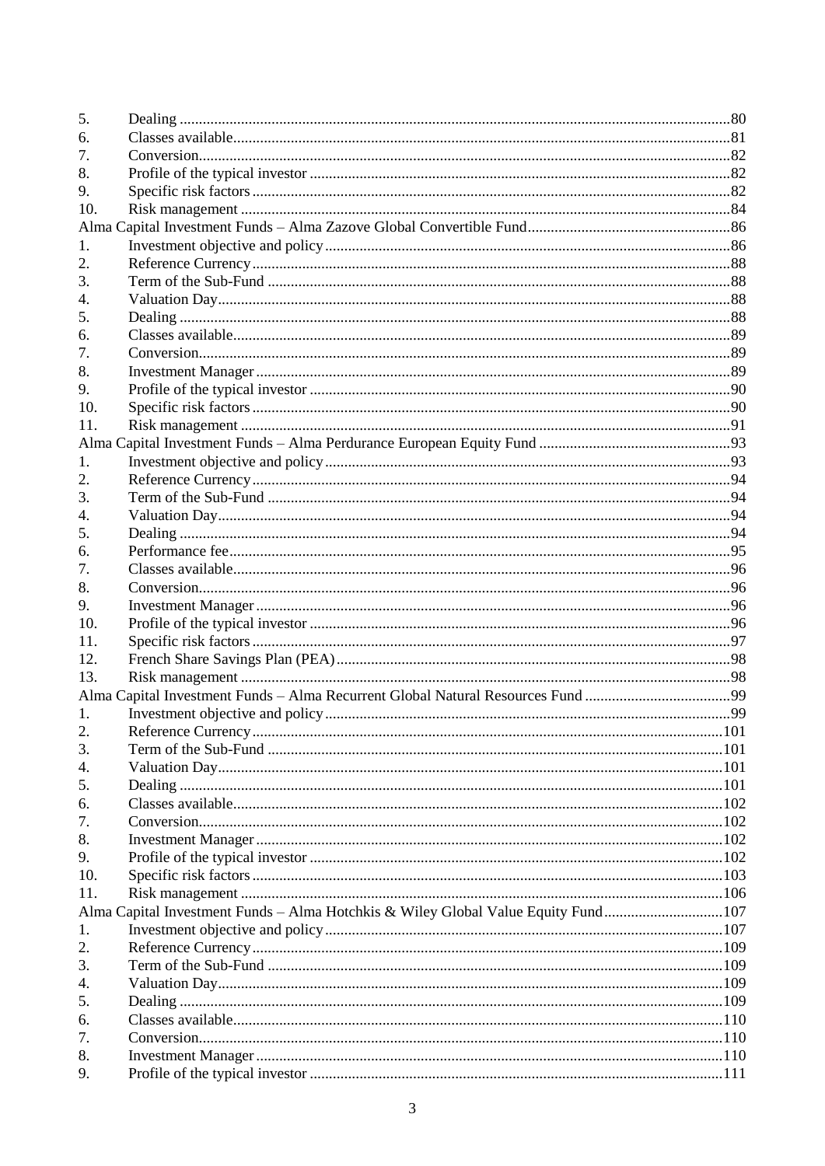| 5.  |                                                                                    |  |
|-----|------------------------------------------------------------------------------------|--|
| 6.  |                                                                                    |  |
| 7.  |                                                                                    |  |
| 8.  |                                                                                    |  |
| 9.  |                                                                                    |  |
| 10. |                                                                                    |  |
|     |                                                                                    |  |
| 1.  |                                                                                    |  |
| 2.  |                                                                                    |  |
| 3.  |                                                                                    |  |
| 4.  |                                                                                    |  |
| 5.  |                                                                                    |  |
| 6.  |                                                                                    |  |
| 7.  |                                                                                    |  |
| 8.  |                                                                                    |  |
| 9.  |                                                                                    |  |
| 10. |                                                                                    |  |
| 11. |                                                                                    |  |
|     |                                                                                    |  |
| 1.  |                                                                                    |  |
|     |                                                                                    |  |
| 2.  |                                                                                    |  |
| 3.  |                                                                                    |  |
| 4.  |                                                                                    |  |
| 5.  |                                                                                    |  |
| 6.  |                                                                                    |  |
| 7.  |                                                                                    |  |
| 8.  |                                                                                    |  |
| 9.  |                                                                                    |  |
| 10. |                                                                                    |  |
| 11. |                                                                                    |  |
| 12. |                                                                                    |  |
| 13. |                                                                                    |  |
|     |                                                                                    |  |
| 1.  |                                                                                    |  |
| 2.  |                                                                                    |  |
| 3.  |                                                                                    |  |
| 4.  |                                                                                    |  |
| 5.  |                                                                                    |  |
| 6.  |                                                                                    |  |
| 7.  |                                                                                    |  |
| 8.  |                                                                                    |  |
| 9.  |                                                                                    |  |
| 10. |                                                                                    |  |
| 11. |                                                                                    |  |
|     | Alma Capital Investment Funds - Alma Hotchkis & Wiley Global Value Equity Fund 107 |  |
| 1.  |                                                                                    |  |
| 2.  |                                                                                    |  |
| 3.  |                                                                                    |  |
| 4.  |                                                                                    |  |
| 5.  |                                                                                    |  |
| 6.  |                                                                                    |  |
| 7.  |                                                                                    |  |
| 8.  |                                                                                    |  |
| 9.  |                                                                                    |  |
|     |                                                                                    |  |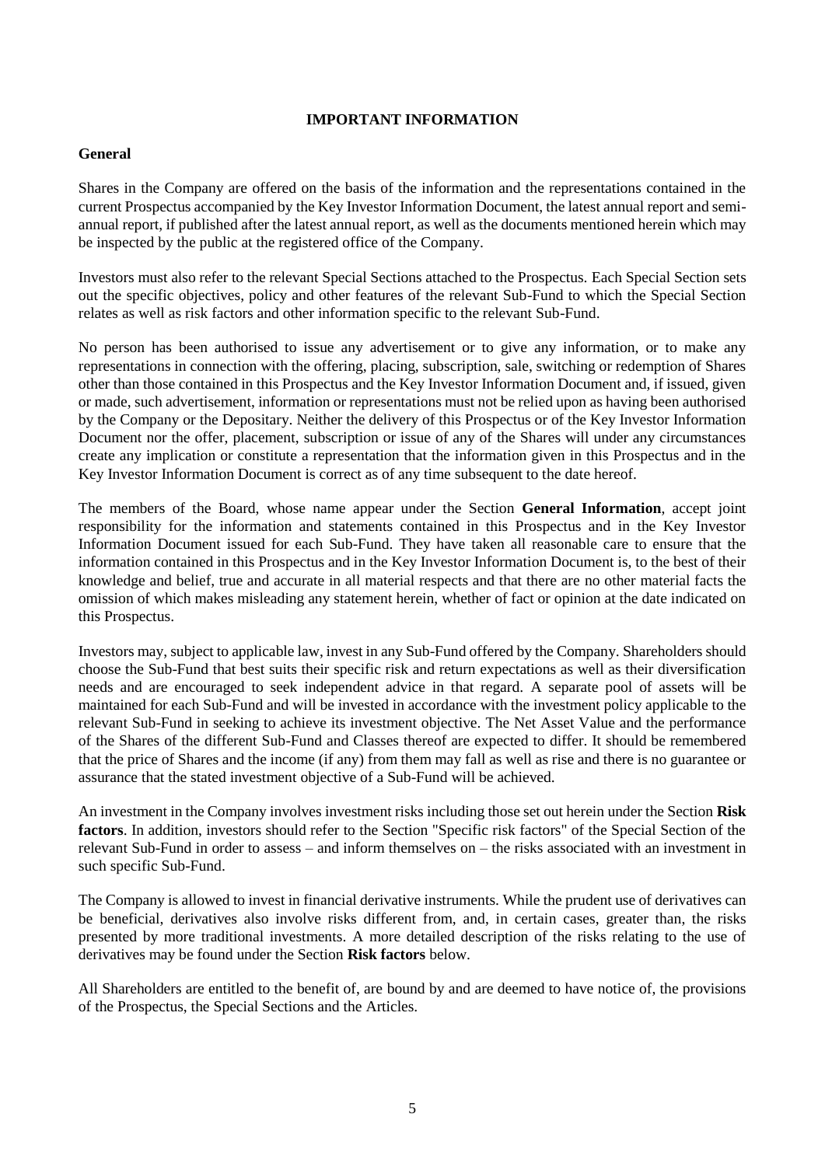# **IMPORTANT INFORMATION**

# <span id="page-4-0"></span>**General**

Shares in the Company are offered on the basis of the information and the representations contained in the current Prospectus accompanied by the Key Investor Information Document, the latest annual report and semiannual report, if published after the latest annual report, as well as the documents mentioned herein which may be inspected by the public at the registered office of the Company.

Investors must also refer to the relevant Special Sections attached to the Prospectus. Each Special Section sets out the specific objectives, policy and other features of the relevant Sub-Fund to which the Special Section relates as well as risk factors and other information specific to the relevant Sub-Fund.

No person has been authorised to issue any advertisement or to give any information, or to make any representations in connection with the offering, placing, subscription, sale, switching or redemption of Shares other than those contained in this Prospectus and the Key Investor Information Document and, if issued, given or made, such advertisement, information or representations must not be relied upon as having been authorised by the Company or the Depositary. Neither the delivery of this Prospectus or of the Key Investor Information Document nor the offer, placement, subscription or issue of any of the Shares will under any circumstances create any implication or constitute a representation that the information given in this Prospectus and in the Key Investor Information Document is correct as of any time subsequent to the date hereof.

The members of the Board, whose name appear under the Section **General Information**, accept joint responsibility for the information and statements contained in this Prospectus and in the Key Investor Information Document issued for each Sub-Fund. They have taken all reasonable care to ensure that the information contained in this Prospectus and in the Key Investor Information Document is, to the best of their knowledge and belief, true and accurate in all material respects and that there are no other material facts the omission of which makes misleading any statement herein, whether of fact or opinion at the date indicated on this Prospectus.

Investors may, subject to applicable law, invest in any Sub-Fund offered by the Company. Shareholders should choose the Sub-Fund that best suits their specific risk and return expectations as well as their diversification needs and are encouraged to seek independent advice in that regard. A separate pool of assets will be maintained for each Sub-Fund and will be invested in accordance with the investment policy applicable to the relevant Sub-Fund in seeking to achieve its investment objective. The Net Asset Value and the performance of the Shares of the different Sub-Fund and Classes thereof are expected to differ. It should be remembered that the price of Shares and the income (if any) from them may fall as well as rise and there is no guarantee or assurance that the stated investment objective of a Sub-Fund will be achieved.

An investment in the Company involves investment risks including those set out herein under the Section **Risk factors**. In addition, investors should refer to the Section "Specific risk factors" of the Special Section of the relevant Sub-Fund in order to assess – and inform themselves on – the risks associated with an investment in such specific Sub-Fund.

The Company is allowed to invest in financial derivative instruments. While the prudent use of derivatives can be beneficial, derivatives also involve risks different from, and, in certain cases, greater than, the risks presented by more traditional investments. A more detailed description of the risks relating to the use of derivatives may be found under the Section **Risk factors** below.

All Shareholders are entitled to the benefit of, are bound by and are deemed to have notice of, the provisions of the Prospectus, the Special Sections and the Articles.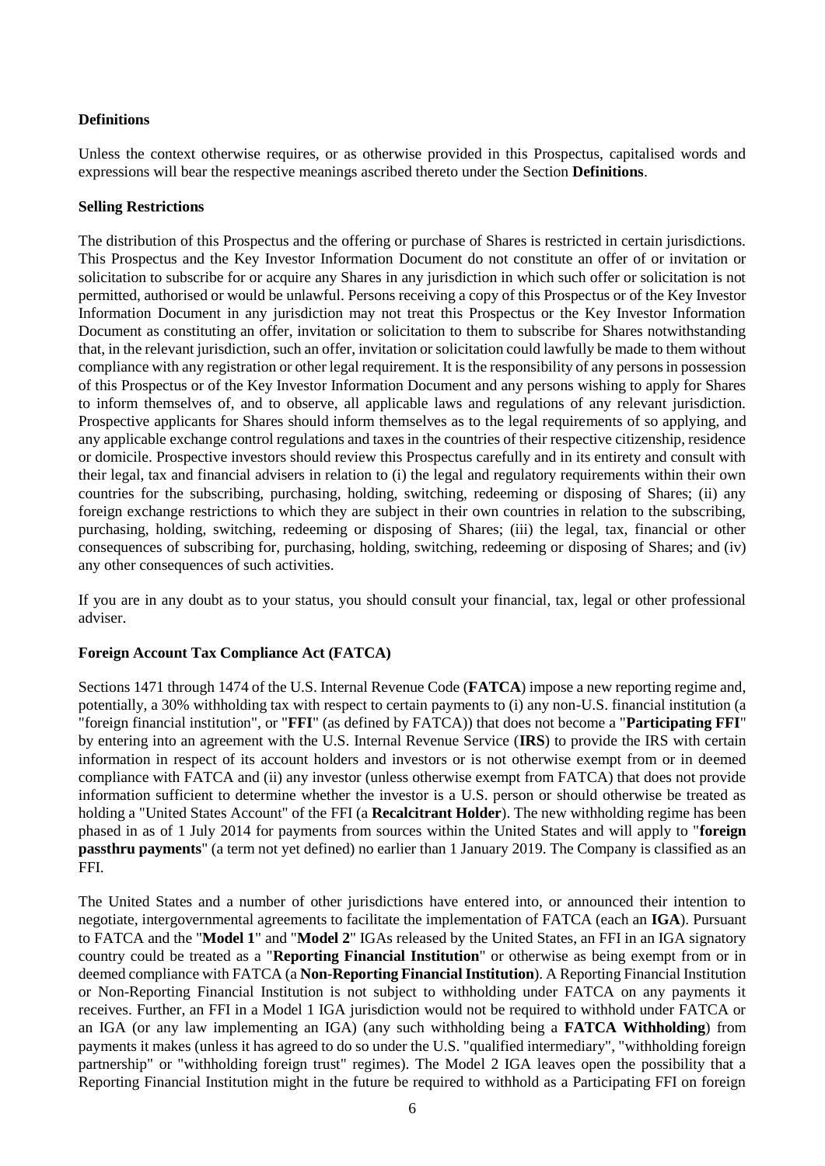# **Definitions**

Unless the context otherwise requires, or as otherwise provided in this Prospectus, capitalised words and expressions will bear the respective meanings ascribed thereto under the Section **Definitions**.

# **Selling Restrictions**

The distribution of this Prospectus and the offering or purchase of Shares is restricted in certain jurisdictions. This Prospectus and the Key Investor Information Document do not constitute an offer of or invitation or solicitation to subscribe for or acquire any Shares in any jurisdiction in which such offer or solicitation is not permitted, authorised or would be unlawful. Persons receiving a copy of this Prospectus or of the Key Investor Information Document in any jurisdiction may not treat this Prospectus or the Key Investor Information Document as constituting an offer, invitation or solicitation to them to subscribe for Shares notwithstanding that, in the relevant jurisdiction, such an offer, invitation or solicitation could lawfully be made to them without compliance with any registration or other legal requirement. It is the responsibility of any persons in possession of this Prospectus or of the Key Investor Information Document and any persons wishing to apply for Shares to inform themselves of, and to observe, all applicable laws and regulations of any relevant jurisdiction. Prospective applicants for Shares should inform themselves as to the legal requirements of so applying, and any applicable exchange control regulations and taxes in the countries of their respective citizenship, residence or domicile. Prospective investors should review this Prospectus carefully and in its entirety and consult with their legal, tax and financial advisers in relation to (i) the legal and regulatory requirements within their own countries for the subscribing, purchasing, holding, switching, redeeming or disposing of Shares; (ii) any foreign exchange restrictions to which they are subject in their own countries in relation to the subscribing, purchasing, holding, switching, redeeming or disposing of Shares; (iii) the legal, tax, financial or other consequences of subscribing for, purchasing, holding, switching, redeeming or disposing of Shares; and (iv) any other consequences of such activities.

If you are in any doubt as to your status, you should consult your financial, tax, legal or other professional adviser.

# **Foreign Account Tax Compliance Act (FATCA)**

Sections 1471 through 1474 of the U.S. Internal Revenue Code (**FATCA**) impose a new reporting regime and, potentially, a 30% withholding tax with respect to certain payments to (i) any non-U.S. financial institution (a "foreign financial institution", or "**FFI**" (as defined by FATCA)) that does not become a "**Participating FFI**" by entering into an agreement with the U.S. Internal Revenue Service (**IRS**) to provide the IRS with certain information in respect of its account holders and investors or is not otherwise exempt from or in deemed compliance with FATCA and (ii) any investor (unless otherwise exempt from FATCA) that does not provide information sufficient to determine whether the investor is a U.S. person or should otherwise be treated as holding a "United States Account" of the FFI (a **Recalcitrant Holder**). The new withholding regime has been phased in as of 1 July 2014 for payments from sources within the United States and will apply to "**foreign passthru payments**" (a term not yet defined) no earlier than 1 January 2019. The Company is classified as an FFI.

The United States and a number of other jurisdictions have entered into, or announced their intention to negotiate, intergovernmental agreements to facilitate the implementation of FATCA (each an **IGA**). Pursuant to FATCA and the "**Model 1**" and "**Model 2**" IGAs released by the United States, an FFI in an IGA signatory country could be treated as a "**Reporting Financial Institution**" or otherwise as being exempt from or in deemed compliance with FATCA (a **Non-Reporting Financial Institution**). A Reporting Financial Institution or Non-Reporting Financial Institution is not subject to withholding under FATCA on any payments it receives. Further, an FFI in a Model 1 IGA jurisdiction would not be required to withhold under FATCA or an IGA (or any law implementing an IGA) (any such withholding being a **FATCA Withholding**) from payments it makes (unless it has agreed to do so under the U.S. "qualified intermediary", "withholding foreign partnership" or "withholding foreign trust" regimes). The Model 2 IGA leaves open the possibility that a Reporting Financial Institution might in the future be required to withhold as a Participating FFI on foreign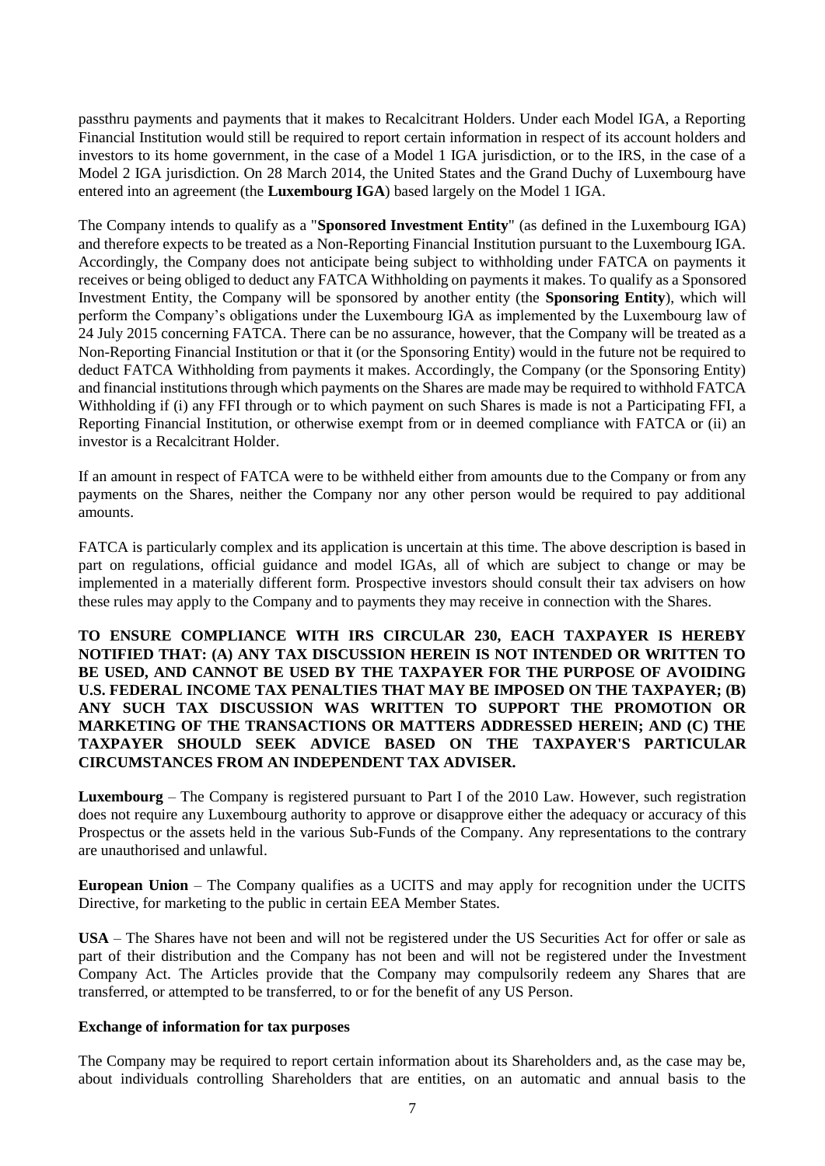passthru payments and payments that it makes to Recalcitrant Holders. Under each Model IGA, a Reporting Financial Institution would still be required to report certain information in respect of its account holders and investors to its home government, in the case of a Model 1 IGA jurisdiction, or to the IRS, in the case of a Model 2 IGA jurisdiction. On 28 March 2014, the United States and the Grand Duchy of Luxembourg have entered into an agreement (the **Luxembourg IGA**) based largely on the Model 1 IGA.

The Company intends to qualify as a "**Sponsored Investment Entity**" (as defined in the Luxembourg IGA) and therefore expects to be treated as a Non-Reporting Financial Institution pursuant to the Luxembourg IGA. Accordingly, the Company does not anticipate being subject to withholding under FATCA on payments it receives or being obliged to deduct any FATCA Withholding on payments it makes. To qualify as a Sponsored Investment Entity, the Company will be sponsored by another entity (the **Sponsoring Entity**), which will perform the Company's obligations under the Luxembourg IGA as implemented by the Luxembourg law of 24 July 2015 concerning FATCA. There can be no assurance, however, that the Company will be treated as a Non-Reporting Financial Institution or that it (or the Sponsoring Entity) would in the future not be required to deduct FATCA Withholding from payments it makes. Accordingly, the Company (or the Sponsoring Entity) and financial institutions through which payments on the Shares are made may be required to withhold FATCA Withholding if (i) any FFI through or to which payment on such Shares is made is not a Participating FFI, a Reporting Financial Institution, or otherwise exempt from or in deemed compliance with FATCA or (ii) an investor is a Recalcitrant Holder.

If an amount in respect of FATCA were to be withheld either from amounts due to the Company or from any payments on the Shares, neither the Company nor any other person would be required to pay additional amounts.

FATCA is particularly complex and its application is uncertain at this time. The above description is based in part on regulations, official guidance and model IGAs, all of which are subject to change or may be implemented in a materially different form. Prospective investors should consult their tax advisers on how these rules may apply to the Company and to payments they may receive in connection with the Shares.

**TO ENSURE COMPLIANCE WITH IRS CIRCULAR 230, EACH TAXPAYER IS HEREBY NOTIFIED THAT: (A) ANY TAX DISCUSSION HEREIN IS NOT INTENDED OR WRITTEN TO BE USED, AND CANNOT BE USED BY THE TAXPAYER FOR THE PURPOSE OF AVOIDING U.S. FEDERAL INCOME TAX PENALTIES THAT MAY BE IMPOSED ON THE TAXPAYER; (B) ANY SUCH TAX DISCUSSION WAS WRITTEN TO SUPPORT THE PROMOTION OR MARKETING OF THE TRANSACTIONS OR MATTERS ADDRESSED HEREIN; AND (C) THE TAXPAYER SHOULD SEEK ADVICE BASED ON THE TAXPAYER'S PARTICULAR CIRCUMSTANCES FROM AN INDEPENDENT TAX ADVISER.**

**Luxembourg** – The Company is registered pursuant to Part I of the 2010 Law. However, such registration does not require any Luxembourg authority to approve or disapprove either the adequacy or accuracy of this Prospectus or the assets held in the various Sub-Funds of the Company. Any representations to the contrary are unauthorised and unlawful.

**European Union** – The Company qualifies as a UCITS and may apply for recognition under the UCITS Directive, for marketing to the public in certain EEA Member States.

**USA** – The Shares have not been and will not be registered under the US Securities Act for offer or sale as part of their distribution and the Company has not been and will not be registered under the Investment Company Act. The Articles provide that the Company may compulsorily redeem any Shares that are transferred, or attempted to be transferred, to or for the benefit of any US Person.

# **Exchange of information for tax purposes**

The Company may be required to report certain information about its Shareholders and, as the case may be, about individuals controlling Shareholders that are entities, on an automatic and annual basis to the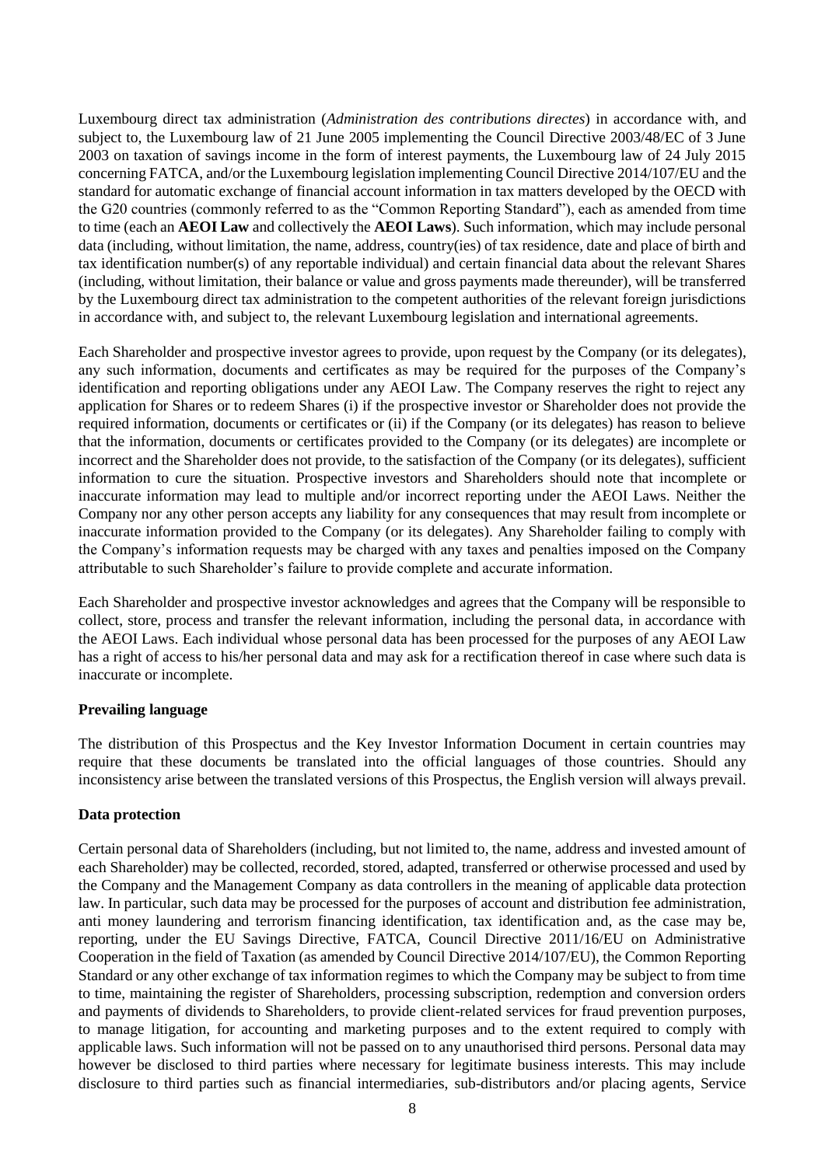Luxembourg direct tax administration (*Administration des contributions directes*) in accordance with, and subject to, the Luxembourg law of 21 June 2005 implementing the Council Directive 2003/48/EC of 3 June 2003 on taxation of savings income in the form of interest payments, the Luxembourg law of 24 July 2015 concerning FATCA, and/or the Luxembourg legislation implementing Council Directive 2014/107/EU and the standard for automatic exchange of financial account information in tax matters developed by the OECD with the G20 countries (commonly referred to as the "Common Reporting Standard"), each as amended from time to time (each an **AEOI Law** and collectively the **AEOI Laws**). Such information, which may include personal data (including, without limitation, the name, address, country(ies) of tax residence, date and place of birth and tax identification number(s) of any reportable individual) and certain financial data about the relevant Shares (including, without limitation, their balance or value and gross payments made thereunder), will be transferred by the Luxembourg direct tax administration to the competent authorities of the relevant foreign jurisdictions in accordance with, and subject to, the relevant Luxembourg legislation and international agreements.

Each Shareholder and prospective investor agrees to provide, upon request by the Company (or its delegates), any such information, documents and certificates as may be required for the purposes of the Company's identification and reporting obligations under any AEOI Law. The Company reserves the right to reject any application for Shares or to redeem Shares (i) if the prospective investor or Shareholder does not provide the required information, documents or certificates or (ii) if the Company (or its delegates) has reason to believe that the information, documents or certificates provided to the Company (or its delegates) are incomplete or incorrect and the Shareholder does not provide, to the satisfaction of the Company (or its delegates), sufficient information to cure the situation. Prospective investors and Shareholders should note that incomplete or inaccurate information may lead to multiple and/or incorrect reporting under the AEOI Laws. Neither the Company nor any other person accepts any liability for any consequences that may result from incomplete or inaccurate information provided to the Company (or its delegates). Any Shareholder failing to comply with the Company's information requests may be charged with any taxes and penalties imposed on the Company attributable to such Shareholder's failure to provide complete and accurate information.

Each Shareholder and prospective investor acknowledges and agrees that the Company will be responsible to collect, store, process and transfer the relevant information, including the personal data, in accordance with the AEOI Laws. Each individual whose personal data has been processed for the purposes of any AEOI Law has a right of access to his/her personal data and may ask for a rectification thereof in case where such data is inaccurate or incomplete.

# **Prevailing language**

The distribution of this Prospectus and the Key Investor Information Document in certain countries may require that these documents be translated into the official languages of those countries. Should any inconsistency arise between the translated versions of this Prospectus, the English version will always prevail.

# **Data protection**

Certain personal data of Shareholders (including, but not limited to, the name, address and invested amount of each Shareholder) may be collected, recorded, stored, adapted, transferred or otherwise processed and used by the Company and the Management Company as data controllers in the meaning of applicable data protection law. In particular, such data may be processed for the purposes of account and distribution fee administration, anti money laundering and terrorism financing identification, tax identification and, as the case may be, reporting, under the EU Savings Directive, FATCA, Council Directive 2011/16/EU on Administrative Cooperation in the field of Taxation (as amended by Council Directive 2014/107/EU), the Common Reporting Standard or any other exchange of tax information regimes to which the Company may be subject to from time to time, maintaining the register of Shareholders, processing subscription, redemption and conversion orders and payments of dividends to Shareholders, to provide client-related services for fraud prevention purposes, to manage litigation, for accounting and marketing purposes and to the extent required to comply with applicable laws. Such information will not be passed on to any unauthorised third persons. Personal data may however be disclosed to third parties where necessary for legitimate business interests. This may include disclosure to third parties such as financial intermediaries, sub-distributors and/or placing agents, Service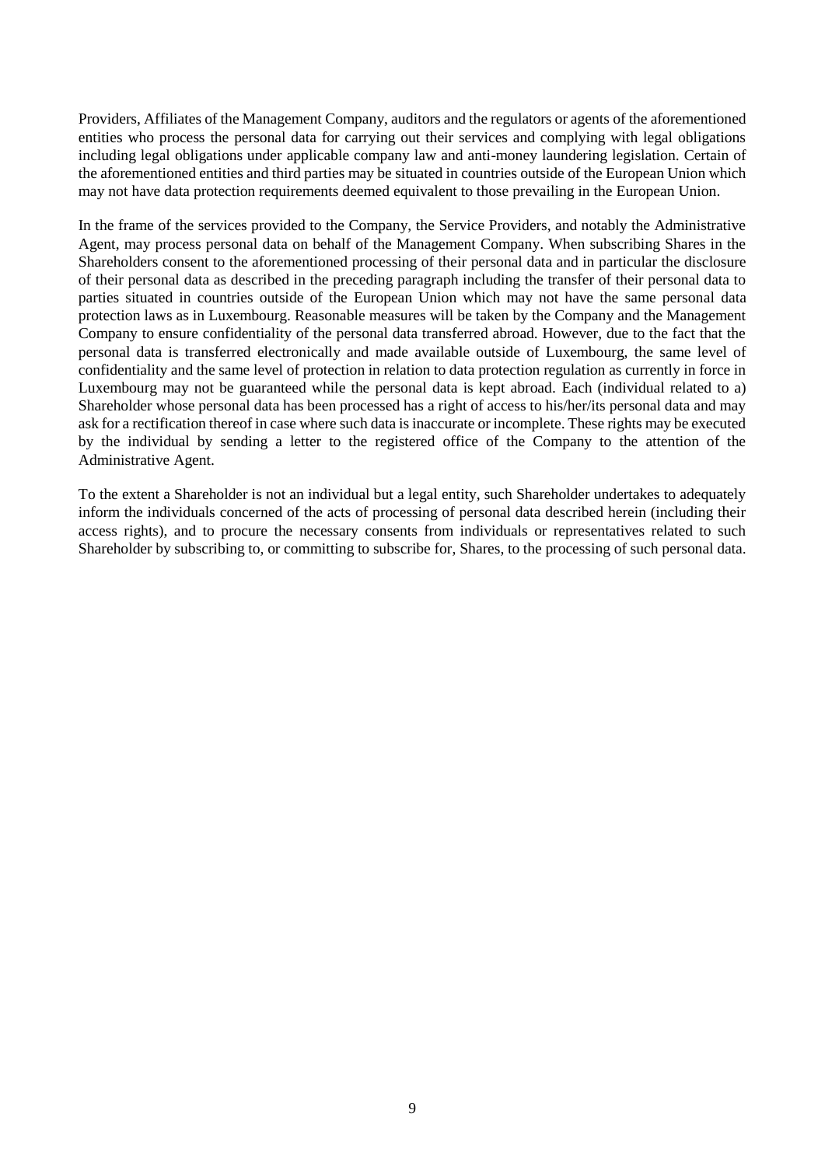Providers, Affiliates of the Management Company, auditors and the regulators or agents of the aforementioned entities who process the personal data for carrying out their services and complying with legal obligations including legal obligations under applicable company law and anti-money laundering legislation. Certain of the aforementioned entities and third parties may be situated in countries outside of the European Union which may not have data protection requirements deemed equivalent to those prevailing in the European Union.

In the frame of the services provided to the Company, the Service Providers, and notably the Administrative Agent, may process personal data on behalf of the Management Company. When subscribing Shares in the Shareholders consent to the aforementioned processing of their personal data and in particular the disclosure of their personal data as described in the preceding paragraph including the transfer of their personal data to parties situated in countries outside of the European Union which may not have the same personal data protection laws as in Luxembourg. Reasonable measures will be taken by the Company and the Management Company to ensure confidentiality of the personal data transferred abroad. However, due to the fact that the personal data is transferred electronically and made available outside of Luxembourg, the same level of confidentiality and the same level of protection in relation to data protection regulation as currently in force in Luxembourg may not be guaranteed while the personal data is kept abroad. Each (individual related to a) Shareholder whose personal data has been processed has a right of access to his/her/its personal data and may ask for a rectification thereof in case where such data is inaccurate or incomplete. These rights may be executed by the individual by sending a letter to the registered office of the Company to the attention of the Administrative Agent.

To the extent a Shareholder is not an individual but a legal entity, such Shareholder undertakes to adequately inform the individuals concerned of the acts of processing of personal data described herein (including their access rights), and to procure the necessary consents from individuals or representatives related to such Shareholder by subscribing to, or committing to subscribe for, Shares, to the processing of such personal data.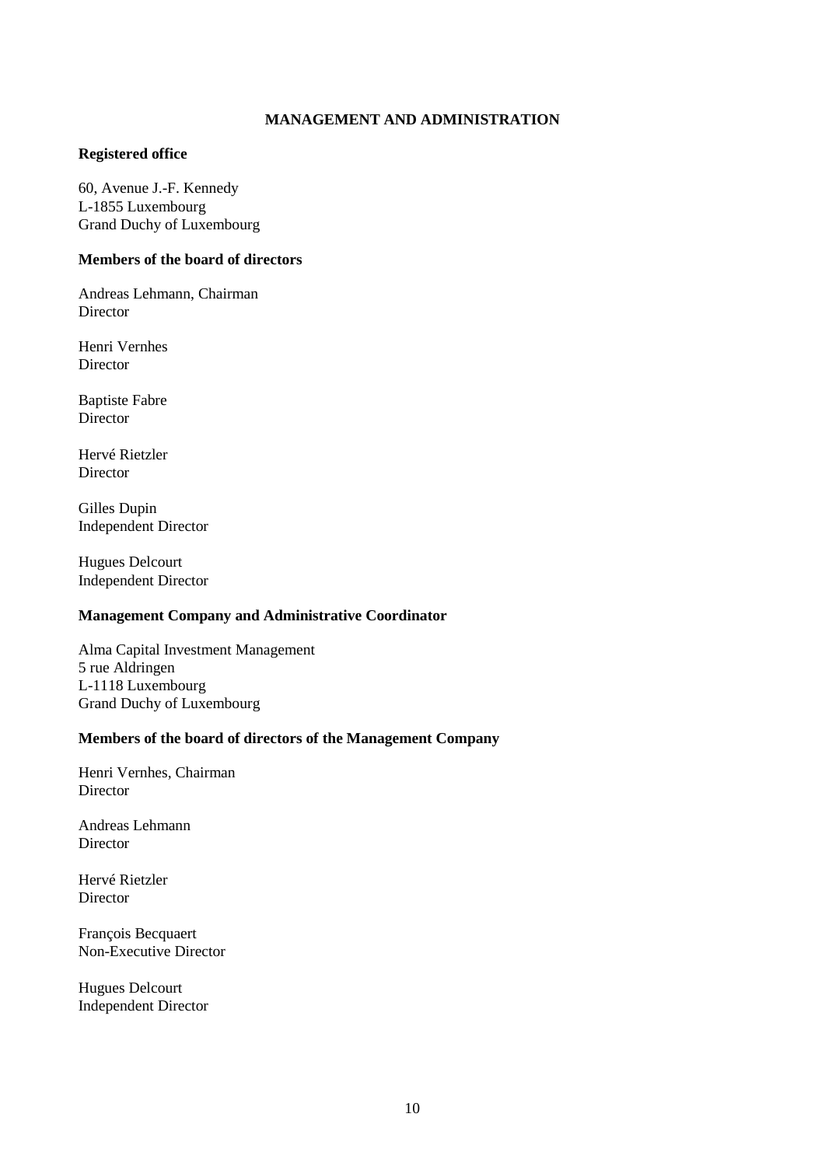# **MANAGEMENT AND ADMINISTRATION**

#### <span id="page-9-0"></span>**Registered office**

60, Avenue J.-F. Kennedy L-1855 Luxembourg Grand Duchy of Luxembourg

# **Members of the board of directors**

Andreas Lehmann, Chairman **Director** 

Henri Vernhes Director

Baptiste Fabre Director

Hervé Rietzler Director

Gilles Dupin Independent Director

Hugues Delcourt Independent Director

# **Management Company and Administrative Coordinator**

Alma Capital Investment Management 5 rue Aldringen L-1118 Luxembourg Grand Duchy of Luxembourg

#### **Members of the board of directors of the Management Company**

Henri Vernhes, Chairman Director

Andreas Lehmann **Director** 

Hervé Rietzler Director

François Becquaert Non-Executive Director

Hugues Delcourt Independent Director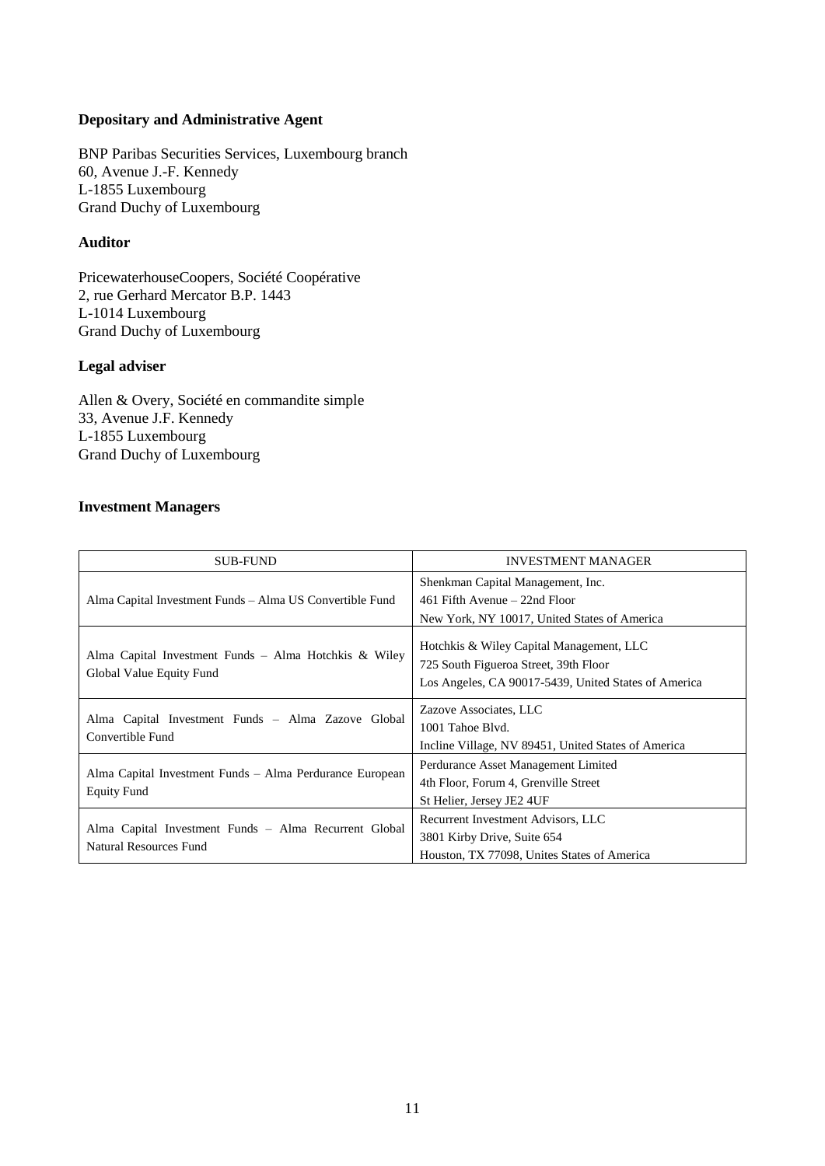# **Depositary and Administrative Agent**

BNP Paribas Securities Services, Luxembourg branch 60, Avenue J.-F. Kennedy L-1855 Luxembourg Grand Duchy of Luxembourg

# **Auditor**

PricewaterhouseCoopers, Société Coopérative 2, rue Gerhard Mercator B.P. 1443 L-1014 Luxembourg Grand Duchy of Luxembourg

# **Legal adviser**

Allen & Overy, Société en commandite simple 33, Avenue J.F. Kennedy L-1855 Luxembourg Grand Duchy of Luxembourg

# **Investment Managers**

| <b>SUB-FUND</b>                                                                        | <b>INVESTMENT MANAGER</b>                                                                                                                 |  |
|----------------------------------------------------------------------------------------|-------------------------------------------------------------------------------------------------------------------------------------------|--|
|                                                                                        | Shenkman Capital Management, Inc.                                                                                                         |  |
| Alma Capital Investment Funds – Alma US Convertible Fund                               | 461 Fifth Avenue $-22$ nd Floor                                                                                                           |  |
|                                                                                        | New York, NY 10017, United States of America                                                                                              |  |
| Alma Capital Investment Funds - Alma Hotchkis & Wiley<br>Global Value Equity Fund      | Hotchkis & Wiley Capital Management, LLC<br>725 South Figueroa Street, 39th Floor<br>Los Angeles, CA 90017-5439, United States of America |  |
| Alma Capital Investment Funds - Alma Zazove Global                                     | Zazove Associates, LLC                                                                                                                    |  |
| Convertible Fund                                                                       | 1001 Tahoe Blvd.                                                                                                                          |  |
|                                                                                        | Incline Village, NV 89451, United States of America                                                                                       |  |
| Alma Capital Investment Funds - Alma Perdurance European                               | Perdurance Asset Management Limited                                                                                                       |  |
|                                                                                        | 4th Floor, Forum 4, Grenville Street                                                                                                      |  |
| <b>Equity Fund</b>                                                                     | St Helier, Jersey JE2 4UF                                                                                                                 |  |
|                                                                                        | Recurrent Investment Advisors, LLC                                                                                                        |  |
| Alma Capital Investment Funds – Alma Recurrent Global<br><b>Natural Resources Fund</b> | 3801 Kirby Drive, Suite 654                                                                                                               |  |
|                                                                                        | Houston, TX 77098, Unites States of America                                                                                               |  |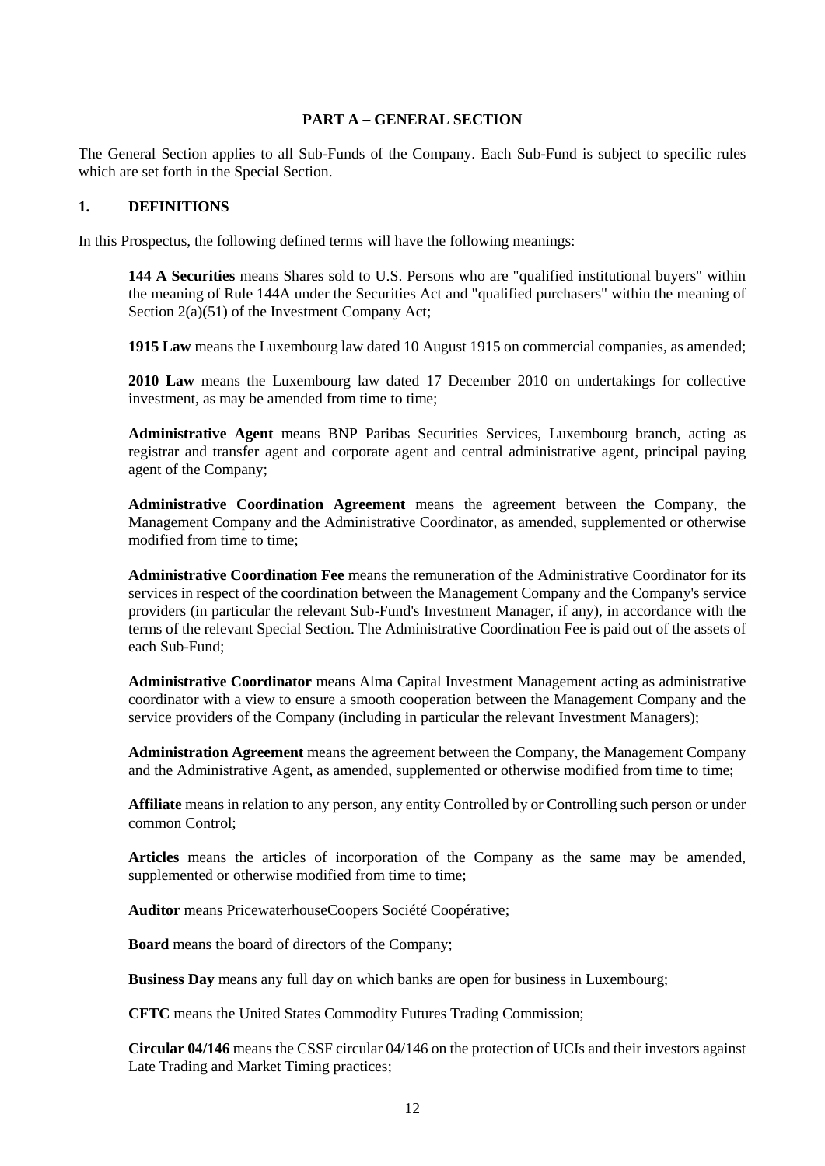## **PART A – GENERAL SECTION**

<span id="page-11-0"></span>The General Section applies to all Sub-Funds of the Company. Each Sub-Fund is subject to specific rules which are set forth in the Special Section.

#### <span id="page-11-1"></span>**1. DEFINITIONS**

In this Prospectus, the following defined terms will have the following meanings:

**144 A Securities** means Shares sold to U.S. Persons who are "qualified institutional buyers" within the meaning of Rule 144A under the Securities Act and "qualified purchasers" within the meaning of Section 2(a)(51) of the Investment Company Act;

**1915 Law** means the Luxembourg law dated 10 August 1915 on commercial companies, as amended;

**2010 Law** means the Luxembourg law dated 17 December 2010 on undertakings for collective investment, as may be amended from time to time;

**Administrative Agent** means BNP Paribas Securities Services, Luxembourg branch, acting as registrar and transfer agent and corporate agent and central administrative agent, principal paying agent of the Company;

**Administrative Coordination Agreement** means the agreement between the Company, the Management Company and the Administrative Coordinator, as amended, supplemented or otherwise modified from time to time;

**Administrative Coordination Fee** means the remuneration of the Administrative Coordinator for its services in respect of the coordination between the Management Company and the Company's service providers (in particular the relevant Sub-Fund's Investment Manager, if any), in accordance with the terms of the relevant Special Section. The Administrative Coordination Fee is paid out of the assets of each Sub-Fund;

**Administrative Coordinator** means Alma Capital Investment Management acting as administrative coordinator with a view to ensure a smooth cooperation between the Management Company and the service providers of the Company (including in particular the relevant Investment Managers);

**Administration Agreement** means the agreement between the Company, the Management Company and the Administrative Agent, as amended, supplemented or otherwise modified from time to time;

**Affiliate** means in relation to any person, any entity Controlled by or Controlling such person or under common Control;

**Articles** means the articles of incorporation of the Company as the same may be amended, supplemented or otherwise modified from time to time;

**Auditor** means PricewaterhouseCoopers Société Coopérative;

**Board** means the board of directors of the Company;

**Business Day** means any full day on which banks are open for business in Luxembourg;

**CFTC** means the United States Commodity Futures Trading Commission;

**Circular 04/146** means the CSSF circular 04/146 on the protection of UCIs and their investors against Late Trading and Market Timing practices;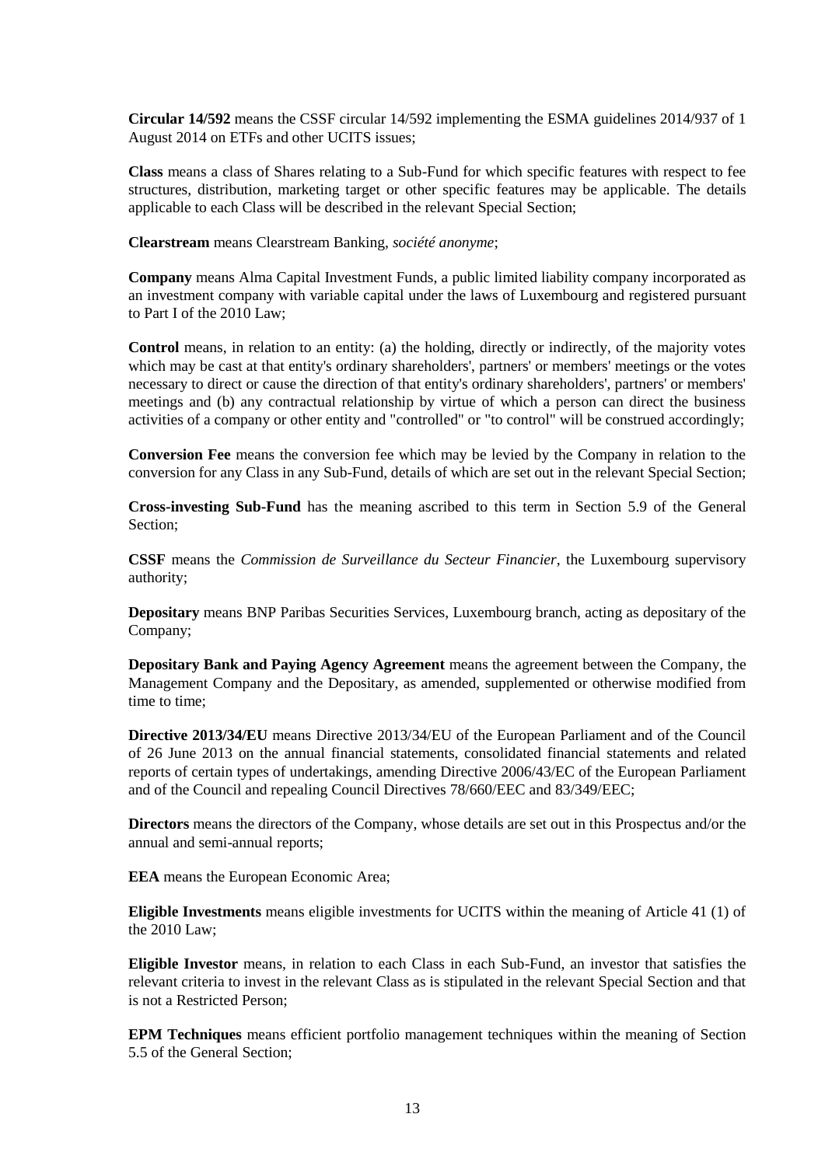**Circular 14/592** means the CSSF circular 14/592 implementing the ESMA guidelines 2014/937 of 1 August 2014 on ETFs and other UCITS issues;

**Class** means a class of Shares relating to a Sub-Fund for which specific features with respect to fee structures, distribution, marketing target or other specific features may be applicable. The details applicable to each Class will be described in the relevant Special Section;

**Clearstream** means Clearstream Banking, *société anonyme*;

**Company** means Alma Capital Investment Funds, a public limited liability company incorporated as an investment company with variable capital under the laws of Luxembourg and registered pursuant to Part I of the 2010 Law;

**Control** means, in relation to an entity: (a) the holding, directly or indirectly, of the majority votes which may be cast at that entity's ordinary shareholders', partners' or members' meetings or the votes necessary to direct or cause the direction of that entity's ordinary shareholders', partners' or members' meetings and (b) any contractual relationship by virtue of which a person can direct the business activities of a company or other entity and "controlled" or "to control" will be construed accordingly;

**Conversion Fee** means the conversion fee which may be levied by the Company in relation to the conversion for any Class in any Sub-Fund, details of which are set out in the relevant Special Section;

**Cross-investing Sub-Fund** has the meaning ascribed to this term in Section [5.9](#page-31-1) of the General Section;

**CSSF** means the *Commission de Surveillance du Secteur Financier*, the Luxembourg supervisory authority;

**Depositary** means BNP Paribas Securities Services, Luxembourg branch, acting as depositary of the Company;

**Depositary Bank and Paying Agency Agreement** means the agreement between the Company, the Management Company and the Depositary, as amended, supplemented or otherwise modified from time to time;

**Directive 2013/34/EU** means Directive 2013/34/EU of the European Parliament and of the Council of 26 June 2013 on the annual financial statements, consolidated financial statements and related reports of certain types of undertakings, amending Directive 2006/43/EC of the European Parliament and of the Council and repealing Council Directives 78/660/EEC and 83/349/EEC;

**Directors** means the directors of the Company, whose details are set out in this Prospectus and/or the annual and semi-annual reports;

**EEA** means the European Economic Area;

**Eligible Investments** means eligible investments for UCITS within the meaning of Article 41 (1) of the 2010 Law;

**Eligible Investor** means, in relation to each Class in each Sub-Fund, an investor that satisfies the relevant criteria to invest in the relevant Class as is stipulated in the relevant Special Section and that is not a Restricted Person;

**EPM Techniques** means efficient portfolio management techniques within the meaning of Section 5.5 of the General Section;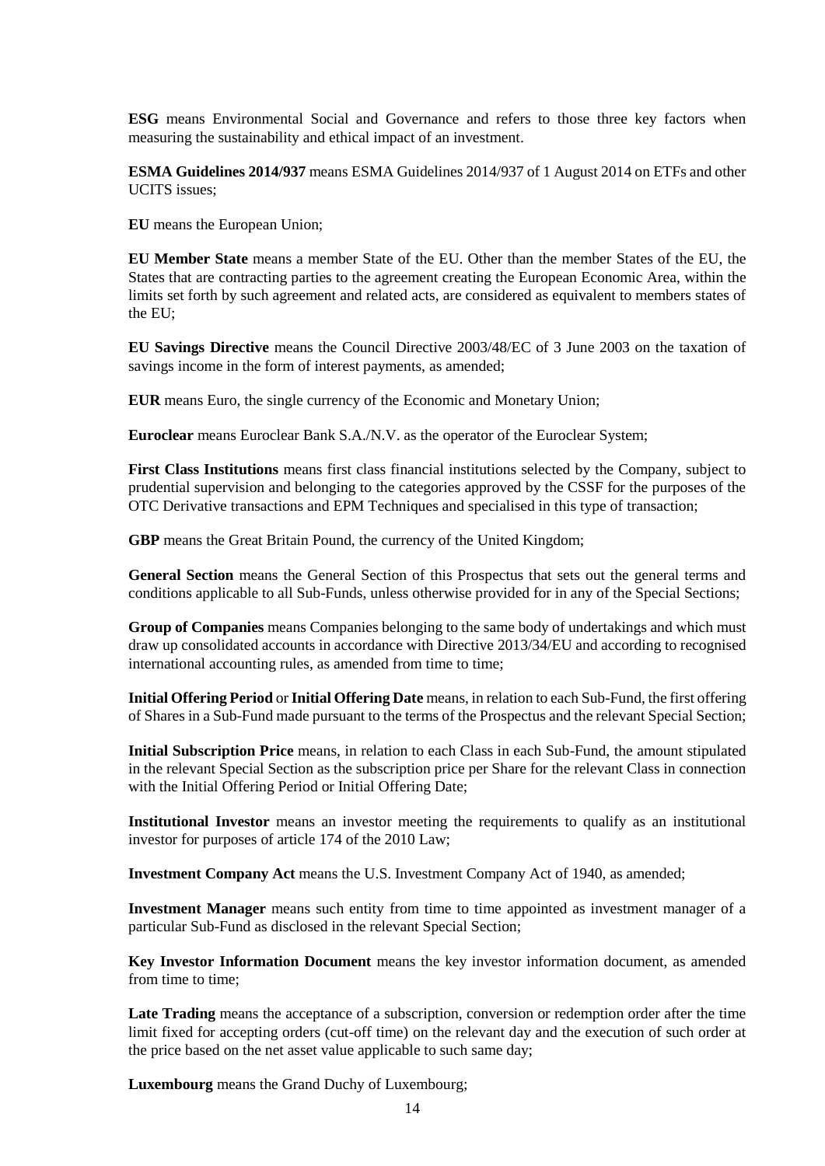**ESG** means Environmental Social and Governance and refers to those three key factors when measuring the sustainability and ethical impact of an investment.

**ESMA Guidelines 2014/937** means ESMA Guidelines 2014/937 of 1 August 2014 on ETFs and other UCITS issues;

**EU** means the European Union;

**EU Member State** means a member State of the EU. Other than the member States of the EU, the States that are contracting parties to the agreement creating the European Economic Area, within the limits set forth by such agreement and related acts, are considered as equivalent to members states of the EU;

**EU Savings Directive** means the Council Directive 2003/48/EC of 3 June 2003 on the taxation of savings income in the form of interest payments, as amended;

**EUR** means Euro, the single currency of the Economic and Monetary Union;

**Euroclear** means Euroclear Bank S.A./N.V. as the operator of the Euroclear System;

**First Class Institutions** means first class financial institutions selected by the Company, subject to prudential supervision and belonging to the categories approved by the CSSF for the purposes of the OTC Derivative transactions and EPM Techniques and specialised in this type of transaction;

**GBP** means the Great Britain Pound, the currency of the United Kingdom;

**General Section** means the General Section of this Prospectus that sets out the general terms and conditions applicable to all Sub-Funds, unless otherwise provided for in any of the Special Sections;

**Group of Companies** means Companies belonging to the same body of undertakings and which must draw up consolidated accounts in accordance with Directive 2013/34/EU and according to recognised international accounting rules, as amended from time to time;

**Initial Offering Period** or **Initial Offering Date** means, in relation to each Sub-Fund, the first offering of Shares in a Sub-Fund made pursuant to the terms of the Prospectus and the relevant Special Section;

**Initial Subscription Price** means, in relation to each Class in each Sub-Fund, the amount stipulated in the relevant Special Section as the subscription price per Share for the relevant Class in connection with the Initial Offering Period or Initial Offering Date;

**Institutional Investor** means an investor meeting the requirements to qualify as an institutional investor for purposes of article 174 of the 2010 Law;

**Investment Company Act** means the U.S. Investment Company Act of 1940, as amended;

**Investment Manager** means such entity from time to time appointed as investment manager of a particular Sub-Fund as disclosed in the relevant Special Section;

**Key Investor Information Document** means the key investor information document, as amended from time to time;

**Late Trading** means the acceptance of a subscription, conversion or redemption order after the time limit fixed for accepting orders (cut-off time) on the relevant day and the execution of such order at the price based on the net asset value applicable to such same day;

**Luxembourg** means the Grand Duchy of Luxembourg;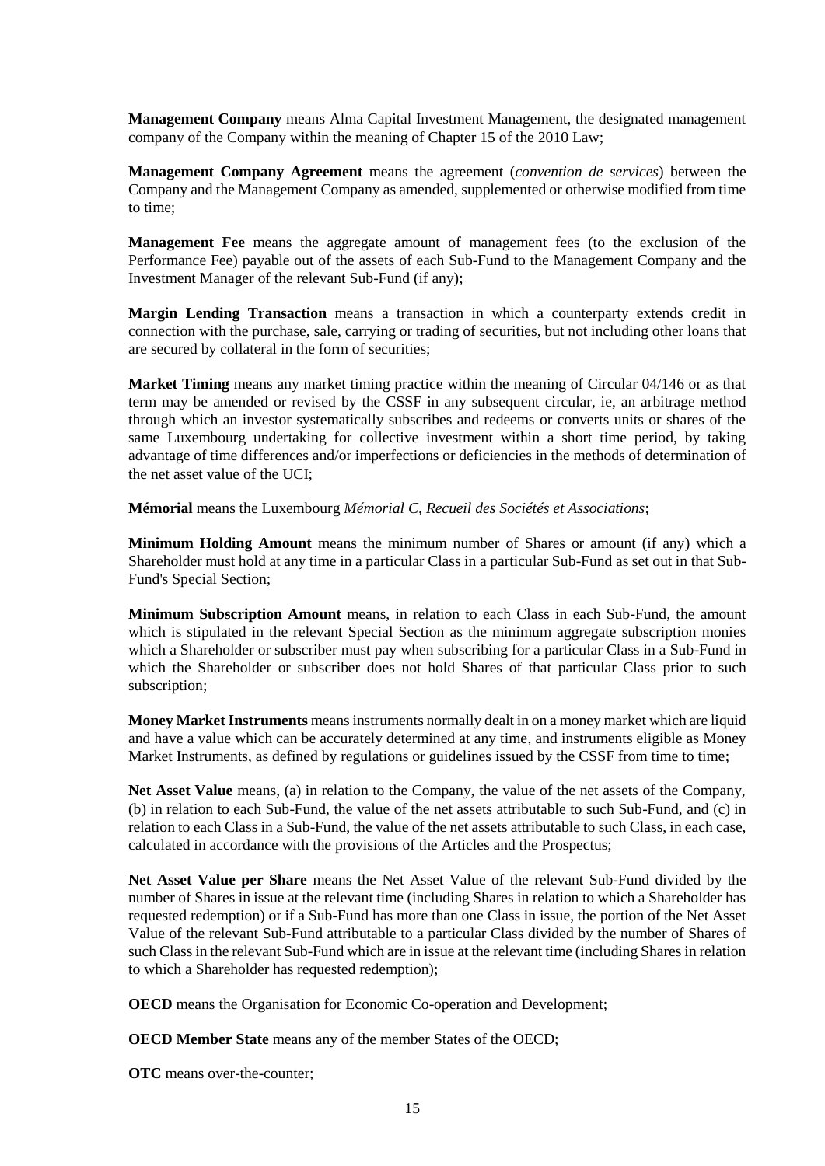**Management Company** means Alma Capital Investment Management, the designated management company of the Company within the meaning of Chapter 15 of the 2010 Law;

**Management Company Agreement** means the agreement (*convention de services*) between the Company and the Management Company as amended, supplemented or otherwise modified from time to time;

**Management Fee** means the aggregate amount of management fees (to the exclusion of the Performance Fee) payable out of the assets of each Sub-Fund to the Management Company and the Investment Manager of the relevant Sub-Fund (if any);

**Margin Lending Transaction** means a transaction in which a counterparty extends credit in connection with the purchase, sale, carrying or trading of securities, but not including other loans that are secured by collateral in the form of securities;

**Market Timing** means any market timing practice within the meaning of Circular 04/146 or as that term may be amended or revised by the CSSF in any subsequent circular, ie, an arbitrage method through which an investor systematically subscribes and redeems or converts units or shares of the same Luxembourg undertaking for collective investment within a short time period, by taking advantage of time differences and/or imperfections or deficiencies in the methods of determination of the net asset value of the UCI;

**Mémorial** means the Luxembourg *Mémorial C, Recueil des Sociétés et Associations*;

**Minimum Holding Amount** means the minimum number of Shares or amount (if any) which a Shareholder must hold at any time in a particular Class in a particular Sub-Fund as set out in that Sub-Fund's Special Section;

**Minimum Subscription Amount** means, in relation to each Class in each Sub-Fund, the amount which is stipulated in the relevant Special Section as the minimum aggregate subscription monies which a Shareholder or subscriber must pay when subscribing for a particular Class in a Sub-Fund in which the Shareholder or subscriber does not hold Shares of that particular Class prior to such subscription;

**Money Market Instruments** means instruments normally dealt in on a money market which are liquid and have a value which can be accurately determined at any time, and instruments eligible as Money Market Instruments, as defined by regulations or guidelines issued by the CSSF from time to time;

Net Asset Value means, (a) in relation to the Company, the value of the net assets of the Company, (b) in relation to each Sub-Fund, the value of the net assets attributable to such Sub-Fund, and (c) in relation to each Class in a Sub-Fund, the value of the net assets attributable to such Class, in each case, calculated in accordance with the provisions of the Articles and the Prospectus;

**Net Asset Value per Share** means the Net Asset Value of the relevant Sub-Fund divided by the number of Shares in issue at the relevant time (including Shares in relation to which a Shareholder has requested redemption) or if a Sub-Fund has more than one Class in issue, the portion of the Net Asset Value of the relevant Sub-Fund attributable to a particular Class divided by the number of Shares of such Class in the relevant Sub-Fund which are in issue at the relevant time (including Shares in relation to which a Shareholder has requested redemption);

**OECD** means the Organisation for Economic Co-operation and Development;

**OECD Member State** means any of the member States of the OECD;

**OTC** means over-the-counter;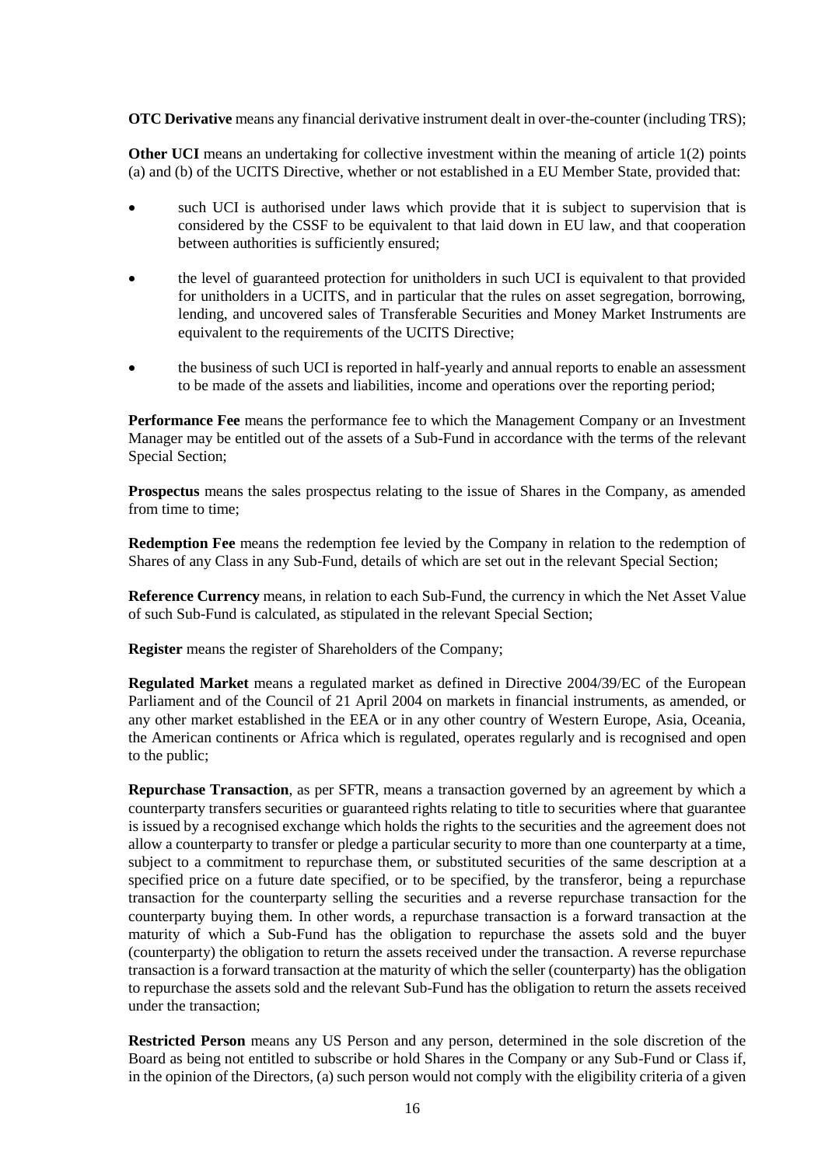**OTC Derivative** means any financial derivative instrument dealt in over-the-counter (including TRS);

**Other UCI** means an undertaking for collective investment within the meaning of article 1(2) points (a) and (b) of the UCITS Directive, whether or not established in a EU Member State, provided that:

- such UCI is authorised under laws which provide that it is subject to supervision that is considered by the CSSF to be equivalent to that laid down in EU law, and that cooperation between authorities is sufficiently ensured;
- the level of guaranteed protection for unitholders in such UCI is equivalent to that provided for unitholders in a UCITS, and in particular that the rules on asset segregation, borrowing, lending, and uncovered sales of Transferable Securities and Money Market Instruments are equivalent to the requirements of the UCITS Directive;
- the business of such UCI is reported in half-yearly and annual reports to enable an assessment to be made of the assets and liabilities, income and operations over the reporting period;

**Performance Fee** means the performance fee to which the Management Company or an Investment Manager may be entitled out of the assets of a Sub-Fund in accordance with the terms of the relevant Special Section;

**Prospectus** means the sales prospectus relating to the issue of Shares in the Company, as amended from time to time;

**Redemption Fee** means the redemption fee levied by the Company in relation to the redemption of Shares of any Class in any Sub-Fund, details of which are set out in the relevant Special Section;

**Reference Currency** means, in relation to each Sub-Fund, the currency in which the Net Asset Value of such Sub-Fund is calculated, as stipulated in the relevant Special Section;

**Register** means the register of Shareholders of the Company;

**Regulated Market** means a regulated market as defined in Directive 2004/39/EC of the European Parliament and of the Council of 21 April 2004 on markets in financial instruments, as amended, or any other market established in the EEA or in any other country of Western Europe, Asia, Oceania, the American continents or Africa which is regulated, operates regularly and is recognised and open to the public;

**Repurchase Transaction**, as per SFTR, means a transaction governed by an agreement by which a counterparty transfers securities or guaranteed rights relating to title to securities where that guarantee is issued by a recognised exchange which holds the rights to the securities and the agreement does not allow a counterparty to transfer or pledge a particular security to more than one counterparty at a time, subject to a commitment to repurchase them, or substituted securities of the same description at a specified price on a future date specified, or to be specified, by the transferor, being a repurchase transaction for the counterparty selling the securities and a reverse repurchase transaction for the counterparty buying them. In other words, a repurchase transaction is a forward transaction at the maturity of which a Sub-Fund has the obligation to repurchase the assets sold and the buyer (counterparty) the obligation to return the assets received under the transaction. A reverse repurchase transaction is a forward transaction at the maturity of which the seller (counterparty) has the obligation to repurchase the assets sold and the relevant Sub-Fund has the obligation to return the assets received under the transaction;

**Restricted Person** means any US Person and any person, determined in the sole discretion of the Board as being not entitled to subscribe or hold Shares in the Company or any Sub-Fund or Class if, in the opinion of the Directors, (a) such person would not comply with the eligibility criteria of a given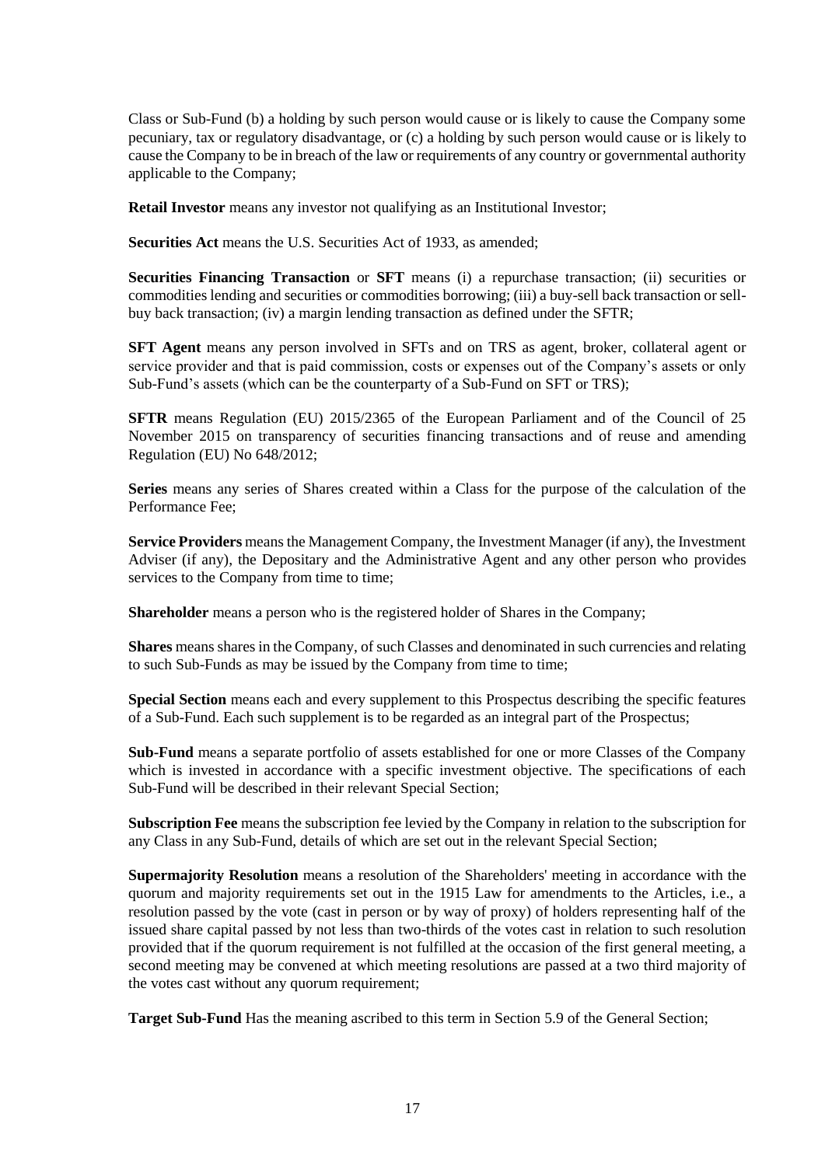Class or Sub-Fund (b) a holding by such person would cause or is likely to cause the Company some pecuniary, tax or regulatory disadvantage, or (c) a holding by such person would cause or is likely to cause the Company to be in breach of the law or requirements of any country or governmental authority applicable to the Company;

**Retail Investor** means any investor not qualifying as an Institutional Investor;

**Securities Act** means the U.S. Securities Act of 1933, as amended;

**Securities Financing Transaction** or **SFT** means (i) a repurchase transaction; (ii) securities or commodities lending and securities or commodities borrowing; (iii) a buy-sell back transaction or sellbuy back transaction; (iv) a margin lending transaction as defined under the SFTR;

**SFT Agent** means any person involved in SFTs and on TRS as agent, broker, collateral agent or service provider and that is paid commission, costs or expenses out of the Company's assets or only Sub-Fund's assets (which can be the counterparty of a Sub-Fund on SFT or TRS);

**SFTR** means Regulation (EU) 2015/2365 of the European Parliament and of the Council of 25 November 2015 on transparency of securities financing transactions and of reuse and amending Regulation (EU) No 648/2012;

**Series** means any series of Shares created within a Class for the purpose of the calculation of the Performance Fee;

**Service Providers** means the Management Company, the Investment Manager (if any), the Investment Adviser (if any), the Depositary and the Administrative Agent and any other person who provides services to the Company from time to time;

**Shareholder** means a person who is the registered holder of Shares in the Company;

**Shares** means shares in the Company, of such Classes and denominated in such currencies and relating to such Sub-Funds as may be issued by the Company from time to time;

**Special Section** means each and every supplement to this Prospectus describing the specific features of a Sub-Fund. Each such supplement is to be regarded as an integral part of the Prospectus;

**Sub-Fund** means a separate portfolio of assets established for one or more Classes of the Company which is invested in accordance with a specific investment objective. The specifications of each Sub-Fund will be described in their relevant Special Section;

**Subscription Fee** means the subscription fee levied by the Company in relation to the subscription for any Class in any Sub-Fund, details of which are set out in the relevant Special Section;

**Supermajority Resolution** means a resolution of the Shareholders' meeting in accordance with the quorum and majority requirements set out in the 1915 Law for amendments to the Articles, i.e., a resolution passed by the vote (cast in person or by way of proxy) of holders representing half of the issued share capital passed by not less than two-thirds of the votes cast in relation to such resolution provided that if the quorum requirement is not fulfilled at the occasion of the first general meeting, a second meeting may be convened at which meeting resolutions are passed at a two third majority of the votes cast without any quorum requirement;

**Target Sub-Fund** Has the meaning ascribed to this term in Section [5.9](#page-31-1) of the General Section;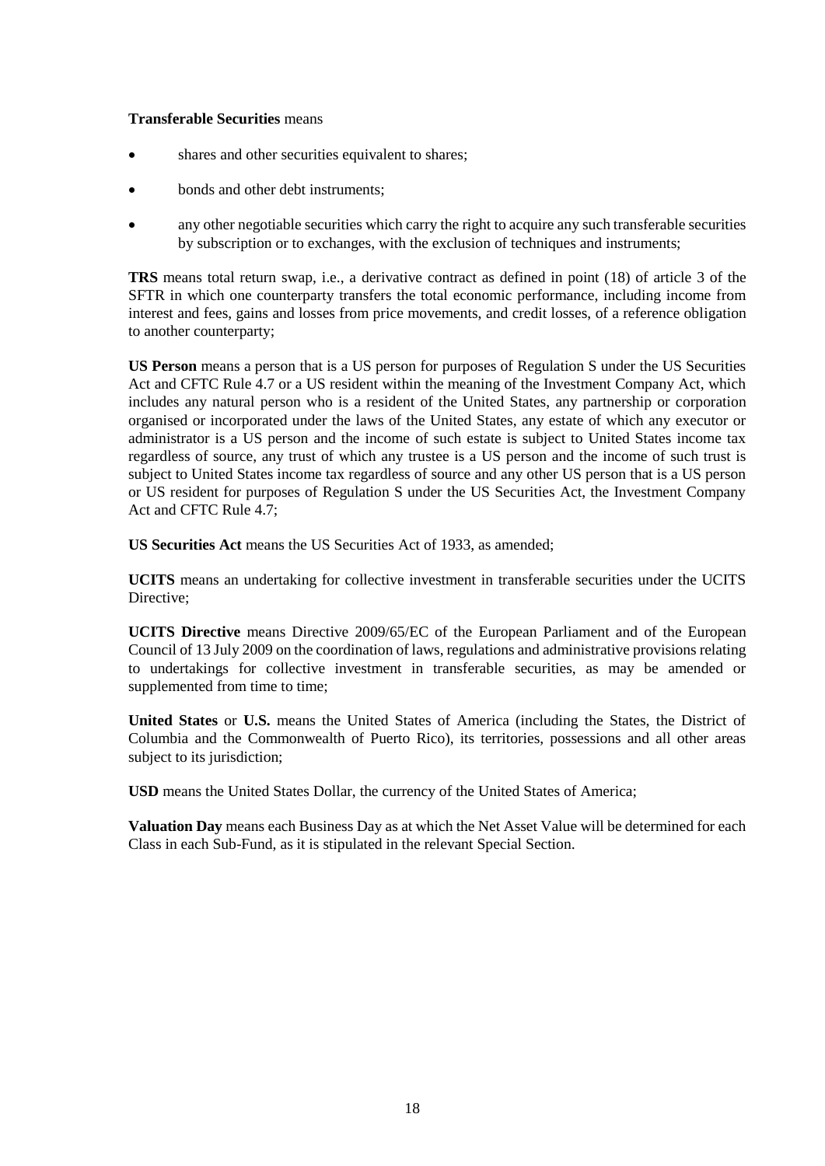#### **Transferable Securities** means

- shares and other securities equivalent to shares;
- bonds and other debt instruments;
- any other negotiable securities which carry the right to acquire any such transferable securities by subscription or to exchanges, with the exclusion of techniques and instruments;

**TRS** means total return swap, i.e., a derivative contract as defined in point (18) of article 3 of the SFTR in which one counterparty transfers the total economic performance, including income from interest and fees, gains and losses from price movements, and credit losses, of a reference obligation to another counterparty;

**US Person** means a person that is a US person for purposes of Regulation S under the US Securities Act and CFTC Rule 4.7 or a US resident within the meaning of the Investment Company Act, which includes any natural person who is a resident of the United States, any partnership or corporation organised or incorporated under the laws of the United States, any estate of which any executor or administrator is a US person and the income of such estate is subject to United States income tax regardless of source, any trust of which any trustee is a US person and the income of such trust is subject to United States income tax regardless of source and any other US person that is a US person or US resident for purposes of Regulation S under the US Securities Act, the Investment Company Act and CFTC Rule 4.7;

**US Securities Act** means the US Securities Act of 1933, as amended;

**UCITS** means an undertaking for collective investment in transferable securities under the UCITS Directive:

**UCITS Directive** means Directive 2009/65/EC of the European Parliament and of the European Council of 13 July 2009 on the coordination of laws, regulations and administrative provisions relating to undertakings for collective investment in transferable securities, as may be amended or supplemented from time to time;

**United States** or **U.S.** means the United States of America (including the States, the District of Columbia and the Commonwealth of Puerto Rico), its territories, possessions and all other areas subject to its jurisdiction;

**USD** means the United States Dollar, the currency of the United States of America;

**Valuation Day** means each Business Day as at which the Net Asset Value will be determined for each Class in each Sub-Fund, as it is stipulated in the relevant Special Section.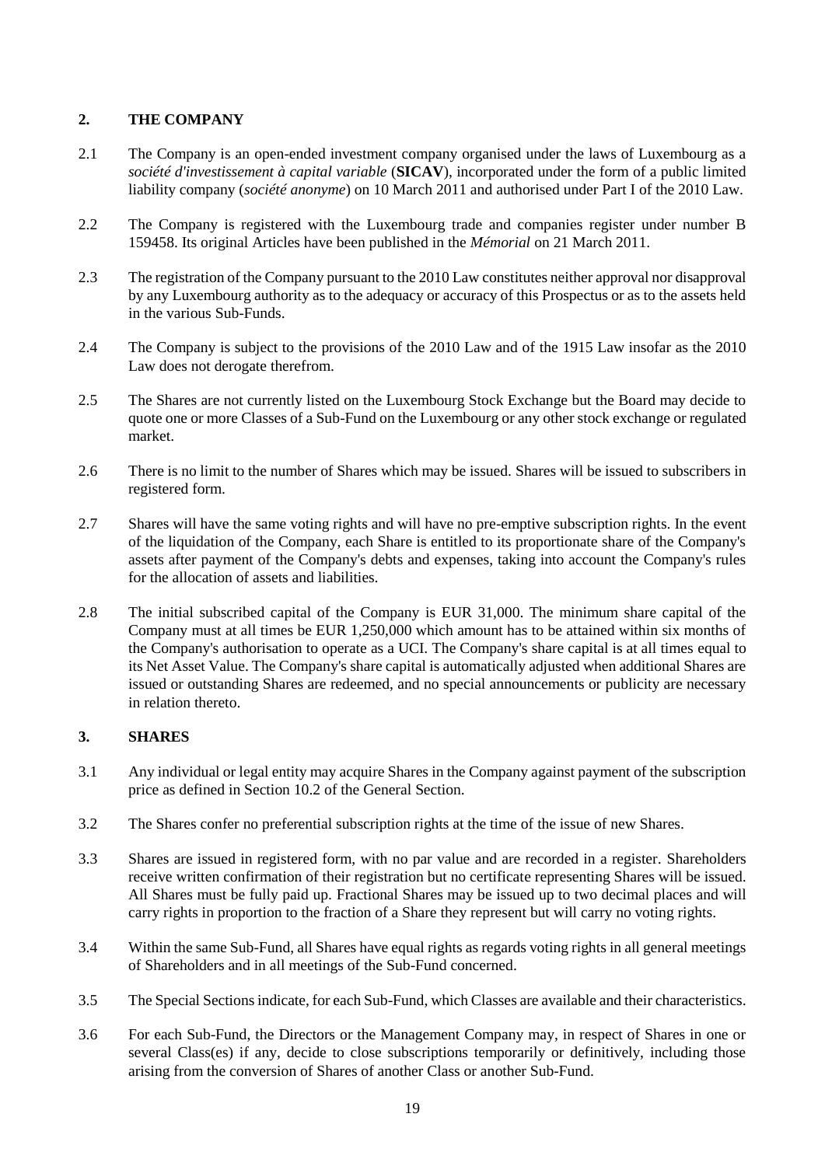# <span id="page-18-0"></span>**2. THE COMPANY**

- 2.1 The Company is an open-ended investment company organised under the laws of Luxembourg as a *société d'investissement à capital variable* (**SICAV**), incorporated under the form of a public limited liability company (*société anonyme*) on 10 March 2011 and authorised under Part I of the 2010 Law.
- 2.2 The Company is registered with the Luxembourg trade and companies register under number B 159458. Its original Articles have been published in the *Mémorial* on 21 March 2011.
- 2.3 The registration of the Company pursuant to the 2010 Law constitutes neither approval nor disapproval by any Luxembourg authority as to the adequacy or accuracy of this Prospectus or as to the assets held in the various Sub-Funds.
- 2.4 The Company is subject to the provisions of the 2010 Law and of the 1915 Law insofar as the 2010 Law does not derogate therefrom.
- 2.5 The Shares are not currently listed on the Luxembourg Stock Exchange but the Board may decide to quote one or more Classes of a Sub-Fund on the Luxembourg or any other stock exchange or regulated market.
- 2.6 There is no limit to the number of Shares which may be issued. Shares will be issued to subscribers in registered form.
- 2.7 Shares will have the same voting rights and will have no pre-emptive subscription rights. In the event of the liquidation of the Company, each Share is entitled to its proportionate share of the Company's assets after payment of the Company's debts and expenses, taking into account the Company's rules for the allocation of assets and liabilities.
- 2.8 The initial subscribed capital of the Company is EUR 31,000. The minimum share capital of the Company must at all times be EUR 1,250,000 which amount has to be attained within six months of the Company's authorisation to operate as a UCI. The Company's share capital is at all times equal to its Net Asset Value. The Company's share capital is automatically adjusted when additional Shares are issued or outstanding Shares are redeemed, and no special announcements or publicity are necessary in relation thereto.

# <span id="page-18-1"></span>**3. SHARES**

- 3.1 Any individual or legal entity may acquire Shares in the Company against payment of the subscription price as defined in Section [10.2](#page-43-0) of the General Section.
- 3.2 The Shares confer no preferential subscription rights at the time of the issue of new Shares.
- 3.3 Shares are issued in registered form, with no par value and are recorded in a register. Shareholders receive written confirmation of their registration but no certificate representing Shares will be issued. All Shares must be fully paid up. Fractional Shares may be issued up to two decimal places and will carry rights in proportion to the fraction of a Share they represent but will carry no voting rights.
- 3.4 Within the same Sub-Fund, all Shares have equal rights as regards voting rights in all general meetings of Shareholders and in all meetings of the Sub-Fund concerned.
- 3.5 The Special Sections indicate, for each Sub-Fund, which Classes are available and their characteristics.
- 3.6 For each Sub-Fund, the Directors or the Management Company may, in respect of Shares in one or several Class(es) if any, decide to close subscriptions temporarily or definitively, including those arising from the conversion of Shares of another Class or another Sub-Fund.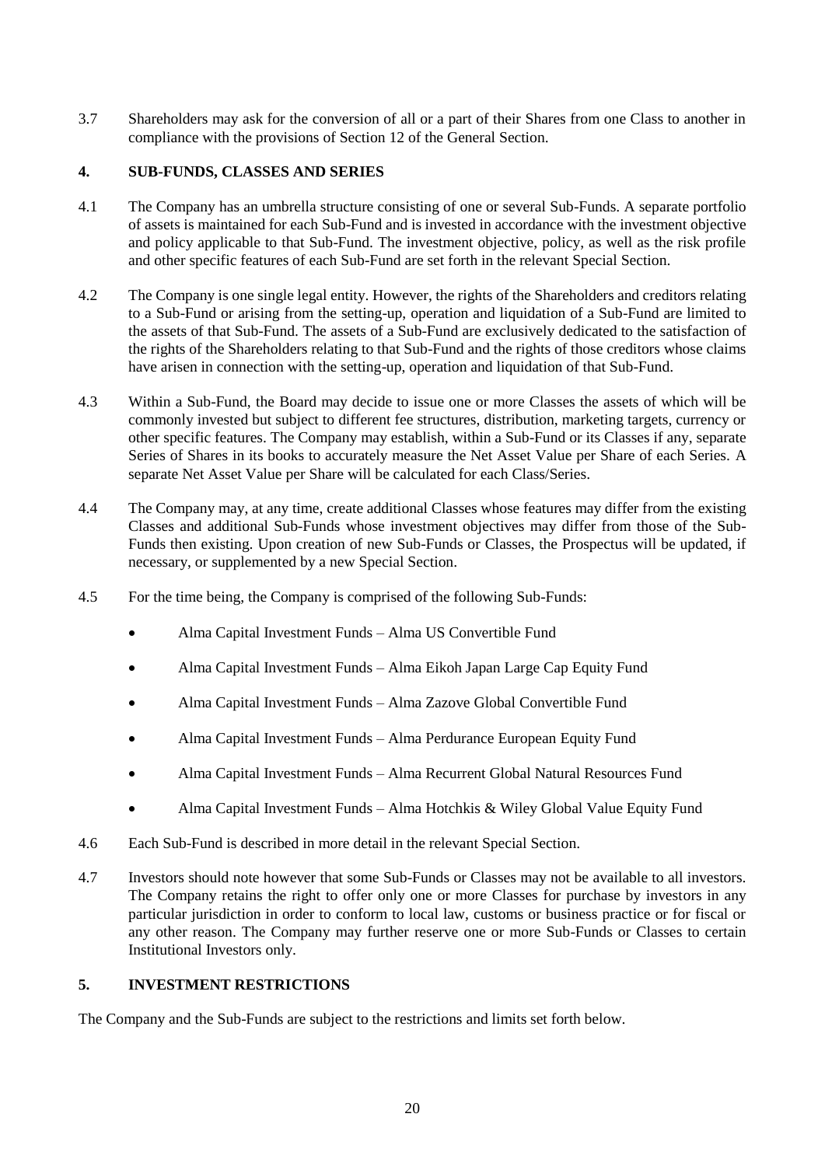3.7 Shareholders may ask for the conversion of all or a part of their Shares from one Class to another in compliance with the provisions of Section [12](#page-47-0) of the General Section.

# <span id="page-19-0"></span>**4. SUB-FUNDS, CLASSES AND SERIES**

- 4.1 The Company has an umbrella structure consisting of one or several Sub-Funds. A separate portfolio of assets is maintained for each Sub-Fund and is invested in accordance with the investment objective and policy applicable to that Sub-Fund. The investment objective, policy, as well as the risk profile and other specific features of each Sub-Fund are set forth in the relevant Special Section.
- 4.2 The Company is one single legal entity. However, the rights of the Shareholders and creditors relating to a Sub-Fund or arising from the setting-up, operation and liquidation of a Sub-Fund are limited to the assets of that Sub-Fund. The assets of a Sub-Fund are exclusively dedicated to the satisfaction of the rights of the Shareholders relating to that Sub-Fund and the rights of those creditors whose claims have arisen in connection with the setting-up, operation and liquidation of that Sub-Fund.
- 4.3 Within a Sub-Fund, the Board may decide to issue one or more Classes the assets of which will be commonly invested but subject to different fee structures, distribution, marketing targets, currency or other specific features. The Company may establish, within a Sub-Fund or its Classes if any, separate Series of Shares in its books to accurately measure the Net Asset Value per Share of each Series. A separate Net Asset Value per Share will be calculated for each Class/Series.
- 4.4 The Company may, at any time, create additional Classes whose features may differ from the existing Classes and additional Sub-Funds whose investment objectives may differ from those of the Sub-Funds then existing. Upon creation of new Sub-Funds or Classes, the Prospectus will be updated, if necessary, or supplemented by a new Special Section.
- 4.5 For the time being, the Company is comprised of the following Sub-Funds:
	- Alma Capital Investment Funds Alma US Convertible Fund
	- Alma Capital Investment Funds Alma Eikoh Japan Large Cap Equity Fund
	- Alma Capital Investment Funds Alma Zazove Global Convertible Fund
	- Alma Capital Investment Funds Alma Perdurance European Equity Fund
	- Alma Capital Investment Funds Alma Recurrent Global Natural Resources Fund
	- Alma Capital Investment Funds Alma Hotchkis & Wiley Global Value Equity Fund
- 4.6 Each Sub-Fund is described in more detail in the relevant Special Section.
- 4.7 Investors should note however that some Sub-Funds or Classes may not be available to all investors. The Company retains the right to offer only one or more Classes for purchase by investors in any particular jurisdiction in order to conform to local law, customs or business practice or for fiscal or any other reason. The Company may further reserve one or more Sub-Funds or Classes to certain Institutional Investors only.

# <span id="page-19-1"></span>**5. INVESTMENT RESTRICTIONS**

The Company and the Sub-Funds are subject to the restrictions and limits set forth below.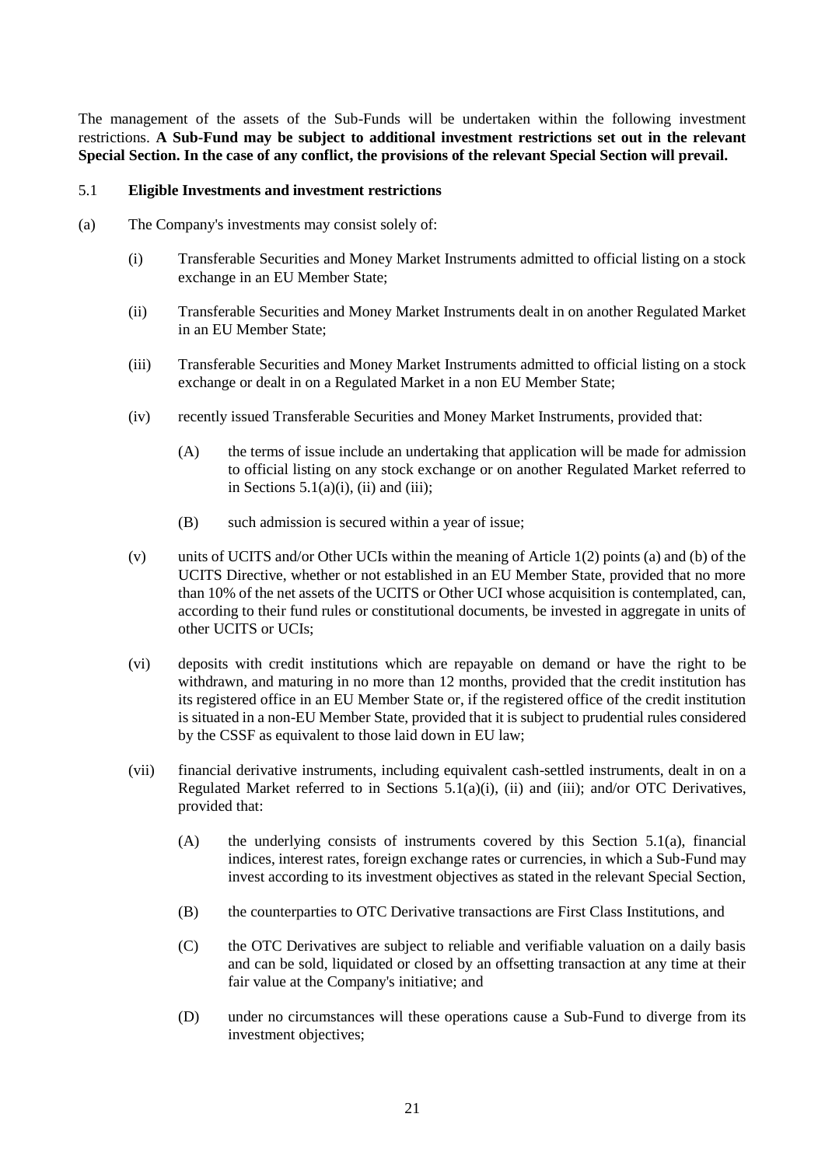The management of the assets of the Sub-Funds will be undertaken within the following investment restrictions. **A Sub-Fund may be subject to additional investment restrictions set out in the relevant Special Section. In the case of any conflict, the provisions of the relevant Special Section will prevail.**

### <span id="page-20-4"></span><span id="page-20-3"></span>5.1 **Eligible Investments and investment restrictions**

- <span id="page-20-6"></span><span id="page-20-5"></span><span id="page-20-2"></span><span id="page-20-1"></span><span id="page-20-0"></span>(a) The Company's investments may consist solely of:
	- (i) Transferable Securities and Money Market Instruments admitted to official listing on a stock exchange in an EU Member State;
	- (ii) Transferable Securities and Money Market Instruments dealt in on another Regulated Market in an EU Member State;
	- (iii) Transferable Securities and Money Market Instruments admitted to official listing on a stock exchange or dealt in on a Regulated Market in a non EU Member State;
	- (iv) recently issued Transferable Securities and Money Market Instruments, provided that:
		- (A) the terms of issue include an undertaking that application will be made for admission to official listing on any stock exchange or on another Regulated Market referred to in Sections  $5.1(a)(i)$ , [\(ii\)](#page-20-1) and [\(iii\);](#page-20-2)
		- (B) such admission is secured within a year of issue;
	- (v) units of UCITS and/or Other UCIs within the meaning of Article 1(2) points (a) and (b) of the UCITS Directive, whether or not established in an EU Member State, provided that no more than 10% of the net assets of the UCITS or Other UCI whose acquisition is contemplated, can, according to their fund rules or constitutional documents, be invested in aggregate in units of other UCITS or UCIs;
	- (vi) deposits with credit institutions which are repayable on demand or have the right to be withdrawn, and maturing in no more than 12 months, provided that the credit institution has its registered office in an EU Member State or, if the registered office of the credit institution is situated in a non-EU Member State, provided that it is subject to prudential rules considered by the CSSF as equivalent to those laid down in EU law;
	- (vii) financial derivative instruments, including equivalent cash-settled instruments, dealt in on a Regulated Market referred to in Sections [5.1\(a\)\(i\),](#page-20-0) [\(ii\)](#page-20-1) and [\(iii\);](#page-20-2) and/or OTC Derivatives, provided that:
		- (A) the underlying consists of instruments covered by this Section [5.1\(a\),](#page-20-3) financial indices, interest rates, foreign exchange rates or currencies, in which a Sub-Fund may invest according to its investment objectives as stated in the relevant Special Section,
		- (B) the counterparties to OTC Derivative transactions are First Class Institutions, and
		- (C) the OTC Derivatives are subject to reliable and verifiable valuation on a daily basis and can be sold, liquidated or closed by an offsetting transaction at any time at their fair value at the Company's initiative; and
		- (D) under no circumstances will these operations cause a Sub-Fund to diverge from its investment objectives;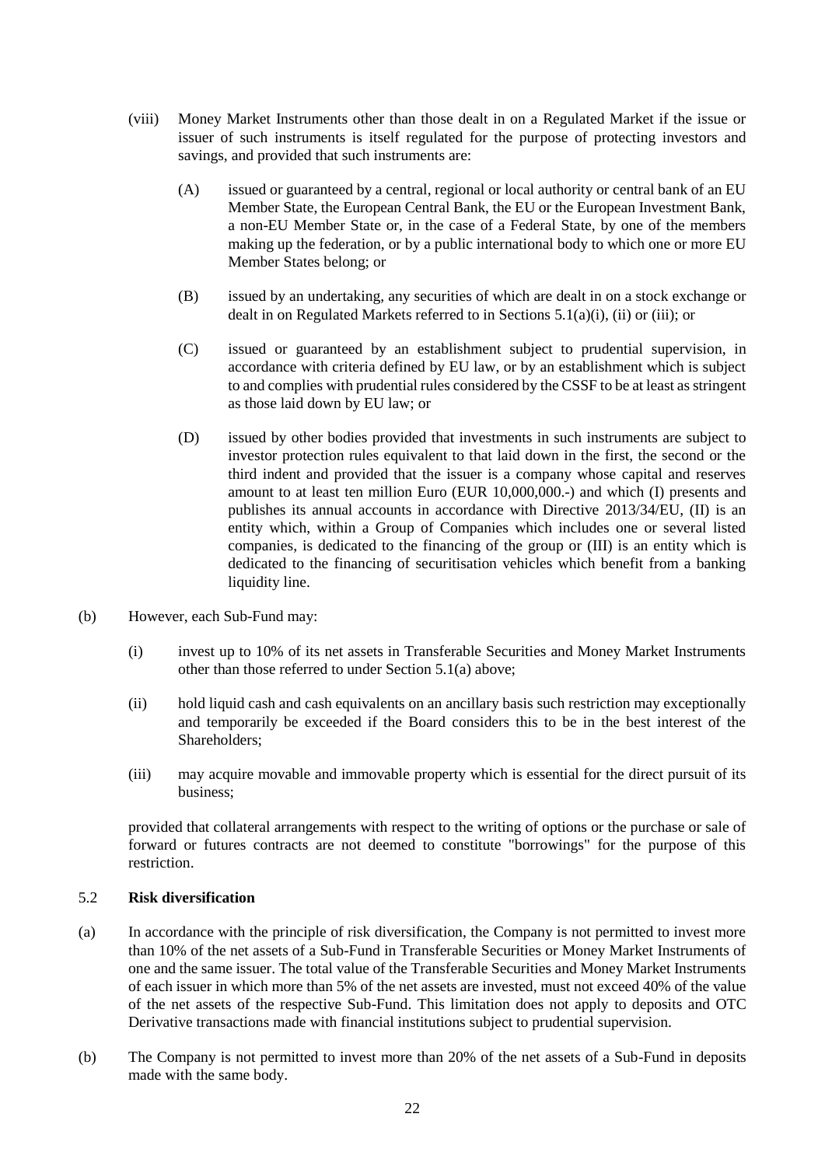- <span id="page-21-3"></span>(viii) Money Market Instruments other than those dealt in on a Regulated Market if the issue or issuer of such instruments is itself regulated for the purpose of protecting investors and savings, and provided that such instruments are:
	- (A) issued or guaranteed by a central, regional or local authority or central bank of an EU Member State, the European Central Bank, the EU or the European Investment Bank, a non-EU Member State or, in the case of a Federal State, by one of the members making up the federation, or by a public international body to which one or more EU Member States belong; or
	- (B) issued by an undertaking, any securities of which are dealt in on a stock exchange or dealt in on Regulated Markets referred to in Sections [5.1\(a\)\(i\),](#page-20-0) [\(ii\)](#page-20-1) or [\(iii\);](#page-20-2) or
	- (C) issued or guaranteed by an establishment subject to prudential supervision, in accordance with criteria defined by EU law, or by an establishment which is subject to and complies with prudential rules considered by the CSSF to be at least as stringent as those laid down by EU law; or
	- (D) issued by other bodies provided that investments in such instruments are subject to investor protection rules equivalent to that laid down in the first, the second or the third indent and provided that the issuer is a company whose capital and reserves amount to at least ten million Euro (EUR 10,000,000.-) and which (I) presents and publishes its annual accounts in accordance with Directive 2013/34/EU, (II) is an entity which, within a Group of Companies which includes one or several listed companies, is dedicated to the financing of the group or (III) is an entity which is dedicated to the financing of securitisation vehicles which benefit from a banking liquidity line.
- <span id="page-21-4"></span>(b) However, each Sub-Fund may:
	- (i) invest up to 10% of its net assets in Transferable Securities and Money Market Instruments other than those referred to under Section [5.1\(a\)](#page-20-4) above;
	- (ii) hold liquid cash and cash equivalents on an ancillary basis such restriction may exceptionally and temporarily be exceeded if the Board considers this to be in the best interest of the Shareholders;
	- (iii) may acquire movable and immovable property which is essential for the direct pursuit of its business;

provided that collateral arrangements with respect to the writing of options or the purchase or sale of forward or futures contracts are not deemed to constitute "borrowings" for the purpose of this restriction.

# <span id="page-21-2"></span><span id="page-21-0"></span>5.2 **Risk diversification**

- (a) In accordance with the principle of risk diversification, the Company is not permitted to invest more than 10% of the net assets of a Sub-Fund in Transferable Securities or Money Market Instruments of one and the same issuer. The total value of the Transferable Securities and Money Market Instruments of each issuer in which more than 5% of the net assets are invested, must not exceed 40% of the value of the net assets of the respective Sub-Fund. This limitation does not apply to deposits and OTC Derivative transactions made with financial institutions subject to prudential supervision.
- <span id="page-21-1"></span>(b) The Company is not permitted to invest more than 20% of the net assets of a Sub-Fund in deposits made with the same body.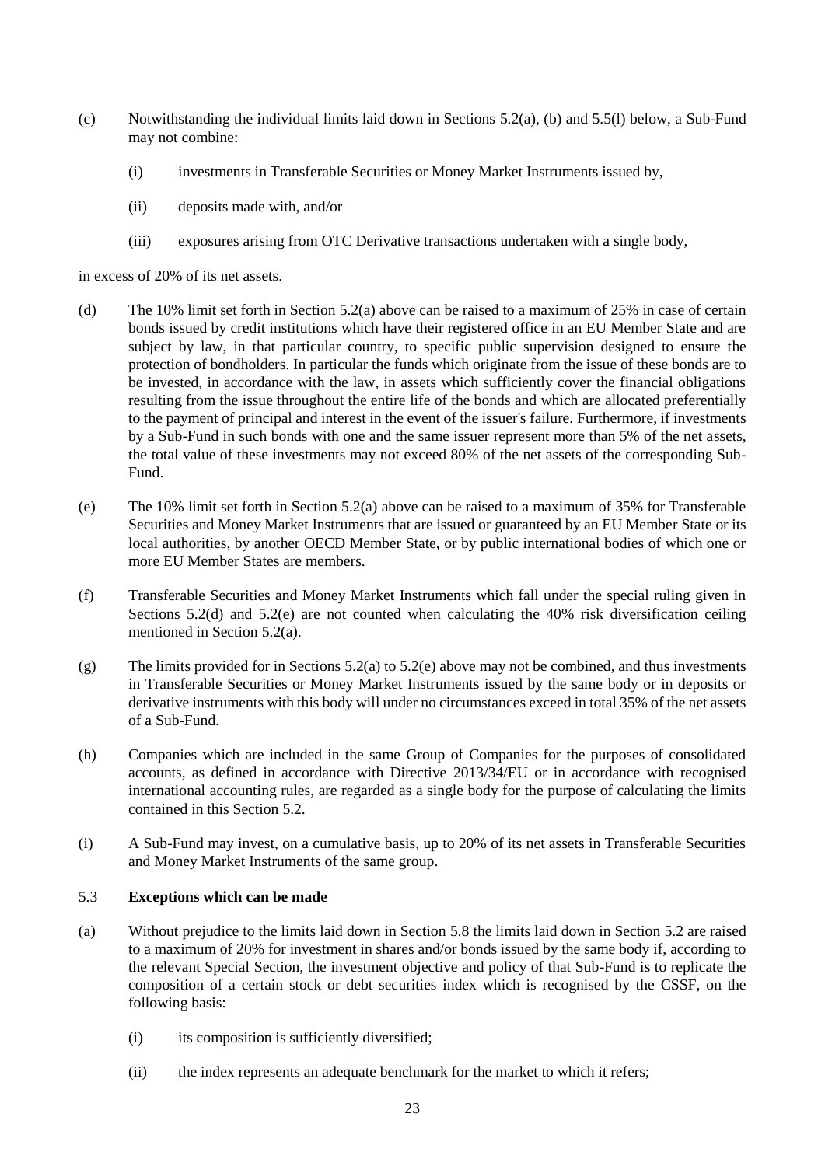- (c) Notwithstanding the individual limits laid down in Sections [5.2\(a\),](#page-21-0) [\(b\)](#page-21-1) and 5.5(l) below, a Sub-Fund may not combine:
	- (i) investments in Transferable Securities or Money Market Instruments issued by,
	- (ii) deposits made with, and/or
	- (iii) exposures arising from OTC Derivative transactions undertaken with a single body,

<span id="page-22-0"></span>in excess of 20% of its net assets.

- (d) The 10% limit set forth in Section [5.2\(a\)](#page-21-2) above can be raised to a maximum of 25% in case of certain bonds issued by credit institutions which have their registered office in an EU Member State and are subject by law, in that particular country, to specific public supervision designed to ensure the protection of bondholders. In particular the funds which originate from the issue of these bonds are to be invested, in accordance with the law, in assets which sufficiently cover the financial obligations resulting from the issue throughout the entire life of the bonds and which are allocated preferentially to the payment of principal and interest in the event of the issuer's failure. Furthermore, if investments by a Sub-Fund in such bonds with one and the same issuer represent more than 5% of the net assets, the total value of these investments may not exceed 80% of the net assets of the corresponding Sub-Fund.
- <span id="page-22-1"></span>(e) The 10% limit set forth in Section [5.2\(a\)](#page-21-2) above can be raised to a maximum of 35% for Transferable Securities and Money Market Instruments that are issued or guaranteed by an EU Member State or its local authorities, by another OECD Member State, or by public international bodies of which one or more EU Member States are members.
- (f) Transferable Securities and Money Market Instruments which fall under the special ruling given in Sections [5.2\(d\)](#page-22-0) and [5.2\(e\)](#page-22-1) are not counted when calculating the 40% risk diversification ceiling mentioned in Section [5.2\(a\).](#page-21-0)
- (g) The limits provided for in Section[s 5.2\(a\)](#page-21-0) t[o 5.2\(e\)](#page-21-2) above may not be combined, and thus investments in Transferable Securities or Money Market Instruments issued by the same body or in deposits or derivative instruments with this body will under no circumstances exceed in total 35% of the net assets of a Sub-Fund.
- (h) Companies which are included in the same Group of Companies for the purposes of consolidated accounts, as defined in accordance with Directive 2013/34/EU or in accordance with recognised international accounting rules, are regarded as a single body for the purpose of calculating the limits contained in this Section [5.2.](#page-21-2)
- (i) A Sub-Fund may invest, on a cumulative basis, up to 20% of its net assets in Transferable Securities and Money Market Instruments of the same group.

# <span id="page-22-3"></span><span id="page-22-2"></span>5.3 **Exceptions which can be made**

- (a) Without prejudice to the limits laid down in Section [5.8](#page-30-0) the limits laid down in Section [5.2](#page-21-2) are raised to a maximum of 20% for investment in shares and/or bonds issued by the same body if, according to the relevant Special Section, the investment objective and policy of that Sub-Fund is to replicate the composition of a certain stock or debt securities index which is recognised by the CSSF, on the following basis:
	- (i) its composition is sufficiently diversified;
	- (ii) the index represents an adequate benchmark for the market to which it refers;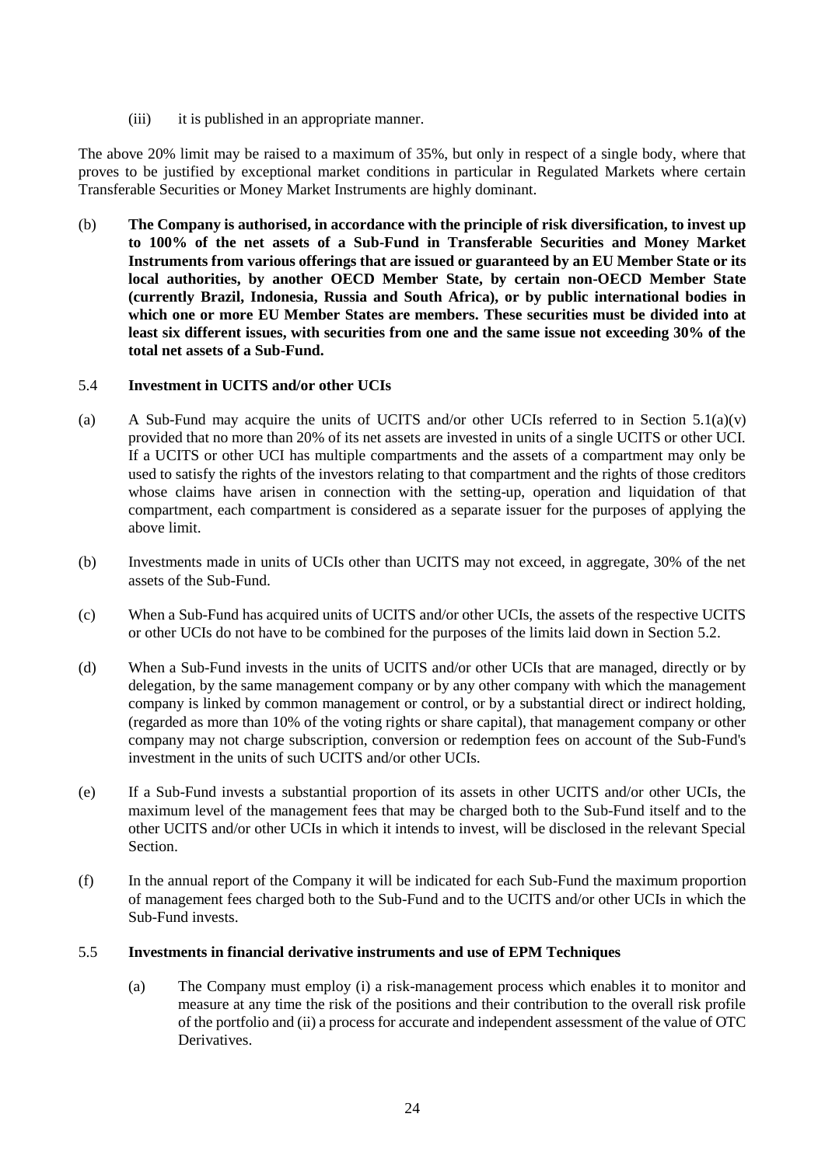(iii) it is published in an appropriate manner.

The above 20% limit may be raised to a maximum of 35%, but only in respect of a single body, where that proves to be justified by exceptional market conditions in particular in Regulated Markets where certain Transferable Securities or Money Market Instruments are highly dominant.

(b) **The Company is authorised, in accordance with the principle of risk diversification, to invest up to 100% of the net assets of a Sub-Fund in Transferable Securities and Money Market Instruments from various offerings that are issued or guaranteed by an EU Member State or its local authorities, by another OECD Member State, by certain non-OECD Member State (currently Brazil, Indonesia, Russia and South Africa), or by public international bodies in which one or more EU Member States are members. These securities must be divided into at least six different issues, with securities from one and the same issue not exceeding 30% of the total net assets of a Sub-Fund.**

# <span id="page-23-1"></span>5.4 **Investment in UCITS and/or other UCIs**

- (a) A Sub-Fund may acquire the units of UCITS and/or other UCIs referred to in Section [5.1\(a\)\(v\)](#page-20-5) provided that no more than 20% of its net assets are invested in units of a single UCITS or other UCI. If a UCITS or other UCI has multiple compartments and the assets of a compartment may only be used to satisfy the rights of the investors relating to that compartment and the rights of those creditors whose claims have arisen in connection with the setting-up, operation and liquidation of that compartment, each compartment is considered as a separate issuer for the purposes of applying the above limit.
- (b) Investments made in units of UCIs other than UCITS may not exceed, in aggregate, 30% of the net assets of the Sub-Fund.
- (c) When a Sub-Fund has acquired units of UCITS and/or other UCIs, the assets of the respective UCITS or other UCIs do not have to be combined for the purposes of the limits laid down in Section [5.2.](#page-21-2)
- (d) When a Sub-Fund invests in the units of UCITS and/or other UCIs that are managed, directly or by delegation, by the same management company or by any other company with which the management company is linked by common management or control, or by a substantial direct or indirect holding, (regarded as more than 10% of the voting rights or share capital), that management company or other company may not charge subscription, conversion or redemption fees on account of the Sub-Fund's investment in the units of such UCITS and/or other UCIs.
- (e) If a Sub-Fund invests a substantial proportion of its assets in other UCITS and/or other UCIs, the maximum level of the management fees that may be charged both to the Sub-Fund itself and to the other UCITS and/or other UCIs in which it intends to invest, will be disclosed in the relevant Special Section.
- (f) In the annual report of the Company it will be indicated for each Sub-Fund the maximum proportion of management fees charged both to the Sub-Fund and to the UCITS and/or other UCIs in which the Sub-Fund invests.

# <span id="page-23-0"></span>5.5 **Investments in financial derivative instruments and use of EPM Techniques**

(a) The Company must employ (i) a risk-management process which enables it to monitor and measure at any time the risk of the positions and their contribution to the overall risk profile of the portfolio and (ii) a process for accurate and independent assessment of the value of OTC **Derivatives**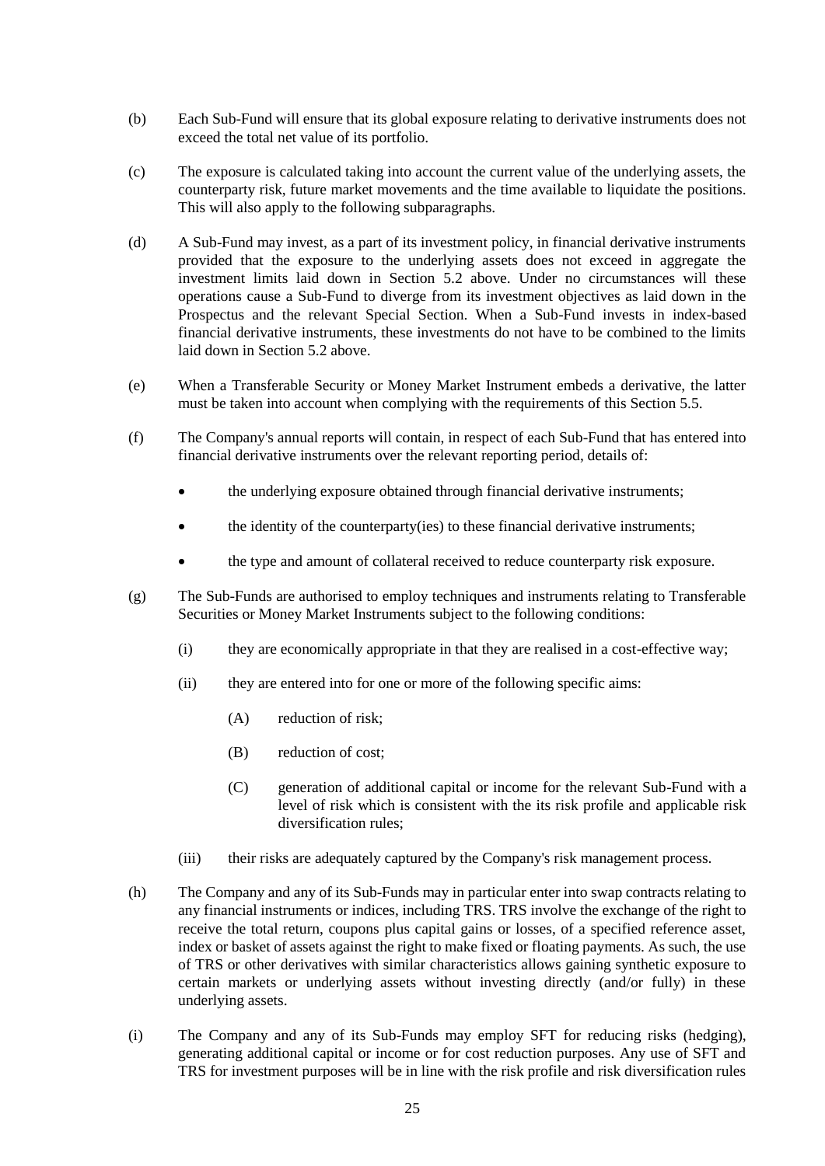- (b) Each Sub-Fund will ensure that its global exposure relating to derivative instruments does not exceed the total net value of its portfolio.
- (c) The exposure is calculated taking into account the current value of the underlying assets, the counterparty risk, future market movements and the time available to liquidate the positions. This will also apply to the following subparagraphs.
- (d) A Sub-Fund may invest, as a part of its investment policy, in financial derivative instruments provided that the exposure to the underlying assets does not exceed in aggregate the investment limits laid down in Section [5.2](#page-21-2) above. Under no circumstances will these operations cause a Sub-Fund to diverge from its investment objectives as laid down in the Prospectus and the relevant Special Section. When a Sub-Fund invests in index-based financial derivative instruments, these investments do not have to be combined to the limits laid down in Section [5.2](#page-21-2) above.
- (e) When a Transferable Security or Money Market Instrument embeds a derivative, the latter must be taken into account when complying with the requirements of this Sectio[n 5.5.](#page-23-0)
- (f) The Company's annual reports will contain, in respect of each Sub-Fund that has entered into financial derivative instruments over the relevant reporting period, details of:
	- the underlying exposure obtained through financial derivative instruments;
	- the identity of the counterparty(ies) to these financial derivative instruments;
	- the type and amount of collateral received to reduce counterparty risk exposure.
- (g) The Sub-Funds are authorised to employ techniques and instruments relating to Transferable Securities or Money Market Instruments subject to the following conditions:
	- (i) they are economically appropriate in that they are realised in a cost-effective way;
	- (ii) they are entered into for one or more of the following specific aims:
		- (A) reduction of risk;
		- (B) reduction of cost;
		- (C) generation of additional capital or income for the relevant Sub-Fund with a level of risk which is consistent with the its risk profile and applicable risk diversification rules;
	- (iii) their risks are adequately captured by the Company's risk management process.
- (h) The Company and any of its Sub-Funds may in particular enter into swap contracts relating to any financial instruments or indices, including TRS. TRS involve the exchange of the right to receive the total return, coupons plus capital gains or losses, of a specified reference asset, index or basket of assets against the right to make fixed or floating payments. As such, the use of TRS or other derivatives with similar characteristics allows gaining synthetic exposure to certain markets or underlying assets without investing directly (and/or fully) in these underlying assets.
- (i) The Company and any of its Sub-Funds may employ SFT for reducing risks (hedging), generating additional capital or income or for cost reduction purposes. Any use of SFT and TRS for investment purposes will be in line with the risk profile and risk diversification rules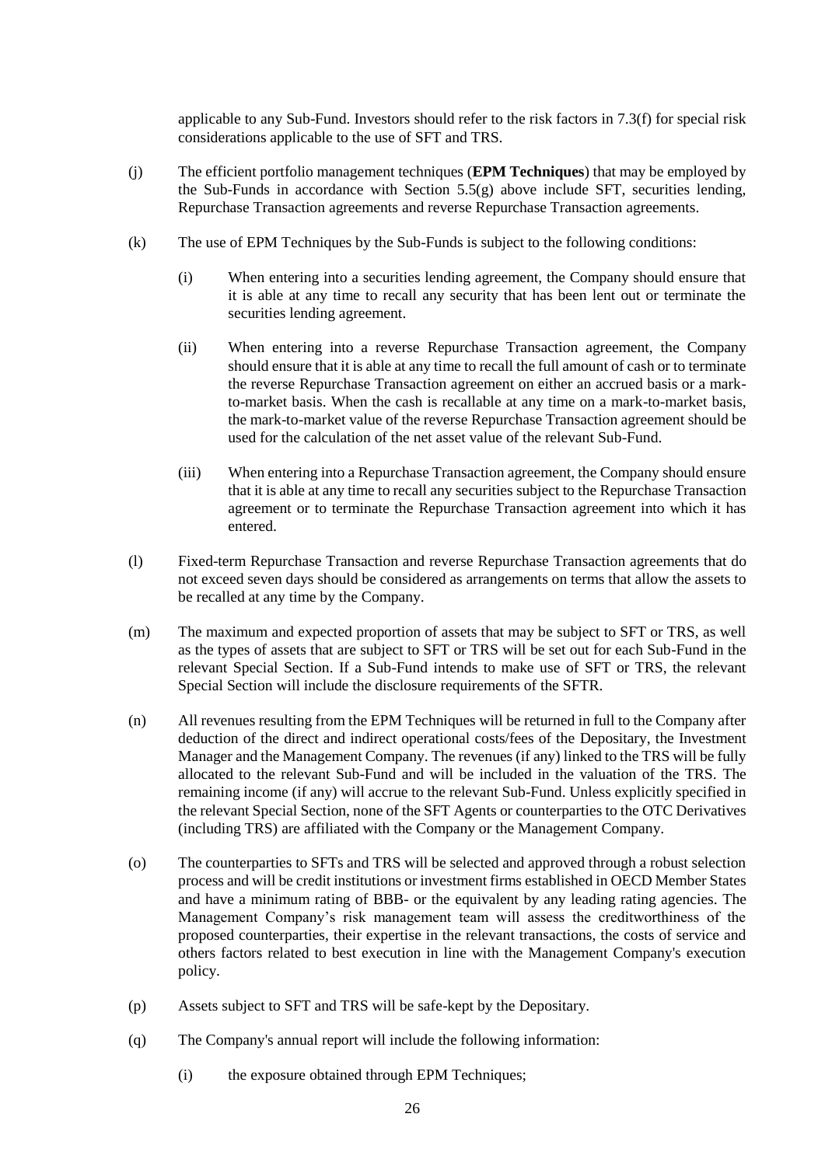applicable to any Sub-Fund. Investors should refer to the risk factors in [7.3\(f\)](#page-35-0) for special risk considerations applicable to the use of SFT and TRS.

- (j) The efficient portfolio management techniques (**EPM Techniques**) that may be employed by the Sub-Funds in accordance with Section [5.5\(g\)](#page-23-0) above include SFT, securities lending, Repurchase Transaction agreements and reverse Repurchase Transaction agreements.
- (k) The use of EPM Techniques by the Sub-Funds is subject to the following conditions:
	- (i) When entering into a securities lending agreement, the Company should ensure that it is able at any time to recall any security that has been lent out or terminate the securities lending agreement.
	- (ii) When entering into a reverse Repurchase Transaction agreement, the Company should ensure that it is able at any time to recall the full amount of cash or to terminate the reverse Repurchase Transaction agreement on either an accrued basis or a markto-market basis. When the cash is recallable at any time on a mark-to-market basis, the mark-to-market value of the reverse Repurchase Transaction agreement should be used for the calculation of the net asset value of the relevant Sub-Fund.
	- (iii) When entering into a Repurchase Transaction agreement, the Company should ensure that it is able at any time to recall any securities subject to the Repurchase Transaction agreement or to terminate the Repurchase Transaction agreement into which it has entered.
- (l) Fixed-term Repurchase Transaction and reverse Repurchase Transaction agreements that do not exceed seven days should be considered as arrangements on terms that allow the assets to be recalled at any time by the Company.
- (m) The maximum and expected proportion of assets that may be subject to SFT or TRS, as well as the types of assets that are subject to SFT or TRS will be set out for each Sub-Fund in the relevant Special Section. If a Sub-Fund intends to make use of SFT or TRS, the relevant Special Section will include the disclosure requirements of the SFTR.
- (n) All revenues resulting from the EPM Techniques will be returned in full to the Company after deduction of the direct and indirect operational costs/fees of the Depositary, the Investment Manager and the Management Company. The revenues (if any) linked to the TRS will be fully allocated to the relevant Sub-Fund and will be included in the valuation of the TRS. The remaining income (if any) will accrue to the relevant Sub-Fund. Unless explicitly specified in the relevant Special Section, none of the SFT Agents or counterparties to the OTC Derivatives (including TRS) are affiliated with the Company or the Management Company.
- (o) The counterparties to SFTs and TRS will be selected and approved through a robust selection process and will be credit institutions or investment firms established in OECD Member States and have a minimum rating of BBB- or the equivalent by any leading rating agencies. The Management Company's risk management team will assess the creditworthiness of the proposed counterparties, their expertise in the relevant transactions, the costs of service and others factors related to best execution in line with the Management Company's execution policy.
- (p) Assets subject to SFT and TRS will be safe-kept by the Depositary.
- (q) The Company's annual report will include the following information:
	- (i) the exposure obtained through EPM Techniques;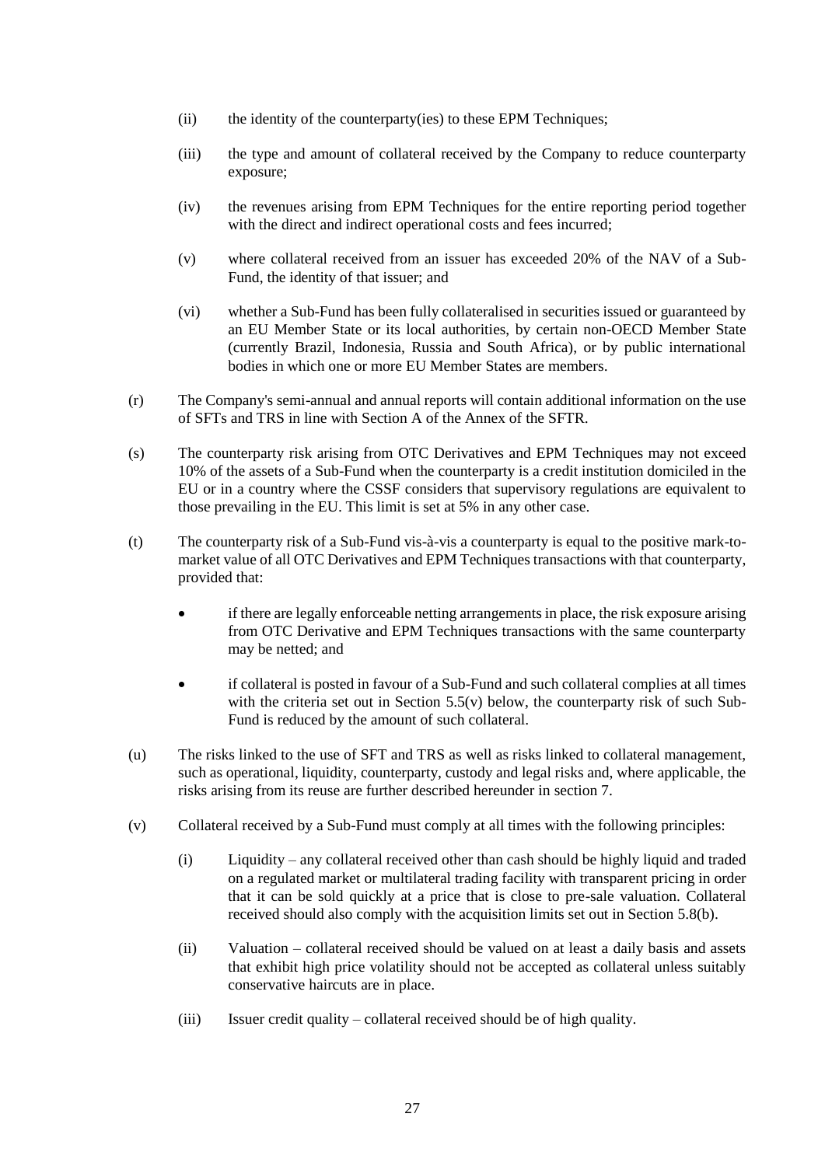- (ii) the identity of the counterparty(ies) to these EPM Techniques;
- (iii) the type and amount of collateral received by the Company to reduce counterparty exposure;
- (iv) the revenues arising from EPM Techniques for the entire reporting period together with the direct and indirect operational costs and fees incurred;
- (v) where collateral received from an issuer has exceeded 20% of the NAV of a Sub-Fund, the identity of that issuer; and
- (vi) whether a Sub-Fund has been fully collateralised in securities issued or guaranteed by an EU Member State or its local authorities, by certain non-OECD Member State (currently Brazil, Indonesia, Russia and South Africa), or by public international bodies in which one or more EU Member States are members.
- (r) The Company's semi-annual and annual reports will contain additional information on the use of SFTs and TRS in line with Section A of the Annex of the SFTR.
- (s) The counterparty risk arising from OTC Derivatives and EPM Techniques may not exceed 10% of the assets of a Sub-Fund when the counterparty is a credit institution domiciled in the EU or in a country where the CSSF considers that supervisory regulations are equivalent to those prevailing in the EU. This limit is set at 5% in any other case.
- (t) The counterparty risk of a Sub-Fund vis-à-vis a counterparty is equal to the positive mark-tomarket value of all OTC Derivatives and EPM Techniques transactions with that counterparty, provided that:
	- if there are legally enforceable netting arrangements in place, the risk exposure arising from OTC Derivative and EPM Techniques transactions with the same counterparty may be netted; and
	- if collateral is posted in favour of a Sub-Fund and such collateral complies at all times with the criteria set out in Section [5.5\(v\)](#page-23-0) below, the counterparty risk of such Sub-Fund is reduced by the amount of such collateral.
- (u) The risks linked to the use of SFT and TRS as well as risks linked to collateral management, such as operational, liquidity, counterparty, custody and legal risks and, where applicable, the risks arising from its reuse are further described hereunder in section [7.](#page-32-0)
- (v) Collateral received by a Sub-Fund must comply at all times with the following principles:
	- (i) Liquidity any collateral received other than cash should be highly liquid and traded on a regulated market or multilateral trading facility with transparent pricing in order that it can be sold quickly at a price that is close to pre-sale valuation. Collateral received should also comply with the acquisition limits set out in Section [5.8\(b\).](#page-30-1)
	- (ii) Valuation collateral received should be valued on at least a daily basis and assets that exhibit high price volatility should not be accepted as collateral unless suitably conservative haircuts are in place.
	- (iii) Issuer credit quality collateral received should be of high quality.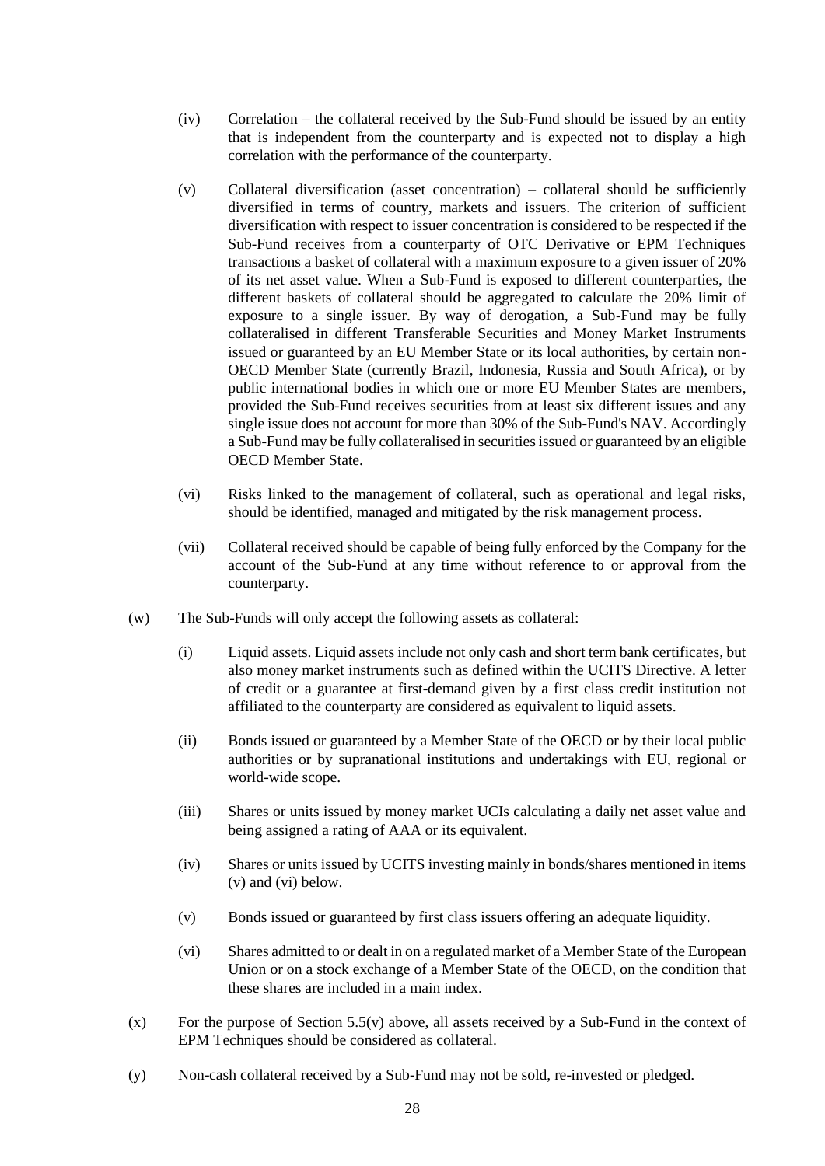- (iv) Correlation the collateral received by the Sub-Fund should be issued by an entity that is independent from the counterparty and is expected not to display a high correlation with the performance of the counterparty.
- (v) Collateral diversification (asset concentration) collateral should be sufficiently diversified in terms of country, markets and issuers. The criterion of sufficient diversification with respect to issuer concentration is considered to be respected if the Sub-Fund receives from a counterparty of OTC Derivative or EPM Techniques transactions a basket of collateral with a maximum exposure to a given issuer of 20% of its net asset value. When a Sub-Fund is exposed to different counterparties, the different baskets of collateral should be aggregated to calculate the 20% limit of exposure to a single issuer. By way of derogation, a Sub-Fund may be fully collateralised in different Transferable Securities and Money Market Instruments issued or guaranteed by an EU Member State or its local authorities, by certain non-OECD Member State (currently Brazil, Indonesia, Russia and South Africa), or by public international bodies in which one or more EU Member States are members, provided the Sub-Fund receives securities from at least six different issues and any single issue does not account for more than 30% of the Sub-Fund's NAV. Accordingly a Sub-Fund may be fully collateralised in securities issued or guaranteed by an eligible OECD Member State.
- (vi) Risks linked to the management of collateral, such as operational and legal risks, should be identified, managed and mitigated by the risk management process.
- (vii) Collateral received should be capable of being fully enforced by the Company for the account of the Sub-Fund at any time without reference to or approval from the counterparty.
- (w) The Sub-Funds will only accept the following assets as collateral:
	- (i) Liquid assets. Liquid assets include not only cash and short term bank certificates, but also money market instruments such as defined within the UCITS Directive. A letter of credit or a guarantee at first-demand given by a first class credit institution not affiliated to the counterparty are considered as equivalent to liquid assets.
	- (ii) Bonds issued or guaranteed by a Member State of the OECD or by their local public authorities or by supranational institutions and undertakings with EU, regional or world-wide scope.
	- (iii) Shares or units issued by money market UCIs calculating a daily net asset value and being assigned a rating of AAA or its equivalent.
	- (iv) Shares or units issued by UCITS investing mainly in bonds/shares mentioned in items [\(v\)](#page-27-0) and [\(vi\)](#page-27-1) below.
	- (v) Bonds issued or guaranteed by first class issuers offering an adequate liquidity.
	- (vi) Shares admitted to or dealt in on a regulated market of a Member State of the European Union or on a stock exchange of a Member State of the OECD, on the condition that these shares are included in a main index.
- <span id="page-27-1"></span><span id="page-27-0"></span> $(x)$  For the purpose of Section [5.5\(v\)](#page-23-0) above, all assets received by a Sub-Fund in the context of EPM Techniques should be considered as collateral.
- (y) Non-cash collateral received by a Sub-Fund may not be sold, re-invested or pledged.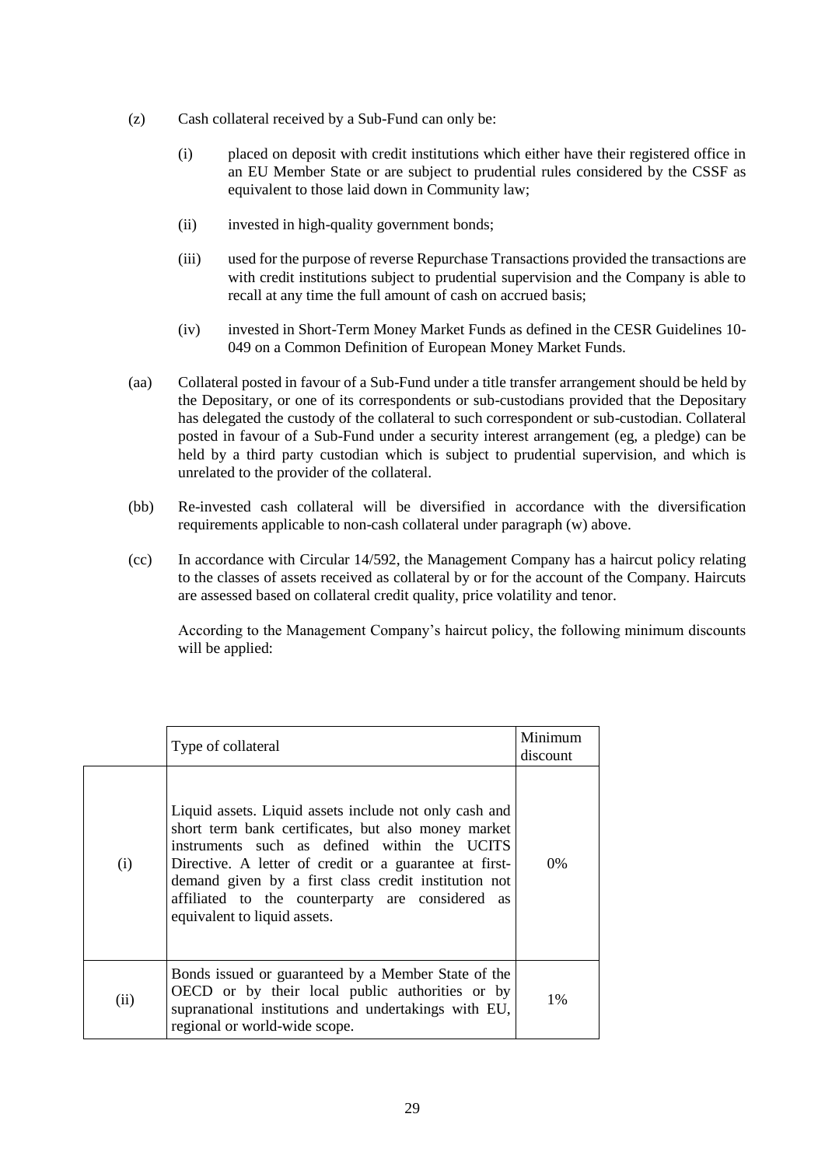- (z) Cash collateral received by a Sub-Fund can only be:
	- (i) placed on deposit with credit institutions which either have their registered office in an EU Member State or are subject to prudential rules considered by the CSSF as equivalent to those laid down in Community law;
	- (ii) invested in high-quality government bonds;
	- (iii) used for the purpose of reverse Repurchase Transactions provided the transactions are with credit institutions subject to prudential supervision and the Company is able to recall at any time the full amount of cash on accrued basis;
	- (iv) invested in Short-Term Money Market Funds as defined in the CESR Guidelines 10- 049 on a Common Definition of European Money Market Funds.
- (aa) Collateral posted in favour of a Sub-Fund under a title transfer arrangement should be held by the Depositary, or one of its correspondents or sub-custodians provided that the Depositary has delegated the custody of the collateral to such correspondent or sub-custodian. Collateral posted in favour of a Sub-Fund under a security interest arrangement (eg, a pledge) can be held by a third party custodian which is subject to prudential supervision, and which is unrelated to the provider of the collateral.
- (bb) Re-invested cash collateral will be diversified in accordance with the diversification requirements applicable to non-cash collateral under paragraph (w) above.
- (cc) In accordance with Circular 14/592, the Management Company has a haircut policy relating to the classes of assets received as collateral by or for the account of the Company. Haircuts are assessed based on collateral credit quality, price volatility and tenor.

According to the Management Company's haircut policy, the following minimum discounts will be applied:

|      | Type of collateral                                                                                                                                                                                                                                                                                                                                                  | Minimum<br>discount |
|------|---------------------------------------------------------------------------------------------------------------------------------------------------------------------------------------------------------------------------------------------------------------------------------------------------------------------------------------------------------------------|---------------------|
| (i)  | Liquid assets. Liquid assets include not only cash and<br>short term bank certificates, but also money market<br>instruments such as defined within the UCITS<br>Directive. A letter of credit or a guarantee at first-<br>demand given by a first class credit institution not<br>affiliated to the counterparty are considered as<br>equivalent to liquid assets. | $0\%$               |
| (ii) | Bonds issued or guaranteed by a Member State of the<br>OECD or by their local public authorities or by<br>supranational institutions and undertakings with EU,<br>regional or world-wide scope.                                                                                                                                                                     | $1\%$               |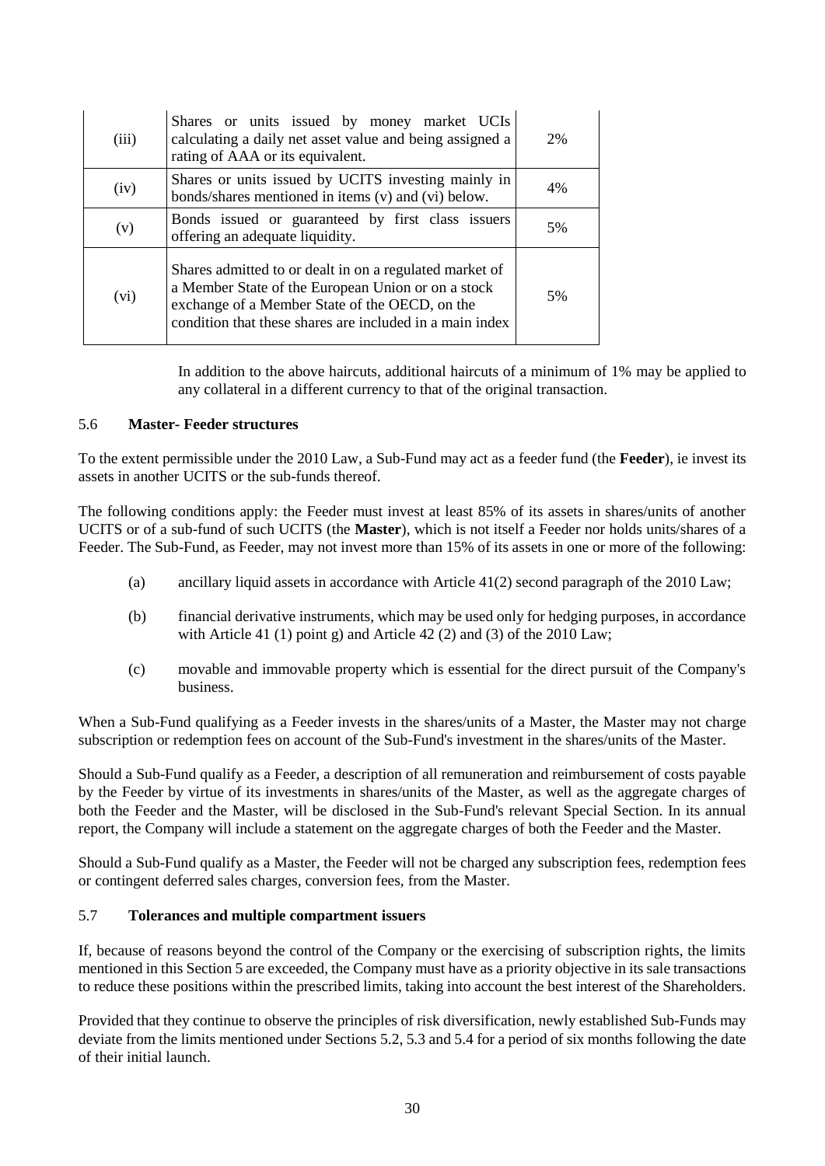| (iii) | Shares or units issued by money market UCIs<br>calculating a daily net asset value and being assigned a<br>rating of AAA or its equivalent.                                                                                 | 2% |
|-------|-----------------------------------------------------------------------------------------------------------------------------------------------------------------------------------------------------------------------------|----|
| (iv)  | Shares or units issued by UCITS investing mainly in<br>bonds/shares mentioned in items (v) and (vi) below.                                                                                                                  | 4% |
| (v)   | Bonds issued or guaranteed by first class issuers<br>offering an adequate liquidity.                                                                                                                                        | 5% |
| (vi)  | Shares admitted to or dealt in on a regulated market of<br>a Member State of the European Union or on a stock<br>exchange of a Member State of the OECD, on the<br>condition that these shares are included in a main index | 5% |

In addition to the above haircuts, additional haircuts of a minimum of 1% may be applied to any collateral in a different currency to that of the original transaction.

# 5.6 **Master- Feeder structures**

To the extent permissible under the 2010 Law, a Sub-Fund may act as a feeder fund (the **Feeder**), ie invest its assets in another UCITS or the sub-funds thereof.

The following conditions apply: the Feeder must invest at least 85% of its assets in shares/units of another UCITS or of a sub-fund of such UCITS (the **Master**), which is not itself a Feeder nor holds units/shares of a Feeder. The Sub-Fund, as Feeder, may not invest more than 15% of its assets in one or more of the following:

- (a) ancillary liquid assets in accordance with Article 41(2) second paragraph of the 2010 Law;
- (b) financial derivative instruments, which may be used only for hedging purposes, in accordance with Article 41 (1) point g) and Article 42 (2) and (3) of the  $2010$  Law;
- (c) movable and immovable property which is essential for the direct pursuit of the Company's business.

When a Sub-Fund qualifying as a Feeder invests in the shares/units of a Master, the Master may not charge subscription or redemption fees on account of the Sub-Fund's investment in the shares/units of the Master.

Should a Sub-Fund qualify as a Feeder, a description of all remuneration and reimbursement of costs payable by the Feeder by virtue of its investments in shares/units of the Master, as well as the aggregate charges of both the Feeder and the Master, will be disclosed in the Sub-Fund's relevant Special Section. In its annual report, the Company will include a statement on the aggregate charges of both the Feeder and the Master.

Should a Sub-Fund qualify as a Master, the Feeder will not be charged any subscription fees, redemption fees or contingent deferred sales charges, conversion fees, from the Master.

# 5.7 **Tolerances and multiple compartment issuers**

If, because of reasons beyond the control of the Company or the exercising of subscription rights, the limits mentioned in this Sectio[n 5](#page-19-1) are exceeded, the Company must have as a priority objective in its sale transactions to reduce these positions within the prescribed limits, taking into account the best interest of the Shareholders.

Provided that they continue to observe the principles of risk diversification, newly established Sub-Funds may deviate from the limits mentioned under Sections [5.2,](#page-21-2) [5.3](#page-22-2) and [5.4](#page-23-1) for a period of six months following the date of their initial launch.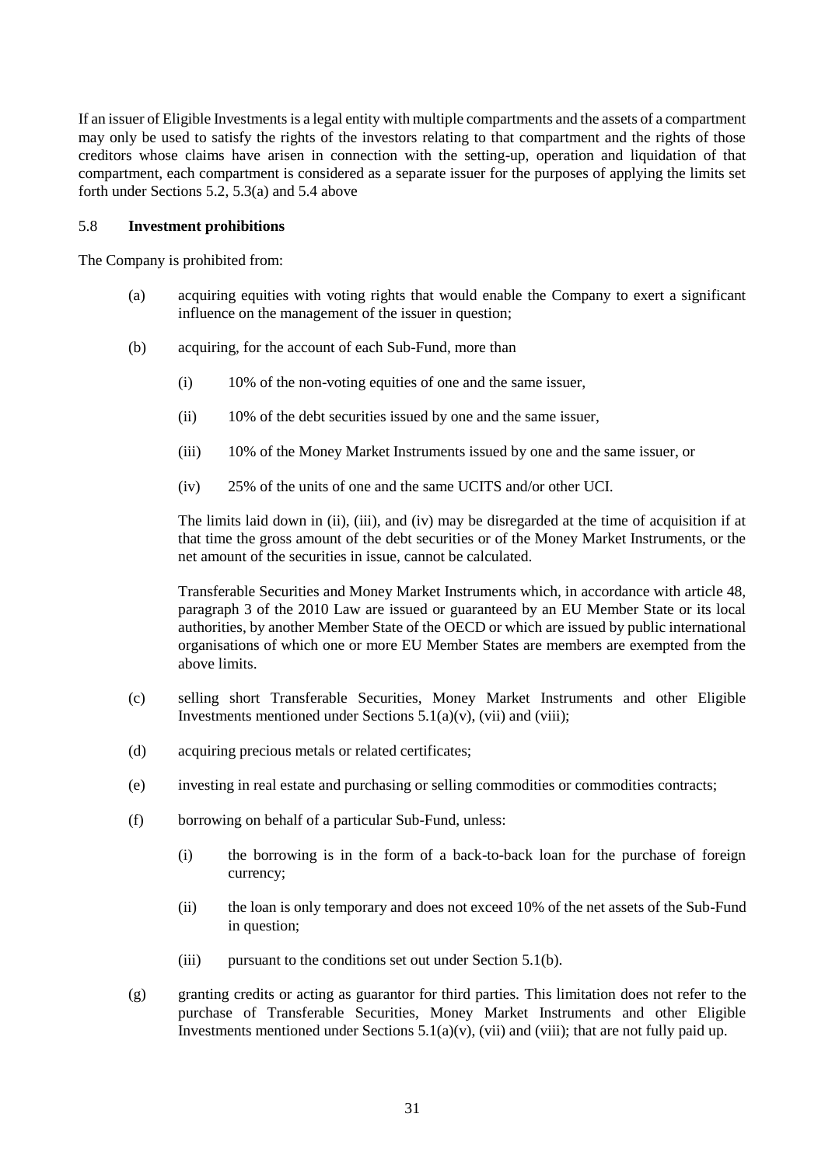If an issuer of Eligible Investments is a legal entity with multiple compartments and the assets of a compartment may only be used to satisfy the rights of the investors relating to that compartment and the rights of those creditors whose claims have arisen in connection with the setting-up, operation and liquidation of that compartment, each compartment is considered as a separate issuer for the purposes of applying the limits set forth under Sections [5.2,](#page-21-2) [5.3\(a\)](#page-22-3) and [5.4](#page-23-1) above

# <span id="page-30-0"></span>5.8 **Investment prohibitions**

The Company is prohibited from:

- (a) acquiring equities with voting rights that would enable the Company to exert a significant influence on the management of the issuer in question;
- <span id="page-30-1"></span>(b) acquiring, for the account of each Sub-Fund, more than
	- (i) 10% of the non-voting equities of one and the same issuer,
	- (ii) 10% of the debt securities issued by one and the same issuer,
	- (iii) 10% of the Money Market Instruments issued by one and the same issuer, or
	- (iv) 25% of the units of one and the same UCITS and/or other UCI.

The limits laid down in (ii), (iii), and (iv) may be disregarded at the time of acquisition if at that time the gross amount of the debt securities or of the Money Market Instruments, or the net amount of the securities in issue, cannot be calculated.

Transferable Securities and Money Market Instruments which, in accordance with article 48, paragraph 3 of the 2010 Law are issued or guaranteed by an EU Member State or its local authorities, by another Member State of the OECD or which are issued by public international organisations of which one or more EU Member States are members are exempted from the above limits.

- (c) selling short Transferable Securities, Money Market Instruments and other Eligible Investments mentioned under Sections  $5.1(a)(v)$ , [\(vii\)](#page-20-6) and [\(viii\);](#page-21-3)
- (d) acquiring precious metals or related certificates;
- (e) investing in real estate and purchasing or selling commodities or commodities contracts;
- (f) borrowing on behalf of a particular Sub-Fund, unless:
	- (i) the borrowing is in the form of a back-to-back loan for the purchase of foreign currency;
	- (ii) the loan is only temporary and does not exceed 10% of the net assets of the Sub-Fund in question;
	- (iii) pursuant to the conditions set out under Section [5.1\(b\).](#page-21-4)
- (g) granting credits or acting as guarantor for third parties. This limitation does not refer to the purchase of Transferable Securities, Money Market Instruments and other Eligible Investments mentioned under Sections  $5.1(a)(v)$ , [\(vii\)](#page-20-6) and [\(viii\);](#page-21-3) that are not fully paid up.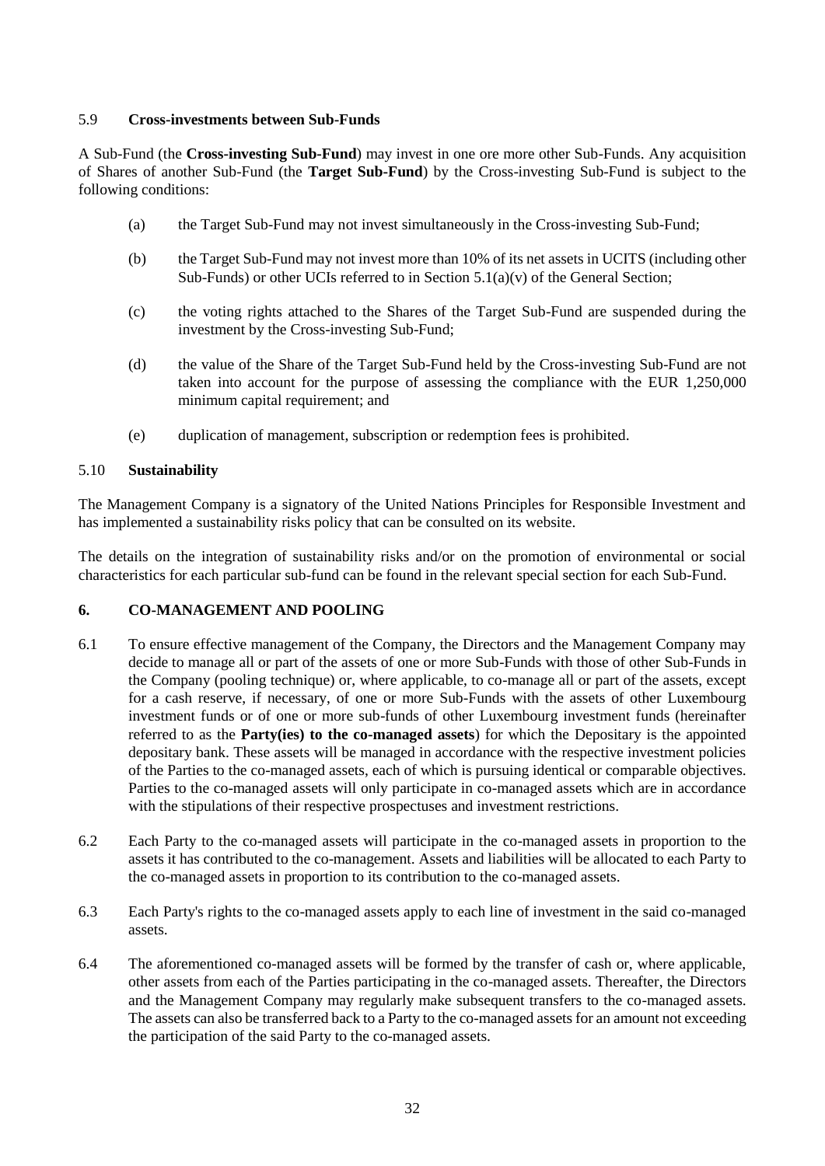# <span id="page-31-1"></span>5.9 **Cross-investments between Sub-Funds**

A Sub-Fund (the **Cross-investing Sub-Fund**) may invest in one ore more other Sub-Funds. Any acquisition of Shares of another Sub-Fund (the **Target Sub-Fund**) by the Cross-investing Sub-Fund is subject to the following conditions:

- (a) the Target Sub-Fund may not invest simultaneously in the Cross-investing Sub-Fund;
- (b) the Target Sub-Fund may not invest more than 10% of its net assets in UCITS (including other Sub-Funds) or other UCIs referred to in Section  $5.1(a)(v)$  of the General Section;
- (c) the voting rights attached to the Shares of the Target Sub-Fund are suspended during the investment by the Cross-investing Sub-Fund;
- (d) the value of the Share of the Target Sub-Fund held by the Cross-investing Sub-Fund are not taken into account for the purpose of assessing the compliance with the EUR 1,250,000 minimum capital requirement; and
- (e) duplication of management, subscription or redemption fees is prohibited.

# 5.10 **Sustainability**

The Management Company is a signatory of the United Nations Principles for Responsible Investment and has implemented a sustainability risks policy that can be consulted on its website.

The details on the integration of sustainability risks and/or on the promotion of environmental or social characteristics for each particular sub-fund can be found in the relevant special section for each Sub-Fund.

# <span id="page-31-0"></span>**6. CO-MANAGEMENT AND POOLING**

- 6.1 To ensure effective management of the Company, the Directors and the Management Company may decide to manage all or part of the assets of one or more Sub-Funds with those of other Sub-Funds in the Company (pooling technique) or, where applicable, to co-manage all or part of the assets, except for a cash reserve, if necessary, of one or more Sub-Funds with the assets of other Luxembourg investment funds or of one or more sub-funds of other Luxembourg investment funds (hereinafter referred to as the **Party(ies) to the co-managed assets**) for which the Depositary is the appointed depositary bank. These assets will be managed in accordance with the respective investment policies of the Parties to the co-managed assets, each of which is pursuing identical or comparable objectives. Parties to the co-managed assets will only participate in co-managed assets which are in accordance with the stipulations of their respective prospectuses and investment restrictions.
- 6.2 Each Party to the co-managed assets will participate in the co-managed assets in proportion to the assets it has contributed to the co-management. Assets and liabilities will be allocated to each Party to the co-managed assets in proportion to its contribution to the co-managed assets.
- 6.3 Each Party's rights to the co-managed assets apply to each line of investment in the said co-managed assets.
- 6.4 The aforementioned co-managed assets will be formed by the transfer of cash or, where applicable, other assets from each of the Parties participating in the co-managed assets. Thereafter, the Directors and the Management Company may regularly make subsequent transfers to the co-managed assets. The assets can also be transferred back to a Party to the co-managed assets for an amount not exceeding the participation of the said Party to the co-managed assets.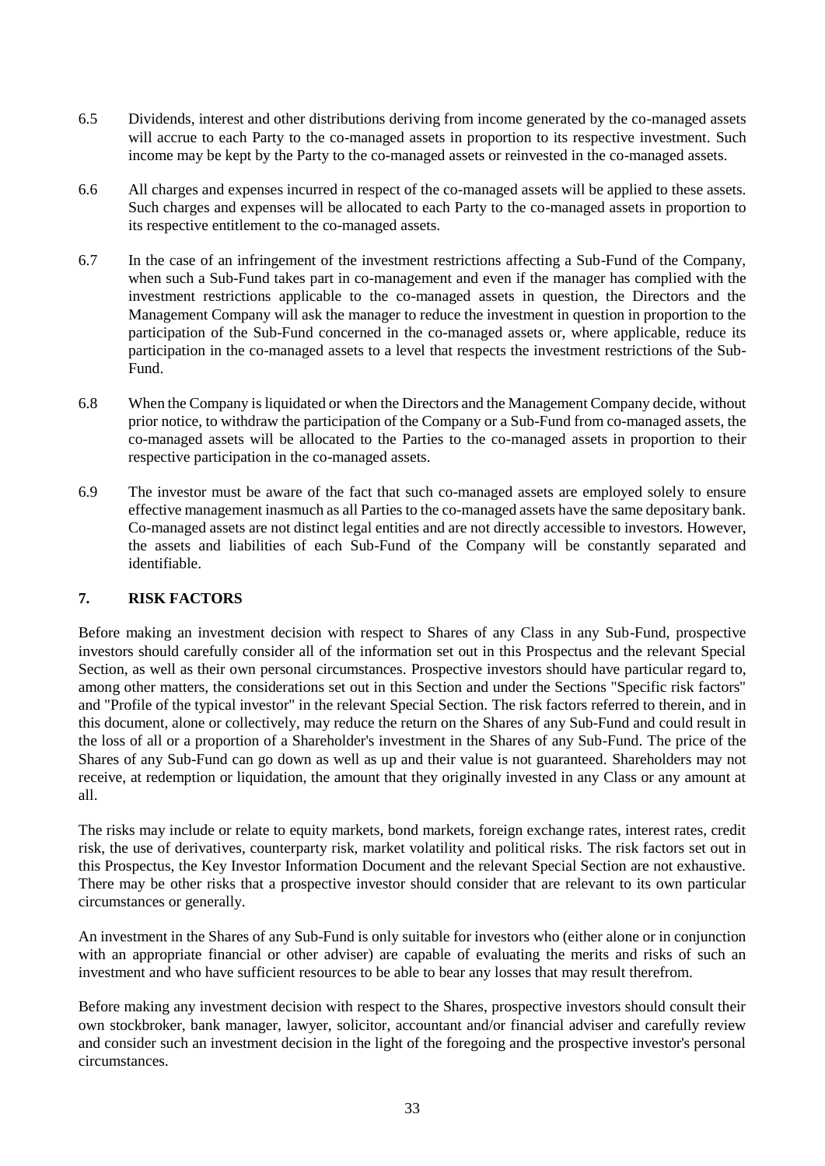- 6.5 Dividends, interest and other distributions deriving from income generated by the co-managed assets will accrue to each Party to the co-managed assets in proportion to its respective investment. Such income may be kept by the Party to the co-managed assets or reinvested in the co-managed assets.
- 6.6 All charges and expenses incurred in respect of the co-managed assets will be applied to these assets. Such charges and expenses will be allocated to each Party to the co-managed assets in proportion to its respective entitlement to the co-managed assets.
- 6.7 In the case of an infringement of the investment restrictions affecting a Sub-Fund of the Company, when such a Sub-Fund takes part in co-management and even if the manager has complied with the investment restrictions applicable to the co-managed assets in question, the Directors and the Management Company will ask the manager to reduce the investment in question in proportion to the participation of the Sub-Fund concerned in the co-managed assets or, where applicable, reduce its participation in the co-managed assets to a level that respects the investment restrictions of the Sub-Fund.
- 6.8 When the Company is liquidated or when the Directors and the Management Company decide, without prior notice, to withdraw the participation of the Company or a Sub-Fund from co-managed assets, the co-managed assets will be allocated to the Parties to the co-managed assets in proportion to their respective participation in the co-managed assets.
- 6.9 The investor must be aware of the fact that such co-managed assets are employed solely to ensure effective management inasmuch as all Parties to the co-managed assets have the same depositary bank. Co-managed assets are not distinct legal entities and are not directly accessible to investors. However, the assets and liabilities of each Sub-Fund of the Company will be constantly separated and identifiable.

# <span id="page-32-0"></span>**7. RISK FACTORS**

Before making an investment decision with respect to Shares of any Class in any Sub-Fund, prospective investors should carefully consider all of the information set out in this Prospectus and the relevant Special Section, as well as their own personal circumstances. Prospective investors should have particular regard to, among other matters, the considerations set out in this Section and under the Sections "Specific risk factors" and "Profile of the typical investor" in the relevant Special Section. The risk factors referred to therein, and in this document, alone or collectively, may reduce the return on the Shares of any Sub-Fund and could result in the loss of all or a proportion of a Shareholder's investment in the Shares of any Sub-Fund. The price of the Shares of any Sub-Fund can go down as well as up and their value is not guaranteed. Shareholders may not receive, at redemption or liquidation, the amount that they originally invested in any Class or any amount at all.

The risks may include or relate to equity markets, bond markets, foreign exchange rates, interest rates, credit risk, the use of derivatives, counterparty risk, market volatility and political risks. The risk factors set out in this Prospectus, the Key Investor Information Document and the relevant Special Section are not exhaustive. There may be other risks that a prospective investor should consider that are relevant to its own particular circumstances or generally.

An investment in the Shares of any Sub-Fund is only suitable for investors who (either alone or in conjunction with an appropriate financial or other adviser) are capable of evaluating the merits and risks of such an investment and who have sufficient resources to be able to bear any losses that may result therefrom.

Before making any investment decision with respect to the Shares, prospective investors should consult their own stockbroker, bank manager, lawyer, solicitor, accountant and/or financial adviser and carefully review and consider such an investment decision in the light of the foregoing and the prospective investor's personal circumstances.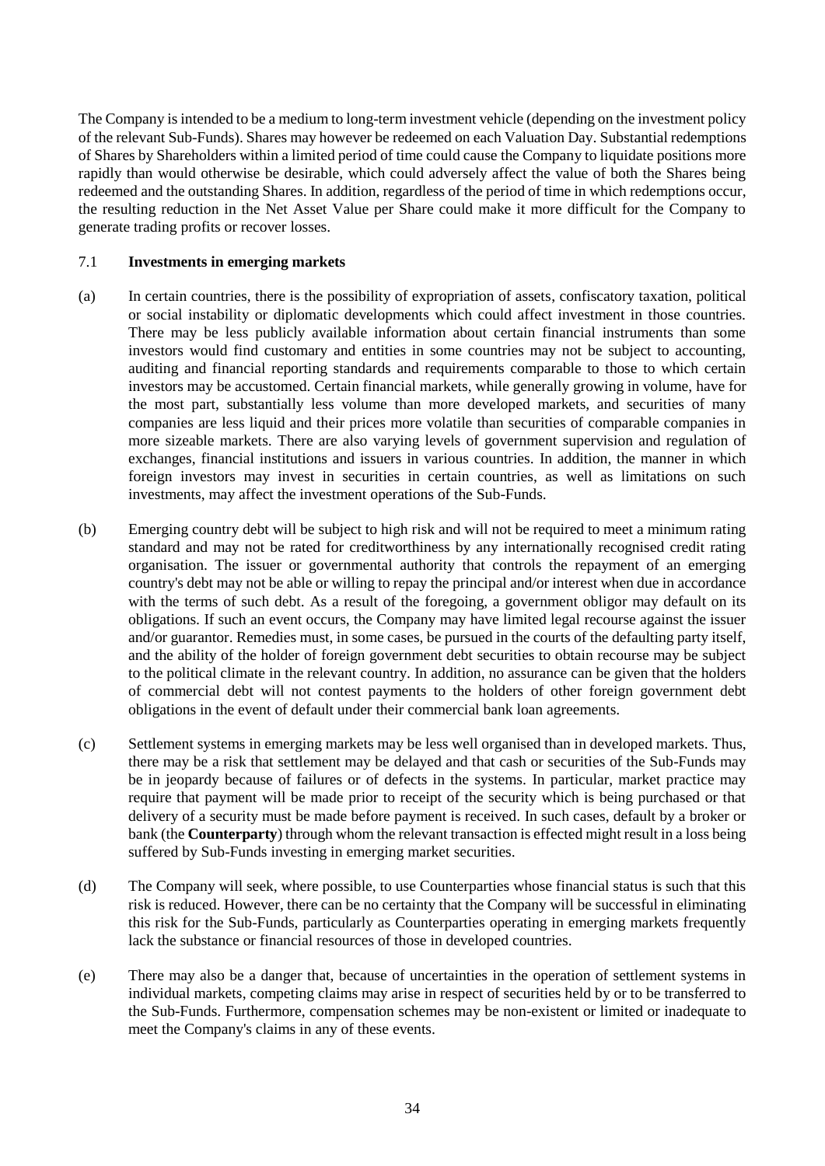The Company is intended to be a medium to long-term investment vehicle (depending on the investment policy of the relevant Sub-Funds). Shares may however be redeemed on each Valuation Day. Substantial redemptions of Shares by Shareholders within a limited period of time could cause the Company to liquidate positions more rapidly than would otherwise be desirable, which could adversely affect the value of both the Shares being redeemed and the outstanding Shares. In addition, regardless of the period of time in which redemptions occur, the resulting reduction in the Net Asset Value per Share could make it more difficult for the Company to generate trading profits or recover losses.

# 7.1 **Investments in emerging markets**

- (a) In certain countries, there is the possibility of expropriation of assets, confiscatory taxation, political or social instability or diplomatic developments which could affect investment in those countries. There may be less publicly available information about certain financial instruments than some investors would find customary and entities in some countries may not be subject to accounting, auditing and financial reporting standards and requirements comparable to those to which certain investors may be accustomed. Certain financial markets, while generally growing in volume, have for the most part, substantially less volume than more developed markets, and securities of many companies are less liquid and their prices more volatile than securities of comparable companies in more sizeable markets. There are also varying levels of government supervision and regulation of exchanges, financial institutions and issuers in various countries. In addition, the manner in which foreign investors may invest in securities in certain countries, as well as limitations on such investments, may affect the investment operations of the Sub-Funds.
- (b) Emerging country debt will be subject to high risk and will not be required to meet a minimum rating standard and may not be rated for creditworthiness by any internationally recognised credit rating organisation. The issuer or governmental authority that controls the repayment of an emerging country's debt may not be able or willing to repay the principal and/or interest when due in accordance with the terms of such debt. As a result of the foregoing, a government obligor may default on its obligations. If such an event occurs, the Company may have limited legal recourse against the issuer and/or guarantor. Remedies must, in some cases, be pursued in the courts of the defaulting party itself, and the ability of the holder of foreign government debt securities to obtain recourse may be subject to the political climate in the relevant country. In addition, no assurance can be given that the holders of commercial debt will not contest payments to the holders of other foreign government debt obligations in the event of default under their commercial bank loan agreements.
- (c) Settlement systems in emerging markets may be less well organised than in developed markets. Thus, there may be a risk that settlement may be delayed and that cash or securities of the Sub-Funds may be in jeopardy because of failures or of defects in the systems. In particular, market practice may require that payment will be made prior to receipt of the security which is being purchased or that delivery of a security must be made before payment is received. In such cases, default by a broker or bank (the **Counterparty**) through whom the relevant transaction is effected might result in a loss being suffered by Sub-Funds investing in emerging market securities.
- (d) The Company will seek, where possible, to use Counterparties whose financial status is such that this risk is reduced. However, there can be no certainty that the Company will be successful in eliminating this risk for the Sub-Funds, particularly as Counterparties operating in emerging markets frequently lack the substance or financial resources of those in developed countries.
- (e) There may also be a danger that, because of uncertainties in the operation of settlement systems in individual markets, competing claims may arise in respect of securities held by or to be transferred to the Sub-Funds. Furthermore, compensation schemes may be non-existent or limited or inadequate to meet the Company's claims in any of these events.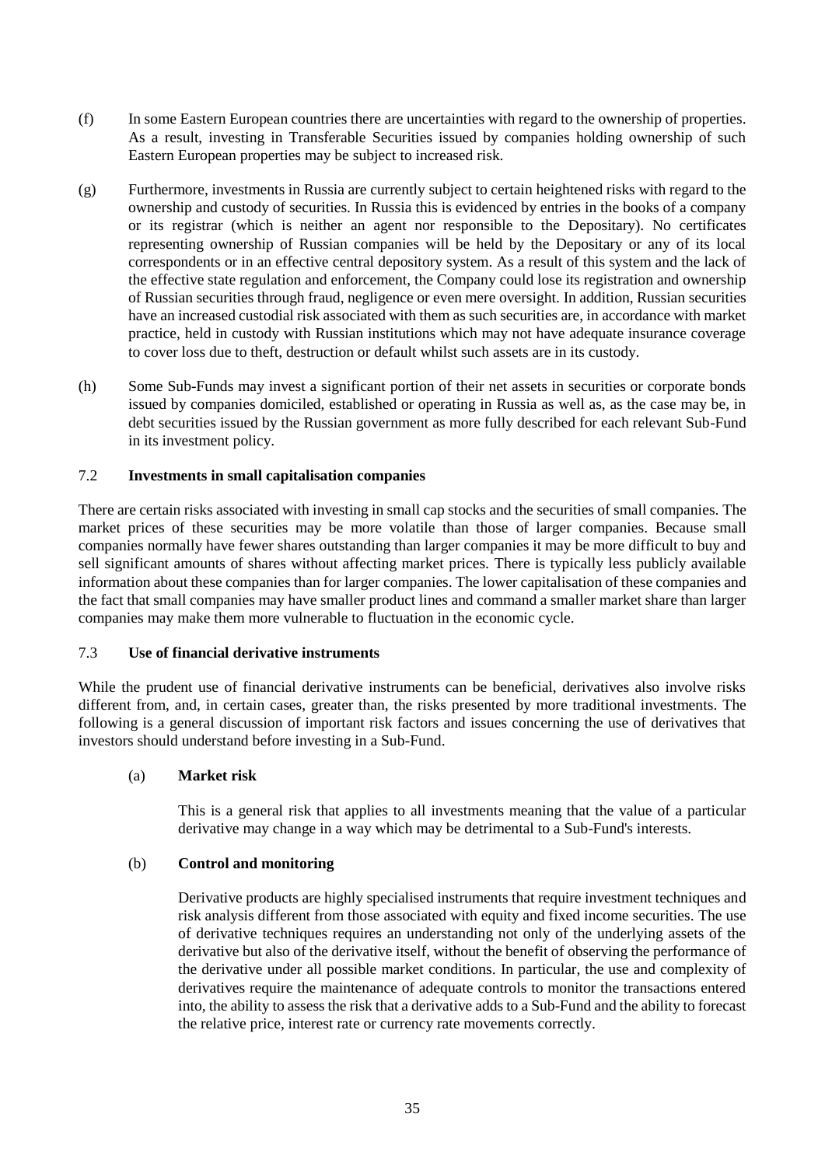- (f) In some Eastern European countries there are uncertainties with regard to the ownership of properties. As a result, investing in Transferable Securities issued by companies holding ownership of such Eastern European properties may be subject to increased risk.
- (g) Furthermore, investments in Russia are currently subject to certain heightened risks with regard to the ownership and custody of securities. In Russia this is evidenced by entries in the books of a company or its registrar (which is neither an agent nor responsible to the Depositary). No certificates representing ownership of Russian companies will be held by the Depositary or any of its local correspondents or in an effective central depository system. As a result of this system and the lack of the effective state regulation and enforcement, the Company could lose its registration and ownership of Russian securities through fraud, negligence or even mere oversight. In addition, Russian securities have an increased custodial risk associated with them as such securities are, in accordance with market practice, held in custody with Russian institutions which may not have adequate insurance coverage to cover loss due to theft, destruction or default whilst such assets are in its custody.
- (h) Some Sub-Funds may invest a significant portion of their net assets in securities or corporate bonds issued by companies domiciled, established or operating in Russia as well as, as the case may be, in debt securities issued by the Russian government as more fully described for each relevant Sub-Fund in its investment policy.

# 7.2 **Investments in small capitalisation companies**

There are certain risks associated with investing in small cap stocks and the securities of small companies. The market prices of these securities may be more volatile than those of larger companies. Because small companies normally have fewer shares outstanding than larger companies it may be more difficult to buy and sell significant amounts of shares without affecting market prices. There is typically less publicly available information about these companies than for larger companies. The lower capitalisation of these companies and the fact that small companies may have smaller product lines and command a smaller market share than larger companies may make them more vulnerable to fluctuation in the economic cycle.

# 7.3 **Use of financial derivative instruments**

While the prudent use of financial derivative instruments can be beneficial, derivatives also involve risks different from, and, in certain cases, greater than, the risks presented by more traditional investments. The following is a general discussion of important risk factors and issues concerning the use of derivatives that investors should understand before investing in a Sub-Fund.

# (a) **Market risk**

This is a general risk that applies to all investments meaning that the value of a particular derivative may change in a way which may be detrimental to a Sub-Fund's interests.

# (b) **Control and monitoring**

Derivative products are highly specialised instruments that require investment techniques and risk analysis different from those associated with equity and fixed income securities. The use of derivative techniques requires an understanding not only of the underlying assets of the derivative but also of the derivative itself, without the benefit of observing the performance of the derivative under all possible market conditions. In particular, the use and complexity of derivatives require the maintenance of adequate controls to monitor the transactions entered into, the ability to assess the risk that a derivative adds to a Sub-Fund and the ability to forecast the relative price, interest rate or currency rate movements correctly.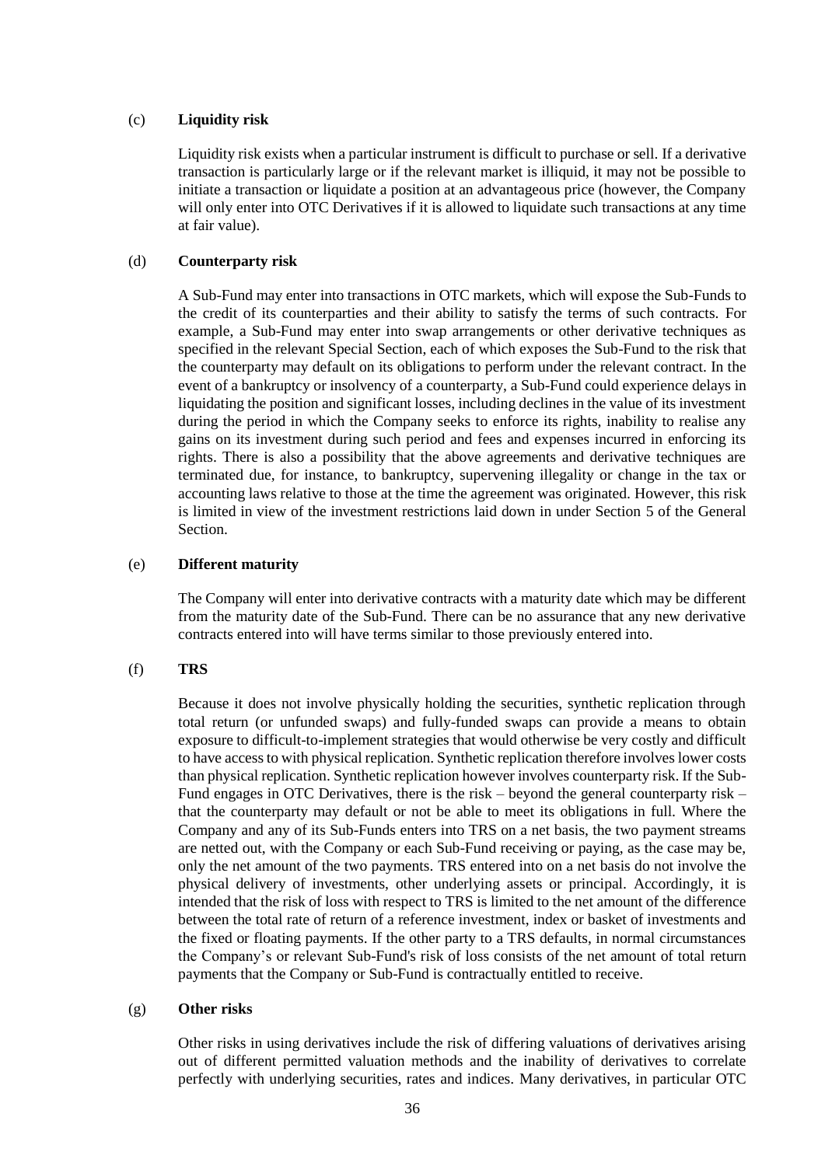# (c) **Liquidity risk**

Liquidity risk exists when a particular instrument is difficult to purchase or sell. If a derivative transaction is particularly large or if the relevant market is illiquid, it may not be possible to initiate a transaction or liquidate a position at an advantageous price (however, the Company will only enter into OTC Derivatives if it is allowed to liquidate such transactions at any time at fair value).

# (d) **Counterparty risk**

A Sub-Fund may enter into transactions in OTC markets, which will expose the Sub-Funds to the credit of its counterparties and their ability to satisfy the terms of such contracts. For example, a Sub-Fund may enter into swap arrangements or other derivative techniques as specified in the relevant Special Section, each of which exposes the Sub-Fund to the risk that the counterparty may default on its obligations to perform under the relevant contract. In the event of a bankruptcy or insolvency of a counterparty, a Sub-Fund could experience delays in liquidating the position and significant losses, including declines in the value of its investment during the period in which the Company seeks to enforce its rights, inability to realise any gains on its investment during such period and fees and expenses incurred in enforcing its rights. There is also a possibility that the above agreements and derivative techniques are terminated due, for instance, to bankruptcy, supervening illegality or change in the tax or accounting laws relative to those at the time the agreement was originated. However, this risk is limited in view of the investment restrictions laid down in under Section [5](#page-19-1) of the General Section.

# (e) **Different maturity**

The Company will enter into derivative contracts with a maturity date which may be different from the maturity date of the Sub-Fund. There can be no assurance that any new derivative contracts entered into will have terms similar to those previously entered into.

# <span id="page-35-0"></span>(f) **TRS**

Because it does not involve physically holding the securities, synthetic replication through total return (or unfunded swaps) and fully-funded swaps can provide a means to obtain exposure to difficult-to-implement strategies that would otherwise be very costly and difficult to have access to with physical replication. Synthetic replication therefore involves lower costs than physical replication. Synthetic replication however involves counterparty risk. If the Sub-Fund engages in OTC Derivatives, there is the risk – beyond the general counterparty risk – that the counterparty may default or not be able to meet its obligations in full. Where the Company and any of its Sub-Funds enters into TRS on a net basis, the two payment streams are netted out, with the Company or each Sub-Fund receiving or paying, as the case may be, only the net amount of the two payments. TRS entered into on a net basis do not involve the physical delivery of investments, other underlying assets or principal. Accordingly, it is intended that the risk of loss with respect to TRS is limited to the net amount of the difference between the total rate of return of a reference investment, index or basket of investments and the fixed or floating payments. If the other party to a TRS defaults, in normal circumstances the Company's or relevant Sub-Fund's risk of loss consists of the net amount of total return payments that the Company or Sub-Fund is contractually entitled to receive.

# (g) **Other risks**

Other risks in using derivatives include the risk of differing valuations of derivatives arising out of different permitted valuation methods and the inability of derivatives to correlate perfectly with underlying securities, rates and indices. Many derivatives, in particular OTC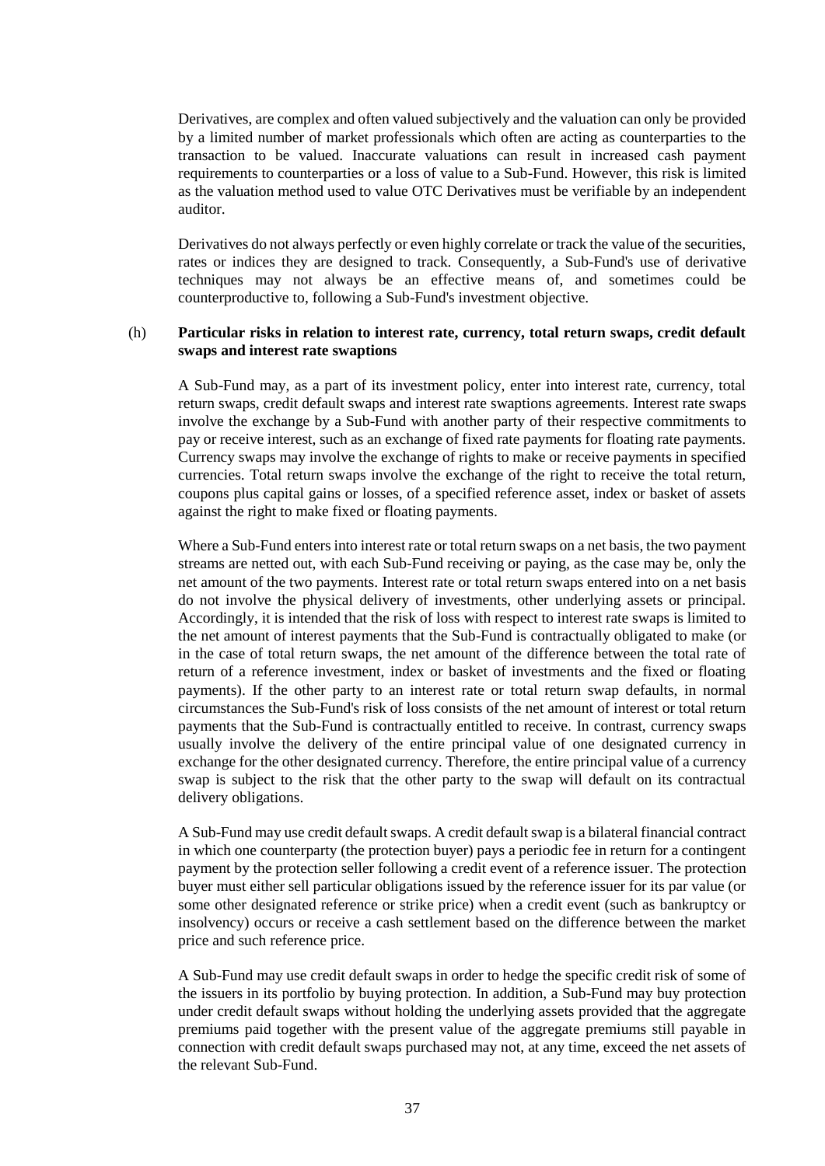Derivatives, are complex and often valued subjectively and the valuation can only be provided by a limited number of market professionals which often are acting as counterparties to the transaction to be valued. Inaccurate valuations can result in increased cash payment requirements to counterparties or a loss of value to a Sub-Fund. However, this risk is limited as the valuation method used to value OTC Derivatives must be verifiable by an independent auditor.

Derivatives do not always perfectly or even highly correlate or track the value of the securities, rates or indices they are designed to track. Consequently, a Sub-Fund's use of derivative techniques may not always be an effective means of, and sometimes could be counterproductive to, following a Sub-Fund's investment objective.

# (h) **Particular risks in relation to interest rate, currency, total return swaps, credit default swaps and interest rate swaptions**

A Sub-Fund may, as a part of its investment policy, enter into interest rate, currency, total return swaps, credit default swaps and interest rate swaptions agreements. Interest rate swaps involve the exchange by a Sub-Fund with another party of their respective commitments to pay or receive interest, such as an exchange of fixed rate payments for floating rate payments. Currency swaps may involve the exchange of rights to make or receive payments in specified currencies. Total return swaps involve the exchange of the right to receive the total return, coupons plus capital gains or losses, of a specified reference asset, index or basket of assets against the right to make fixed or floating payments.

Where a Sub-Fund enters into interest rate or total return swaps on a net basis, the two payment streams are netted out, with each Sub-Fund receiving or paying, as the case may be, only the net amount of the two payments. Interest rate or total return swaps entered into on a net basis do not involve the physical delivery of investments, other underlying assets or principal. Accordingly, it is intended that the risk of loss with respect to interest rate swaps is limited to the net amount of interest payments that the Sub-Fund is contractually obligated to make (or in the case of total return swaps, the net amount of the difference between the total rate of return of a reference investment, index or basket of investments and the fixed or floating payments). If the other party to an interest rate or total return swap defaults, in normal circumstances the Sub-Fund's risk of loss consists of the net amount of interest or total return payments that the Sub-Fund is contractually entitled to receive. In contrast, currency swaps usually involve the delivery of the entire principal value of one designated currency in exchange for the other designated currency. Therefore, the entire principal value of a currency swap is subject to the risk that the other party to the swap will default on its contractual delivery obligations.

A Sub-Fund may use credit default swaps. A credit default swap is a bilateral financial contract in which one counterparty (the protection buyer) pays a periodic fee in return for a contingent payment by the protection seller following a credit event of a reference issuer. The protection buyer must either sell particular obligations issued by the reference issuer for its par value (or some other designated reference or strike price) when a credit event (such as bankruptcy or insolvency) occurs or receive a cash settlement based on the difference between the market price and such reference price.

A Sub-Fund may use credit default swaps in order to hedge the specific credit risk of some of the issuers in its portfolio by buying protection. In addition, a Sub-Fund may buy protection under credit default swaps without holding the underlying assets provided that the aggregate premiums paid together with the present value of the aggregate premiums still payable in connection with credit default swaps purchased may not, at any time, exceed the net assets of the relevant Sub-Fund.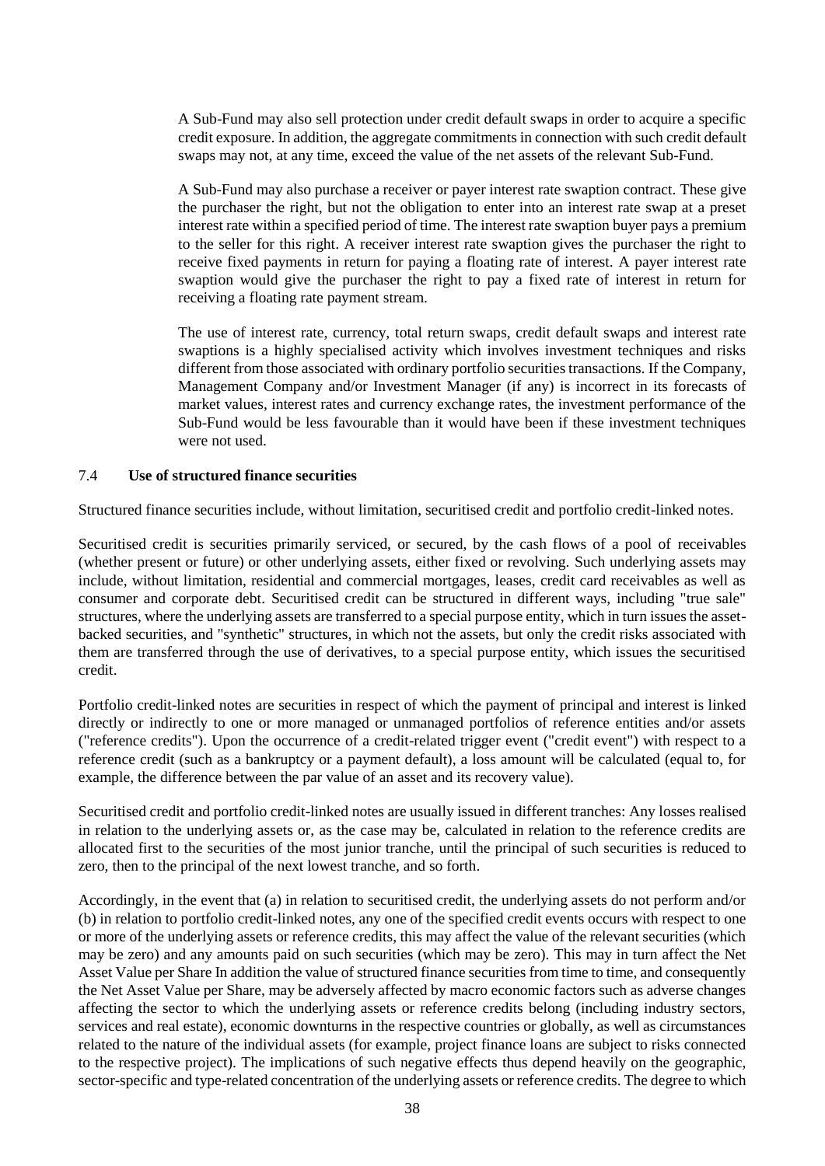A Sub-Fund may also sell protection under credit default swaps in order to acquire a specific credit exposure. In addition, the aggregate commitments in connection with such credit default swaps may not, at any time, exceed the value of the net assets of the relevant Sub-Fund.

A Sub-Fund may also purchase a receiver or payer interest rate swaption contract. These give the purchaser the right, but not the obligation to enter into an interest rate swap at a preset interest rate within a specified period of time. The interest rate swaption buyer pays a premium to the seller for this right. A receiver interest rate swaption gives the purchaser the right to receive fixed payments in return for paying a floating rate of interest. A payer interest rate swaption would give the purchaser the right to pay a fixed rate of interest in return for receiving a floating rate payment stream.

The use of interest rate, currency, total return swaps, credit default swaps and interest rate swaptions is a highly specialised activity which involves investment techniques and risks different from those associated with ordinary portfolio securities transactions. If the Company, Management Company and/or Investment Manager (if any) is incorrect in its forecasts of market values, interest rates and currency exchange rates, the investment performance of the Sub-Fund would be less favourable than it would have been if these investment techniques were not used.

#### 7.4 **Use of structured finance securities**

Structured finance securities include, without limitation, securitised credit and portfolio credit-linked notes.

Securitised credit is securities primarily serviced, or secured, by the cash flows of a pool of receivables (whether present or future) or other underlying assets, either fixed or revolving. Such underlying assets may include, without limitation, residential and commercial mortgages, leases, credit card receivables as well as consumer and corporate debt. Securitised credit can be structured in different ways, including "true sale" structures, where the underlying assets are transferred to a special purpose entity, which in turn issues the assetbacked securities, and "synthetic" structures, in which not the assets, but only the credit risks associated with them are transferred through the use of derivatives, to a special purpose entity, which issues the securitised credit.

Portfolio credit-linked notes are securities in respect of which the payment of principal and interest is linked directly or indirectly to one or more managed or unmanaged portfolios of reference entities and/or assets ("reference credits"). Upon the occurrence of a credit-related trigger event ("credit event") with respect to a reference credit (such as a bankruptcy or a payment default), a loss amount will be calculated (equal to, for example, the difference between the par value of an asset and its recovery value).

Securitised credit and portfolio credit-linked notes are usually issued in different tranches: Any losses realised in relation to the underlying assets or, as the case may be, calculated in relation to the reference credits are allocated first to the securities of the most junior tranche, until the principal of such securities is reduced to zero, then to the principal of the next lowest tranche, and so forth.

Accordingly, in the event that (a) in relation to securitised credit, the underlying assets do not perform and/or (b) in relation to portfolio credit-linked notes, any one of the specified credit events occurs with respect to one or more of the underlying assets or reference credits, this may affect the value of the relevant securities (which may be zero) and any amounts paid on such securities (which may be zero). This may in turn affect the Net Asset Value per Share In addition the value of structured finance securities from time to time, and consequently the Net Asset Value per Share, may be adversely affected by macro economic factors such as adverse changes affecting the sector to which the underlying assets or reference credits belong (including industry sectors, services and real estate), economic downturns in the respective countries or globally, as well as circumstances related to the nature of the individual assets (for example, project finance loans are subject to risks connected to the respective project). The implications of such negative effects thus depend heavily on the geographic, sector-specific and type-related concentration of the underlying assets or reference credits. The degree to which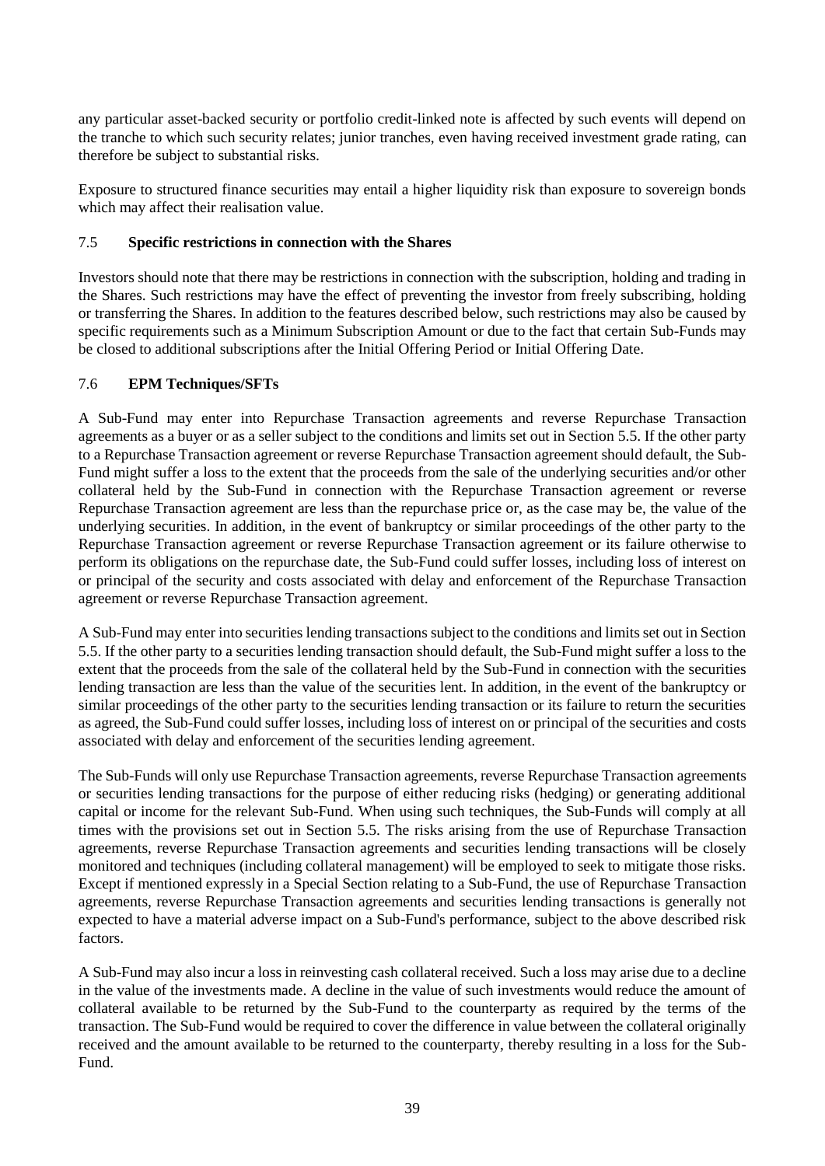any particular asset-backed security or portfolio credit-linked note is affected by such events will depend on the tranche to which such security relates; junior tranches, even having received investment grade rating, can therefore be subject to substantial risks.

Exposure to structured finance securities may entail a higher liquidity risk than exposure to sovereign bonds which may affect their realisation value.

# 7.5 **Specific restrictions in connection with the Shares**

Investors should note that there may be restrictions in connection with the subscription, holding and trading in the Shares. Such restrictions may have the effect of preventing the investor from freely subscribing, holding or transferring the Shares. In addition to the features described below, such restrictions may also be caused by specific requirements such as a Minimum Subscription Amount or due to the fact that certain Sub-Funds may be closed to additional subscriptions after the Initial Offering Period or Initial Offering Date.

# 7.6 **EPM Techniques/SFTs**

A Sub-Fund may enter into Repurchase Transaction agreements and reverse Repurchase Transaction agreements as a buyer or as a seller subject to the conditions and limits set out in Section [5.5.](#page-23-0) If the other party to a Repurchase Transaction agreement or reverse Repurchase Transaction agreement should default, the Sub-Fund might suffer a loss to the extent that the proceeds from the sale of the underlying securities and/or other collateral held by the Sub-Fund in connection with the Repurchase Transaction agreement or reverse Repurchase Transaction agreement are less than the repurchase price or, as the case may be, the value of the underlying securities. In addition, in the event of bankruptcy or similar proceedings of the other party to the Repurchase Transaction agreement or reverse Repurchase Transaction agreement or its failure otherwise to perform its obligations on the repurchase date, the Sub-Fund could suffer losses, including loss of interest on or principal of the security and costs associated with delay and enforcement of the Repurchase Transaction agreement or reverse Repurchase Transaction agreement.

A Sub-Fund may enter into securities lending transactions subject to the conditions and limits set out in Section [5.5.](#page-23-0) If the other party to a securities lending transaction should default, the Sub-Fund might suffer a loss to the extent that the proceeds from the sale of the collateral held by the Sub-Fund in connection with the securities lending transaction are less than the value of the securities lent. In addition, in the event of the bankruptcy or similar proceedings of the other party to the securities lending transaction or its failure to return the securities as agreed, the Sub-Fund could suffer losses, including loss of interest on or principal of the securities and costs associated with delay and enforcement of the securities lending agreement.

The Sub-Funds will only use Repurchase Transaction agreements, reverse Repurchase Transaction agreements or securities lending transactions for the purpose of either reducing risks (hedging) or generating additional capital or income for the relevant Sub-Fund. When using such techniques, the Sub-Funds will comply at all times with the provisions set out in Section [5.5.](#page-23-0) The risks arising from the use of Repurchase Transaction agreements, reverse Repurchase Transaction agreements and securities lending transactions will be closely monitored and techniques (including collateral management) will be employed to seek to mitigate those risks. Except if mentioned expressly in a Special Section relating to a Sub-Fund, the use of Repurchase Transaction agreements, reverse Repurchase Transaction agreements and securities lending transactions is generally not expected to have a material adverse impact on a Sub-Fund's performance, subject to the above described risk factors.

A Sub-Fund may also incur a loss in reinvesting cash collateral received. Such a loss may arise due to a decline in the value of the investments made. A decline in the value of such investments would reduce the amount of collateral available to be returned by the Sub-Fund to the counterparty as required by the terms of the transaction. The Sub-Fund would be required to cover the difference in value between the collateral originally received and the amount available to be returned to the counterparty, thereby resulting in a loss for the Sub-Fund.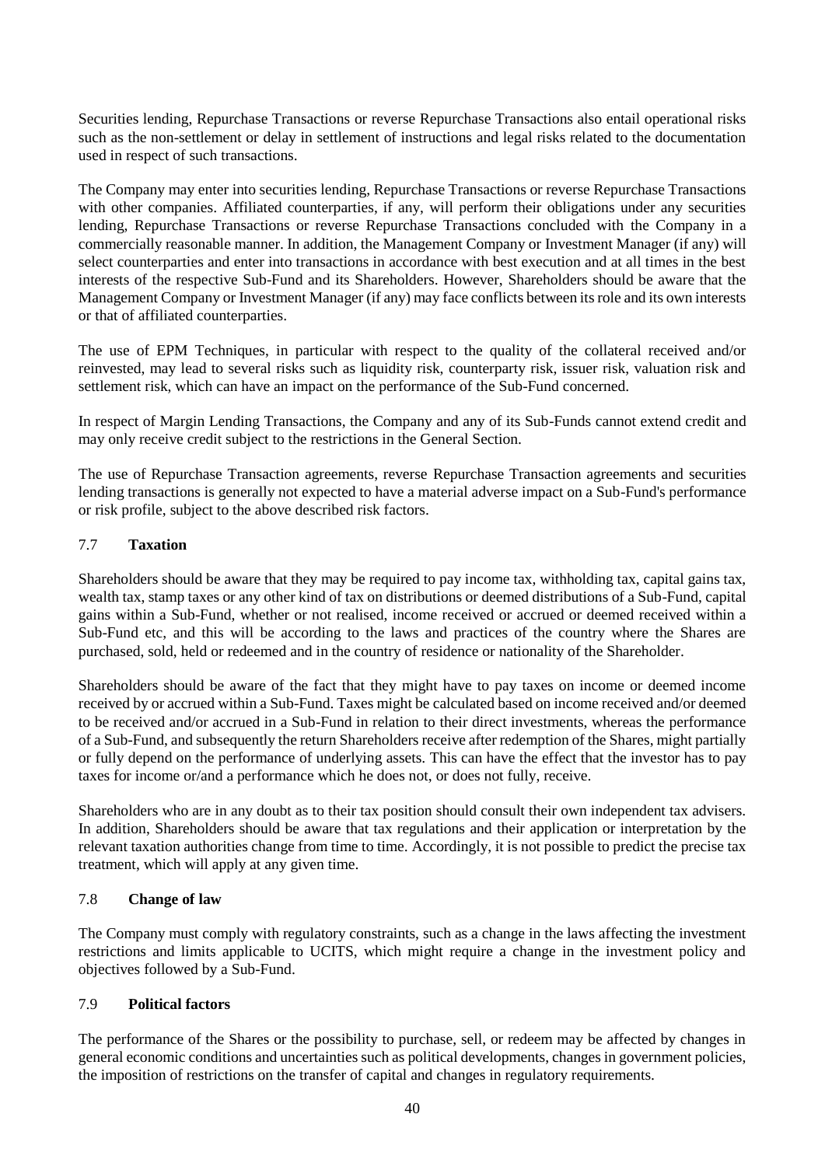Securities lending, Repurchase Transactions or reverse Repurchase Transactions also entail operational risks such as the non-settlement or delay in settlement of instructions and legal risks related to the documentation used in respect of such transactions.

The Company may enter into securities lending, Repurchase Transactions or reverse Repurchase Transactions with other companies. Affiliated counterparties, if any, will perform their obligations under any securities lending, Repurchase Transactions or reverse Repurchase Transactions concluded with the Company in a commercially reasonable manner. In addition, the Management Company or Investment Manager (if any) will select counterparties and enter into transactions in accordance with best execution and at all times in the best interests of the respective Sub-Fund and its Shareholders. However, Shareholders should be aware that the Management Company or Investment Manager (if any) may face conflicts between its role and its own interests or that of affiliated counterparties.

The use of EPM Techniques, in particular with respect to the quality of the collateral received and/or reinvested, may lead to several risks such as liquidity risk, counterparty risk, issuer risk, valuation risk and settlement risk, which can have an impact on the performance of the Sub-Fund concerned.

In respect of Margin Lending Transactions, the Company and any of its Sub-Funds cannot extend credit and may only receive credit subject to the restrictions in the General Section.

The use of Repurchase Transaction agreements, reverse Repurchase Transaction agreements and securities lending transactions is generally not expected to have a material adverse impact on a Sub-Fund's performance or risk profile, subject to the above described risk factors.

### 7.7 **Taxation**

Shareholders should be aware that they may be required to pay income tax, withholding tax, capital gains tax, wealth tax, stamp taxes or any other kind of tax on distributions or deemed distributions of a Sub-Fund, capital gains within a Sub-Fund, whether or not realised, income received or accrued or deemed received within a Sub-Fund etc, and this will be according to the laws and practices of the country where the Shares are purchased, sold, held or redeemed and in the country of residence or nationality of the Shareholder.

Shareholders should be aware of the fact that they might have to pay taxes on income or deemed income received by or accrued within a Sub-Fund. Taxes might be calculated based on income received and/or deemed to be received and/or accrued in a Sub-Fund in relation to their direct investments, whereas the performance of a Sub-Fund, and subsequently the return Shareholders receive after redemption of the Shares, might partially or fully depend on the performance of underlying assets. This can have the effect that the investor has to pay taxes for income or/and a performance which he does not, or does not fully, receive.

Shareholders who are in any doubt as to their tax position should consult their own independent tax advisers. In addition, Shareholders should be aware that tax regulations and their application or interpretation by the relevant taxation authorities change from time to time. Accordingly, it is not possible to predict the precise tax treatment, which will apply at any given time.

# 7.8 **Change of law**

The Company must comply with regulatory constraints, such as a change in the laws affecting the investment restrictions and limits applicable to UCITS, which might require a change in the investment policy and objectives followed by a Sub-Fund.

## 7.9 **Political factors**

The performance of the Shares or the possibility to purchase, sell, or redeem may be affected by changes in general economic conditions and uncertainties such as political developments, changes in government policies, the imposition of restrictions on the transfer of capital and changes in regulatory requirements.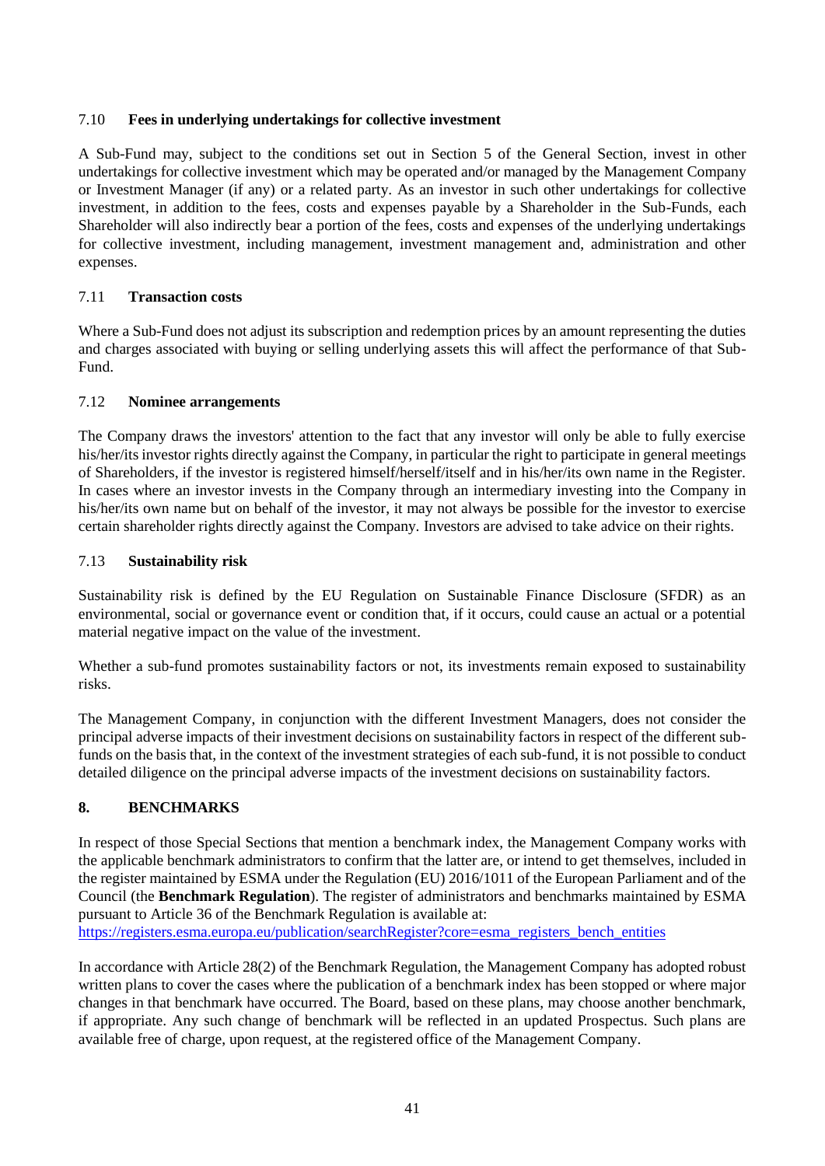# 7.10 **Fees in underlying undertakings for collective investment**

A Sub-Fund may, subject to the conditions set out in Section [5](#page-19-0) of the General Section, invest in other undertakings for collective investment which may be operated and/or managed by the Management Company or Investment Manager (if any) or a related party. As an investor in such other undertakings for collective investment, in addition to the fees, costs and expenses payable by a Shareholder in the Sub-Funds, each Shareholder will also indirectly bear a portion of the fees, costs and expenses of the underlying undertakings for collective investment, including management, investment management and, administration and other expenses.

# 7.11 **Transaction costs**

Where a Sub-Fund does not adjust its subscription and redemption prices by an amount representing the duties and charges associated with buying or selling underlying assets this will affect the performance of that Sub-Fund.

# 7.12 **Nominee arrangements**

The Company draws the investors' attention to the fact that any investor will only be able to fully exercise his/her/its investor rights directly against the Company, in particular the right to participate in general meetings of Shareholders, if the investor is registered himself/herself/itself and in his/her/its own name in the Register. In cases where an investor invests in the Company through an intermediary investing into the Company in his/her/its own name but on behalf of the investor, it may not always be possible for the investor to exercise certain shareholder rights directly against the Company. Investors are advised to take advice on their rights.

# 7.13 **Sustainability risk**

Sustainability risk is defined by the EU Regulation on Sustainable Finance Disclosure (SFDR) as an environmental, social or governance event or condition that, if it occurs, could cause an actual or a potential material negative impact on the value of the investment.

Whether a sub-fund promotes sustainability factors or not, its investments remain exposed to sustainability risks.

The Management Company, in conjunction with the different Investment Managers, does not consider the principal adverse impacts of their investment decisions on sustainability factors in respect of the different subfunds on the basis that, in the context of the investment strategies of each sub-fund, it is not possible to conduct detailed diligence on the principal adverse impacts of the investment decisions on sustainability factors.

# **8. BENCHMARKS**

In respect of those Special Sections that mention a benchmark index, the Management Company works with the applicable benchmark administrators to confirm that the latter are, or intend to get themselves, included in the register maintained by ESMA under the Regulation (EU) 2016/1011 of the European Parliament and of the Council (the **Benchmark Regulation**). The register of administrators and benchmarks maintained by ESMA pursuant to Article 36 of the Benchmark Regulation is available at:

[https://registers.esma.europa.eu/publication/searchRegister?core=esma\\_registers\\_bench\\_entities](https://registers.esma.europa.eu/publication/searchRegister?core=esma_registers_bench_entities)

In accordance with Article 28(2) of the Benchmark Regulation, the Management Company has adopted robust written plans to cover the cases where the publication of a benchmark index has been stopped or where major changes in that benchmark have occurred. The Board, based on these plans, may choose another benchmark, if appropriate. Any such change of benchmark will be reflected in an updated Prospectus. Such plans are available free of charge, upon request, at the registered office of the Management Company.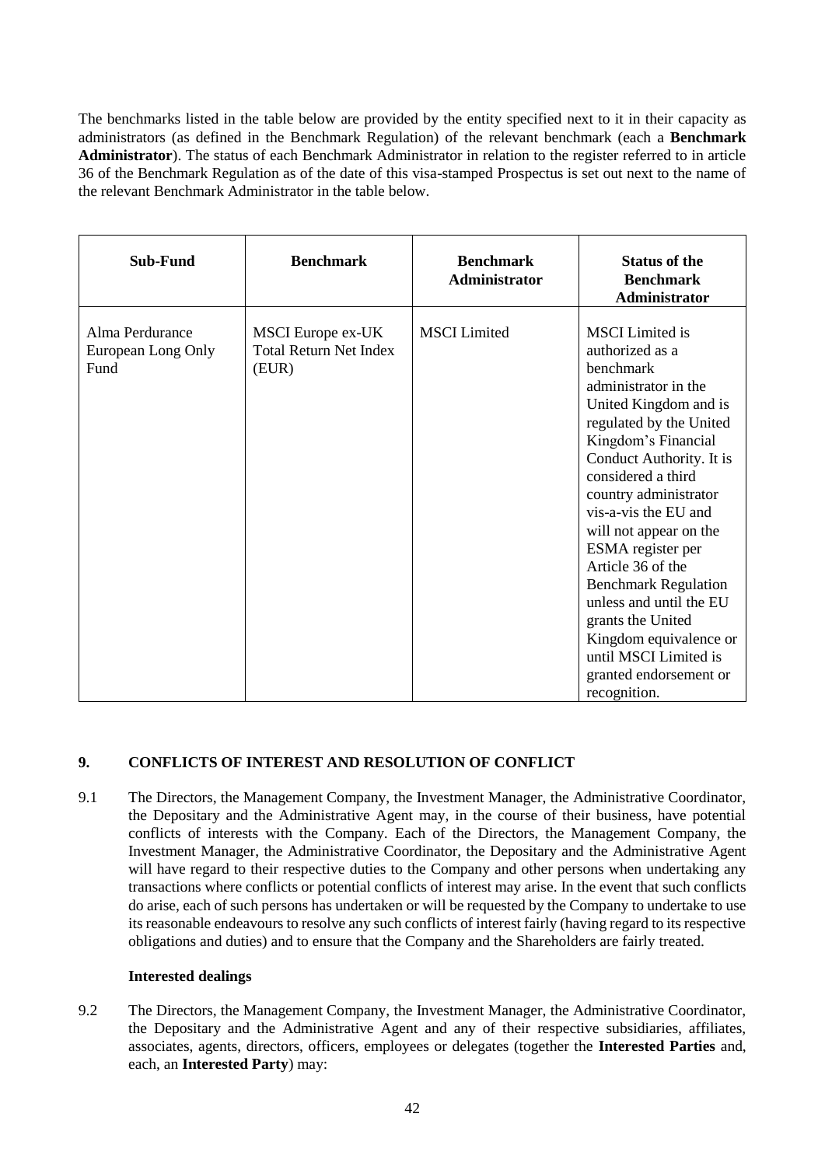The benchmarks listed in the table below are provided by the entity specified next to it in their capacity as administrators (as defined in the Benchmark Regulation) of the relevant benchmark (each a **Benchmark Administrator**). The status of each Benchmark Administrator in relation to the register referred to in article 36 of the Benchmark Regulation as of the date of this visa-stamped Prospectus is set out next to the name of the relevant Benchmark Administrator in the table below.

| <b>Sub-Fund</b>                               | <b>Benchmark</b>                                            | <b>Benchmark</b><br>Administrator | <b>Status of the</b><br><b>Benchmark</b><br>Administrator                                                                                                                                                                                                                                                                                                                                                                                                                                                    |
|-----------------------------------------------|-------------------------------------------------------------|-----------------------------------|--------------------------------------------------------------------------------------------------------------------------------------------------------------------------------------------------------------------------------------------------------------------------------------------------------------------------------------------------------------------------------------------------------------------------------------------------------------------------------------------------------------|
| Alma Perdurance<br>European Long Only<br>Fund | MSCI Europe ex-UK<br><b>Total Return Net Index</b><br>(EUR) | <b>MSCI</b> Limited               | <b>MSCI</b> Limited is<br>authorized as a<br>benchmark<br>administrator in the<br>United Kingdom and is<br>regulated by the United<br>Kingdom's Financial<br>Conduct Authority. It is<br>considered a third<br>country administrator<br>vis-a-vis the EU and<br>will not appear on the<br>ESMA register per<br>Article 36 of the<br><b>Benchmark Regulation</b><br>unless and until the EU<br>grants the United<br>Kingdom equivalence or<br>until MSCI Limited is<br>granted endorsement or<br>recognition. |

# **9. CONFLICTS OF INTEREST AND RESOLUTION OF CONFLICT**

9.1 The Directors, the Management Company, the Investment Manager, the Administrative Coordinator, the Depositary and the Administrative Agent may, in the course of their business, have potential conflicts of interests with the Company. Each of the Directors, the Management Company, the Investment Manager, the Administrative Coordinator, the Depositary and the Administrative Agent will have regard to their respective duties to the Company and other persons when undertaking any transactions where conflicts or potential conflicts of interest may arise. In the event that such conflicts do arise, each of such persons has undertaken or will be requested by the Company to undertake to use its reasonable endeavours to resolve any such conflicts of interest fairly (having regard to its respective obligations and duties) and to ensure that the Company and the Shareholders are fairly treated.

## **Interested dealings**

9.2 The Directors, the Management Company, the Investment Manager, the Administrative Coordinator, the Depositary and the Administrative Agent and any of their respective subsidiaries, affiliates, associates, agents, directors, officers, employees or delegates (together the **Interested Parties** and, each, an **Interested Party**) may: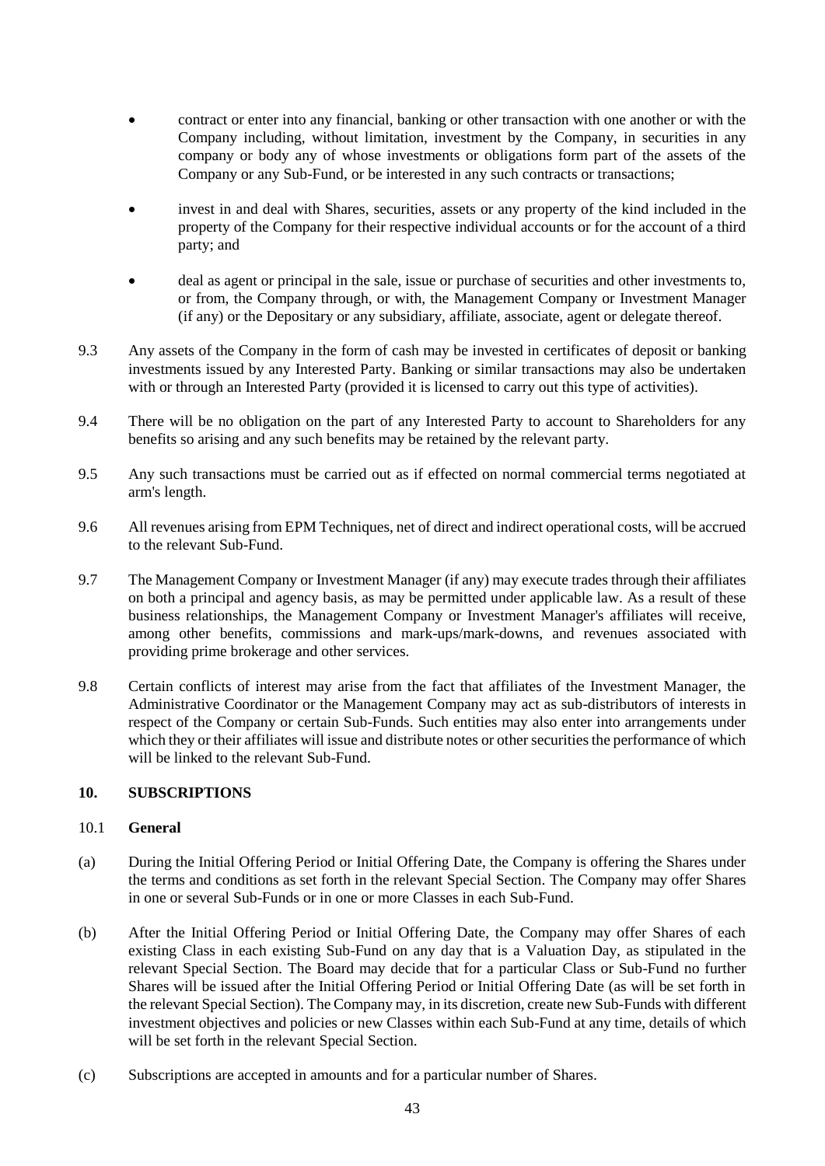- contract or enter into any financial, banking or other transaction with one another or with the Company including, without limitation, investment by the Company, in securities in any company or body any of whose investments or obligations form part of the assets of the Company or any Sub-Fund, or be interested in any such contracts or transactions;
- invest in and deal with Shares, securities, assets or any property of the kind included in the property of the Company for their respective individual accounts or for the account of a third party; and
- deal as agent or principal in the sale, issue or purchase of securities and other investments to, or from, the Company through, or with, the Management Company or Investment Manager (if any) or the Depositary or any subsidiary, affiliate, associate, agent or delegate thereof.
- 9.3 Any assets of the Company in the form of cash may be invested in certificates of deposit or banking investments issued by any Interested Party. Banking or similar transactions may also be undertaken with or through an Interested Party (provided it is licensed to carry out this type of activities).
- 9.4 There will be no obligation on the part of any Interested Party to account to Shareholders for any benefits so arising and any such benefits may be retained by the relevant party.
- 9.5 Any such transactions must be carried out as if effected on normal commercial terms negotiated at arm's length.
- 9.6 All revenues arising from EPM Techniques, net of direct and indirect operational costs, will be accrued to the relevant Sub-Fund.
- 9.7 The Management Company or Investment Manager (if any) may execute trades through their affiliates on both a principal and agency basis, as may be permitted under applicable law. As a result of these business relationships, the Management Company or Investment Manager's affiliates will receive, among other benefits, commissions and mark-ups/mark-downs, and revenues associated with providing prime brokerage and other services.
- 9.8 Certain conflicts of interest may arise from the fact that affiliates of the Investment Manager, the Administrative Coordinator or the Management Company may act as sub-distributors of interests in respect of the Company or certain Sub-Funds. Such entities may also enter into arrangements under which they or their affiliates will issue and distribute notes or other securities the performance of which will be linked to the relevant Sub-Fund.

### **10. SUBSCRIPTIONS**

### 10.1 **General**

- (a) During the Initial Offering Period or Initial Offering Date, the Company is offering the Shares under the terms and conditions as set forth in the relevant Special Section. The Company may offer Shares in one or several Sub-Funds or in one or more Classes in each Sub-Fund.
- (b) After the Initial Offering Period or Initial Offering Date, the Company may offer Shares of each existing Class in each existing Sub-Fund on any day that is a Valuation Day, as stipulated in the relevant Special Section. The Board may decide that for a particular Class or Sub-Fund no further Shares will be issued after the Initial Offering Period or Initial Offering Date (as will be set forth in the relevant Special Section). The Company may, in its discretion, create new Sub-Funds with different investment objectives and policies or new Classes within each Sub-Fund at any time, details of which will be set forth in the relevant Special Section.
- (c) Subscriptions are accepted in amounts and for a particular number of Shares.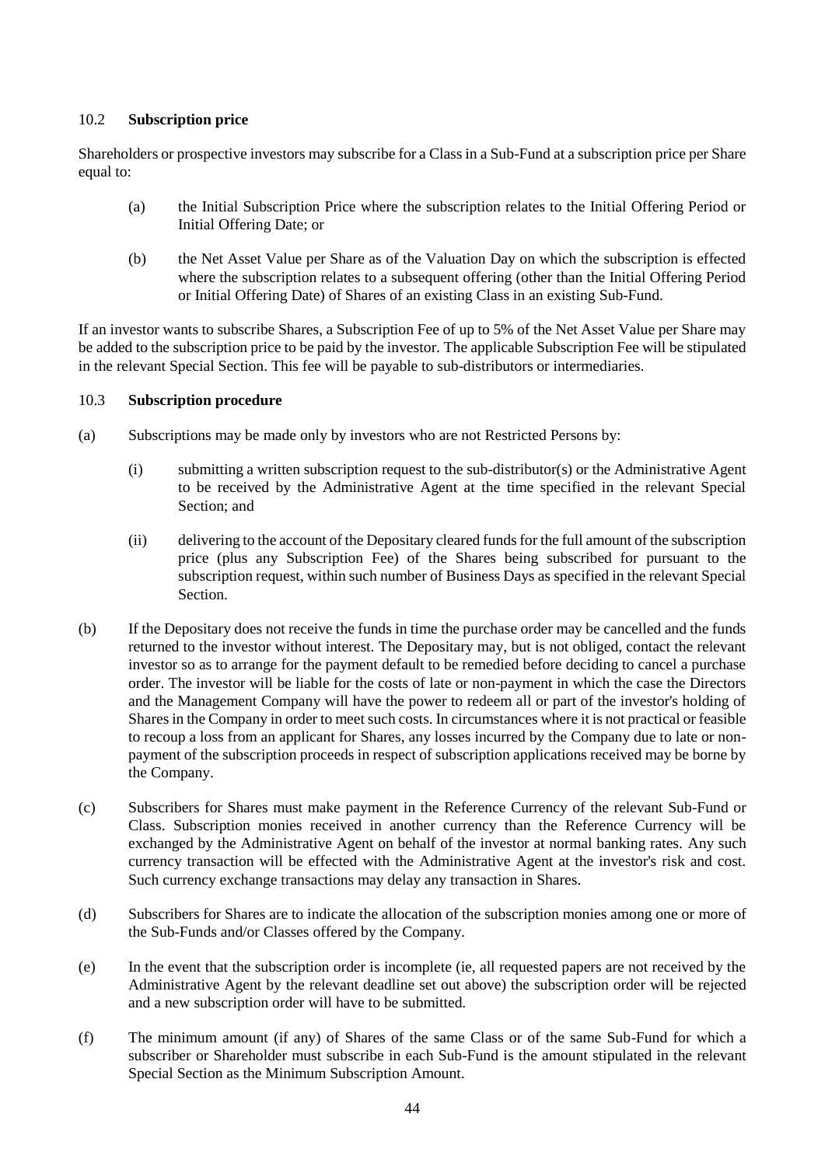# 10.2 **Subscription price**

Shareholders or prospective investors may subscribe for a Class in a Sub-Fund at a subscription price per Share equal to:

- (a) the Initial Subscription Price where the subscription relates to the Initial Offering Period or Initial Offering Date; or
- (b) the Net Asset Value per Share as of the Valuation Day on which the subscription is effected where the subscription relates to a subsequent offering (other than the Initial Offering Period or Initial Offering Date) of Shares of an existing Class in an existing Sub-Fund.

If an investor wants to subscribe Shares, a Subscription Fee of up to 5% of the Net Asset Value per Share may be added to the subscription price to be paid by the investor. The applicable Subscription Fee will be stipulated in the relevant Special Section. This fee will be payable to sub-distributors or intermediaries.

# 10.3 **Subscription procedure**

- (a) Subscriptions may be made only by investors who are not Restricted Persons by:
	- (i) submitting a written subscription request to the sub-distributor(s) or the Administrative Agent to be received by the Administrative Agent at the time specified in the relevant Special Section; and
	- (ii) delivering to the account of the Depositary cleared funds for the full amount of the subscription price (plus any Subscription Fee) of the Shares being subscribed for pursuant to the subscription request, within such number of Business Days as specified in the relevant Special Section.
- (b) If the Depositary does not receive the funds in time the purchase order may be cancelled and the funds returned to the investor without interest. The Depositary may, but is not obliged, contact the relevant investor so as to arrange for the payment default to be remedied before deciding to cancel a purchase order. The investor will be liable for the costs of late or non-payment in which the case the Directors and the Management Company will have the power to redeem all or part of the investor's holding of Shares in the Company in order to meet such costs. In circumstances where it is not practical or feasible to recoup a loss from an applicant for Shares, any losses incurred by the Company due to late or nonpayment of the subscription proceeds in respect of subscription applications received may be borne by the Company.
- (c) Subscribers for Shares must make payment in the Reference Currency of the relevant Sub-Fund or Class. Subscription monies received in another currency than the Reference Currency will be exchanged by the Administrative Agent on behalf of the investor at normal banking rates. Any such currency transaction will be effected with the Administrative Agent at the investor's risk and cost. Such currency exchange transactions may delay any transaction in Shares.
- (d) Subscribers for Shares are to indicate the allocation of the subscription monies among one or more of the Sub-Funds and/or Classes offered by the Company.
- (e) In the event that the subscription order is incomplete (ie, all requested papers are not received by the Administrative Agent by the relevant deadline set out above) the subscription order will be rejected and a new subscription order will have to be submitted.
- (f) The minimum amount (if any) of Shares of the same Class or of the same Sub-Fund for which a subscriber or Shareholder must subscribe in each Sub-Fund is the amount stipulated in the relevant Special Section as the Minimum Subscription Amount.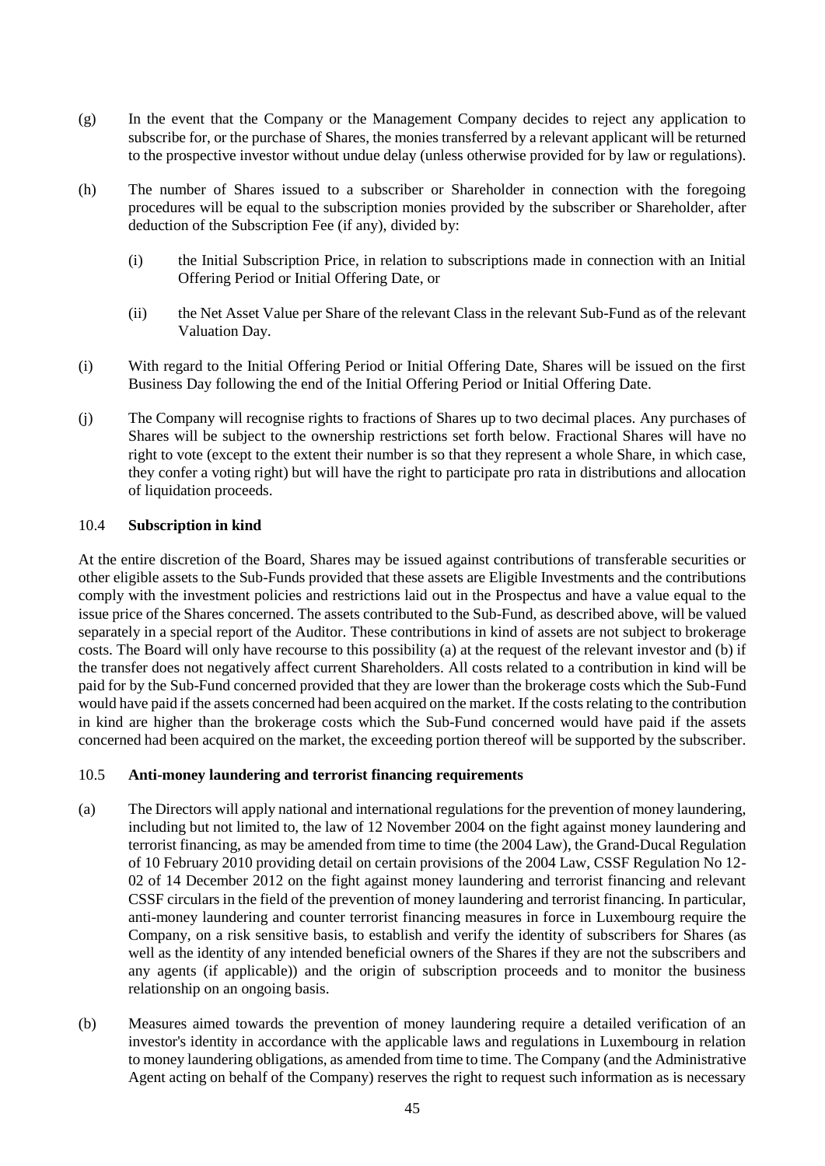- (g) In the event that the Company or the Management Company decides to reject any application to subscribe for, or the purchase of Shares, the monies transferred by a relevant applicant will be returned to the prospective investor without undue delay (unless otherwise provided for by law or regulations).
- (h) The number of Shares issued to a subscriber or Shareholder in connection with the foregoing procedures will be equal to the subscription monies provided by the subscriber or Shareholder, after deduction of the Subscription Fee (if any), divided by:
	- (i) the Initial Subscription Price, in relation to subscriptions made in connection with an Initial Offering Period or Initial Offering Date, or
	- (ii) the Net Asset Value per Share of the relevant Class in the relevant Sub-Fund as of the relevant Valuation Day.
- (i) With regard to the Initial Offering Period or Initial Offering Date, Shares will be issued on the first Business Day following the end of the Initial Offering Period or Initial Offering Date.
- (j) The Company will recognise rights to fractions of Shares up to two decimal places. Any purchases of Shares will be subject to the ownership restrictions set forth below. Fractional Shares will have no right to vote (except to the extent their number is so that they represent a whole Share, in which case, they confer a voting right) but will have the right to participate pro rata in distributions and allocation of liquidation proceeds.

### 10.4 **Subscription in kind**

At the entire discretion of the Board, Shares may be issued against contributions of transferable securities or other eligible assets to the Sub-Funds provided that these assets are Eligible Investments and the contributions comply with the investment policies and restrictions laid out in the Prospectus and have a value equal to the issue price of the Shares concerned. The assets contributed to the Sub-Fund, as described above, will be valued separately in a special report of the Auditor. These contributions in kind of assets are not subject to brokerage costs. The Board will only have recourse to this possibility (a) at the request of the relevant investor and (b) if the transfer does not negatively affect current Shareholders. All costs related to a contribution in kind will be paid for by the Sub-Fund concerned provided that they are lower than the brokerage costs which the Sub-Fund would have paid if the assets concerned had been acquired on the market. If the costs relating to the contribution in kind are higher than the brokerage costs which the Sub-Fund concerned would have paid if the assets concerned had been acquired on the market, the exceeding portion thereof will be supported by the subscriber.

### 10.5 **Anti-money laundering and terrorist financing requirements**

- (a) The Directors will apply national and international regulations for the prevention of money laundering, including but not limited to, the law of 12 November 2004 on the fight against money laundering and terrorist financing, as may be amended from time to time (the 2004 Law), the Grand-Ducal Regulation of 10 February 2010 providing detail on certain provisions of the 2004 Law, CSSF Regulation No 12- 02 of 14 December 2012 on the fight against money laundering and terrorist financing and relevant CSSF circulars in the field of the prevention of money laundering and terrorist financing. In particular, anti-money laundering and counter terrorist financing measures in force in Luxembourg require the Company, on a risk sensitive basis, to establish and verify the identity of subscribers for Shares (as well as the identity of any intended beneficial owners of the Shares if they are not the subscribers and any agents (if applicable)) and the origin of subscription proceeds and to monitor the business relationship on an ongoing basis.
- (b) Measures aimed towards the prevention of money laundering require a detailed verification of an investor's identity in accordance with the applicable laws and regulations in Luxembourg in relation to money laundering obligations, as amended from time to time. The Company (and the Administrative Agent acting on behalf of the Company) reserves the right to request such information as is necessary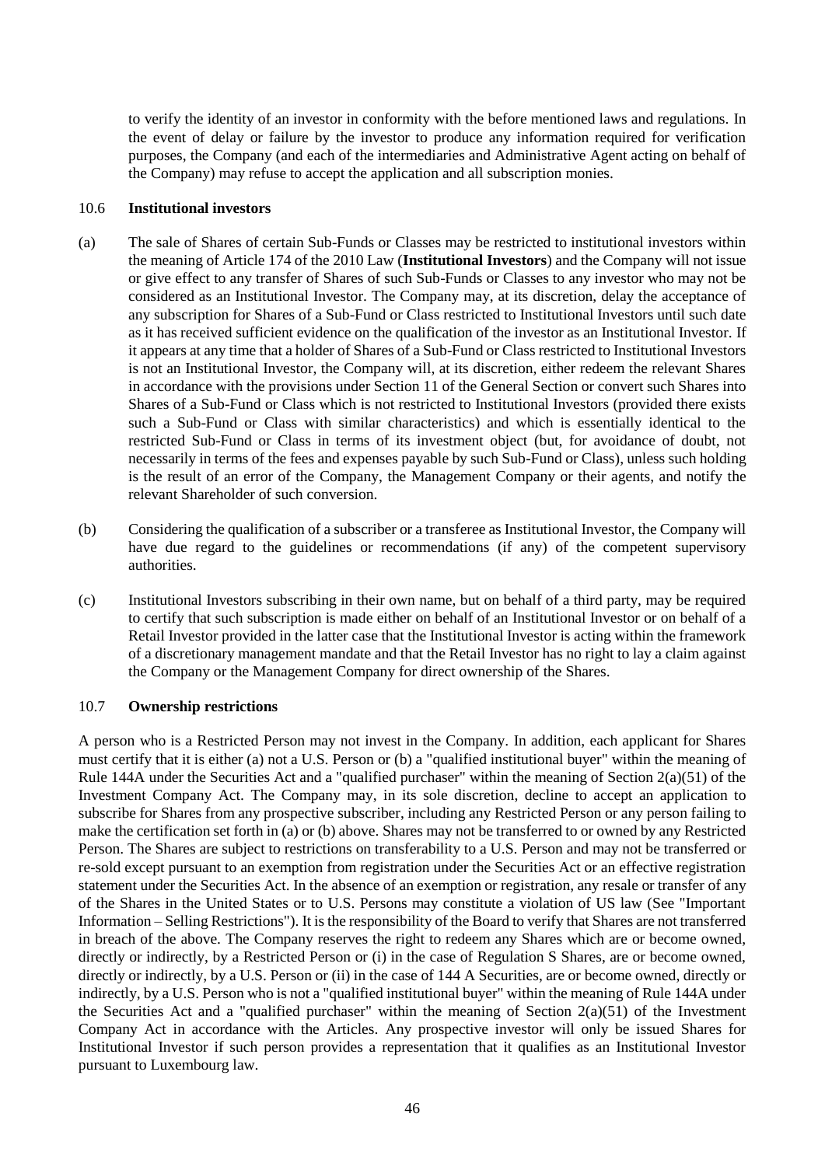to verify the identity of an investor in conformity with the before mentioned laws and regulations. In the event of delay or failure by the investor to produce any information required for verification purposes, the Company (and each of the intermediaries and Administrative Agent acting on behalf of the Company) may refuse to accept the application and all subscription monies.

#### 10.6 **Institutional investors**

- (a) The sale of Shares of certain Sub-Funds or Classes may be restricted to institutional investors within the meaning of Article 174 of the 2010 Law (**Institutional Investors**) and the Company will not issue or give effect to any transfer of Shares of such Sub-Funds or Classes to any investor who may not be considered as an Institutional Investor. The Company may, at its discretion, delay the acceptance of any subscription for Shares of a Sub-Fund or Class restricted to Institutional Investors until such date as it has received sufficient evidence on the qualification of the investor as an Institutional Investor. If it appears at any time that a holder of Shares of a Sub-Fund or Class restricted to Institutional Investors is not an Institutional Investor, the Company will, at its discretion, either redeem the relevant Shares in accordance with the provisions under Section [11](#page-46-0) of the General Section or convert such Shares into Shares of a Sub-Fund or Class which is not restricted to Institutional Investors (provided there exists such a Sub-Fund or Class with similar characteristics) and which is essentially identical to the restricted Sub-Fund or Class in terms of its investment object (but, for avoidance of doubt, not necessarily in terms of the fees and expenses payable by such Sub-Fund or Class), unless such holding is the result of an error of the Company, the Management Company or their agents, and notify the relevant Shareholder of such conversion.
- (b) Considering the qualification of a subscriber or a transferee as Institutional Investor, the Company will have due regard to the guidelines or recommendations (if any) of the competent supervisory authorities.
- (c) Institutional Investors subscribing in their own name, but on behalf of a third party, may be required to certify that such subscription is made either on behalf of an Institutional Investor or on behalf of a Retail Investor provided in the latter case that the Institutional Investor is acting within the framework of a discretionary management mandate and that the Retail Investor has no right to lay a claim against the Company or the Management Company for direct ownership of the Shares.

### 10.7 **Ownership restrictions**

A person who is a Restricted Person may not invest in the Company. In addition, each applicant for Shares must certify that it is either (a) not a U.S. Person or (b) a "qualified institutional buyer" within the meaning of Rule 144A under the Securities Act and a "qualified purchaser" within the meaning of Section 2(a)(51) of the Investment Company Act. The Company may, in its sole discretion, decline to accept an application to subscribe for Shares from any prospective subscriber, including any Restricted Person or any person failing to make the certification set forth in (a) or (b) above. Shares may not be transferred to or owned by any Restricted Person. The Shares are subject to restrictions on transferability to a U.S. Person and may not be transferred or re-sold except pursuant to an exemption from registration under the Securities Act or an effective registration statement under the Securities Act. In the absence of an exemption or registration, any resale or transfer of any of the Shares in the United States or to U.S. Persons may constitute a violation of US law (See "Important Information – Selling Restrictions"). It is the responsibility of the Board to verify that Shares are not transferred in breach of the above. The Company reserves the right to redeem any Shares which are or become owned, directly or indirectly, by a Restricted Person or (i) in the case of Regulation S Shares, are or become owned, directly or indirectly, by a U.S. Person or (ii) in the case of 144 A Securities, are or become owned, directly or indirectly, by a U.S. Person who is not a "qualified institutional buyer" within the meaning of Rule 144A under the Securities Act and a "qualified purchaser" within the meaning of Section  $2(a)(51)$  of the Investment Company Act in accordance with the Articles. Any prospective investor will only be issued Shares for Institutional Investor if such person provides a representation that it qualifies as an Institutional Investor pursuant to Luxembourg law.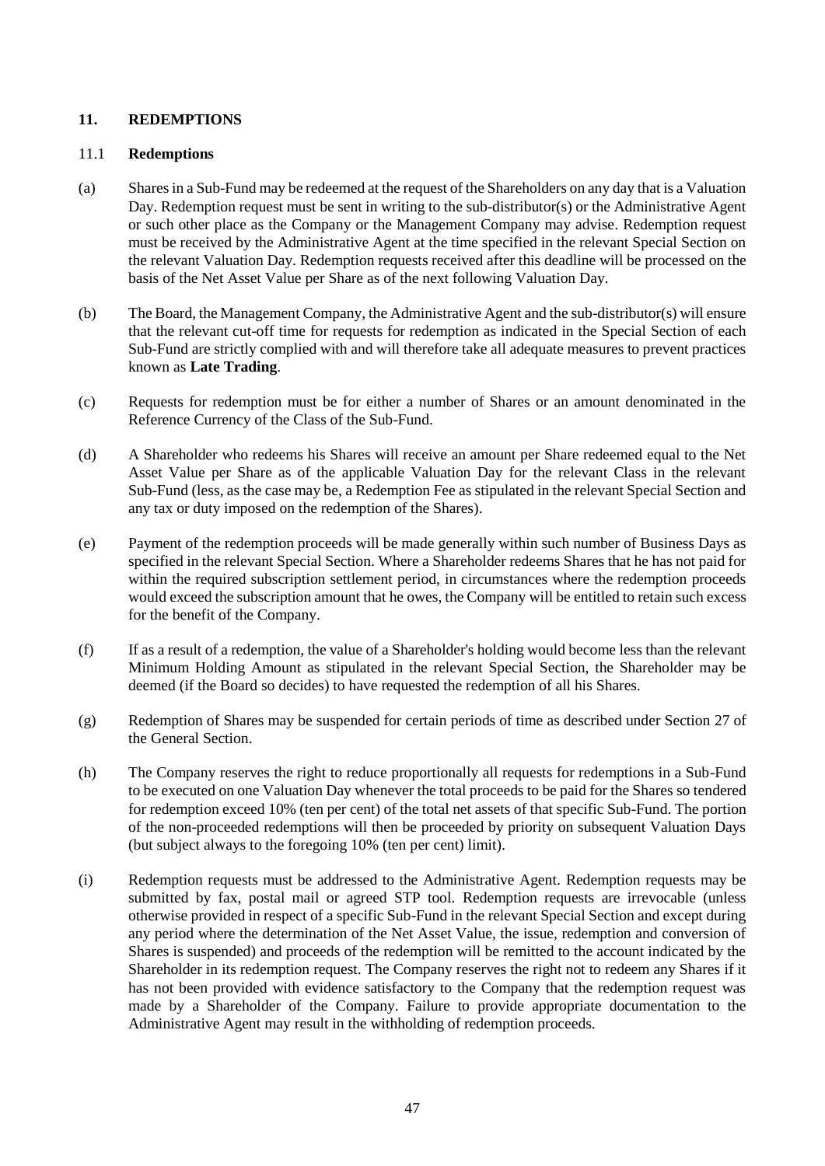# <span id="page-46-0"></span>**11. REDEMPTIONS**

## 11.1 **Redemptions**

- (a) Shares in a Sub-Fund may be redeemed at the request of the Shareholders on any day that is a Valuation Day. Redemption request must be sent in writing to the sub-distributor(s) or the Administrative Agent or such other place as the Company or the Management Company may advise. Redemption request must be received by the Administrative Agent at the time specified in the relevant Special Section on the relevant Valuation Day. Redemption requests received after this deadline will be processed on the basis of the Net Asset Value per Share as of the next following Valuation Day.
- (b) The Board, the Management Company, the Administrative Agent and the sub-distributor(s) will ensure that the relevant cut-off time for requests for redemption as indicated in the Special Section of each Sub-Fund are strictly complied with and will therefore take all adequate measures to prevent practices known as **Late Trading**.
- (c) Requests for redemption must be for either a number of Shares or an amount denominated in the Reference Currency of the Class of the Sub-Fund.
- (d) A Shareholder who redeems his Shares will receive an amount per Share redeemed equal to the Net Asset Value per Share as of the applicable Valuation Day for the relevant Class in the relevant Sub-Fund (less, as the case may be, a Redemption Fee as stipulated in the relevant Special Section and any tax or duty imposed on the redemption of the Shares).
- (e) Payment of the redemption proceeds will be made generally within such number of Business Days as specified in the relevant Special Section. Where a Shareholder redeems Shares that he has not paid for within the required subscription settlement period, in circumstances where the redemption proceeds would exceed the subscription amount that he owes, the Company will be entitled to retain such excess for the benefit of the Company.
- (f) If as a result of a redemption, the value of a Shareholder's holding would become less than the relevant Minimum Holding Amount as stipulated in the relevant Special Section, the Shareholder may be deemed (if the Board so decides) to have requested the redemption of all his Shares.
- (g) Redemption of Shares may be suspended for certain periods of time as described under Section [27](#page-64-0) of the General Section.
- (h) The Company reserves the right to reduce proportionally all requests for redemptions in a Sub-Fund to be executed on one Valuation Day whenever the total proceeds to be paid for the Shares so tendered for redemption exceed 10% (ten per cent) of the total net assets of that specific Sub-Fund. The portion of the non-proceeded redemptions will then be proceeded by priority on subsequent Valuation Days (but subject always to the foregoing 10% (ten per cent) limit).
- (i) Redemption requests must be addressed to the Administrative Agent. Redemption requests may be submitted by fax, postal mail or agreed STP tool. Redemption requests are irrevocable (unless otherwise provided in respect of a specific Sub-Fund in the relevant Special Section and except during any period where the determination of the Net Asset Value, the issue, redemption and conversion of Shares is suspended) and proceeds of the redemption will be remitted to the account indicated by the Shareholder in its redemption request. The Company reserves the right not to redeem any Shares if it has not been provided with evidence satisfactory to the Company that the redemption request was made by a Shareholder of the Company. Failure to provide appropriate documentation to the Administrative Agent may result in the withholding of redemption proceeds.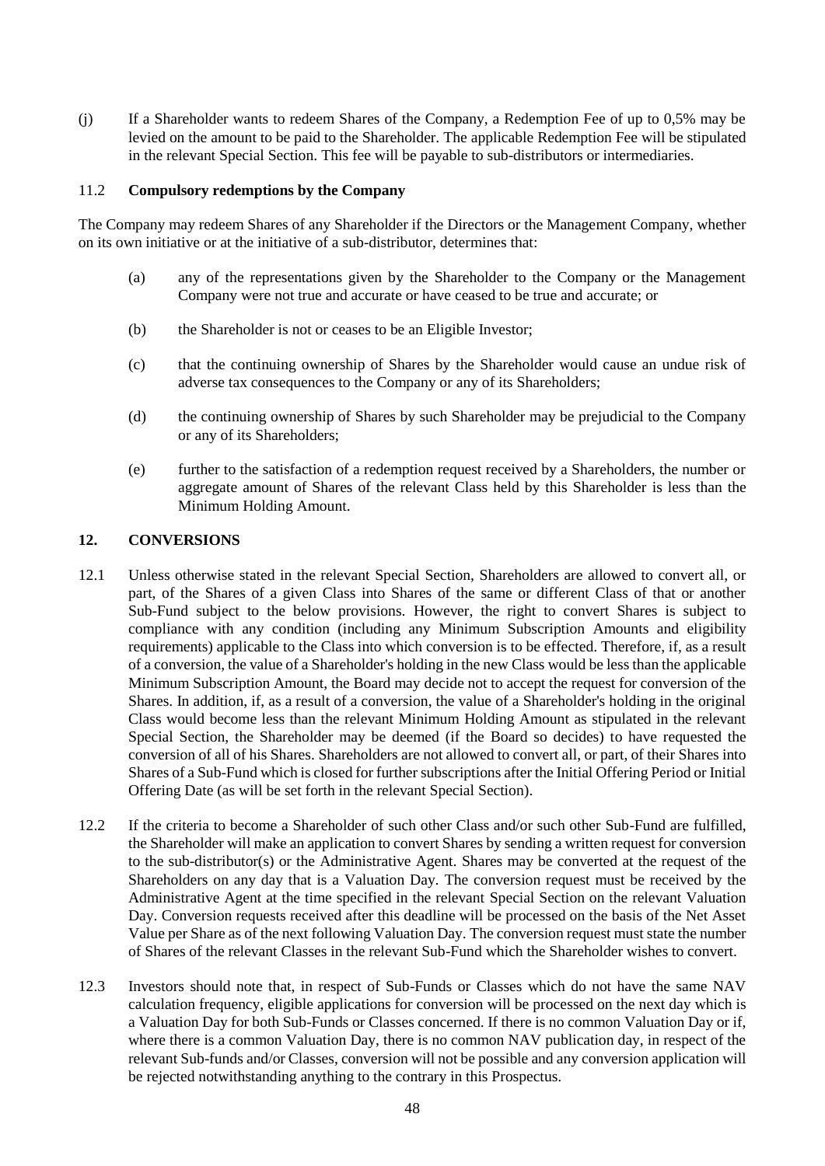(j) If a Shareholder wants to redeem Shares of the Company, a Redemption Fee of up to 0,5% may be levied on the amount to be paid to the Shareholder. The applicable Redemption Fee will be stipulated in the relevant Special Section. This fee will be payable to sub-distributors or intermediaries.

### 11.2 **Compulsory redemptions by the Company**

The Company may redeem Shares of any Shareholder if the Directors or the Management Company, whether on its own initiative or at the initiative of a sub-distributor, determines that:

- (a) any of the representations given by the Shareholder to the Company or the Management Company were not true and accurate or have ceased to be true and accurate; or
- (b) the Shareholder is not or ceases to be an Eligible Investor;
- (c) that the continuing ownership of Shares by the Shareholder would cause an undue risk of adverse tax consequences to the Company or any of its Shareholders;
- (d) the continuing ownership of Shares by such Shareholder may be prejudicial to the Company or any of its Shareholders;
- (e) further to the satisfaction of a redemption request received by a Shareholders, the number or aggregate amount of Shares of the relevant Class held by this Shareholder is less than the Minimum Holding Amount.

#### **12. CONVERSIONS**

- 12.1 Unless otherwise stated in the relevant Special Section, Shareholders are allowed to convert all, or part, of the Shares of a given Class into Shares of the same or different Class of that or another Sub-Fund subject to the below provisions. However, the right to convert Shares is subject to compliance with any condition (including any Minimum Subscription Amounts and eligibility requirements) applicable to the Class into which conversion is to be effected. Therefore, if, as a result of a conversion, the value of a Shareholder's holding in the new Class would be less than the applicable Minimum Subscription Amount, the Board may decide not to accept the request for conversion of the Shares. In addition, if, as a result of a conversion, the value of a Shareholder's holding in the original Class would become less than the relevant Minimum Holding Amount as stipulated in the relevant Special Section, the Shareholder may be deemed (if the Board so decides) to have requested the conversion of all of his Shares. Shareholders are not allowed to convert all, or part, of their Shares into Shares of a Sub-Fund which is closed for further subscriptions after the Initial Offering Period or Initial Offering Date (as will be set forth in the relevant Special Section).
- 12.2 If the criteria to become a Shareholder of such other Class and/or such other Sub-Fund are fulfilled, the Shareholder will make an application to convert Shares by sending a written request for conversion to the sub-distributor(s) or the Administrative Agent. Shares may be converted at the request of the Shareholders on any day that is a Valuation Day. The conversion request must be received by the Administrative Agent at the time specified in the relevant Special Section on the relevant Valuation Day. Conversion requests received after this deadline will be processed on the basis of the Net Asset Value per Share as of the next following Valuation Day. The conversion request must state the number of Shares of the relevant Classes in the relevant Sub-Fund which the Shareholder wishes to convert.
- 12.3 Investors should note that, in respect of Sub-Funds or Classes which do not have the same NAV calculation frequency, eligible applications for conversion will be processed on the next day which is a Valuation Day for both Sub-Funds or Classes concerned. If there is no common Valuation Day or if, where there is a common Valuation Day, there is no common NAV publication day, in respect of the relevant Sub-funds and/or Classes, conversion will not be possible and any conversion application will be rejected notwithstanding anything to the contrary in this Prospectus.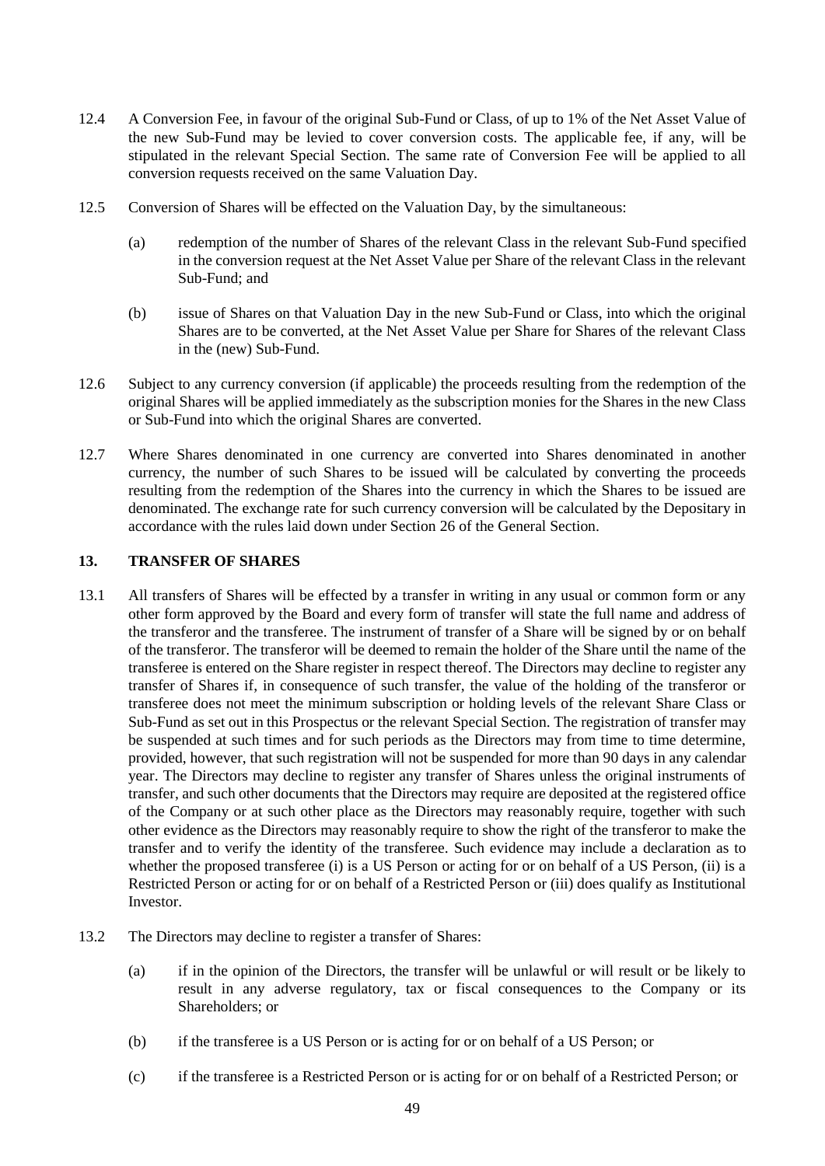- 12.4 A Conversion Fee, in favour of the original Sub-Fund or Class, of up to 1% of the Net Asset Value of the new Sub-Fund may be levied to cover conversion costs. The applicable fee, if any, will be stipulated in the relevant Special Section. The same rate of Conversion Fee will be applied to all conversion requests received on the same Valuation Day.
- 12.5 Conversion of Shares will be effected on the Valuation Day, by the simultaneous:
	- (a) redemption of the number of Shares of the relevant Class in the relevant Sub-Fund specified in the conversion request at the Net Asset Value per Share of the relevant Class in the relevant Sub-Fund; and
	- (b) issue of Shares on that Valuation Day in the new Sub-Fund or Class, into which the original Shares are to be converted, at the Net Asset Value per Share for Shares of the relevant Class in the (new) Sub-Fund.
- 12.6 Subject to any currency conversion (if applicable) the proceeds resulting from the redemption of the original Shares will be applied immediately as the subscription monies for the Shares in the new Class or Sub-Fund into which the original Shares are converted.
- 12.7 Where Shares denominated in one currency are converted into Shares denominated in another currency, the number of such Shares to be issued will be calculated by converting the proceeds resulting from the redemption of the Shares into the currency in which the Shares to be issued are denominated. The exchange rate for such currency conversion will be calculated by the Depositary in accordance with the rules laid down under Section [26](#page-61-0) of the General Section.

# **13. TRANSFER OF SHARES**

- 13.1 All transfers of Shares will be effected by a transfer in writing in any usual or common form or any other form approved by the Board and every form of transfer will state the full name and address of the transferor and the transferee. The instrument of transfer of a Share will be signed by or on behalf of the transferor. The transferor will be deemed to remain the holder of the Share until the name of the transferee is entered on the Share register in respect thereof. The Directors may decline to register any transfer of Shares if, in consequence of such transfer, the value of the holding of the transferor or transferee does not meet the minimum subscription or holding levels of the relevant Share Class or Sub-Fund as set out in this Prospectus or the relevant Special Section. The registration of transfer may be suspended at such times and for such periods as the Directors may from time to time determine, provided, however, that such registration will not be suspended for more than 90 days in any calendar year. The Directors may decline to register any transfer of Shares unless the original instruments of transfer, and such other documents that the Directors may require are deposited at the registered office of the Company or at such other place as the Directors may reasonably require, together with such other evidence as the Directors may reasonably require to show the right of the transferor to make the transfer and to verify the identity of the transferee. Such evidence may include a declaration as to whether the proposed transferee (i) is a US Person or acting for or on behalf of a US Person, (ii) is a Restricted Person or acting for or on behalf of a Restricted Person or (iii) does qualify as Institutional Investor.
- 13.2 The Directors may decline to register a transfer of Shares:
	- (a) if in the opinion of the Directors, the transfer will be unlawful or will result or be likely to result in any adverse regulatory, tax or fiscal consequences to the Company or its Shareholders; or
	- (b) if the transferee is a US Person or is acting for or on behalf of a US Person; or
	- (c) if the transferee is a Restricted Person or is acting for or on behalf of a Restricted Person; or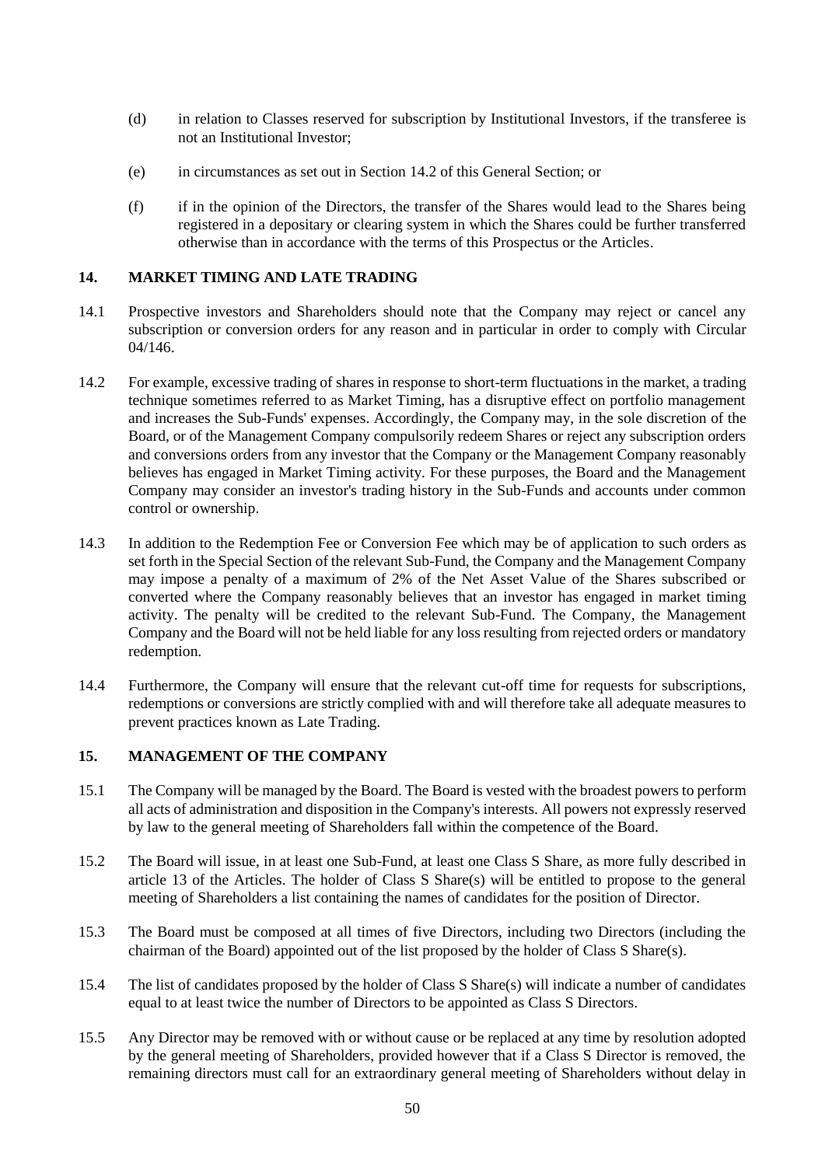- (d) in relation to Classes reserved for subscription by Institutional Investors, if the transferee is not an Institutional Investor;
- (e) in circumstances as set out in Section [14.2](#page-49-0) of this General Section; or
- (f) if in the opinion of the Directors, the transfer of the Shares would lead to the Shares being registered in a depositary or clearing system in which the Shares could be further transferred otherwise than in accordance with the terms of this Prospectus or the Articles.

#### **14. MARKET TIMING AND LATE TRADING**

- 14.1 Prospective investors and Shareholders should note that the Company may reject or cancel any subscription or conversion orders for any reason and in particular in order to comply with Circular 04/146.
- <span id="page-49-0"></span>14.2 For example, excessive trading of shares in response to short-term fluctuations in the market, a trading technique sometimes referred to as Market Timing, has a disruptive effect on portfolio management and increases the Sub-Funds' expenses. Accordingly, the Company may, in the sole discretion of the Board, or of the Management Company compulsorily redeem Shares or reject any subscription orders and conversions orders from any investor that the Company or the Management Company reasonably believes has engaged in Market Timing activity. For these purposes, the Board and the Management Company may consider an investor's trading history in the Sub-Funds and accounts under common control or ownership.
- 14.3 In addition to the Redemption Fee or Conversion Fee which may be of application to such orders as set forth in the Special Section of the relevant Sub-Fund, the Company and the Management Company may impose a penalty of a maximum of 2% of the Net Asset Value of the Shares subscribed or converted where the Company reasonably believes that an investor has engaged in market timing activity. The penalty will be credited to the relevant Sub-Fund. The Company, the Management Company and the Board will not be held liable for any loss resulting from rejected orders or mandatory redemption.
- 14.4 Furthermore, the Company will ensure that the relevant cut-off time for requests for subscriptions, redemptions or conversions are strictly complied with and will therefore take all adequate measures to prevent practices known as Late Trading.

### **15. MANAGEMENT OF THE COMPANY**

- 15.1 The Company will be managed by the Board. The Board is vested with the broadest powers to perform all acts of administration and disposition in the Company's interests. All powers not expressly reserved by law to the general meeting of Shareholders fall within the competence of the Board.
- 15.2 The Board will issue, in at least one Sub-Fund, at least one Class S Share, as more fully described in article 13 of the Articles. The holder of Class S Share(s) will be entitled to propose to the general meeting of Shareholders a list containing the names of candidates for the position of Director.
- 15.3 The Board must be composed at all times of five Directors, including two Directors (including the chairman of the Board) appointed out of the list proposed by the holder of Class S Share(s).
- 15.4 The list of candidates proposed by the holder of Class S Share(s) will indicate a number of candidates equal to at least twice the number of Directors to be appointed as Class S Directors.
- 15.5 Any Director may be removed with or without cause or be replaced at any time by resolution adopted by the general meeting of Shareholders, provided however that if a Class S Director is removed, the remaining directors must call for an extraordinary general meeting of Shareholders without delay in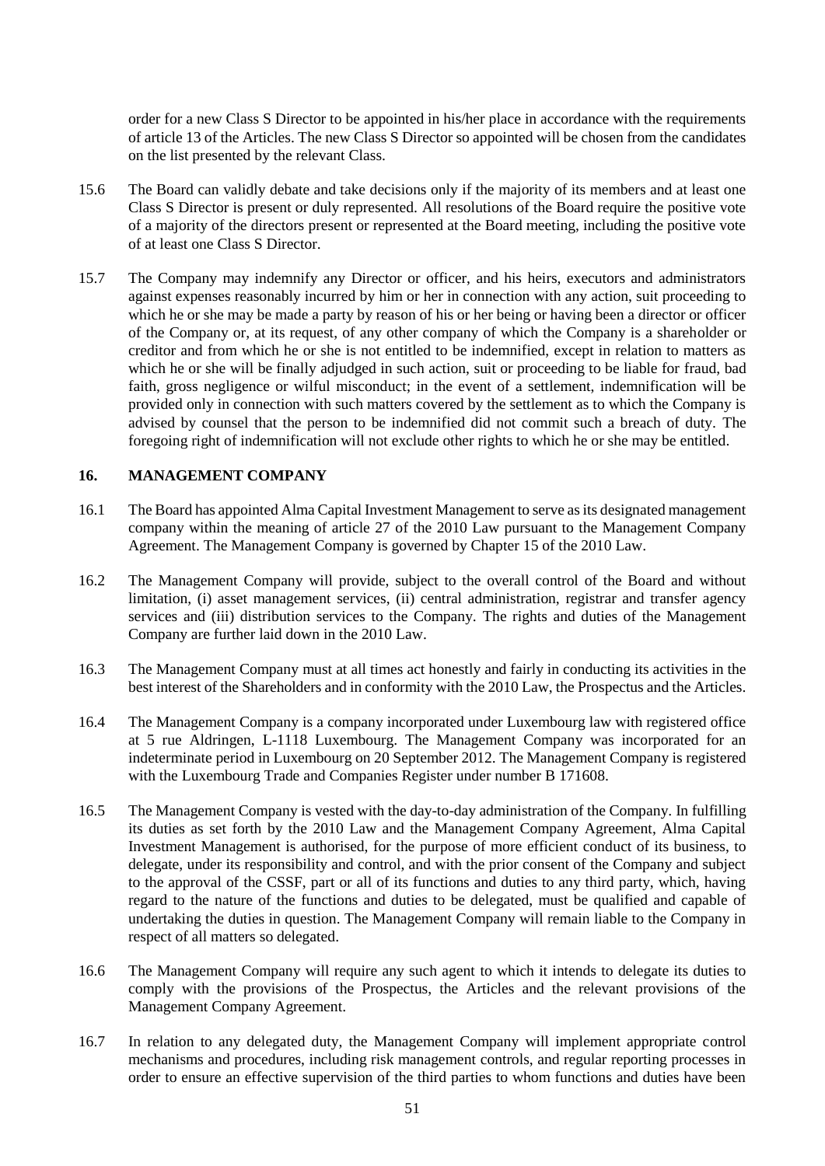order for a new Class S Director to be appointed in his/her place in accordance with the requirements of article 13 of the Articles. The new Class S Director so appointed will be chosen from the candidates on the list presented by the relevant Class.

- 15.6 The Board can validly debate and take decisions only if the majority of its members and at least one Class S Director is present or duly represented. All resolutions of the Board require the positive vote of a majority of the directors present or represented at the Board meeting, including the positive vote of at least one Class S Director.
- 15.7 The Company may indemnify any Director or officer, and his heirs, executors and administrators against expenses reasonably incurred by him or her in connection with any action, suit proceeding to which he or she may be made a party by reason of his or her being or having been a director or officer of the Company or, at its request, of any other company of which the Company is a shareholder or creditor and from which he or she is not entitled to be indemnified, except in relation to matters as which he or she will be finally adjudged in such action, suit or proceeding to be liable for fraud, bad faith, gross negligence or wilful misconduct; in the event of a settlement, indemnification will be provided only in connection with such matters covered by the settlement as to which the Company is advised by counsel that the person to be indemnified did not commit such a breach of duty. The foregoing right of indemnification will not exclude other rights to which he or she may be entitled.

# **16. MANAGEMENT COMPANY**

- 16.1 The Board has appointed Alma Capital Investment Management to serve as its designated management company within the meaning of article 27 of the 2010 Law pursuant to the Management Company Agreement. The Management Company is governed by Chapter 15 of the 2010 Law.
- 16.2 The Management Company will provide, subject to the overall control of the Board and without limitation, (i) asset management services, (ii) central administration, registrar and transfer agency services and (iii) distribution services to the Company. The rights and duties of the Management Company are further laid down in the 2010 Law.
- 16.3 The Management Company must at all times act honestly and fairly in conducting its activities in the best interest of the Shareholders and in conformity with the 2010 Law, the Prospectus and the Articles.
- 16.4 The Management Company is a company incorporated under Luxembourg law with registered office at 5 rue Aldringen, L-1118 Luxembourg. The Management Company was incorporated for an indeterminate period in Luxembourg on 20 September 2012. The Management Company is registered with the Luxembourg Trade and Companies Register under number B 171608.
- 16.5 The Management Company is vested with the day-to-day administration of the Company. In fulfilling its duties as set forth by the 2010 Law and the Management Company Agreement, Alma Capital Investment Management is authorised, for the purpose of more efficient conduct of its business, to delegate, under its responsibility and control, and with the prior consent of the Company and subject to the approval of the CSSF, part or all of its functions and duties to any third party, which, having regard to the nature of the functions and duties to be delegated, must be qualified and capable of undertaking the duties in question. The Management Company will remain liable to the Company in respect of all matters so delegated.
- 16.6 The Management Company will require any such agent to which it intends to delegate its duties to comply with the provisions of the Prospectus, the Articles and the relevant provisions of the Management Company Agreement.
- 16.7 In relation to any delegated duty, the Management Company will implement appropriate control mechanisms and procedures, including risk management controls, and regular reporting processes in order to ensure an effective supervision of the third parties to whom functions and duties have been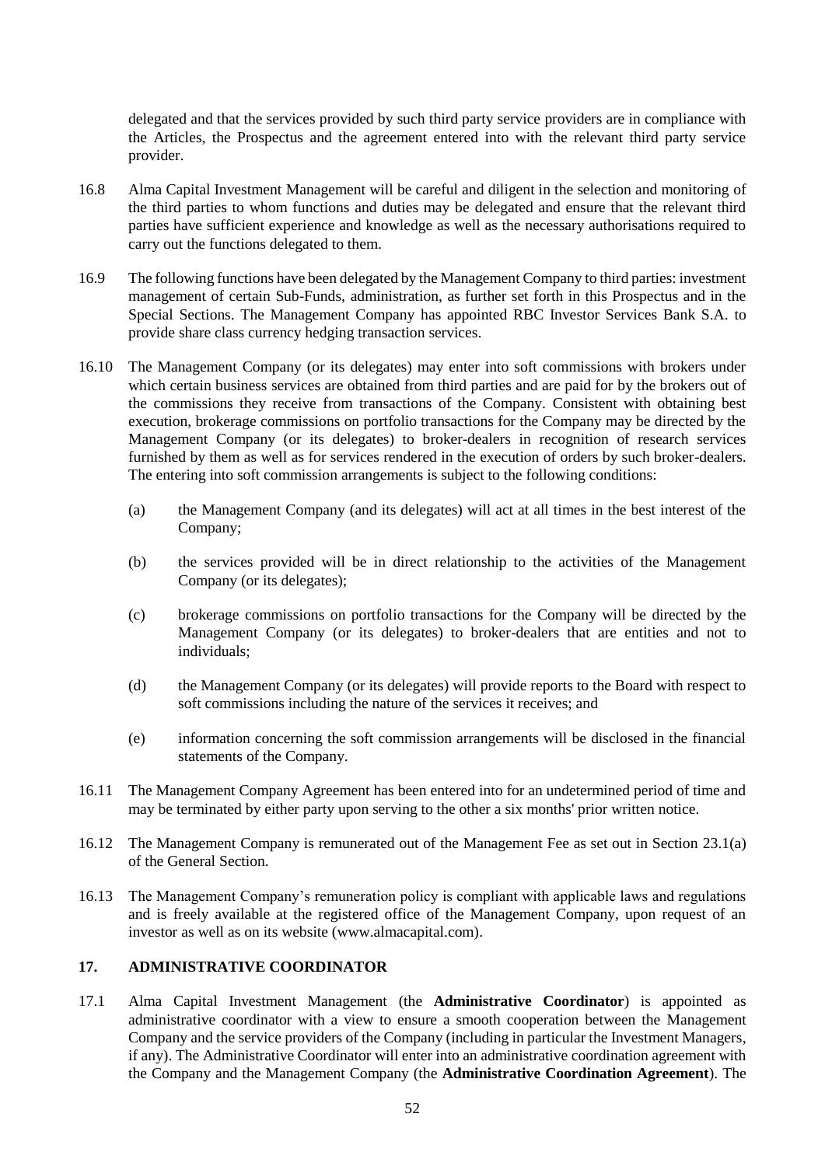delegated and that the services provided by such third party service providers are in compliance with the Articles, the Prospectus and the agreement entered into with the relevant third party service provider.

- 16.8 Alma Capital Investment Management will be careful and diligent in the selection and monitoring of the third parties to whom functions and duties may be delegated and ensure that the relevant third parties have sufficient experience and knowledge as well as the necessary authorisations required to carry out the functions delegated to them.
- 16.9 The following functions have been delegated by the Management Company to third parties: investment management of certain Sub-Funds, administration, as further set forth in this Prospectus and in the Special Sections. The Management Company has appointed RBC Investor Services Bank S.A. to provide share class currency hedging transaction services.
- 16.10 The Management Company (or its delegates) may enter into soft commissions with brokers under which certain business services are obtained from third parties and are paid for by the brokers out of the commissions they receive from transactions of the Company. Consistent with obtaining best execution, brokerage commissions on portfolio transactions for the Company may be directed by the Management Company (or its delegates) to broker-dealers in recognition of research services furnished by them as well as for services rendered in the execution of orders by such broker-dealers. The entering into soft commission arrangements is subject to the following conditions:
	- (a) the Management Company (and its delegates) will act at all times in the best interest of the Company;
	- (b) the services provided will be in direct relationship to the activities of the Management Company (or its delegates);
	- (c) brokerage commissions on portfolio transactions for the Company will be directed by the Management Company (or its delegates) to broker-dealers that are entities and not to individuals;
	- (d) the Management Company (or its delegates) will provide reports to the Board with respect to soft commissions including the nature of the services it receives; and
	- (e) information concerning the soft commission arrangements will be disclosed in the financial statements of the Company.
- 16.11 The Management Company Agreement has been entered into for an undetermined period of time and may be terminated by either party upon serving to the other a six months' prior written notice.
- 16.12 The Management Company is remunerated out of the Management Fee as set out in Section [23.1\(a\)](#page-57-0) of the General Section.
- 16.13 The Management Company's remuneration policy is compliant with applicable laws and regulations and is freely available at the registered office of the Management Company, upon request of an investor as well as on its website (www.almacapital.com).

### **17. ADMINISTRATIVE COORDINATOR**

17.1 Alma Capital Investment Management (the **Administrative Coordinator**) is appointed as administrative coordinator with a view to ensure a smooth cooperation between the Management Company and the service providers of the Company (including in particular the Investment Managers, if any). The Administrative Coordinator will enter into an administrative coordination agreement with the Company and the Management Company (the **Administrative Coordination Agreement**). The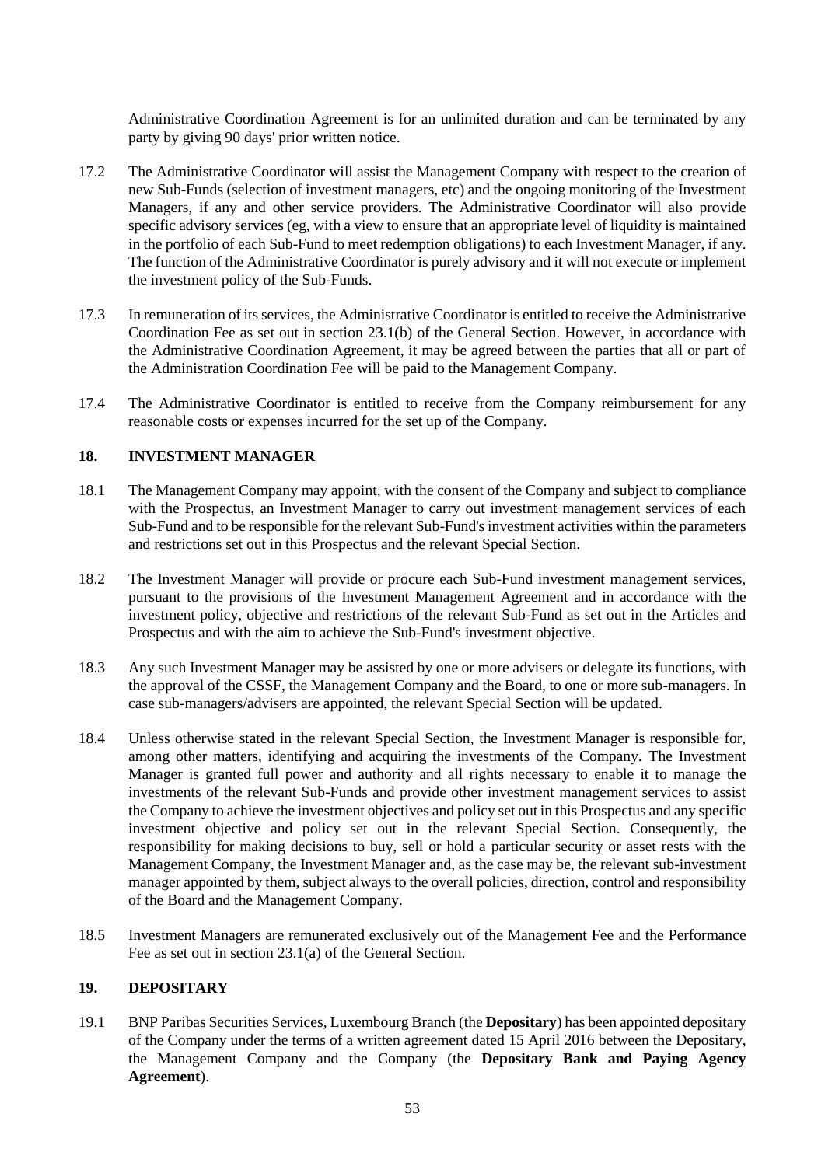Administrative Coordination Agreement is for an unlimited duration and can be terminated by any party by giving 90 days' prior written notice.

- 17.2 The Administrative Coordinator will assist the Management Company with respect to the creation of new Sub-Funds (selection of investment managers, etc) and the ongoing monitoring of the Investment Managers, if any and other service providers. The Administrative Coordinator will also provide specific advisory services (eg, with a view to ensure that an appropriate level of liquidity is maintained in the portfolio of each Sub-Fund to meet redemption obligations) to each Investment Manager, if any. The function of the Administrative Coordinator is purely advisory and it will not execute or implement the investment policy of the Sub-Funds.
- 17.3 In remuneration of its services, the Administrative Coordinator is entitled to receive the Administrative Coordination Fee as set out in section [23.1\(b\)](#page-57-1) of the General Section. However, in accordance with the Administrative Coordination Agreement, it may be agreed between the parties that all or part of the Administration Coordination Fee will be paid to the Management Company.
- 17.4 The Administrative Coordinator is entitled to receive from the Company reimbursement for any reasonable costs or expenses incurred for the set up of the Company.

## **18. INVESTMENT MANAGER**

- 18.1 The Management Company may appoint, with the consent of the Company and subject to compliance with the Prospectus, an Investment Manager to carry out investment management services of each Sub-Fund and to be responsible for the relevant Sub-Fund's investment activities within the parameters and restrictions set out in this Prospectus and the relevant Special Section.
- 18.2 The Investment Manager will provide or procure each Sub-Fund investment management services, pursuant to the provisions of the Investment Management Agreement and in accordance with the investment policy, objective and restrictions of the relevant Sub-Fund as set out in the Articles and Prospectus and with the aim to achieve the Sub-Fund's investment objective.
- 18.3 Any such Investment Manager may be assisted by one or more advisers or delegate its functions, with the approval of the CSSF, the Management Company and the Board, to one or more sub-managers. In case sub-managers/advisers are appointed, the relevant Special Section will be updated.
- 18.4 Unless otherwise stated in the relevant Special Section, the Investment Manager is responsible for, among other matters, identifying and acquiring the investments of the Company. The Investment Manager is granted full power and authority and all rights necessary to enable it to manage the investments of the relevant Sub-Funds and provide other investment management services to assist the Company to achieve the investment objectives and policy set out in this Prospectus and any specific investment objective and policy set out in the relevant Special Section. Consequently, the responsibility for making decisions to buy, sell or hold a particular security or asset rests with the Management Company, the Investment Manager and, as the case may be, the relevant sub-investment manager appointed by them, subject always to the overall policies, direction, control and responsibility of the Board and the Management Company.
- 18.5 Investment Managers are remunerated exclusively out of the Management Fee and the Performance Fee as set out in section [23.1\(a\)](#page-57-0) of the General Section.

#### **19. DEPOSITARY**

19.1 BNP Paribas Securities Services, Luxembourg Branch (the **Depositary**) has been appointed depositary of the Company under the terms of a written agreement dated 15 April 2016 between the Depositary, the Management Company and the Company (the **Depositary Bank and Paying Agency Agreement**).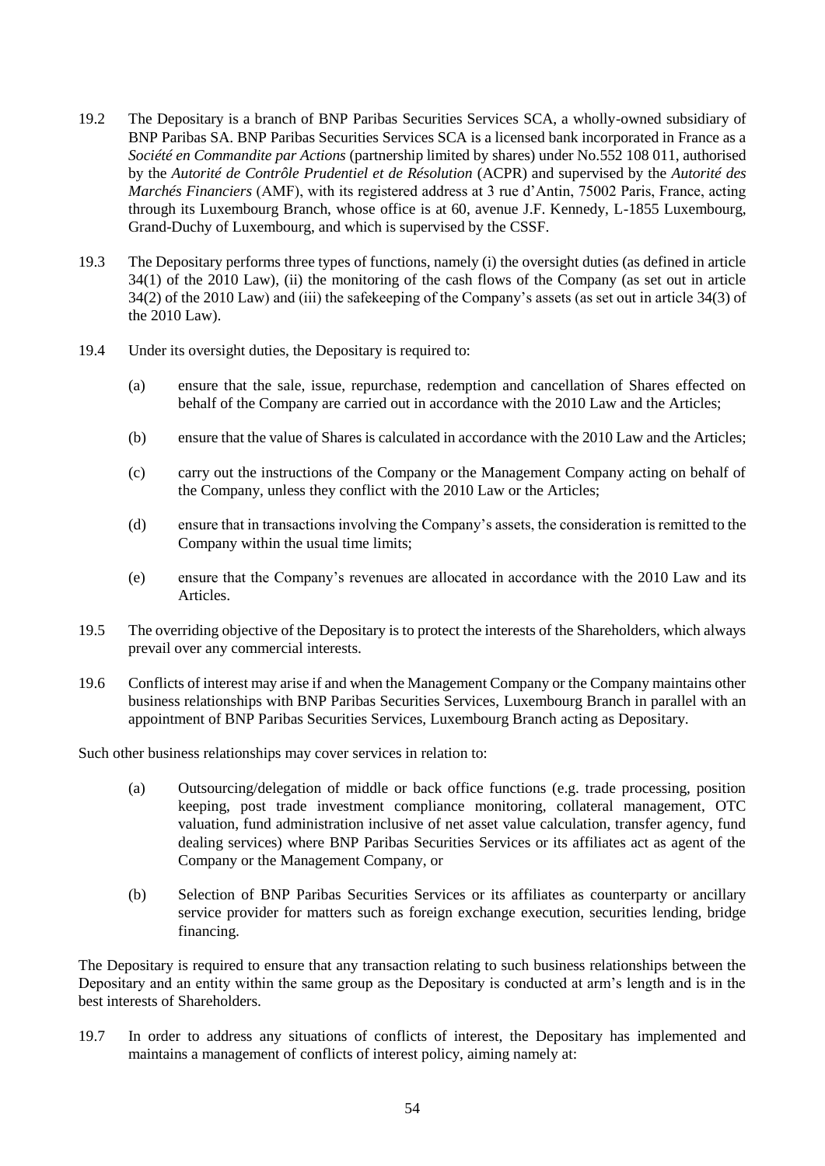- 19.2 The Depositary is a branch of BNP Paribas Securities Services SCA, a wholly-owned subsidiary of BNP Paribas SA. BNP Paribas Securities Services SCA is a licensed bank incorporated in France as a *Société en Commandite par Actions* (partnership limited by shares) under No.552 108 011, authorised by the *Autorité de Contrôle Prudentiel et de Résolution* (ACPR) and supervised by the *Autorité des Marchés Financiers* (AMF), with its registered address at 3 rue d'Antin, 75002 Paris, France, acting through its Luxembourg Branch, whose office is at 60, avenue J.F. Kennedy, L-1855 Luxembourg, Grand-Duchy of Luxembourg, and which is supervised by the CSSF.
- 19.3 The Depositary performs three types of functions, namely (i) the oversight duties (as defined in article 34(1) of the 2010 Law), (ii) the monitoring of the cash flows of the Company (as set out in article 34(2) of the 2010 Law) and (iii) the safekeeping of the Company's assets (as set out in article 34(3) of the 2010 Law).
- 19.4 Under its oversight duties, the Depositary is required to:
	- (a) ensure that the sale, issue, repurchase, redemption and cancellation of Shares effected on behalf of the Company are carried out in accordance with the 2010 Law and the Articles;
	- (b) ensure that the value of Shares is calculated in accordance with the 2010 Law and the Articles;
	- (c) carry out the instructions of the Company or the Management Company acting on behalf of the Company, unless they conflict with the 2010 Law or the Articles;
	- (d) ensure that in transactions involving the Company's assets, the consideration is remitted to the Company within the usual time limits;
	- (e) ensure that the Company's revenues are allocated in accordance with the 2010 Law and its Articles.
- 19.5 The overriding objective of the Depositary is to protect the interests of the Shareholders, which always prevail over any commercial interests.
- 19.6 Conflicts of interest may arise if and when the Management Company or the Company maintains other business relationships with BNP Paribas Securities Services, Luxembourg Branch in parallel with an appointment of BNP Paribas Securities Services, Luxembourg Branch acting as Depositary.

Such other business relationships may cover services in relation to:

- (a) Outsourcing/delegation of middle or back office functions (e.g. trade processing, position keeping, post trade investment compliance monitoring, collateral management, OTC valuation, fund administration inclusive of net asset value calculation, transfer agency, fund dealing services) where BNP Paribas Securities Services or its affiliates act as agent of the Company or the Management Company, or
- (b) Selection of BNP Paribas Securities Services or its affiliates as counterparty or ancillary service provider for matters such as foreign exchange execution, securities lending, bridge financing.

The Depositary is required to ensure that any transaction relating to such business relationships between the Depositary and an entity within the same group as the Depositary is conducted at arm's length and is in the best interests of Shareholders.

19.7 In order to address any situations of conflicts of interest, the Depositary has implemented and maintains a management of conflicts of interest policy, aiming namely at: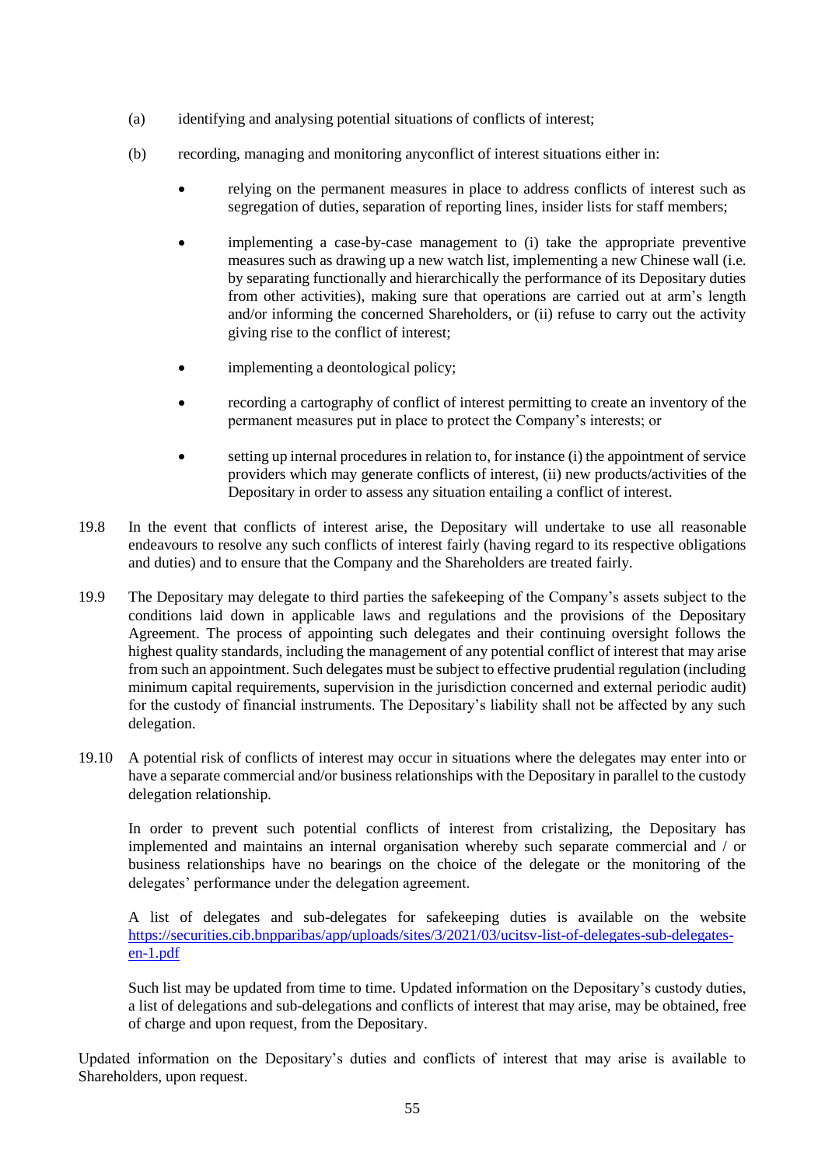- (a) identifying and analysing potential situations of conflicts of interest;
- (b) recording, managing and monitoring anyconflict of interest situations either in:
	- relying on the permanent measures in place to address conflicts of interest such as segregation of duties, separation of reporting lines, insider lists for staff members;
	- implementing a case-by-case management to (i) take the appropriate preventive measures such as drawing up a new watch list, implementing a new Chinese wall (i.e. by separating functionally and hierarchically the performance of its Depositary duties from other activities), making sure that operations are carried out at arm's length and/or informing the concerned Shareholders, or (ii) refuse to carry out the activity giving rise to the conflict of interest;
	- implementing a deontological policy;
	- recording a cartography of conflict of interest permitting to create an inventory of the permanent measures put in place to protect the Company's interests; or
	- setting up internal procedures in relation to, for instance (i) the appointment of service providers which may generate conflicts of interest, (ii) new products/activities of the Depositary in order to assess any situation entailing a conflict of interest.
- 19.8 In the event that conflicts of interest arise, the Depositary will undertake to use all reasonable endeavours to resolve any such conflicts of interest fairly (having regard to its respective obligations and duties) and to ensure that the Company and the Shareholders are treated fairly.
- 19.9 The Depositary may delegate to third parties the safekeeping of the Company's assets subject to the conditions laid down in applicable laws and regulations and the provisions of the Depositary Agreement. The process of appointing such delegates and their continuing oversight follows the highest quality standards, including the management of any potential conflict of interest that may arise from such an appointment. Such delegates must be subject to effective prudential regulation (including minimum capital requirements, supervision in the jurisdiction concerned and external periodic audit) for the custody of financial instruments. The Depositary's liability shall not be affected by any such delegation.
- 19.10 A potential risk of conflicts of interest may occur in situations where the delegates may enter into or have a separate commercial and/or business relationships with the Depositary in parallel to the custody delegation relationship.

In order to prevent such potential conflicts of interest from cristalizing, the Depositary has implemented and maintains an internal organisation whereby such separate commercial and / or business relationships have no bearings on the choice of the delegate or the monitoring of the delegates' performance under the delegation agreement.

A list of delegates and sub-delegates for safekeeping duties is available on the website [https://securities.cib.bnpparibas/app/uploads/sites/3/2021/03/ucitsv-list-of-delegates-sub-delegates](https://securities.cib.bnpparibas/app/uploads/sites/3/2021/03/ucitsv-list-of-delegates-sub-delegates-en-1.pdf)[en-1.pdf](https://securities.cib.bnpparibas/app/uploads/sites/3/2021/03/ucitsv-list-of-delegates-sub-delegates-en-1.pdf)

Such list may be updated from time to time. Updated information on the Depositary's custody duties, a list of delegations and sub-delegations and conflicts of interest that may arise, may be obtained, free of charge and upon request, from the Depositary.

Updated information on the Depositary's duties and conflicts of interest that may arise is available to Shareholders, upon request.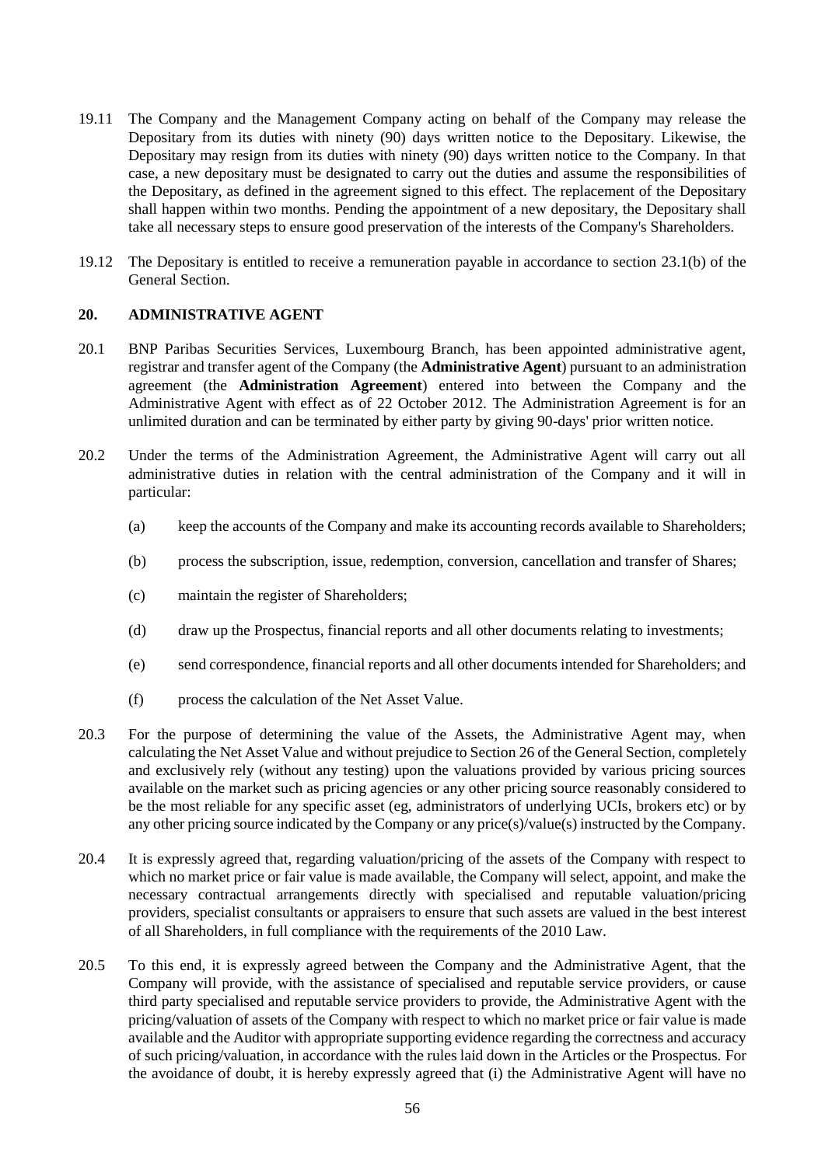- 19.11 The Company and the Management Company acting on behalf of the Company may release the Depositary from its duties with ninety (90) days written notice to the Depositary. Likewise, the Depositary may resign from its duties with ninety (90) days written notice to the Company. In that case, a new depositary must be designated to carry out the duties and assume the responsibilities of the Depositary, as defined in the agreement signed to this effect. The replacement of the Depositary shall happen within two months. Pending the appointment of a new depositary, the Depositary shall take all necessary steps to ensure good preservation of the interests of the Company's Shareholders.
- 19.12 The Depositary is entitled to receive a remuneration payable in accordance to section [23.1\(b\)](#page-57-1) of the General Section.

# **20. ADMINISTRATIVE AGENT**

- 20.1 BNP Paribas Securities Services, Luxembourg Branch, has been appointed administrative agent, registrar and transfer agent of the Company (the **Administrative Agent**) pursuant to an administration agreement (the **Administration Agreement**) entered into between the Company and the Administrative Agent with effect as of 22 October 2012. The Administration Agreement is for an unlimited duration and can be terminated by either party by giving 90-days' prior written notice.
- 20.2 Under the terms of the Administration Agreement, the Administrative Agent will carry out all administrative duties in relation with the central administration of the Company and it will in particular:
	- (a) keep the accounts of the Company and make its accounting records available to Shareholders;
	- (b) process the subscription, issue, redemption, conversion, cancellation and transfer of Shares;
	- (c) maintain the register of Shareholders;
	- (d) draw up the Prospectus, financial reports and all other documents relating to investments;
	- (e) send correspondence, financial reports and all other documents intended for Shareholders; and
	- (f) process the calculation of the Net Asset Value.
- 20.3 For the purpose of determining the value of the Assets, the Administrative Agent may, when calculating the Net Asset Value and without prejudice to Sectio[n 26](#page-61-0) of the General Section, completely and exclusively rely (without any testing) upon the valuations provided by various pricing sources available on the market such as pricing agencies or any other pricing source reasonably considered to be the most reliable for any specific asset (eg, administrators of underlying UCIs, brokers etc) or by any other pricing source indicated by the Company or any price(s)/value(s) instructed by the Company.
- 20.4 It is expressly agreed that, regarding valuation/pricing of the assets of the Company with respect to which no market price or fair value is made available, the Company will select, appoint, and make the necessary contractual arrangements directly with specialised and reputable valuation/pricing providers, specialist consultants or appraisers to ensure that such assets are valued in the best interest of all Shareholders, in full compliance with the requirements of the 2010 Law.
- 20.5 To this end, it is expressly agreed between the Company and the Administrative Agent, that the Company will provide, with the assistance of specialised and reputable service providers, or cause third party specialised and reputable service providers to provide, the Administrative Agent with the pricing/valuation of assets of the Company with respect to which no market price or fair value is made available and the Auditor with appropriate supporting evidence regarding the correctness and accuracy of such pricing/valuation, in accordance with the rules laid down in the Articles or the Prospectus. For the avoidance of doubt, it is hereby expressly agreed that (i) the Administrative Agent will have no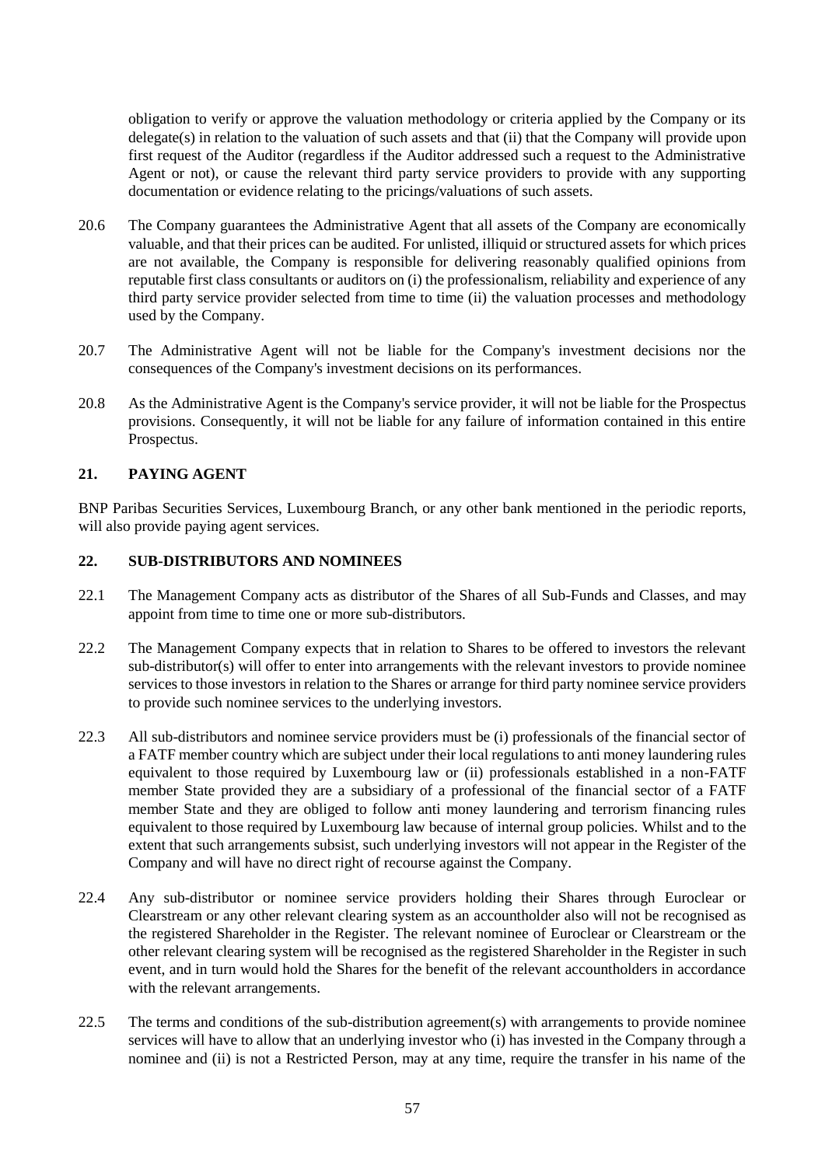obligation to verify or approve the valuation methodology or criteria applied by the Company or its delegate(s) in relation to the valuation of such assets and that (ii) that the Company will provide upon first request of the Auditor (regardless if the Auditor addressed such a request to the Administrative Agent or not), or cause the relevant third party service providers to provide with any supporting documentation or evidence relating to the pricings/valuations of such assets.

- 20.6 The Company guarantees the Administrative Agent that all assets of the Company are economically valuable, and that their prices can be audited. For unlisted, illiquid or structured assets for which prices are not available, the Company is responsible for delivering reasonably qualified opinions from reputable first class consultants or auditors on (i) the professionalism, reliability and experience of any third party service provider selected from time to time (ii) the valuation processes and methodology used by the Company.
- 20.7 The Administrative Agent will not be liable for the Company's investment decisions nor the consequences of the Company's investment decisions on its performances.
- 20.8 As the Administrative Agent is the Company's service provider, it will not be liable for the Prospectus provisions. Consequently, it will not be liable for any failure of information contained in this entire Prospectus.

# **21. PAYING AGENT**

BNP Paribas Securities Services, Luxembourg Branch, or any other bank mentioned in the periodic reports, will also provide paying agent services.

#### **22. SUB-DISTRIBUTORS AND NOMINEES**

- 22.1 The Management Company acts as distributor of the Shares of all Sub-Funds and Classes, and may appoint from time to time one or more sub-distributors.
- 22.2 The Management Company expects that in relation to Shares to be offered to investors the relevant sub-distributor(s) will offer to enter into arrangements with the relevant investors to provide nominee services to those investors in relation to the Shares or arrange for third party nominee service providers to provide such nominee services to the underlying investors.
- 22.3 All sub-distributors and nominee service providers must be (i) professionals of the financial sector of a FATF member country which are subject under their local regulations to anti money laundering rules equivalent to those required by Luxembourg law or (ii) professionals established in a non-FATF member State provided they are a subsidiary of a professional of the financial sector of a FATF member State and they are obliged to follow anti money laundering and terrorism financing rules equivalent to those required by Luxembourg law because of internal group policies. Whilst and to the extent that such arrangements subsist, such underlying investors will not appear in the Register of the Company and will have no direct right of recourse against the Company.
- 22.4 Any sub-distributor or nominee service providers holding their Shares through Euroclear or Clearstream or any other relevant clearing system as an accountholder also will not be recognised as the registered Shareholder in the Register. The relevant nominee of Euroclear or Clearstream or the other relevant clearing system will be recognised as the registered Shareholder in the Register in such event, and in turn would hold the Shares for the benefit of the relevant accountholders in accordance with the relevant arrangements.
- 22.5 The terms and conditions of the sub-distribution agreement(s) with arrangements to provide nominee services will have to allow that an underlying investor who (i) has invested in the Company through a nominee and (ii) is not a Restricted Person, may at any time, require the transfer in his name of the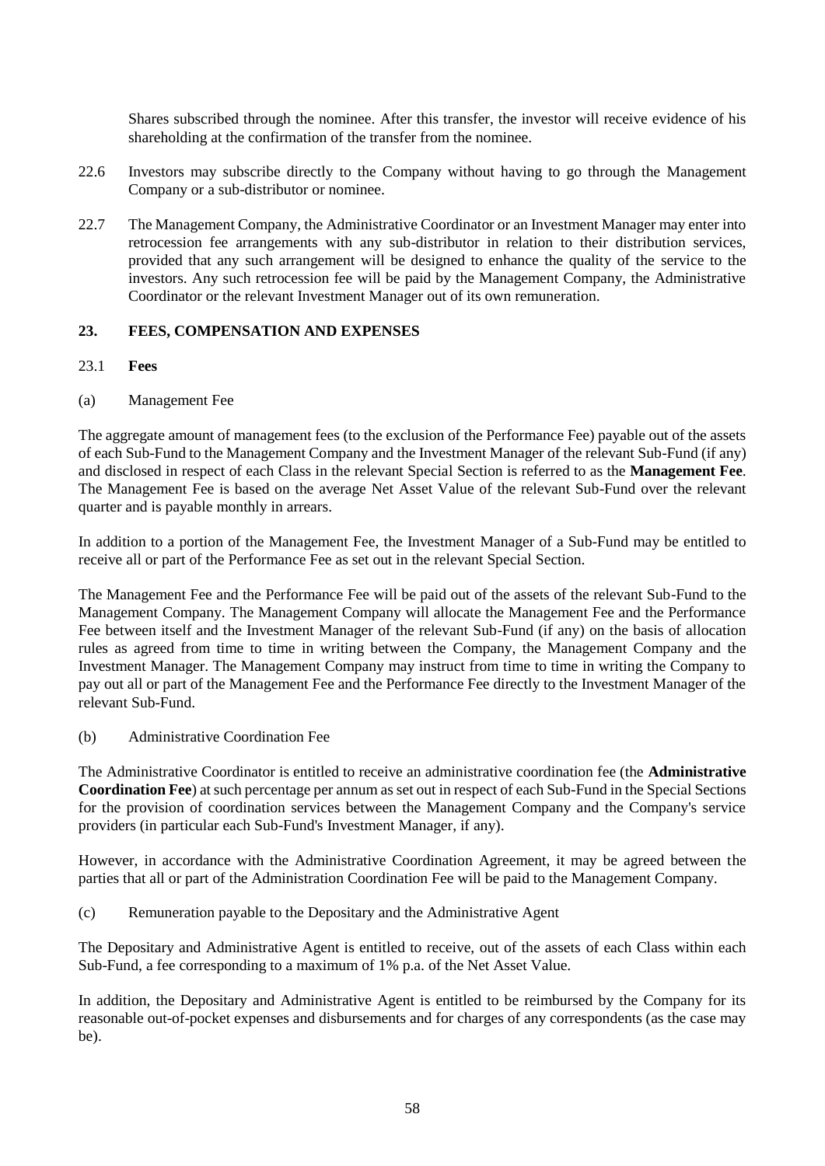Shares subscribed through the nominee. After this transfer, the investor will receive evidence of his shareholding at the confirmation of the transfer from the nominee.

- 22.6 Investors may subscribe directly to the Company without having to go through the Management Company or a sub-distributor or nominee.
- 22.7 The Management Company, the Administrative Coordinator or an Investment Manager may enter into retrocession fee arrangements with any sub-distributor in relation to their distribution services, provided that any such arrangement will be designed to enhance the quality of the service to the investors. Any such retrocession fee will be paid by the Management Company, the Administrative Coordinator or the relevant Investment Manager out of its own remuneration.

### **23. FEES, COMPENSATION AND EXPENSES**

- 23.1 **Fees**
- <span id="page-57-0"></span>(a) Management Fee

The aggregate amount of management fees (to the exclusion of the Performance Fee) payable out of the assets of each Sub-Fund to the Management Company and the Investment Manager of the relevant Sub-Fund (if any) and disclosed in respect of each Class in the relevant Special Section is referred to as the **Management Fee**. The Management Fee is based on the average Net Asset Value of the relevant Sub-Fund over the relevant quarter and is payable monthly in arrears.

In addition to a portion of the Management Fee, the Investment Manager of a Sub-Fund may be entitled to receive all or part of the Performance Fee as set out in the relevant Special Section.

The Management Fee and the Performance Fee will be paid out of the assets of the relevant Sub-Fund to the Management Company. The Management Company will allocate the Management Fee and the Performance Fee between itself and the Investment Manager of the relevant Sub-Fund (if any) on the basis of allocation rules as agreed from time to time in writing between the Company, the Management Company and the Investment Manager. The Management Company may instruct from time to time in writing the Company to pay out all or part of the Management Fee and the Performance Fee directly to the Investment Manager of the relevant Sub-Fund.

<span id="page-57-1"></span>(b) Administrative Coordination Fee

The Administrative Coordinator is entitled to receive an administrative coordination fee (the **Administrative Coordination Fee**) at such percentage per annum as set out in respect of each Sub-Fund in the Special Sections for the provision of coordination services between the Management Company and the Company's service providers (in particular each Sub-Fund's Investment Manager, if any).

However, in accordance with the Administrative Coordination Agreement, it may be agreed between the parties that all or part of the Administration Coordination Fee will be paid to the Management Company.

(c) Remuneration payable to the Depositary and the Administrative Agent

The Depositary and Administrative Agent is entitled to receive, out of the assets of each Class within each Sub-Fund, a fee corresponding to a maximum of 1% p.a. of the Net Asset Value.

In addition, the Depositary and Administrative Agent is entitled to be reimbursed by the Company for its reasonable out-of-pocket expenses and disbursements and for charges of any correspondents (as the case may be).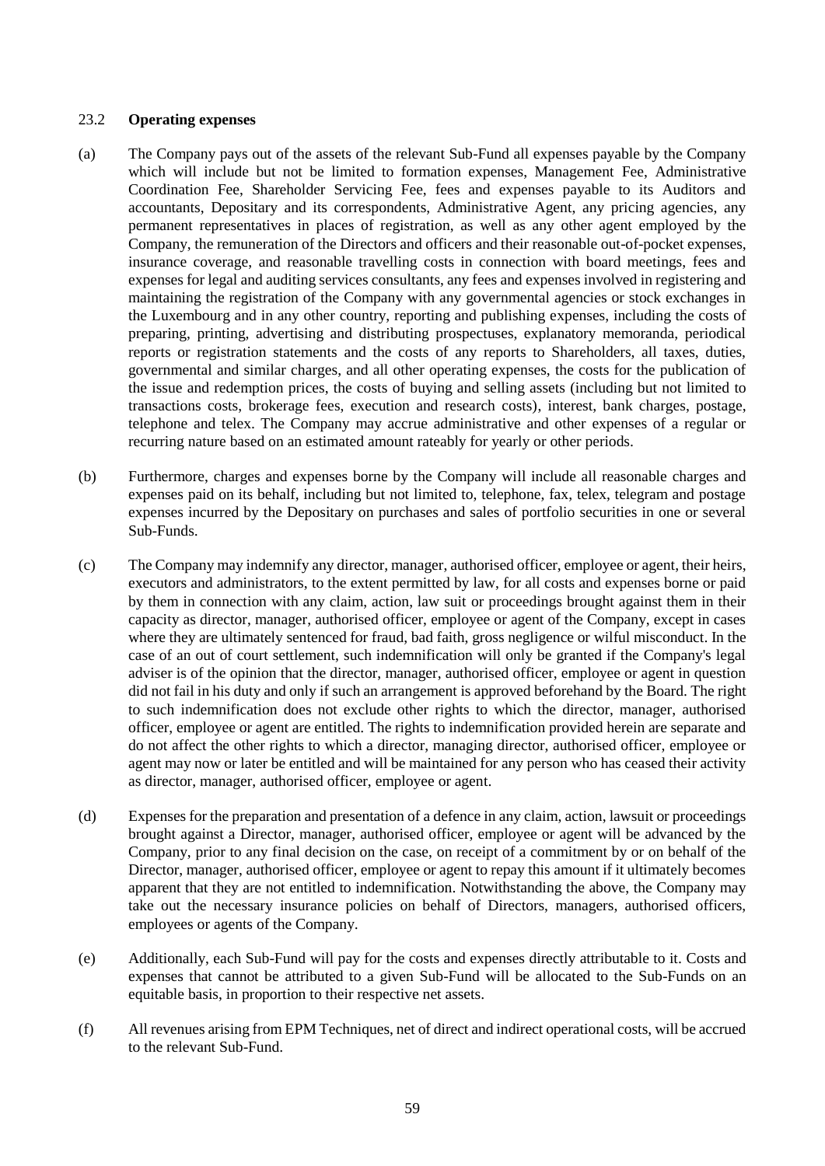#### 23.2 **Operating expenses**

- (a) The Company pays out of the assets of the relevant Sub-Fund all expenses payable by the Company which will include but not be limited to formation expenses, Management Fee, Administrative Coordination Fee, Shareholder Servicing Fee, fees and expenses payable to its Auditors and accountants, Depositary and its correspondents, Administrative Agent, any pricing agencies, any permanent representatives in places of registration, as well as any other agent employed by the Company, the remuneration of the Directors and officers and their reasonable out-of-pocket expenses, insurance coverage, and reasonable travelling costs in connection with board meetings, fees and expenses for legal and auditing services consultants, any fees and expenses involved in registering and maintaining the registration of the Company with any governmental agencies or stock exchanges in the Luxembourg and in any other country, reporting and publishing expenses, including the costs of preparing, printing, advertising and distributing prospectuses, explanatory memoranda, periodical reports or registration statements and the costs of any reports to Shareholders, all taxes, duties, governmental and similar charges, and all other operating expenses, the costs for the publication of the issue and redemption prices, the costs of buying and selling assets (including but not limited to transactions costs, brokerage fees, execution and research costs), interest, bank charges, postage, telephone and telex. The Company may accrue administrative and other expenses of a regular or recurring nature based on an estimated amount rateably for yearly or other periods.
- (b) Furthermore, charges and expenses borne by the Company will include all reasonable charges and expenses paid on its behalf, including but not limited to, telephone, fax, telex, telegram and postage expenses incurred by the Depositary on purchases and sales of portfolio securities in one or several Sub-Funds.
- (c) The Company may indemnify any director, manager, authorised officer, employee or agent, their heirs, executors and administrators, to the extent permitted by law, for all costs and expenses borne or paid by them in connection with any claim, action, law suit or proceedings brought against them in their capacity as director, manager, authorised officer, employee or agent of the Company, except in cases where they are ultimately sentenced for fraud, bad faith, gross negligence or wilful misconduct. In the case of an out of court settlement, such indemnification will only be granted if the Company's legal adviser is of the opinion that the director, manager, authorised officer, employee or agent in question did not fail in his duty and only if such an arrangement is approved beforehand by the Board. The right to such indemnification does not exclude other rights to which the director, manager, authorised officer, employee or agent are entitled. The rights to indemnification provided herein are separate and do not affect the other rights to which a director, managing director, authorised officer, employee or agent may now or later be entitled and will be maintained for any person who has ceased their activity as director, manager, authorised officer, employee or agent.
- (d) Expenses for the preparation and presentation of a defence in any claim, action, lawsuit or proceedings brought against a Director, manager, authorised officer, employee or agent will be advanced by the Company, prior to any final decision on the case, on receipt of a commitment by or on behalf of the Director, manager, authorised officer, employee or agent to repay this amount if it ultimately becomes apparent that they are not entitled to indemnification. Notwithstanding the above, the Company may take out the necessary insurance policies on behalf of Directors, managers, authorised officers, employees or agents of the Company.
- (e) Additionally, each Sub-Fund will pay for the costs and expenses directly attributable to it. Costs and expenses that cannot be attributed to a given Sub-Fund will be allocated to the Sub-Funds on an equitable basis, in proportion to their respective net assets.
- (f) All revenues arising from EPM Techniques, net of direct and indirect operational costs, will be accrued to the relevant Sub-Fund.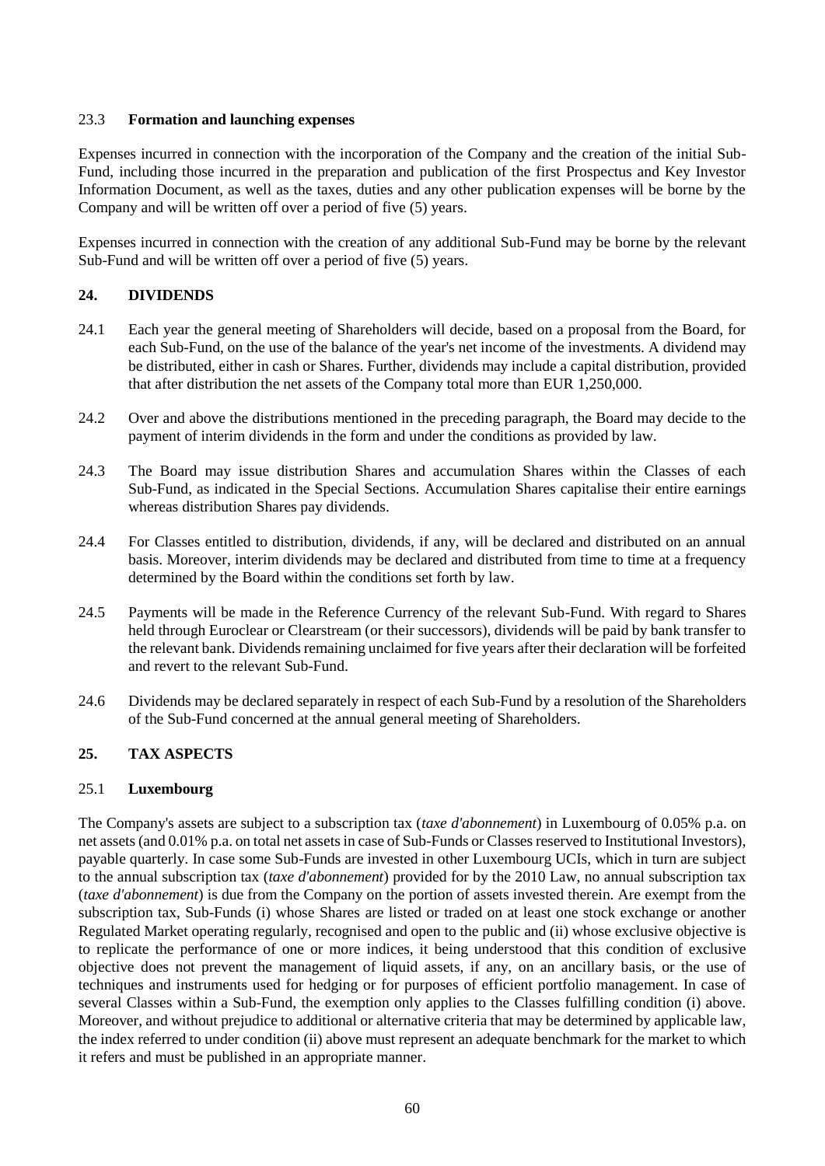# 23.3 **Formation and launching expenses**

Expenses incurred in connection with the incorporation of the Company and the creation of the initial Sub-Fund, including those incurred in the preparation and publication of the first Prospectus and Key Investor Information Document, as well as the taxes, duties and any other publication expenses will be borne by the Company and will be written off over a period of five (5) years.

Expenses incurred in connection with the creation of any additional Sub-Fund may be borne by the relevant Sub-Fund and will be written off over a period of five (5) years.

# **24. DIVIDENDS**

- 24.1 Each year the general meeting of Shareholders will decide, based on a proposal from the Board, for each Sub-Fund, on the use of the balance of the year's net income of the investments. A dividend may be distributed, either in cash or Shares. Further, dividends may include a capital distribution, provided that after distribution the net assets of the Company total more than EUR 1,250,000.
- 24.2 Over and above the distributions mentioned in the preceding paragraph, the Board may decide to the payment of interim dividends in the form and under the conditions as provided by law.
- 24.3 The Board may issue distribution Shares and accumulation Shares within the Classes of each Sub-Fund, as indicated in the Special Sections. Accumulation Shares capitalise their entire earnings whereas distribution Shares pay dividends.
- 24.4 For Classes entitled to distribution, dividends, if any, will be declared and distributed on an annual basis. Moreover, interim dividends may be declared and distributed from time to time at a frequency determined by the Board within the conditions set forth by law.
- 24.5 Payments will be made in the Reference Currency of the relevant Sub-Fund. With regard to Shares held through Euroclear or Clearstream (or their successors), dividends will be paid by bank transfer to the relevant bank. Dividends remaining unclaimed for five years after their declaration will be forfeited and revert to the relevant Sub-Fund.
- 24.6 Dividends may be declared separately in respect of each Sub-Fund by a resolution of the Shareholders of the Sub-Fund concerned at the annual general meeting of Shareholders.

# **25. TAX ASPECTS**

# 25.1 **Luxembourg**

The Company's assets are subject to a subscription tax (*taxe d'abonnement*) in Luxembourg of 0.05% p.a. on net assets (and 0.01% p.a. on total net assets in case of Sub-Funds or Classes reserved to Institutional Investors), payable quarterly. In case some Sub-Funds are invested in other Luxembourg UCIs, which in turn are subject to the annual subscription tax (*taxe d'abonnement*) provided for by the 2010 Law, no annual subscription tax (*taxe d'abonnement*) is due from the Company on the portion of assets invested therein. Are exempt from the subscription tax, Sub-Funds (i) whose Shares are listed or traded on at least one stock exchange or another Regulated Market operating regularly, recognised and open to the public and (ii) whose exclusive objective is to replicate the performance of one or more indices, it being understood that this condition of exclusive objective does not prevent the management of liquid assets, if any, on an ancillary basis, or the use of techniques and instruments used for hedging or for purposes of efficient portfolio management. In case of several Classes within a Sub-Fund, the exemption only applies to the Classes fulfilling condition (i) above. Moreover, and without prejudice to additional or alternative criteria that may be determined by applicable law, the index referred to under condition (ii) above must represent an adequate benchmark for the market to which it refers and must be published in an appropriate manner.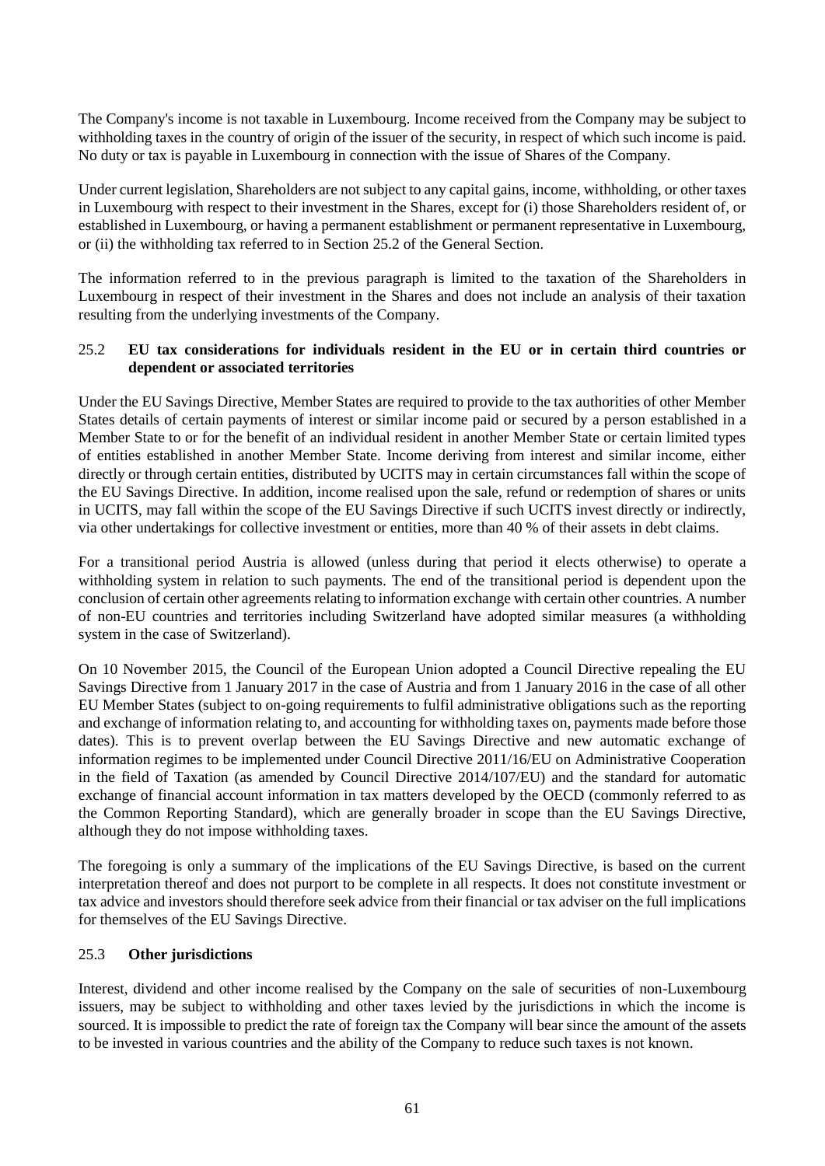The Company's income is not taxable in Luxembourg. Income received from the Company may be subject to withholding taxes in the country of origin of the issuer of the security, in respect of which such income is paid. No duty or tax is payable in Luxembourg in connection with the issue of Shares of the Company.

Under current legislation, Shareholders are not subject to any capital gains, income, withholding, or other taxes in Luxembourg with respect to their investment in the Shares, except for (i) those Shareholders resident of, or established in Luxembourg, or having a permanent establishment or permanent representative in Luxembourg, or (ii) the withholding tax referred to in Section [25.2](#page-60-0) of the General Section.

The information referred to in the previous paragraph is limited to the taxation of the Shareholders in Luxembourg in respect of their investment in the Shares and does not include an analysis of their taxation resulting from the underlying investments of the Company.

# <span id="page-60-0"></span>25.2 **EU tax considerations for individuals resident in the EU or in certain third countries or dependent or associated territories**

Under the EU Savings Directive, Member States are required to provide to the tax authorities of other Member States details of certain payments of interest or similar income paid or secured by a person established in a Member State to or for the benefit of an individual resident in another Member State or certain limited types of entities established in another Member State. Income deriving from interest and similar income, either directly or through certain entities, distributed by UCITS may in certain circumstances fall within the scope of the EU Savings Directive. In addition, income realised upon the sale, refund or redemption of shares or units in UCITS, may fall within the scope of the EU Savings Directive if such UCITS invest directly or indirectly, via other undertakings for collective investment or entities, more than 40 % of their assets in debt claims.

For a transitional period Austria is allowed (unless during that period it elects otherwise) to operate a withholding system in relation to such payments. The end of the transitional period is dependent upon the conclusion of certain other agreements relating to information exchange with certain other countries. A number of non-EU countries and territories including Switzerland have adopted similar measures (a withholding system in the case of Switzerland).

On 10 November 2015, the Council of the European Union adopted a Council Directive repealing the EU Savings Directive from 1 January 2017 in the case of Austria and from 1 January 2016 in the case of all other EU Member States (subject to on-going requirements to fulfil administrative obligations such as the reporting and exchange of information relating to, and accounting for withholding taxes on, payments made before those dates). This is to prevent overlap between the EU Savings Directive and new automatic exchange of information regimes to be implemented under Council Directive 2011/16/EU on Administrative Cooperation in the field of Taxation (as amended by Council Directive 2014/107/EU) and the standard for automatic exchange of financial account information in tax matters developed by the OECD (commonly referred to as the Common Reporting Standard), which are generally broader in scope than the EU Savings Directive, although they do not impose withholding taxes.

The foregoing is only a summary of the implications of the EU Savings Directive, is based on the current interpretation thereof and does not purport to be complete in all respects. It does not constitute investment or tax advice and investors should therefore seek advice from their financial or tax adviser on the full implications for themselves of the EU Savings Directive.

## 25.3 **Other jurisdictions**

Interest, dividend and other income realised by the Company on the sale of securities of non-Luxembourg issuers, may be subject to withholding and other taxes levied by the jurisdictions in which the income is sourced. It is impossible to predict the rate of foreign tax the Company will bear since the amount of the assets to be invested in various countries and the ability of the Company to reduce such taxes is not known.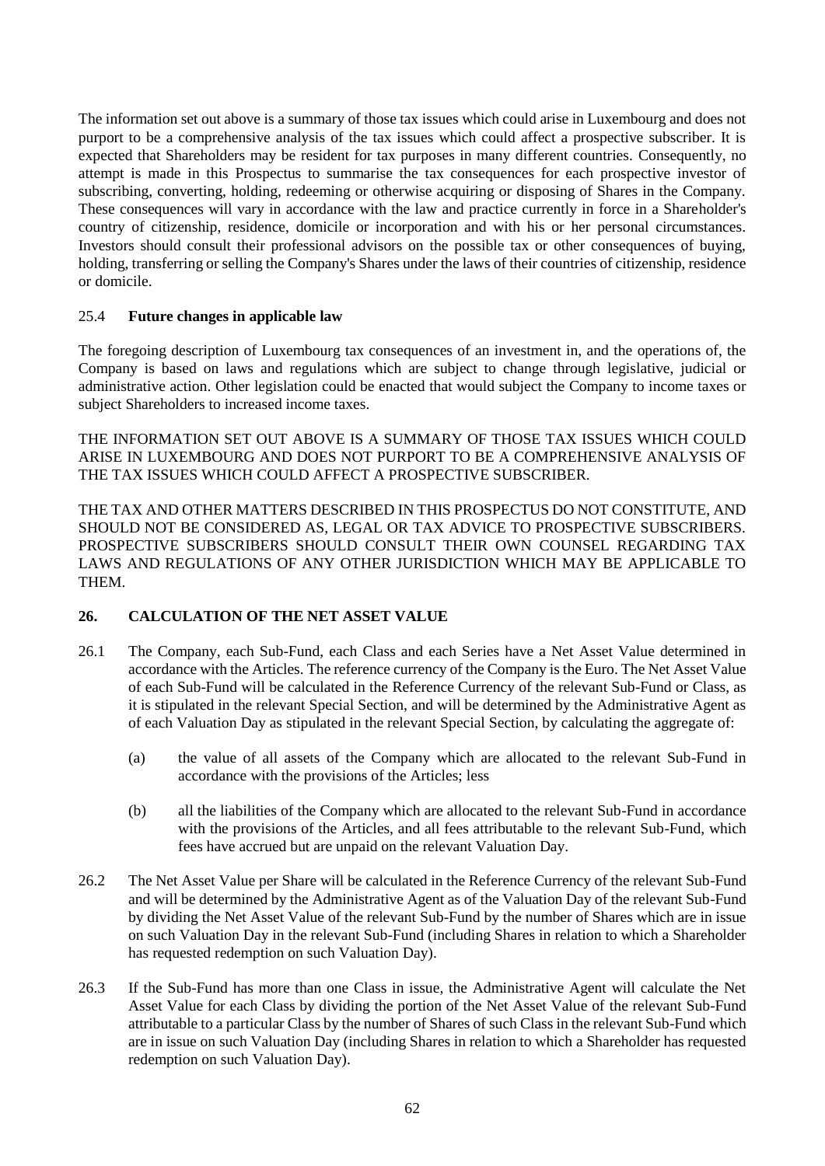The information set out above is a summary of those tax issues which could arise in Luxembourg and does not purport to be a comprehensive analysis of the tax issues which could affect a prospective subscriber. It is expected that Shareholders may be resident for tax purposes in many different countries. Consequently, no attempt is made in this Prospectus to summarise the tax consequences for each prospective investor of subscribing, converting, holding, redeeming or otherwise acquiring or disposing of Shares in the Company. These consequences will vary in accordance with the law and practice currently in force in a Shareholder's country of citizenship, residence, domicile or incorporation and with his or her personal circumstances. Investors should consult their professional advisors on the possible tax or other consequences of buying, holding, transferring or selling the Company's Shares under the laws of their countries of citizenship, residence or domicile.

# 25.4 **Future changes in applicable law**

The foregoing description of Luxembourg tax consequences of an investment in, and the operations of, the Company is based on laws and regulations which are subject to change through legislative, judicial or administrative action. Other legislation could be enacted that would subject the Company to income taxes or subject Shareholders to increased income taxes.

THE INFORMATION SET OUT ABOVE IS A SUMMARY OF THOSE TAX ISSUES WHICH COULD ARISE IN LUXEMBOURG AND DOES NOT PURPORT TO BE A COMPREHENSIVE ANALYSIS OF THE TAX ISSUES WHICH COULD AFFECT A PROSPECTIVE SUBSCRIBER.

THE TAX AND OTHER MATTERS DESCRIBED IN THIS PROSPECTUS DO NOT CONSTITUTE, AND SHOULD NOT BE CONSIDERED AS, LEGAL OR TAX ADVICE TO PROSPECTIVE SUBSCRIBERS. PROSPECTIVE SUBSCRIBERS SHOULD CONSULT THEIR OWN COUNSEL REGARDING TAX LAWS AND REGULATIONS OF ANY OTHER JURISDICTION WHICH MAY BE APPLICABLE TO THEM.

# <span id="page-61-0"></span>**26. CALCULATION OF THE NET ASSET VALUE**

- 26.1 The Company, each Sub-Fund, each Class and each Series have a Net Asset Value determined in accordance with the Articles. The reference currency of the Company is the Euro. The Net Asset Value of each Sub-Fund will be calculated in the Reference Currency of the relevant Sub-Fund or Class, as it is stipulated in the relevant Special Section, and will be determined by the Administrative Agent as of each Valuation Day as stipulated in the relevant Special Section, by calculating the aggregate of:
	- (a) the value of all assets of the Company which are allocated to the relevant Sub-Fund in accordance with the provisions of the Articles; less
	- (b) all the liabilities of the Company which are allocated to the relevant Sub-Fund in accordance with the provisions of the Articles, and all fees attributable to the relevant Sub-Fund, which fees have accrued but are unpaid on the relevant Valuation Day.
- 26.2 The Net Asset Value per Share will be calculated in the Reference Currency of the relevant Sub-Fund and will be determined by the Administrative Agent as of the Valuation Day of the relevant Sub-Fund by dividing the Net Asset Value of the relevant Sub-Fund by the number of Shares which are in issue on such Valuation Day in the relevant Sub-Fund (including Shares in relation to which a Shareholder has requested redemption on such Valuation Day).
- 26.3 If the Sub-Fund has more than one Class in issue, the Administrative Agent will calculate the Net Asset Value for each Class by dividing the portion of the Net Asset Value of the relevant Sub-Fund attributable to a particular Class by the number of Shares of such Class in the relevant Sub-Fund which are in issue on such Valuation Day (including Shares in relation to which a Shareholder has requested redemption on such Valuation Day).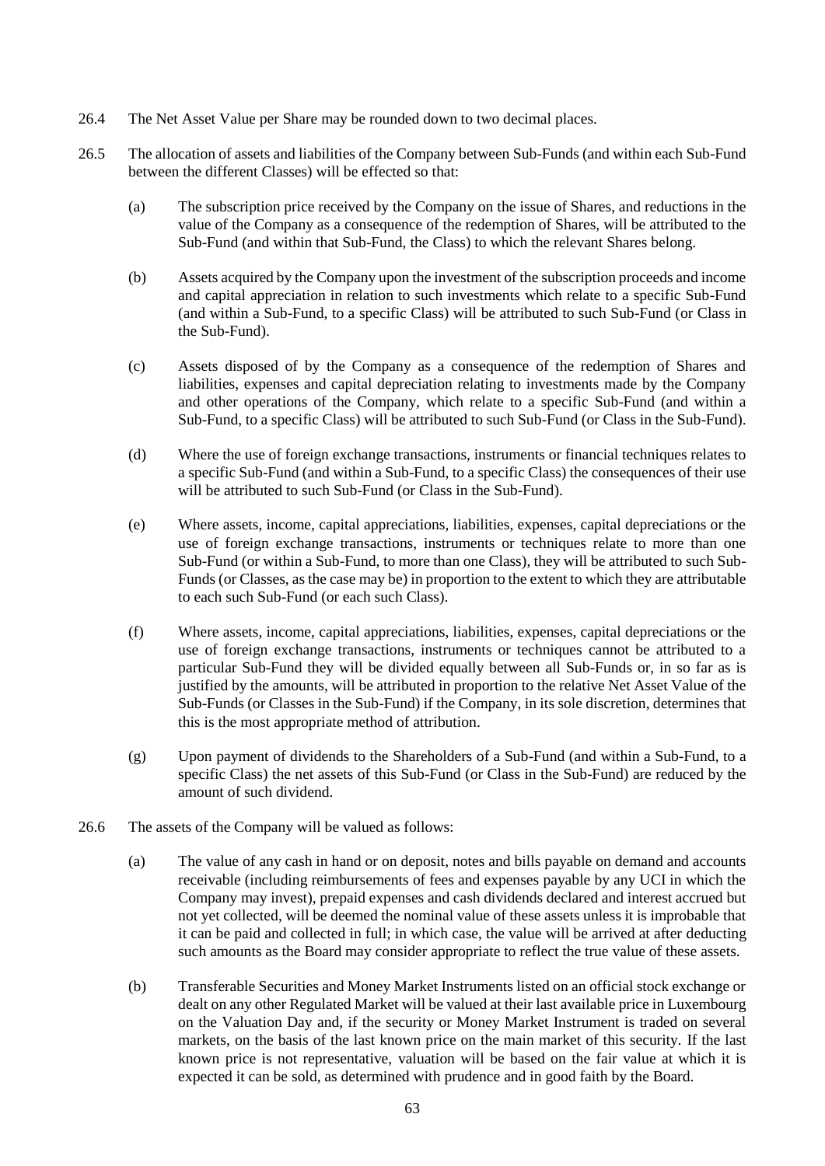- 26.4 The Net Asset Value per Share may be rounded down to two decimal places.
- 26.5 The allocation of assets and liabilities of the Company between Sub-Funds (and within each Sub-Fund between the different Classes) will be effected so that:
	- (a) The subscription price received by the Company on the issue of Shares, and reductions in the value of the Company as a consequence of the redemption of Shares, will be attributed to the Sub-Fund (and within that Sub-Fund, the Class) to which the relevant Shares belong.
	- (b) Assets acquired by the Company upon the investment of the subscription proceeds and income and capital appreciation in relation to such investments which relate to a specific Sub-Fund (and within a Sub-Fund, to a specific Class) will be attributed to such Sub-Fund (or Class in the Sub-Fund).
	- (c) Assets disposed of by the Company as a consequence of the redemption of Shares and liabilities, expenses and capital depreciation relating to investments made by the Company and other operations of the Company, which relate to a specific Sub-Fund (and within a Sub-Fund, to a specific Class) will be attributed to such Sub-Fund (or Class in the Sub-Fund).
	- (d) Where the use of foreign exchange transactions, instruments or financial techniques relates to a specific Sub-Fund (and within a Sub-Fund, to a specific Class) the consequences of their use will be attributed to such Sub-Fund (or Class in the Sub-Fund).
	- (e) Where assets, income, capital appreciations, liabilities, expenses, capital depreciations or the use of foreign exchange transactions, instruments or techniques relate to more than one Sub-Fund (or within a Sub-Fund, to more than one Class), they will be attributed to such Sub-Funds (or Classes, as the case may be) in proportion to the extent to which they are attributable to each such Sub-Fund (or each such Class).
	- (f) Where assets, income, capital appreciations, liabilities, expenses, capital depreciations or the use of foreign exchange transactions, instruments or techniques cannot be attributed to a particular Sub-Fund they will be divided equally between all Sub-Funds or, in so far as is justified by the amounts, will be attributed in proportion to the relative Net Asset Value of the Sub-Funds (or Classes in the Sub-Fund) if the Company, in its sole discretion, determines that this is the most appropriate method of attribution.
	- (g) Upon payment of dividends to the Shareholders of a Sub-Fund (and within a Sub-Fund, to a specific Class) the net assets of this Sub-Fund (or Class in the Sub-Fund) are reduced by the amount of such dividend.
- 26.6 The assets of the Company will be valued as follows:
	- (a) The value of any cash in hand or on deposit, notes and bills payable on demand and accounts receivable (including reimbursements of fees and expenses payable by any UCI in which the Company may invest), prepaid expenses and cash dividends declared and interest accrued but not yet collected, will be deemed the nominal value of these assets unless it is improbable that it can be paid and collected in full; in which case, the value will be arrived at after deducting such amounts as the Board may consider appropriate to reflect the true value of these assets.
	- (b) Transferable Securities and Money Market Instruments listed on an official stock exchange or dealt on any other Regulated Market will be valued at their last available price in Luxembourg on the Valuation Day and, if the security or Money Market Instrument is traded on several markets, on the basis of the last known price on the main market of this security. If the last known price is not representative, valuation will be based on the fair value at which it is expected it can be sold, as determined with prudence and in good faith by the Board.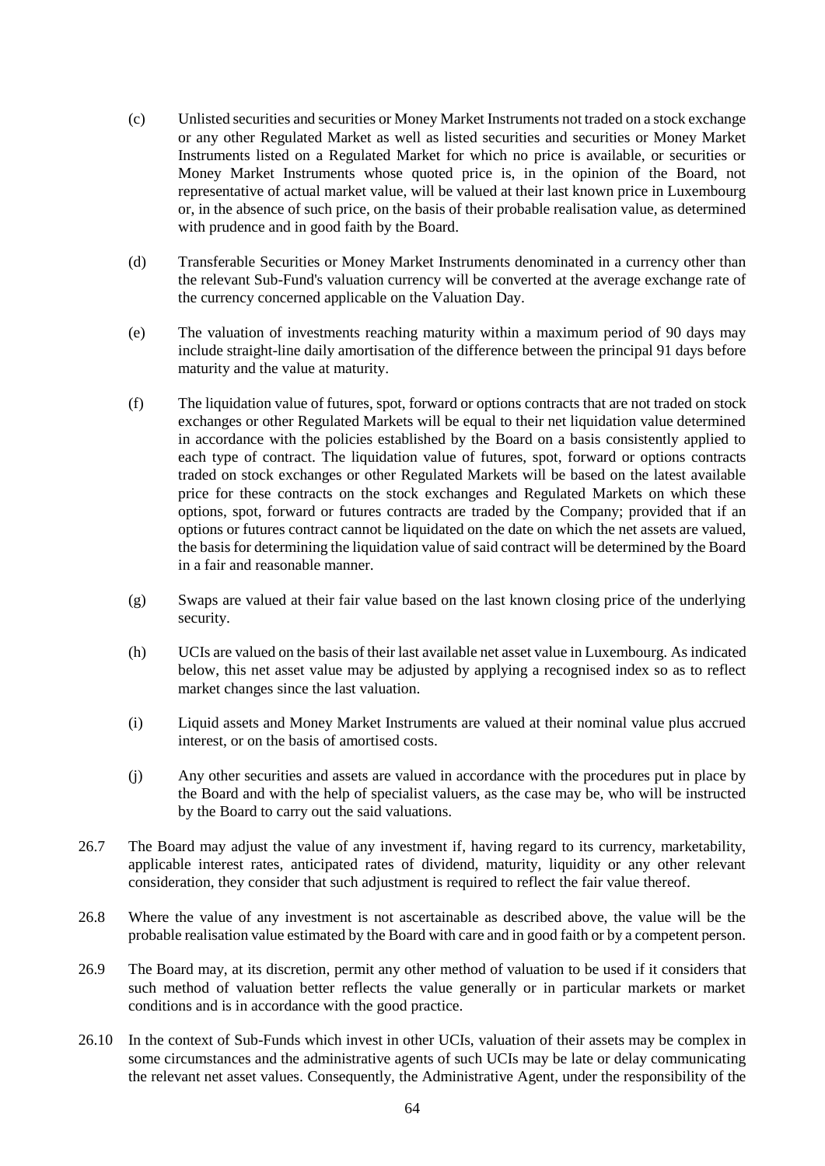- (c) Unlisted securities and securities or Money Market Instruments not traded on a stock exchange or any other Regulated Market as well as listed securities and securities or Money Market Instruments listed on a Regulated Market for which no price is available, or securities or Money Market Instruments whose quoted price is, in the opinion of the Board, not representative of actual market value, will be valued at their last known price in Luxembourg or, in the absence of such price, on the basis of their probable realisation value, as determined with prudence and in good faith by the Board.
- (d) Transferable Securities or Money Market Instruments denominated in a currency other than the relevant Sub-Fund's valuation currency will be converted at the average exchange rate of the currency concerned applicable on the Valuation Day.
- (e) The valuation of investments reaching maturity within a maximum period of 90 days may include straight-line daily amortisation of the difference between the principal 91 days before maturity and the value at maturity.
- (f) The liquidation value of futures, spot, forward or options contracts that are not traded on stock exchanges or other Regulated Markets will be equal to their net liquidation value determined in accordance with the policies established by the Board on a basis consistently applied to each type of contract. The liquidation value of futures, spot, forward or options contracts traded on stock exchanges or other Regulated Markets will be based on the latest available price for these contracts on the stock exchanges and Regulated Markets on which these options, spot, forward or futures contracts are traded by the Company; provided that if an options or futures contract cannot be liquidated on the date on which the net assets are valued, the basis for determining the liquidation value of said contract will be determined by the Board in a fair and reasonable manner.
- (g) Swaps are valued at their fair value based on the last known closing price of the underlying security.
- (h) UCIs are valued on the basis of their last available net asset value in Luxembourg. As indicated below, this net asset value may be adjusted by applying a recognised index so as to reflect market changes since the last valuation.
- (i) Liquid assets and Money Market Instruments are valued at their nominal value plus accrued interest, or on the basis of amortised costs.
- (j) Any other securities and assets are valued in accordance with the procedures put in place by the Board and with the help of specialist valuers, as the case may be, who will be instructed by the Board to carry out the said valuations.
- 26.7 The Board may adjust the value of any investment if, having regard to its currency, marketability, applicable interest rates, anticipated rates of dividend, maturity, liquidity or any other relevant consideration, they consider that such adjustment is required to reflect the fair value thereof.
- 26.8 Where the value of any investment is not ascertainable as described above, the value will be the probable realisation value estimated by the Board with care and in good faith or by a competent person.
- 26.9 The Board may, at its discretion, permit any other method of valuation to be used if it considers that such method of valuation better reflects the value generally or in particular markets or market conditions and is in accordance with the good practice.
- 26.10 In the context of Sub-Funds which invest in other UCIs, valuation of their assets may be complex in some circumstances and the administrative agents of such UCIs may be late or delay communicating the relevant net asset values. Consequently, the Administrative Agent, under the responsibility of the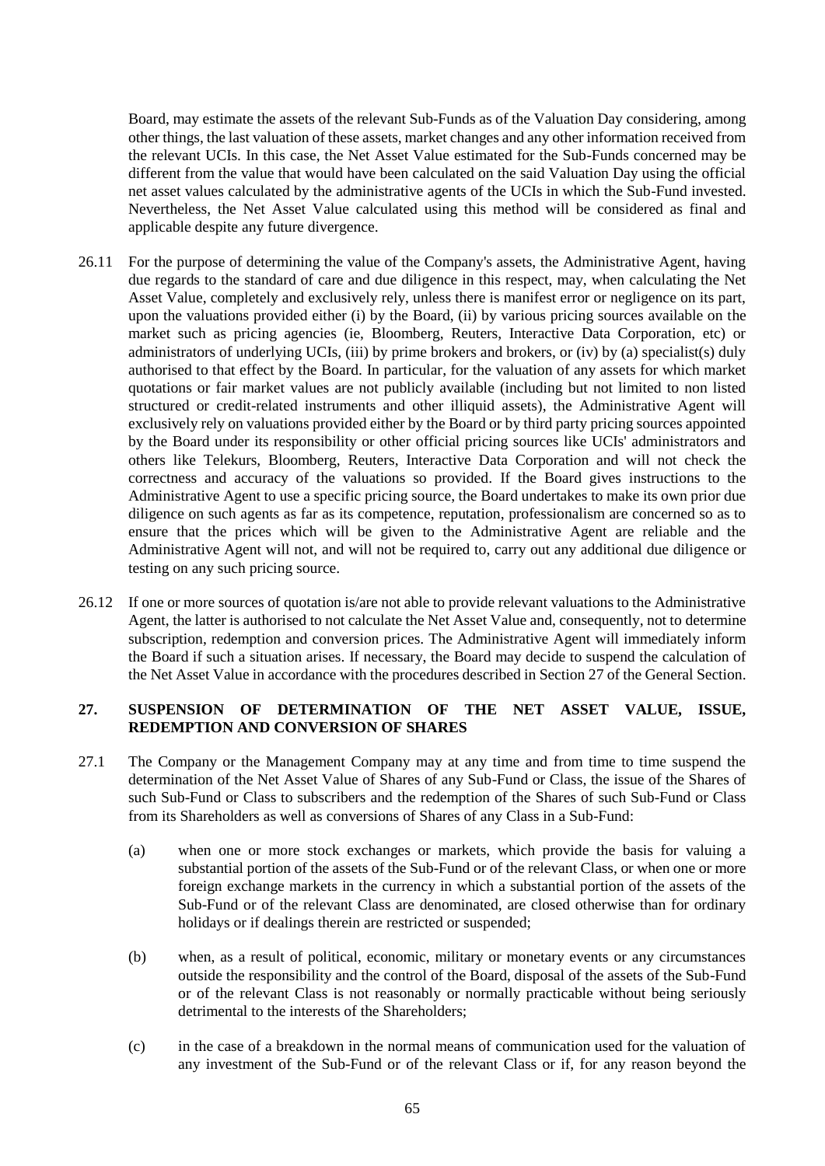Board, may estimate the assets of the relevant Sub-Funds as of the Valuation Day considering, among other things, the last valuation of these assets, market changes and any other information received from the relevant UCIs. In this case, the Net Asset Value estimated for the Sub-Funds concerned may be different from the value that would have been calculated on the said Valuation Day using the official net asset values calculated by the administrative agents of the UCIs in which the Sub-Fund invested. Nevertheless, the Net Asset Value calculated using this method will be considered as final and applicable despite any future divergence.

- 26.11 For the purpose of determining the value of the Company's assets, the Administrative Agent, having due regards to the standard of care and due diligence in this respect, may, when calculating the Net Asset Value, completely and exclusively rely, unless there is manifest error or negligence on its part, upon the valuations provided either (i) by the Board, (ii) by various pricing sources available on the market such as pricing agencies (ie, Bloomberg, Reuters, Interactive Data Corporation, etc) or administrators of underlying UCIs, (iii) by prime brokers and brokers, or (iv) by (a) specialist(s) duly authorised to that effect by the Board. In particular, for the valuation of any assets for which market quotations or fair market values are not publicly available (including but not limited to non listed structured or credit-related instruments and other illiquid assets), the Administrative Agent will exclusively rely on valuations provided either by the Board or by third party pricing sources appointed by the Board under its responsibility or other official pricing sources like UCIs' administrators and others like Telekurs, Bloomberg, Reuters, Interactive Data Corporation and will not check the correctness and accuracy of the valuations so provided. If the Board gives instructions to the Administrative Agent to use a specific pricing source, the Board undertakes to make its own prior due diligence on such agents as far as its competence, reputation, professionalism are concerned so as to ensure that the prices which will be given to the Administrative Agent are reliable and the Administrative Agent will not, and will not be required to, carry out any additional due diligence or testing on any such pricing source.
- 26.12 If one or more sources of quotation is/are not able to provide relevant valuations to the Administrative Agent, the latter is authorised to not calculate the Net Asset Value and, consequently, not to determine subscription, redemption and conversion prices. The Administrative Agent will immediately inform the Board if such a situation arises. If necessary, the Board may decide to suspend the calculation of the Net Asset Value in accordance with the procedures described in Section [27](#page-64-0) of the General Section.

# <span id="page-64-0"></span>**27. SUSPENSION OF DETERMINATION OF THE NET ASSET VALUE, ISSUE, REDEMPTION AND CONVERSION OF SHARES**

- 27.1 The Company or the Management Company may at any time and from time to time suspend the determination of the Net Asset Value of Shares of any Sub-Fund or Class, the issue of the Shares of such Sub-Fund or Class to subscribers and the redemption of the Shares of such Sub-Fund or Class from its Shareholders as well as conversions of Shares of any Class in a Sub-Fund:
	- (a) when one or more stock exchanges or markets, which provide the basis for valuing a substantial portion of the assets of the Sub-Fund or of the relevant Class, or when one or more foreign exchange markets in the currency in which a substantial portion of the assets of the Sub-Fund or of the relevant Class are denominated, are closed otherwise than for ordinary holidays or if dealings therein are restricted or suspended;
	- (b) when, as a result of political, economic, military or monetary events or any circumstances outside the responsibility and the control of the Board, disposal of the assets of the Sub-Fund or of the relevant Class is not reasonably or normally practicable without being seriously detrimental to the interests of the Shareholders;
	- (c) in the case of a breakdown in the normal means of communication used for the valuation of any investment of the Sub-Fund or of the relevant Class or if, for any reason beyond the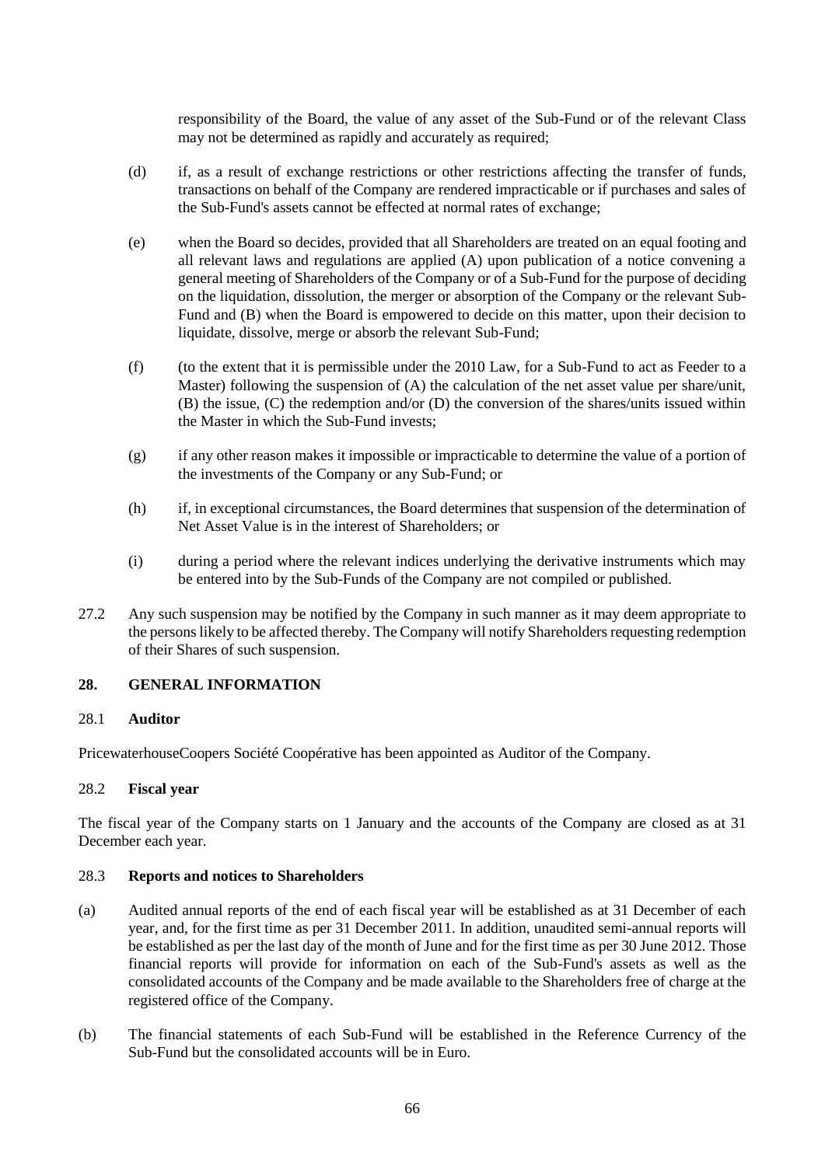responsibility of the Board, the value of any asset of the Sub-Fund or of the relevant Class may not be determined as rapidly and accurately as required;

- (d) if, as a result of exchange restrictions or other restrictions affecting the transfer of funds, transactions on behalf of the Company are rendered impracticable or if purchases and sales of the Sub-Fund's assets cannot be effected at normal rates of exchange;
- (e) when the Board so decides, provided that all Shareholders are treated on an equal footing and all relevant laws and regulations are applied (A) upon publication of a notice convening a general meeting of Shareholders of the Company or of a Sub-Fund for the purpose of deciding on the liquidation, dissolution, the merger or absorption of the Company or the relevant Sub-Fund and (B) when the Board is empowered to decide on this matter, upon their decision to liquidate, dissolve, merge or absorb the relevant Sub-Fund;
- (f) (to the extent that it is permissible under the 2010 Law, for a Sub-Fund to act as Feeder to a Master) following the suspension of (A) the calculation of the net asset value per share/unit, (B) the issue, (C) the redemption and/or (D) the conversion of the shares/units issued within the Master in which the Sub-Fund invests;
- (g) if any other reason makes it impossible or impracticable to determine the value of a portion of the investments of the Company or any Sub-Fund; or
- (h) if, in exceptional circumstances, the Board determines that suspension of the determination of Net Asset Value is in the interest of Shareholders; or
- (i) during a period where the relevant indices underlying the derivative instruments which may be entered into by the Sub-Funds of the Company are not compiled or published.
- 27.2 Any such suspension may be notified by the Company in such manner as it may deem appropriate to the persons likely to be affected thereby. The Company will notify Shareholders requesting redemption of their Shares of such suspension.

### **28. GENERAL INFORMATION**

### 28.1 **Auditor**

PricewaterhouseCoopers Société Coopérative has been appointed as Auditor of the Company.

## 28.2 **Fiscal year**

The fiscal year of the Company starts on 1 January and the accounts of the Company are closed as at 31 December each year.

## 28.3 **Reports and notices to Shareholders**

- (a) Audited annual reports of the end of each fiscal year will be established as at 31 December of each year, and, for the first time as per 31 December 2011. In addition, unaudited semi-annual reports will be established as per the last day of the month of June and for the first time as per 30 June 2012. Those financial reports will provide for information on each of the Sub-Fund's assets as well as the consolidated accounts of the Company and be made available to the Shareholders free of charge at the registered office of the Company.
- (b) The financial statements of each Sub-Fund will be established in the Reference Currency of the Sub-Fund but the consolidated accounts will be in Euro.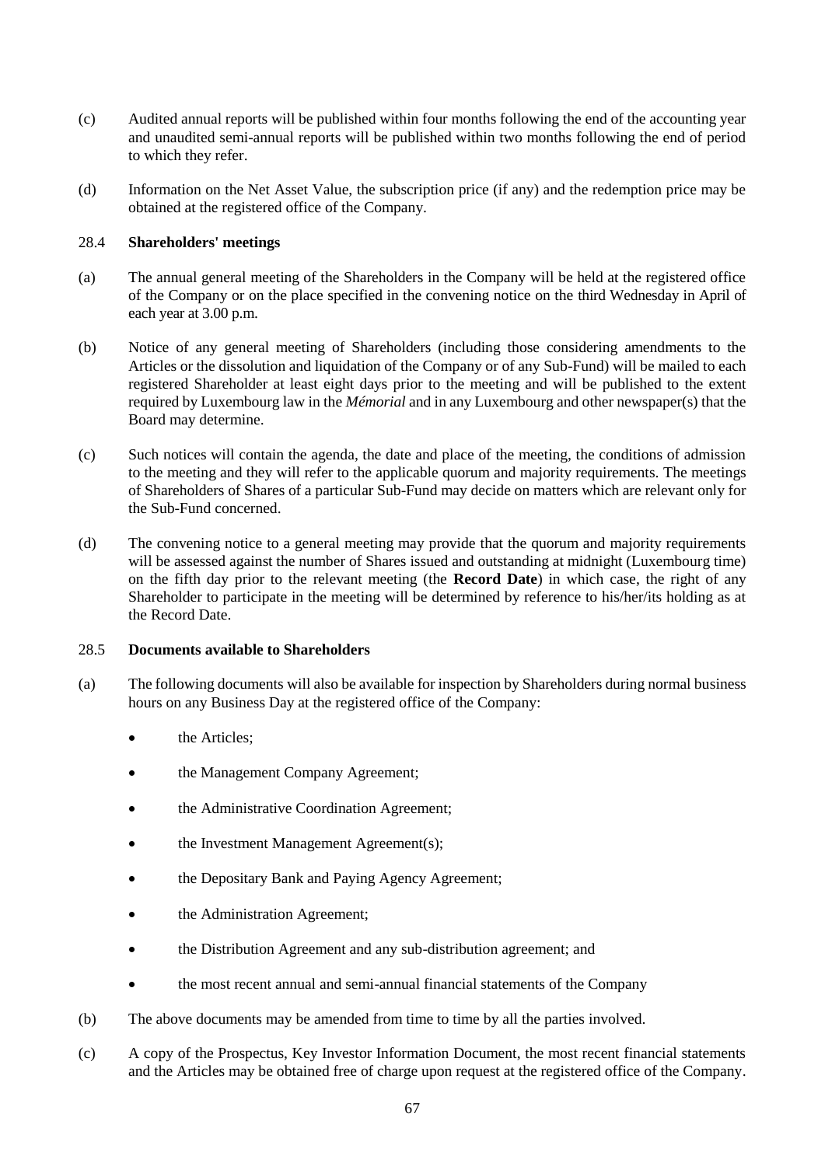- (c) Audited annual reports will be published within four months following the end of the accounting year and unaudited semi-annual reports will be published within two months following the end of period to which they refer.
- (d) Information on the Net Asset Value, the subscription price (if any) and the redemption price may be obtained at the registered office of the Company.

## 28.4 **Shareholders' meetings**

- (a) The annual general meeting of the Shareholders in the Company will be held at the registered office of the Company or on the place specified in the convening notice on the third Wednesday in April of each year at 3.00 p.m.
- (b) Notice of any general meeting of Shareholders (including those considering amendments to the Articles or the dissolution and liquidation of the Company or of any Sub-Fund) will be mailed to each registered Shareholder at least eight days prior to the meeting and will be published to the extent required by Luxembourg law in the *Mémorial* and in any Luxembourg and other newspaper(s) that the Board may determine.
- (c) Such notices will contain the agenda, the date and place of the meeting, the conditions of admission to the meeting and they will refer to the applicable quorum and majority requirements. The meetings of Shareholders of Shares of a particular Sub-Fund may decide on matters which are relevant only for the Sub-Fund concerned.
- (d) The convening notice to a general meeting may provide that the quorum and majority requirements will be assessed against the number of Shares issued and outstanding at midnight (Luxembourg time) on the fifth day prior to the relevant meeting (the **Record Date**) in which case, the right of any Shareholder to participate in the meeting will be determined by reference to his/her/its holding as at the Record Date.

### 28.5 **Documents available to Shareholders**

- (a) The following documents will also be available for inspection by Shareholders during normal business hours on any Business Day at the registered office of the Company:
	- the Articles;
	- the Management Company Agreement;
	- the Administrative Coordination Agreement;
	- the Investment Management Agreement(s);
	- the Depositary Bank and Paying Agency Agreement;
	- the Administration Agreement;
	- the Distribution Agreement and any sub-distribution agreement; and
	- the most recent annual and semi-annual financial statements of the Company
- (b) The above documents may be amended from time to time by all the parties involved.
- (c) A copy of the Prospectus, Key Investor Information Document, the most recent financial statements and the Articles may be obtained free of charge upon request at the registered office of the Company.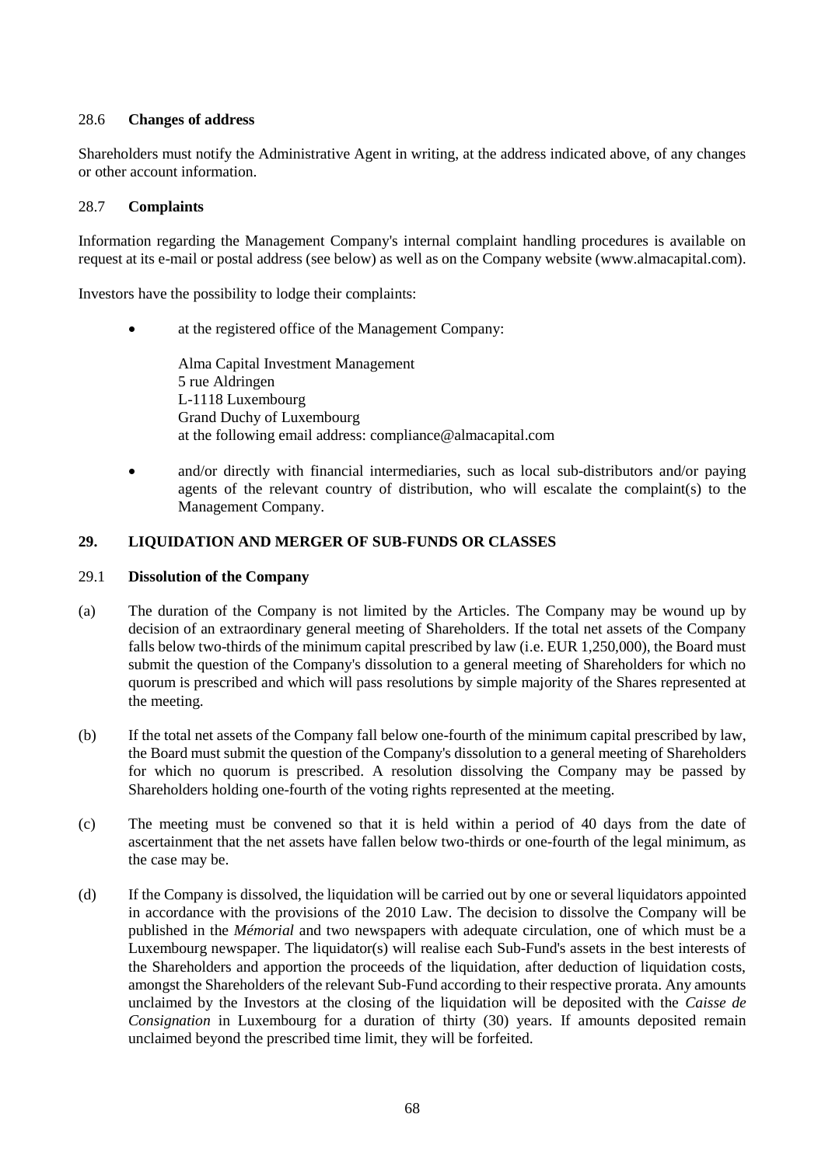# 28.6 **Changes of address**

Shareholders must notify the Administrative Agent in writing, at the address indicated above, of any changes or other account information.

# 28.7 **Complaints**

Information regarding the Management Company's internal complaint handling procedures is available on request at its e-mail or postal address (see below) as well as on the Company website (www.almacapital.com).

Investors have the possibility to lodge their complaints:

at the registered office of the Management Company:

Alma Capital Investment Management 5 rue Aldringen L-1118 Luxembourg Grand Duchy of Luxembourg at the following email address: compliance@almacapital.com

• and/or directly with financial intermediaries, such as local sub-distributors and/or paying agents of the relevant country of distribution, who will escalate the complaint(s) to the Management Company.

# **29. LIQUIDATION AND MERGER OF SUB-FUNDS OR CLASSES**

## 29.1 **Dissolution of the Company**

- (a) The duration of the Company is not limited by the Articles. The Company may be wound up by decision of an extraordinary general meeting of Shareholders. If the total net assets of the Company falls below two-thirds of the minimum capital prescribed by law (i.e. EUR 1,250,000), the Board must submit the question of the Company's dissolution to a general meeting of Shareholders for which no quorum is prescribed and which will pass resolutions by simple majority of the Shares represented at the meeting.
- (b) If the total net assets of the Company fall below one-fourth of the minimum capital prescribed by law, the Board must submit the question of the Company's dissolution to a general meeting of Shareholders for which no quorum is prescribed. A resolution dissolving the Company may be passed by Shareholders holding one-fourth of the voting rights represented at the meeting.
- (c) The meeting must be convened so that it is held within a period of 40 days from the date of ascertainment that the net assets have fallen below two-thirds or one-fourth of the legal minimum, as the case may be.
- <span id="page-67-0"></span>(d) If the Company is dissolved, the liquidation will be carried out by one or several liquidators appointed in accordance with the provisions of the 2010 Law. The decision to dissolve the Company will be published in the *Mémorial* and two newspapers with adequate circulation, one of which must be a Luxembourg newspaper. The liquidator(s) will realise each Sub-Fund's assets in the best interests of the Shareholders and apportion the proceeds of the liquidation, after deduction of liquidation costs, amongst the Shareholders of the relevant Sub-Fund according to their respective prorata. Any amounts unclaimed by the Investors at the closing of the liquidation will be deposited with the *Caisse de Consignation* in Luxembourg for a duration of thirty (30) years. If amounts deposited remain unclaimed beyond the prescribed time limit, they will be forfeited.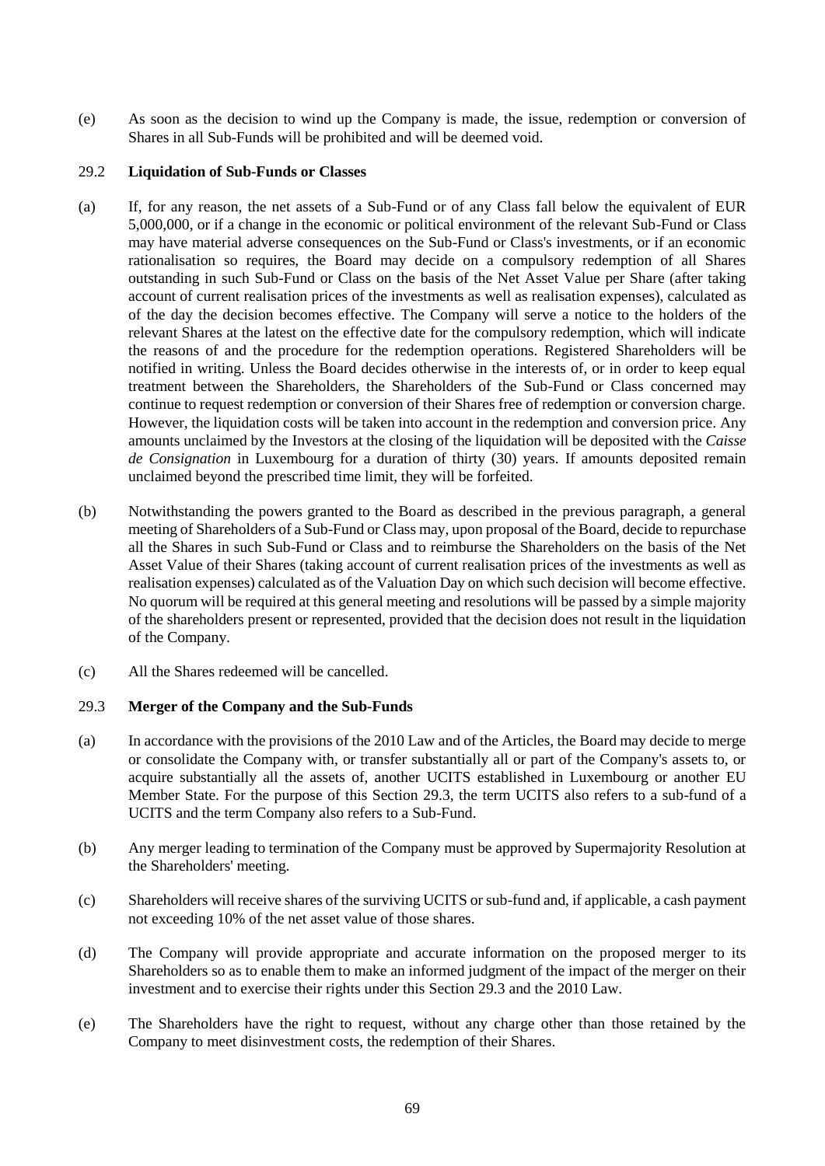(e) As soon as the decision to wind up the Company is made, the issue, redemption or conversion of Shares in all Sub-Funds will be prohibited and will be deemed void.

## <span id="page-68-1"></span>29.2 **Liquidation of Sub-Funds or Classes**

- (a) If, for any reason, the net assets of a Sub-Fund or of any Class fall below the equivalent of EUR 5,000,000, or if a change in the economic or political environment of the relevant Sub-Fund or Class may have material adverse consequences on the Sub-Fund or Class's investments, or if an economic rationalisation so requires, the Board may decide on a compulsory redemption of all Shares outstanding in such Sub-Fund or Class on the basis of the Net Asset Value per Share (after taking account of current realisation prices of the investments as well as realisation expenses), calculated as of the day the decision becomes effective. The Company will serve a notice to the holders of the relevant Shares at the latest on the effective date for the compulsory redemption, which will indicate the reasons of and the procedure for the redemption operations. Registered Shareholders will be notified in writing. Unless the Board decides otherwise in the interests of, or in order to keep equal treatment between the Shareholders, the Shareholders of the Sub-Fund or Class concerned may continue to request redemption or conversion of their Shares free of redemption or conversion charge. However, the liquidation costs will be taken into account in the redemption and conversion price. Any amounts unclaimed by the Investors at the closing of the liquidation will be deposited with the *Caisse de Consignation* in Luxembourg for a duration of thirty (30) years. If amounts deposited remain unclaimed beyond the prescribed time limit, they will be forfeited.
- (b) Notwithstanding the powers granted to the Board as described in the previous paragraph, a general meeting of Shareholders of a Sub-Fund or Class may, upon proposal of the Board, decide to repurchase all the Shares in such Sub-Fund or Class and to reimburse the Shareholders on the basis of the Net Asset Value of their Shares (taking account of current realisation prices of the investments as well as realisation expenses) calculated as of the Valuation Day on which such decision will become effective. No quorum will be required at this general meeting and resolutions will be passed by a simple majority of the shareholders present or represented, provided that the decision does not result in the liquidation of the Company.
- <span id="page-68-0"></span>(c) All the Shares redeemed will be cancelled.

### 29.3 **Merger of the Company and the Sub-Funds**

- (a) In accordance with the provisions of the 2010 Law and of the Articles, the Board may decide to merge or consolidate the Company with, or transfer substantially all or part of the Company's assets to, or acquire substantially all the assets of, another UCITS established in Luxembourg or another EU Member State. For the purpose of this Section [29.3,](#page-68-0) the term UCITS also refers to a sub-fund of a UCITS and the term Company also refers to a Sub-Fund.
- (b) Any merger leading to termination of the Company must be approved by Supermajority Resolution at the Shareholders' meeting.
- (c) Shareholders will receive shares of the surviving UCITS or sub-fund and, if applicable, a cash payment not exceeding 10% of the net asset value of those shares.
- (d) The Company will provide appropriate and accurate information on the proposed merger to its Shareholders so as to enable them to make an informed judgment of the impact of the merger on their investment and to exercise their rights under this Section 29.3 and the 2010 Law.
- (e) The Shareholders have the right to request, without any charge other than those retained by the Company to meet disinvestment costs, the redemption of their Shares.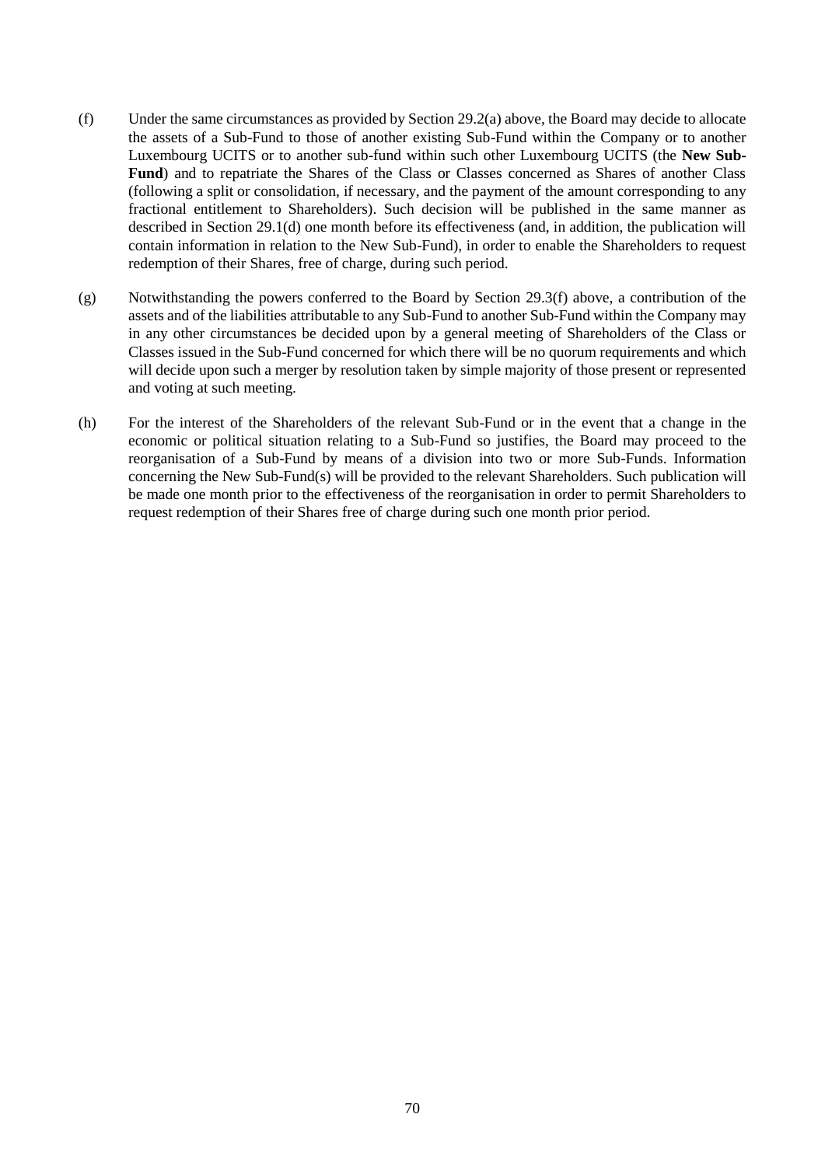- <span id="page-69-0"></span>(f) Under the same circumstances as provided by Section [29.2\(a\)](#page-68-1) above, the Board may decide to allocate the assets of a Sub-Fund to those of another existing Sub-Fund within the Company or to another Luxembourg UCITS or to another sub-fund within such other Luxembourg UCITS (the **New Sub-Fund**) and to repatriate the Shares of the Class or Classes concerned as Shares of another Class (following a split or consolidation, if necessary, and the payment of the amount corresponding to any fractional entitlement to Shareholders). Such decision will be published in the same manner as described in Section [29.1\(d\)](#page-67-0) one month before its effectiveness (and, in addition, the publication will contain information in relation to the New Sub-Fund), in order to enable the Shareholders to request redemption of their Shares, free of charge, during such period.
- (g) Notwithstanding the powers conferred to the Board by Section [29.3\(f\)](#page-69-0) above, a contribution of the assets and of the liabilities attributable to any Sub-Fund to another Sub-Fund within the Company may in any other circumstances be decided upon by a general meeting of Shareholders of the Class or Classes issued in the Sub-Fund concerned for which there will be no quorum requirements and which will decide upon such a merger by resolution taken by simple majority of those present or represented and voting at such meeting.
- (h) For the interest of the Shareholders of the relevant Sub-Fund or in the event that a change in the economic or political situation relating to a Sub-Fund so justifies, the Board may proceed to the reorganisation of a Sub-Fund by means of a division into two or more Sub-Funds. Information concerning the New Sub-Fund(s) will be provided to the relevant Shareholders. Such publication will be made one month prior to the effectiveness of the reorganisation in order to permit Shareholders to request redemption of their Shares free of charge during such one month prior period.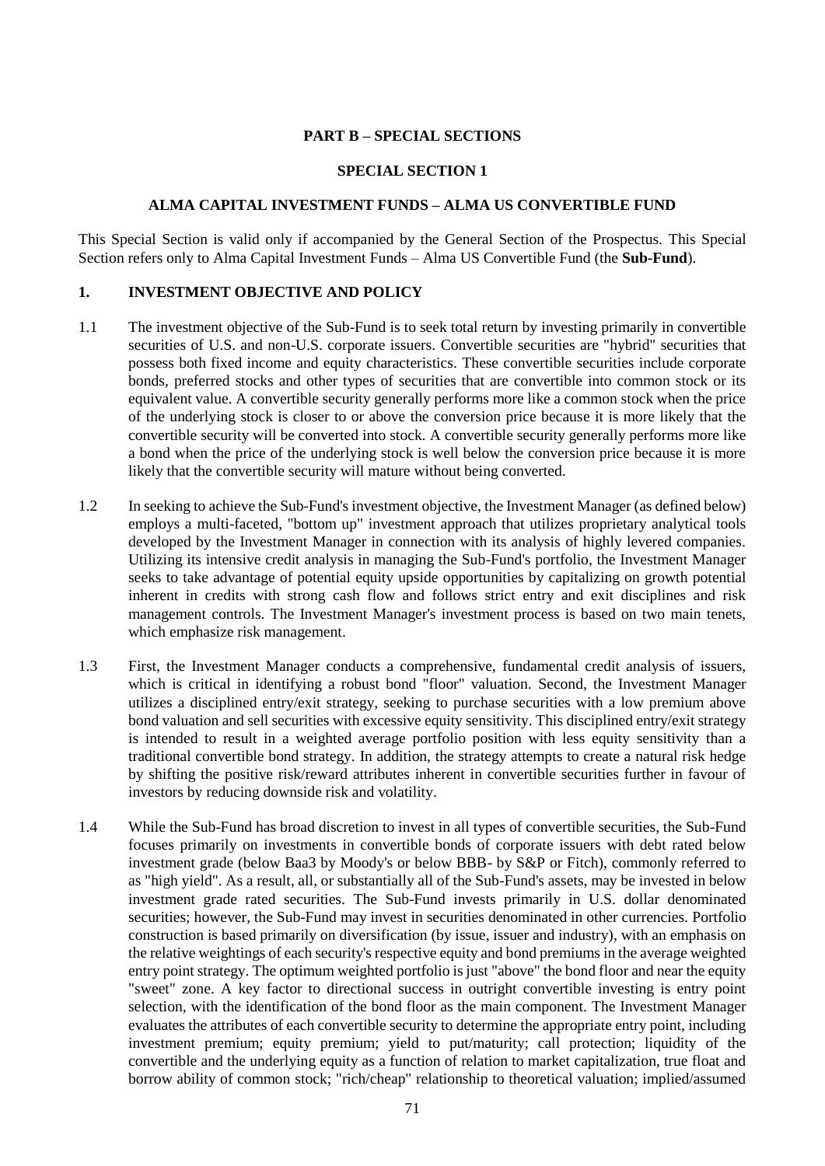## **PART B – SPECIAL SECTIONS**

#### **SPECIAL SECTION 1**

#### **ALMA CAPITAL INVESTMENT FUNDS – ALMA US CONVERTIBLE FUND**

This Special Section is valid only if accompanied by the General Section of the Prospectus. This Special Section refers only to Alma Capital Investment Funds – Alma US Convertible Fund (the **Sub-Fund**).

#### **1. INVESTMENT OBJECTIVE AND POLICY**

- 1.1 The investment objective of the Sub-Fund is to seek total return by investing primarily in convertible securities of U.S. and non-U.S. corporate issuers. Convertible securities are "hybrid" securities that possess both fixed income and equity characteristics. These convertible securities include corporate bonds, preferred stocks and other types of securities that are convertible into common stock or its equivalent value. A convertible security generally performs more like a common stock when the price of the underlying stock is closer to or above the conversion price because it is more likely that the convertible security will be converted into stock. A convertible security generally performs more like a bond when the price of the underlying stock is well below the conversion price because it is more likely that the convertible security will mature without being converted.
- 1.2 In seeking to achieve the Sub-Fund's investment objective, the Investment Manager (as defined below) employs a multi-faceted, "bottom up" investment approach that utilizes proprietary analytical tools developed by the Investment Manager in connection with its analysis of highly levered companies. Utilizing its intensive credit analysis in managing the Sub-Fund's portfolio, the Investment Manager seeks to take advantage of potential equity upside opportunities by capitalizing on growth potential inherent in credits with strong cash flow and follows strict entry and exit disciplines and risk management controls. The Investment Manager's investment process is based on two main tenets, which emphasize risk management.
- 1.3 First, the Investment Manager conducts a comprehensive, fundamental credit analysis of issuers, which is critical in identifying a robust bond "floor" valuation. Second, the Investment Manager utilizes a disciplined entry/exit strategy, seeking to purchase securities with a low premium above bond valuation and sell securities with excessive equity sensitivity. This disciplined entry/exit strategy is intended to result in a weighted average portfolio position with less equity sensitivity than a traditional convertible bond strategy. In addition, the strategy attempts to create a natural risk hedge by shifting the positive risk/reward attributes inherent in convertible securities further in favour of investors by reducing downside risk and volatility.
- 1.4 While the Sub-Fund has broad discretion to invest in all types of convertible securities, the Sub-Fund focuses primarily on investments in convertible bonds of corporate issuers with debt rated below investment grade (below Baa3 by Moody's or below BBB- by S&P or Fitch), commonly referred to as "high yield". As a result, all, or substantially all of the Sub-Fund's assets, may be invested in below investment grade rated securities. The Sub-Fund invests primarily in U.S. dollar denominated securities; however, the Sub-Fund may invest in securities denominated in other currencies. Portfolio construction is based primarily on diversification (by issue, issuer and industry), with an emphasis on the relative weightings of each security's respective equity and bond premiums in the average weighted entry point strategy. The optimum weighted portfolio is just "above" the bond floor and near the equity "sweet" zone. A key factor to directional success in outright convertible investing is entry point selection, with the identification of the bond floor as the main component. The Investment Manager evaluates the attributes of each convertible security to determine the appropriate entry point, including investment premium; equity premium; yield to put/maturity; call protection; liquidity of the convertible and the underlying equity as a function of relation to market capitalization, true float and borrow ability of common stock; "rich/cheap" relationship to theoretical valuation; implied/assumed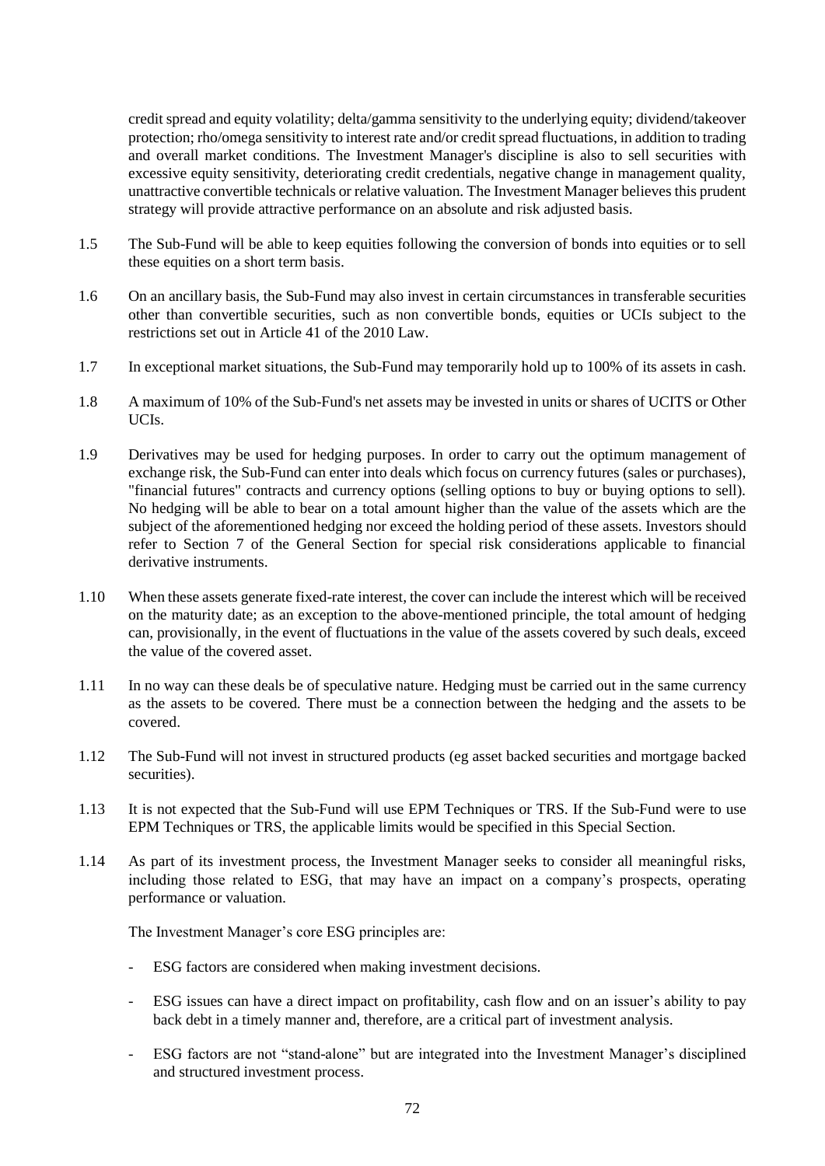credit spread and equity volatility; delta/gamma sensitivity to the underlying equity; dividend/takeover protection; rho/omega sensitivity to interest rate and/or credit spread fluctuations, in addition to trading and overall market conditions. The Investment Manager's discipline is also to sell securities with excessive equity sensitivity, deteriorating credit credentials, negative change in management quality, unattractive convertible technicals or relative valuation. The Investment Manager believes this prudent strategy will provide attractive performance on an absolute and risk adjusted basis.

- 1.5 The Sub-Fund will be able to keep equities following the conversion of bonds into equities or to sell these equities on a short term basis.
- 1.6 On an ancillary basis, the Sub-Fund may also invest in certain circumstances in transferable securities other than convertible securities, such as non convertible bonds, equities or UCIs subject to the restrictions set out in Article 41 of the 2010 Law.
- 1.7 In exceptional market situations, the Sub-Fund may temporarily hold up to 100% of its assets in cash.
- 1.8 A maximum of 10% of the Sub-Fund's net assets may be invested in units or shares of UCITS or Other UCIs.
- 1.9 Derivatives may be used for hedging purposes. In order to carry out the optimum management of exchange risk, the Sub-Fund can enter into deals which focus on currency futures (sales or purchases), "financial futures" contracts and currency options (selling options to buy or buying options to sell). No hedging will be able to bear on a total amount higher than the value of the assets which are the subject of the aforementioned hedging nor exceed the holding period of these assets. Investors should refer to Section [7](#page-32-0) of the General Section for special risk considerations applicable to financial derivative instruments.
- 1.10 When these assets generate fixed-rate interest, the cover can include the interest which will be received on the maturity date; as an exception to the above-mentioned principle, the total amount of hedging can, provisionally, in the event of fluctuations in the value of the assets covered by such deals, exceed the value of the covered asset.
- 1.11 In no way can these deals be of speculative nature. Hedging must be carried out in the same currency as the assets to be covered. There must be a connection between the hedging and the assets to be covered.
- 1.12 The Sub-Fund will not invest in structured products (eg asset backed securities and mortgage backed securities).
- 1.13 It is not expected that the Sub-Fund will use EPM Techniques or TRS. If the Sub-Fund were to use EPM Techniques or TRS, the applicable limits would be specified in this Special Section.
- 1.14 As part of its investment process, the Investment Manager seeks to consider all meaningful risks, including those related to ESG, that may have an impact on a company's prospects, operating performance or valuation.

The Investment Manager's core ESG principles are:

- ESG factors are considered when making investment decisions.
- ESG issues can have a direct impact on profitability, cash flow and on an issuer's ability to pay back debt in a timely manner and, therefore, are a critical part of investment analysis.
- ESG factors are not "stand-alone" but are integrated into the Investment Manager's disciplined and structured investment process.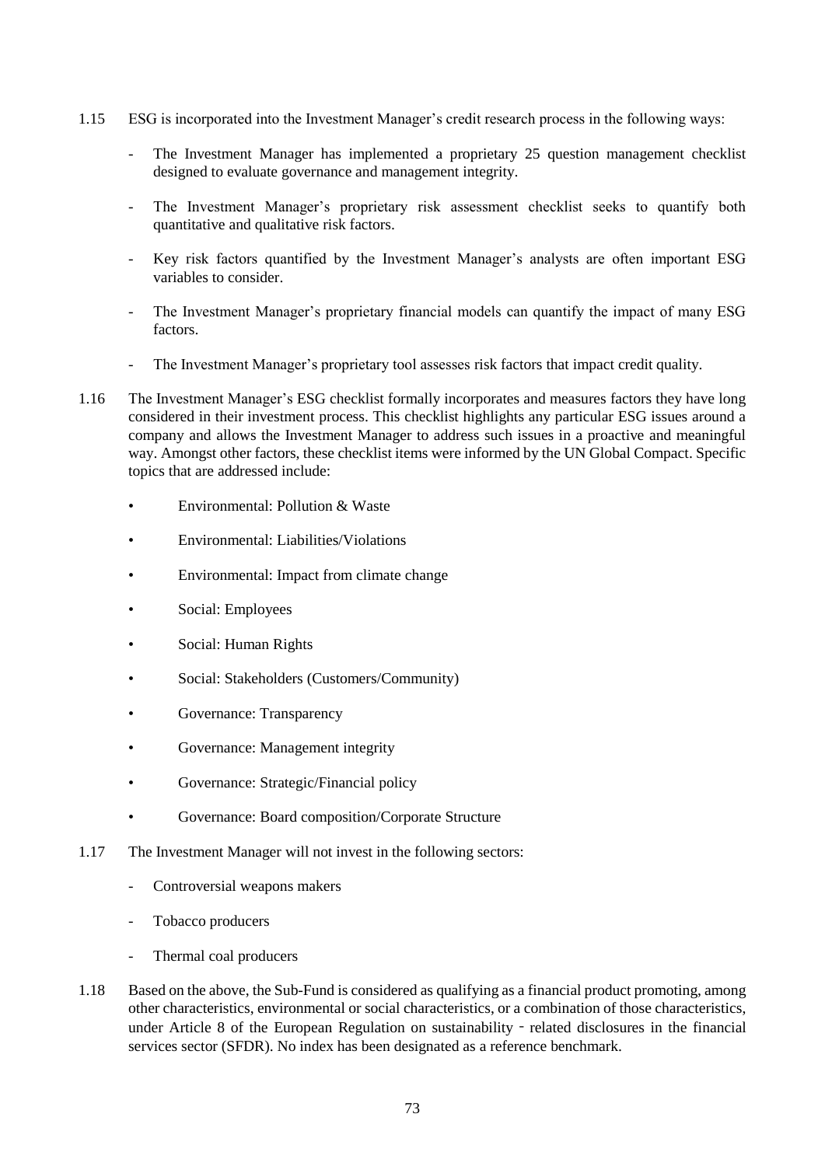- 1.15 ESG is incorporated into the Investment Manager's credit research process in the following ways:
	- The Investment Manager has implemented a proprietary 25 question management checklist designed to evaluate governance and management integrity.
	- The Investment Manager's proprietary risk assessment checklist seeks to quantify both quantitative and qualitative risk factors.
	- Key risk factors quantified by the Investment Manager's analysts are often important ESG variables to consider.
	- The Investment Manager's proprietary financial models can quantify the impact of many ESG factors.
	- The Investment Manager's proprietary tool assesses risk factors that impact credit quality.
- 1.16 The Investment Manager's ESG checklist formally incorporates and measures factors they have long considered in their investment process. This checklist highlights any particular ESG issues around a company and allows the Investment Manager to address such issues in a proactive and meaningful way. Amongst other factors, these checklist items were informed by the UN Global Compact. Specific topics that are addressed include:
	- Environmental: Pollution & Waste
	- Environmental: Liabilities/Violations
	- Environmental: Impact from climate change
	- Social: Employees
	- Social: Human Rights
	- Social: Stakeholders (Customers/Community)
	- Governance: Transparency
	- Governance: Management integrity
	- Governance: Strategic/Financial policy
	- Governance: Board composition/Corporate Structure
- 1.17 The Investment Manager will not invest in the following sectors:
	- Controversial weapons makers
	- Tobacco producers
	- Thermal coal producers
- 1.18 Based on the above, the Sub-Fund is considered as qualifying as a financial product promoting, among other characteristics, environmental or social characteristics, or a combination of those characteristics, under Article 8 of the European Regulation on sustainability - related disclosures in the financial services sector (SFDR). No index has been designated as a reference benchmark.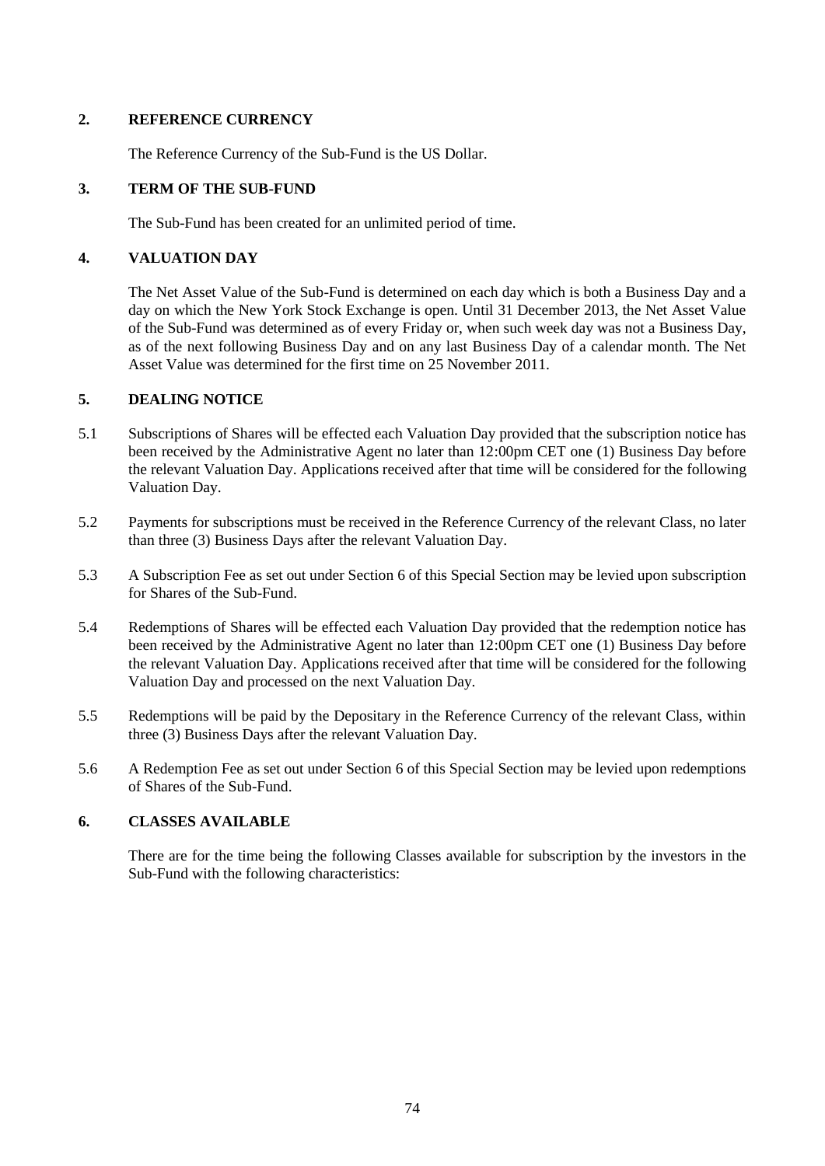## **2. REFERENCE CURRENCY**

The Reference Currency of the Sub-Fund is the US Dollar.

### **3. TERM OF THE SUB-FUND**

The Sub-Fund has been created for an unlimited period of time.

### **4. VALUATION DAY**

The Net Asset Value of the Sub-Fund is determined on each day which is both a Business Day and a day on which the New York Stock Exchange is open. Until 31 December 2013, the Net Asset Value of the Sub-Fund was determined as of every Friday or, when such week day was not a Business Day, as of the next following Business Day and on any last Business Day of a calendar month. The Net Asset Value was determined for the first time on 25 November 2011.

### **5. DEALING NOTICE**

- 5.1 Subscriptions of Shares will be effected each Valuation Day provided that the subscription notice has been received by the Administrative Agent no later than 12:00pm CET one (1) Business Day before the relevant Valuation Day. Applications received after that time will be considered for the following Valuation Day.
- 5.2 Payments for subscriptions must be received in the Reference Currency of the relevant Class, no later than three (3) Business Days after the relevant Valuation Day.
- 5.3 A Subscription Fee as set out under Section [6](#page-73-0) of this Special Section may be levied upon subscription for Shares of the Sub-Fund.
- 5.4 Redemptions of Shares will be effected each Valuation Day provided that the redemption notice has been received by the Administrative Agent no later than 12:00pm CET one (1) Business Day before the relevant Valuation Day. Applications received after that time will be considered for the following Valuation Day and processed on the next Valuation Day.
- 5.5 Redemptions will be paid by the Depositary in the Reference Currency of the relevant Class, within three (3) Business Days after the relevant Valuation Day.
- 5.6 A Redemption Fee as set out under Section [6](#page-73-0) of this Special Section may be levied upon redemptions of Shares of the Sub-Fund.

## <span id="page-73-0"></span>**6. CLASSES AVAILABLE**

There are for the time being the following Classes available for subscription by the investors in the Sub-Fund with the following characteristics: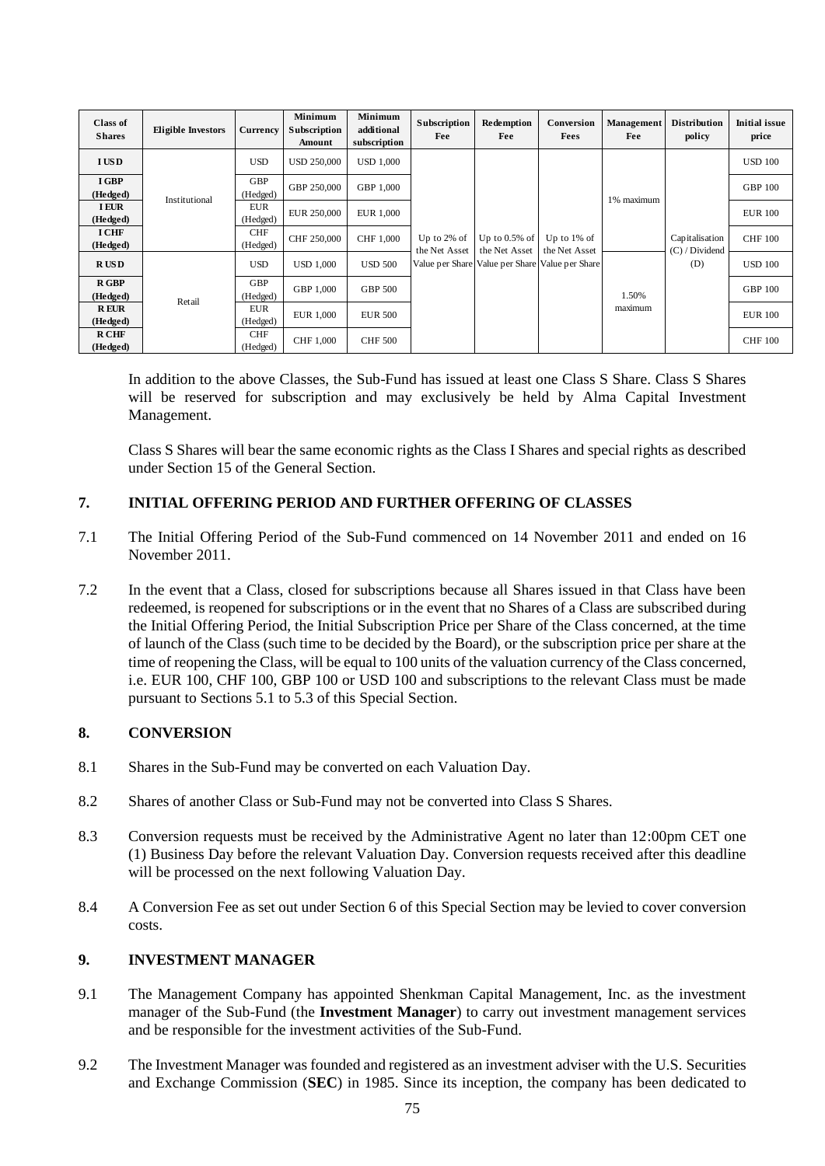| <b>Class of</b><br><b>Shares</b> | <b>Eligible Investors</b> | <b>Currency</b>        | <b>Minimum</b><br><b>Subscription</b><br>Amount | <b>Minimum</b><br>additional<br>subscription | Subscription<br>Fee             | Redemption<br>Fee                 | Conversion<br><b>Fees</b>                                                          | Management<br>Fee | <b>Distribution</b><br>policy      | <b>Initial issue</b><br>price |
|----------------------------------|---------------------------|------------------------|-------------------------------------------------|----------------------------------------------|---------------------------------|-----------------------------------|------------------------------------------------------------------------------------|-------------------|------------------------------------|-------------------------------|
| <b>IUSD</b>                      |                           | <b>USD</b>             | <b>USD 250,000</b>                              | <b>USD 1,000</b>                             |                                 |                                   |                                                                                    |                   |                                    | <b>USD 100</b>                |
| I GBP<br>(Hedged)                | Institutional             | GBP<br>(Hedged)        | GBP 250,000                                     | GBP 1,000                                    | Up to $2\%$ of<br>the Net Asset |                                   | Up to $1\%$ of<br>the Net Asset<br>Value per Share Value per Share Value per Share | 1% maximum        | Capitalisation<br>$(C)$ / Dividend | <b>GBP 100</b>                |
| <b>I EUR</b><br>(Hedged)         |                           | <b>EUR</b><br>(Hedged) | EUR 250,000                                     | EUR 1,000                                    |                                 |                                   |                                                                                    |                   |                                    | <b>EUR 100</b>                |
| <b>I CHF</b><br>(Hedged)         |                           | <b>CHF</b><br>(Hedged) | CHF 250,000                                     | CHF 1,000                                    |                                 | Up to $0.5\%$ of<br>the Net Asset |                                                                                    |                   |                                    | <b>CHF 100</b>                |
| <b>RUSD</b>                      | Retail                    | <b>USD</b>             | <b>USD 1.000</b>                                | <b>USD 500</b>                               |                                 |                                   |                                                                                    |                   | (D)                                | <b>USD 100</b>                |
| <b>R</b> GBP<br>(Hedged)         |                           | GBP<br>(Hedged)        | GBP 1.000                                       | <b>GBP 500</b>                               |                                 |                                   |                                                                                    | 1.50%             |                                    | <b>GBP 100</b>                |
| <b>REUR</b><br>(Hedged)          |                           | <b>EUR</b><br>(Hedged) | <b>EUR 1,000</b>                                | <b>EUR 500</b>                               |                                 |                                   |                                                                                    | maximum           |                                    | <b>EUR 100</b>                |
| R CHF<br>(Hedged)                |                           | <b>CHF</b><br>(Hedged) | <b>CHF 1,000</b>                                | <b>CHF 500</b>                               |                                 |                                   |                                                                                    |                   |                                    | <b>CHF 100</b>                |

In addition to the above Classes, the Sub-Fund has issued at least one Class S Share. Class S Shares will be reserved for subscription and may exclusively be held by Alma Capital Investment Management.

Class S Shares will bear the same economic rights as the Class I Shares and special rights as described under Section 15 of the General Section.

# **7. INITIAL OFFERING PERIOD AND FURTHER OFFERING OF CLASSES**

- 7.1 The Initial Offering Period of the Sub-Fund commenced on 14 November 2011 and ended on 16 November 2011.
- 7.2 In the event that a Class, closed for subscriptions because all Shares issued in that Class have been redeemed, is reopened for subscriptions or in the event that no Shares of a Class are subscribed during the Initial Offering Period, the Initial Subscription Price per Share of the Class concerned, at the time of launch of the Class (such time to be decided by the Board), or the subscription price per share at the time of reopening the Class, will be equal to 100 units of the valuation currency of the Class concerned, i.e. EUR 100, CHF 100, GBP 100 or USD 100 and subscriptions to the relevant Class must be made pursuant to Sections 5.1 to 5.3 of this Special Section.

## **8. CONVERSION**

- 8.1 Shares in the Sub-Fund may be converted on each Valuation Day.
- 8.2 Shares of another Class or Sub-Fund may not be converted into Class S Shares.
- 8.3 Conversion requests must be received by the Administrative Agent no later than 12:00pm CET one (1) Business Day before the relevant Valuation Day. Conversion requests received after this deadline will be processed on the next following Valuation Day.
- 8.4 A Conversion Fee as set out under Sectio[n 6](#page-73-0) of this Special Section may be levied to cover conversion costs.

#### **9. INVESTMENT MANAGER**

- 9.1 The Management Company has appointed Shenkman Capital Management, Inc. as the investment manager of the Sub-Fund (the **Investment Manager**) to carry out investment management services and be responsible for the investment activities of the Sub-Fund.
- 9.2 The Investment Manager was founded and registered as an investment adviser with the U.S. Securities and Exchange Commission (**SEC**) in 1985. Since its inception, the company has been dedicated to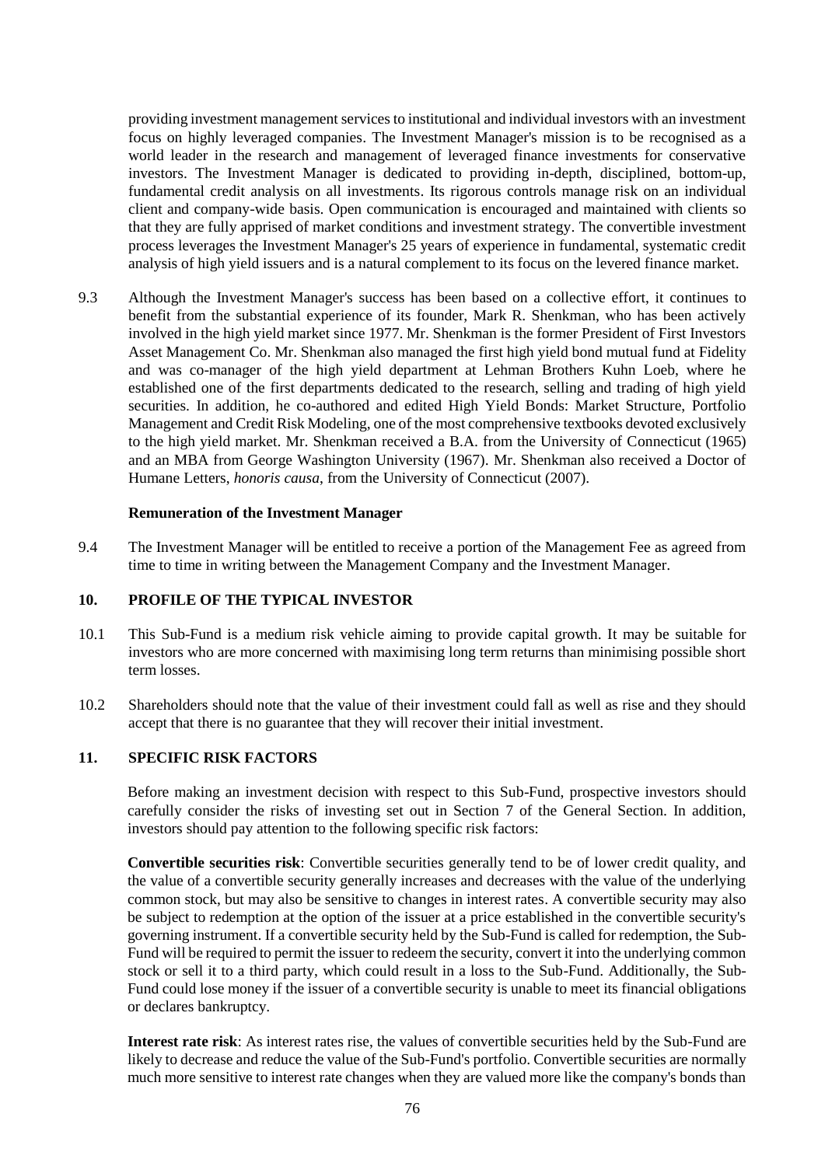providing investment management services to institutional and individual investors with an investment focus on highly leveraged companies. The Investment Manager's mission is to be recognised as a world leader in the research and management of leveraged finance investments for conservative investors. The Investment Manager is dedicated to providing in-depth, disciplined, bottom-up, fundamental credit analysis on all investments. Its rigorous controls manage risk on an individual client and company-wide basis. Open communication is encouraged and maintained with clients so that they are fully apprised of market conditions and investment strategy. The convertible investment process leverages the Investment Manager's 25 years of experience in fundamental, systematic credit analysis of high yield issuers and is a natural complement to its focus on the levered finance market.

9.3 Although the Investment Manager's success has been based on a collective effort, it continues to benefit from the substantial experience of its founder, Mark R. Shenkman, who has been actively involved in the high yield market since 1977. Mr. Shenkman is the former President of First Investors Asset Management Co. Mr. Shenkman also managed the first high yield bond mutual fund at Fidelity and was co-manager of the high yield department at Lehman Brothers Kuhn Loeb, where he established one of the first departments dedicated to the research, selling and trading of high yield securities. In addition, he co-authored and edited High Yield Bonds: Market Structure, Portfolio Management and Credit Risk Modeling, one of the most comprehensive textbooks devoted exclusively to the high yield market. Mr. Shenkman received a B.A. from the University of Connecticut (1965) and an MBA from George Washington University (1967). Mr. Shenkman also received a Doctor of Humane Letters, *honoris causa*, from the University of Connecticut (2007).

#### **Remuneration of the Investment Manager**

9.4 The Investment Manager will be entitled to receive a portion of the Management Fee as agreed from time to time in writing between the Management Company and the Investment Manager.

## **10. PROFILE OF THE TYPICAL INVESTOR**

- 10.1 This Sub-Fund is a medium risk vehicle aiming to provide capital growth. It may be suitable for investors who are more concerned with maximising long term returns than minimising possible short term losses.
- 10.2 Shareholders should note that the value of their investment could fall as well as rise and they should accept that there is no guarantee that they will recover their initial investment.

### **11. SPECIFIC RISK FACTORS**

Before making an investment decision with respect to this Sub-Fund, prospective investors should carefully consider the risks of investing set out in Section [7](#page-32-0) of the General Section. In addition, investors should pay attention to the following specific risk factors:

**Convertible securities risk**: Convertible securities generally tend to be of lower credit quality, and the value of a convertible security generally increases and decreases with the value of the underlying common stock, but may also be sensitive to changes in interest rates. A convertible security may also be subject to redemption at the option of the issuer at a price established in the convertible security's governing instrument. If a convertible security held by the Sub-Fund is called for redemption, the Sub-Fund will be required to permit the issuer to redeem the security, convert it into the underlying common stock or sell it to a third party, which could result in a loss to the Sub-Fund. Additionally, the Sub-Fund could lose money if the issuer of a convertible security is unable to meet its financial obligations or declares bankruptcy.

**Interest rate risk**: As interest rates rise, the values of convertible securities held by the Sub-Fund are likely to decrease and reduce the value of the Sub-Fund's portfolio. Convertible securities are normally much more sensitive to interest rate changes when they are valued more like the company's bonds than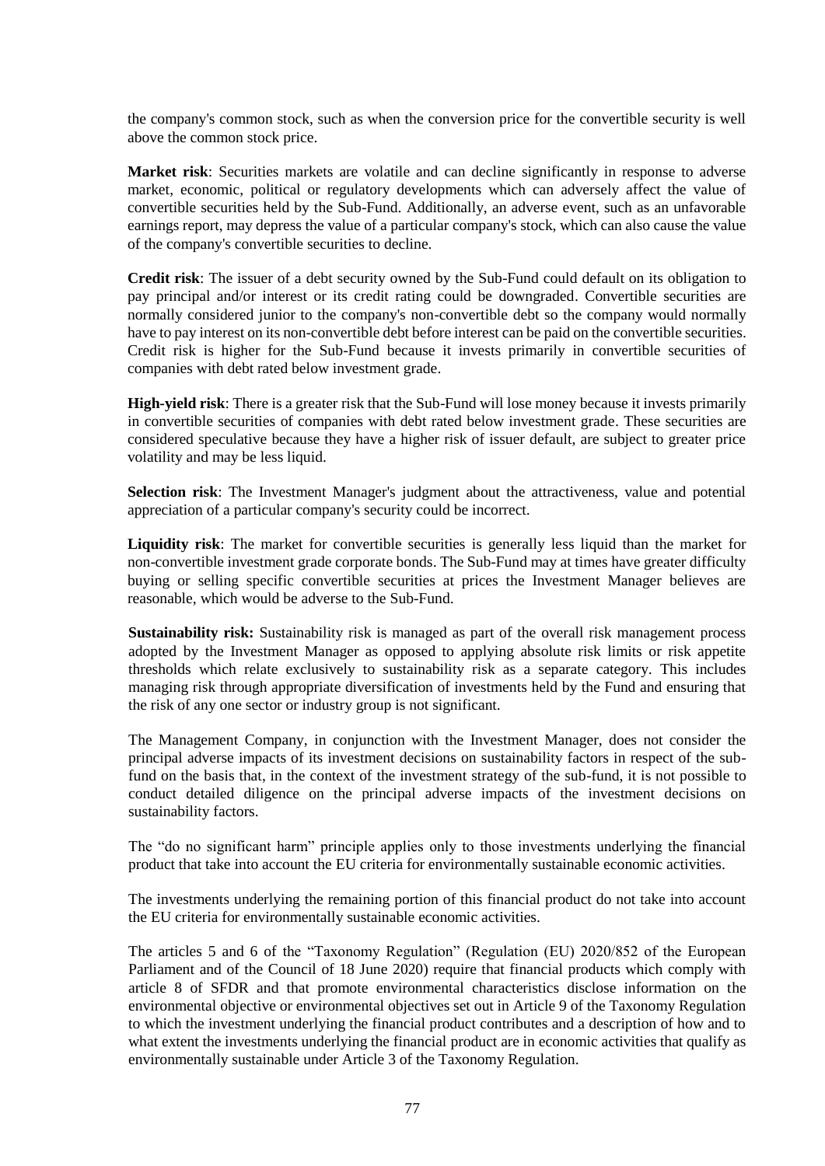the company's common stock, such as when the conversion price for the convertible security is well above the common stock price.

**Market risk**: Securities markets are volatile and can decline significantly in response to adverse market, economic, political or regulatory developments which can adversely affect the value of convertible securities held by the Sub-Fund. Additionally, an adverse event, such as an unfavorable earnings report, may depress the value of a particular company's stock, which can also cause the value of the company's convertible securities to decline.

**Credit risk**: The issuer of a debt security owned by the Sub-Fund could default on its obligation to pay principal and/or interest or its credit rating could be downgraded. Convertible securities are normally considered junior to the company's non-convertible debt so the company would normally have to pay interest on its non-convertible debt before interest can be paid on the convertible securities. Credit risk is higher for the Sub-Fund because it invests primarily in convertible securities of companies with debt rated below investment grade.

**High-yield risk**: There is a greater risk that the Sub-Fund will lose money because it invests primarily in convertible securities of companies with debt rated below investment grade. These securities are considered speculative because they have a higher risk of issuer default, are subject to greater price volatility and may be less liquid.

**Selection risk**: The Investment Manager's judgment about the attractiveness, value and potential appreciation of a particular company's security could be incorrect.

**Liquidity risk**: The market for convertible securities is generally less liquid than the market for non-convertible investment grade corporate bonds. The Sub-Fund may at times have greater difficulty buying or selling specific convertible securities at prices the Investment Manager believes are reasonable, which would be adverse to the Sub-Fund.

**Sustainability risk:** Sustainability risk is managed as part of the overall risk management process adopted by the Investment Manager as opposed to applying absolute risk limits or risk appetite thresholds which relate exclusively to sustainability risk as a separate category. This includes managing risk through appropriate diversification of investments held by the Fund and ensuring that the risk of any one sector or industry group is not significant.

The Management Company, in conjunction with the Investment Manager, does not consider the principal adverse impacts of its investment decisions on sustainability factors in respect of the subfund on the basis that, in the context of the investment strategy of the sub-fund, it is not possible to conduct detailed diligence on the principal adverse impacts of the investment decisions on sustainability factors.

The "do no significant harm" principle applies only to those investments underlying the financial product that take into account the EU criteria for environmentally sustainable economic activities.

The investments underlying the remaining portion of this financial product do not take into account the EU criteria for environmentally sustainable economic activities.

The articles 5 and 6 of the "Taxonomy Regulation" (Regulation (EU) 2020/852 of the European Parliament and of the Council of 18 June 2020) require that financial products which comply with article 8 of SFDR and that promote environmental characteristics disclose information on the environmental objective or environmental objectives set out in Article 9 of the Taxonomy Regulation to which the investment underlying the financial product contributes and a description of how and to what extent the investments underlying the financial product are in economic activities that qualify as environmentally sustainable under Article 3 of the Taxonomy Regulation.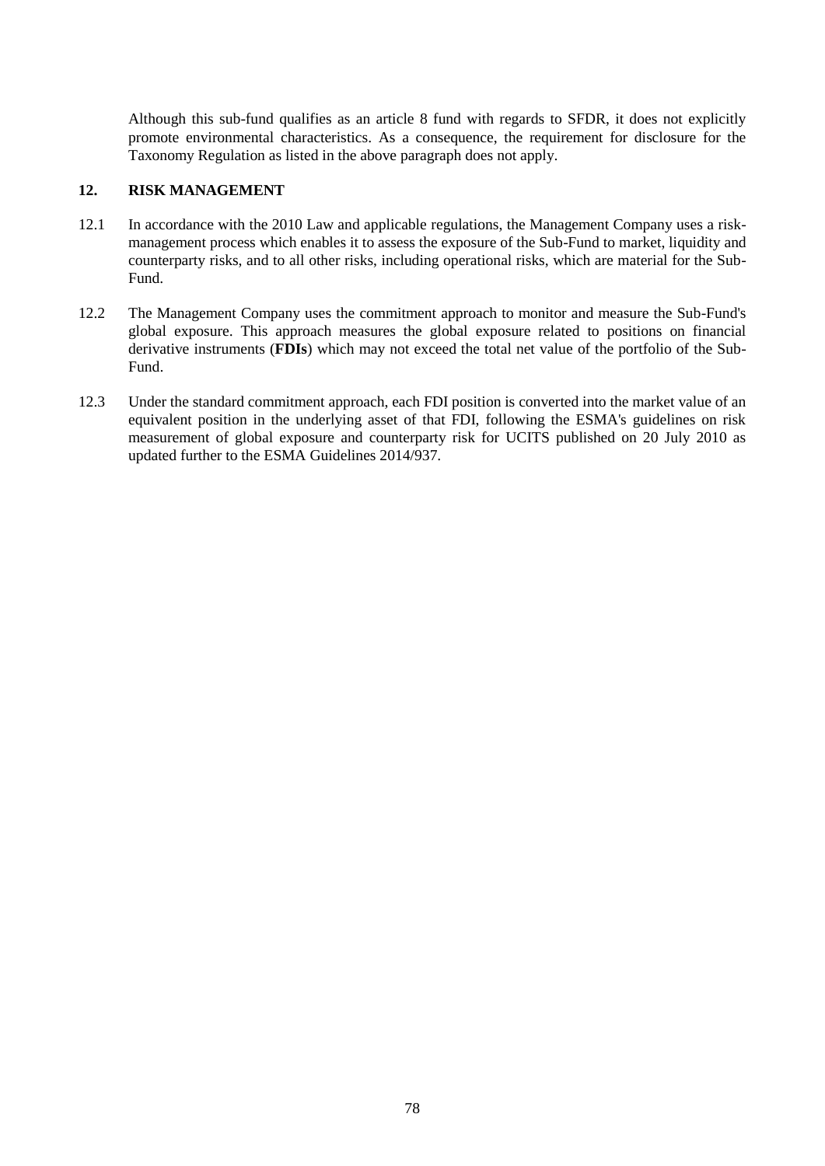Although this sub-fund qualifies as an article 8 fund with regards to SFDR, it does not explicitly promote environmental characteristics. As a consequence, the requirement for disclosure for the Taxonomy Regulation as listed in the above paragraph does not apply.

### **12. RISK MANAGEMENT**

- 12.1 In accordance with the 2010 Law and applicable regulations, the Management Company uses a riskmanagement process which enables it to assess the exposure of the Sub-Fund to market, liquidity and counterparty risks, and to all other risks, including operational risks, which are material for the Sub-Fund.
- 12.2 The Management Company uses the commitment approach to monitor and measure the Sub-Fund's global exposure. This approach measures the global exposure related to positions on financial derivative instruments (**FDIs**) which may not exceed the total net value of the portfolio of the Sub-Fund.
- 12.3 Under the standard commitment approach, each FDI position is converted into the market value of an equivalent position in the underlying asset of that FDI, following the ESMA's guidelines on risk measurement of global exposure and counterparty risk for UCITS published on 20 July 2010 as updated further to the ESMA Guidelines 2014/937.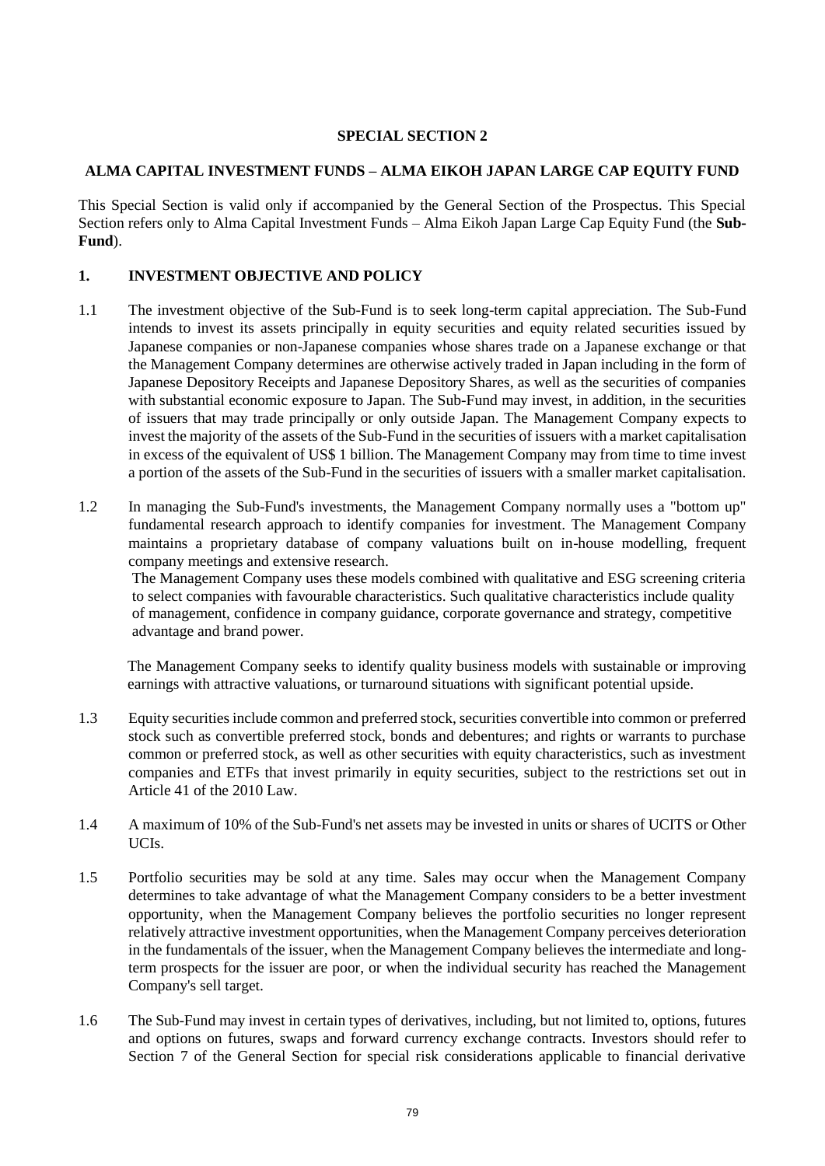## **SPECIAL SECTION 2**

#### **ALMA CAPITAL INVESTMENT FUNDS – ALMA EIKOH JAPAN LARGE CAP EQUITY FUND**

This Special Section is valid only if accompanied by the General Section of the Prospectus. This Special Section refers only to Alma Capital Investment Funds – Alma Eikoh Japan Large Cap Equity Fund (the **Sub-Fund**).

### **1. INVESTMENT OBJECTIVE AND POLICY**

- 1.1 The investment objective of the Sub-Fund is to seek long-term capital appreciation. The Sub-Fund intends to invest its assets principally in equity securities and equity related securities issued by Japanese companies or non-Japanese companies whose shares trade on a Japanese exchange or that the Management Company determines are otherwise actively traded in Japan including in the form of Japanese Depository Receipts and Japanese Depository Shares, as well as the securities of companies with substantial economic exposure to Japan. The Sub-Fund may invest, in addition, in the securities of issuers that may trade principally or only outside Japan. The Management Company expects to invest the majority of the assets of the Sub-Fund in the securities of issuers with a market capitalisation in excess of the equivalent of US\$ 1 billion. The Management Company may from time to time invest a portion of the assets of the Sub-Fund in the securities of issuers with a smaller market capitalisation.
- 1.2 In managing the Sub-Fund's investments, the Management Company normally uses a "bottom up" fundamental research approach to identify companies for investment. The Management Company maintains a proprietary database of company valuations built on in-house modelling, frequent company meetings and extensive research.

The Management Company uses these models combined with qualitative and ESG screening criteria to select companies with favourable characteristics. Such qualitative characteristics include quality of management, confidence in company guidance, corporate governance and strategy, competitive advantage and brand power.

The Management Company seeks to identify quality business models with sustainable or improving earnings with attractive valuations, or turnaround situations with significant potential upside.

- 1.3 Equity securities include common and preferred stock, securities convertible into common or preferred stock such as convertible preferred stock, bonds and debentures; and rights or warrants to purchase common or preferred stock, as well as other securities with equity characteristics, such as investment companies and ETFs that invest primarily in equity securities, subject to the restrictions set out in Article 41 of the 2010 Law.
- 1.4 A maximum of 10% of the Sub-Fund's net assets may be invested in units or shares of UCITS or Other UCIs.
- 1.5 Portfolio securities may be sold at any time. Sales may occur when the Management Company determines to take advantage of what the Management Company considers to be a better investment opportunity, when the Management Company believes the portfolio securities no longer represent relatively attractive investment opportunities, when the Management Company perceives deterioration in the fundamentals of the issuer, when the Management Company believes the intermediate and longterm prospects for the issuer are poor, or when the individual security has reached the Management Company's sell target.
- 1.6 The Sub-Fund may invest in certain types of derivatives, including, but not limited to, options, futures and options on futures, swaps and forward currency exchange contracts. Investors should refer to Section [7](#page-32-0) of the General Section for special risk considerations applicable to financial derivative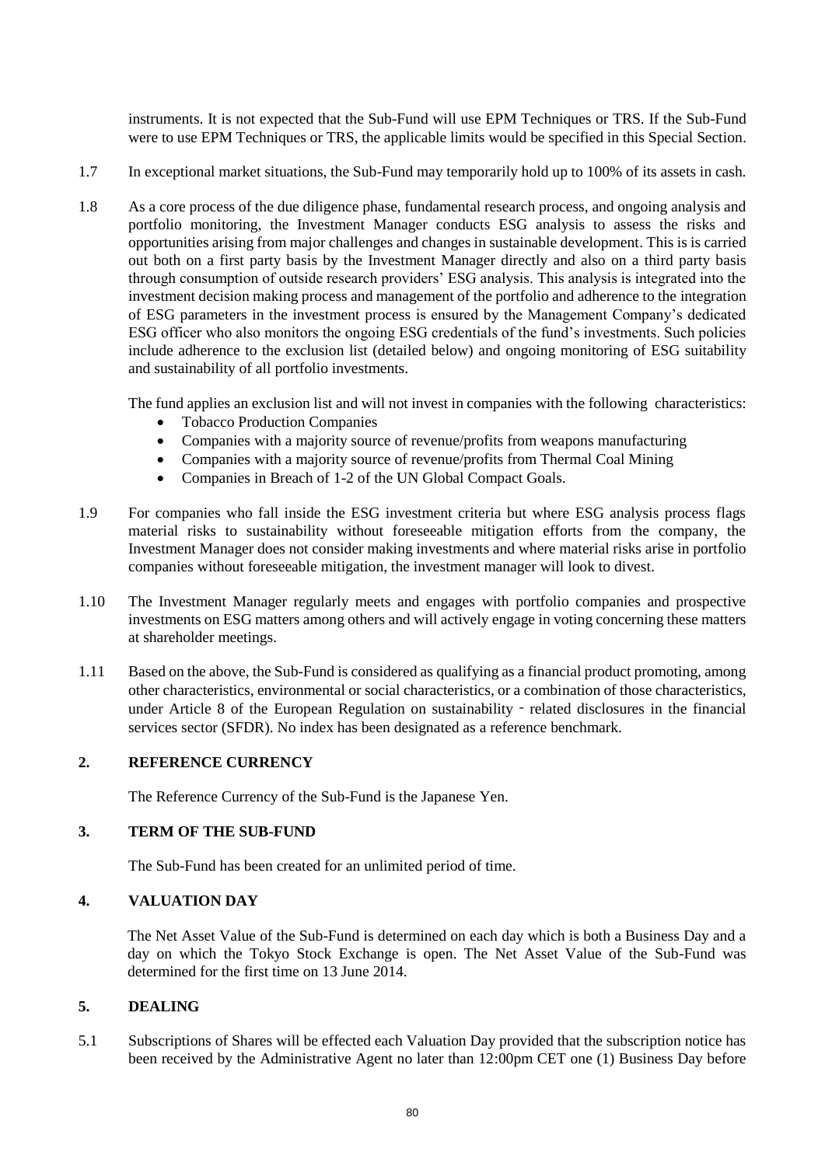instruments. It is not expected that the Sub-Fund will use EPM Techniques or TRS. If the Sub-Fund were to use EPM Techniques or TRS, the applicable limits would be specified in this Special Section.

- 1.7 In exceptional market situations, the Sub-Fund may temporarily hold up to 100% of its assets in cash.
- 1.8 As a core process of the due diligence phase, fundamental research process, and ongoing analysis and portfolio monitoring, the Investment Manager conducts ESG analysis to assess the risks and opportunities arising from major challenges and changes in sustainable development. This is is carried out both on a first party basis by the Investment Manager directly and also on a third party basis through consumption of outside research providers' ESG analysis. This analysis is integrated into the investment decision making process and management of the portfolio and adherence to the integration of ESG parameters in the investment process is ensured by the Management Company's dedicated ESG officer who also monitors the ongoing ESG credentials of the fund's investments. Such policies include adherence to the exclusion list (detailed below) and ongoing monitoring of ESG suitability and sustainability of all portfolio investments.

The fund applies an exclusion list and will not invest in companies with the following characteristics:

- Tobacco Production Companies
- Companies with a majority source of revenue/profits from weapons manufacturing
- Companies with a majority source of revenue/profits from Thermal Coal Mining
- Companies in Breach of 1-2 of the UN Global Compact Goals.
- 1.9 For companies who fall inside the ESG investment criteria but where ESG analysis process flags material risks to sustainability without foreseeable mitigation efforts from the company, the Investment Manager does not consider making investments and where material risks arise in portfolio companies without foreseeable mitigation, the investment manager will look to divest.
- 1.10 The Investment Manager regularly meets and engages with portfolio companies and prospective investments on ESG matters among others and will actively engage in voting concerning these matters at shareholder meetings.
- 1.11 Based on the above, the Sub-Fund is considered as qualifying as a financial product promoting, among other characteristics, environmental or social characteristics, or a combination of those characteristics, under Article 8 of the European Regulation on sustainability - related disclosures in the financial services sector (SFDR). No index has been designated as a reference benchmark.

### **2. REFERENCE CURRENCY**

The Reference Currency of the Sub-Fund is the Japanese Yen.

#### **3. TERM OF THE SUB-FUND**

The Sub-Fund has been created for an unlimited period of time.

## **4. VALUATION DAY**

The Net Asset Value of the Sub-Fund is determined on each day which is both a Business Day and a day on which the Tokyo Stock Exchange is open. The Net Asset Value of the Sub-Fund was determined for the first time on 13 June 2014.

#### **5. DEALING**

5.1 Subscriptions of Shares will be effected each Valuation Day provided that the subscription notice has been received by the Administrative Agent no later than 12:00pm CET one (1) Business Day before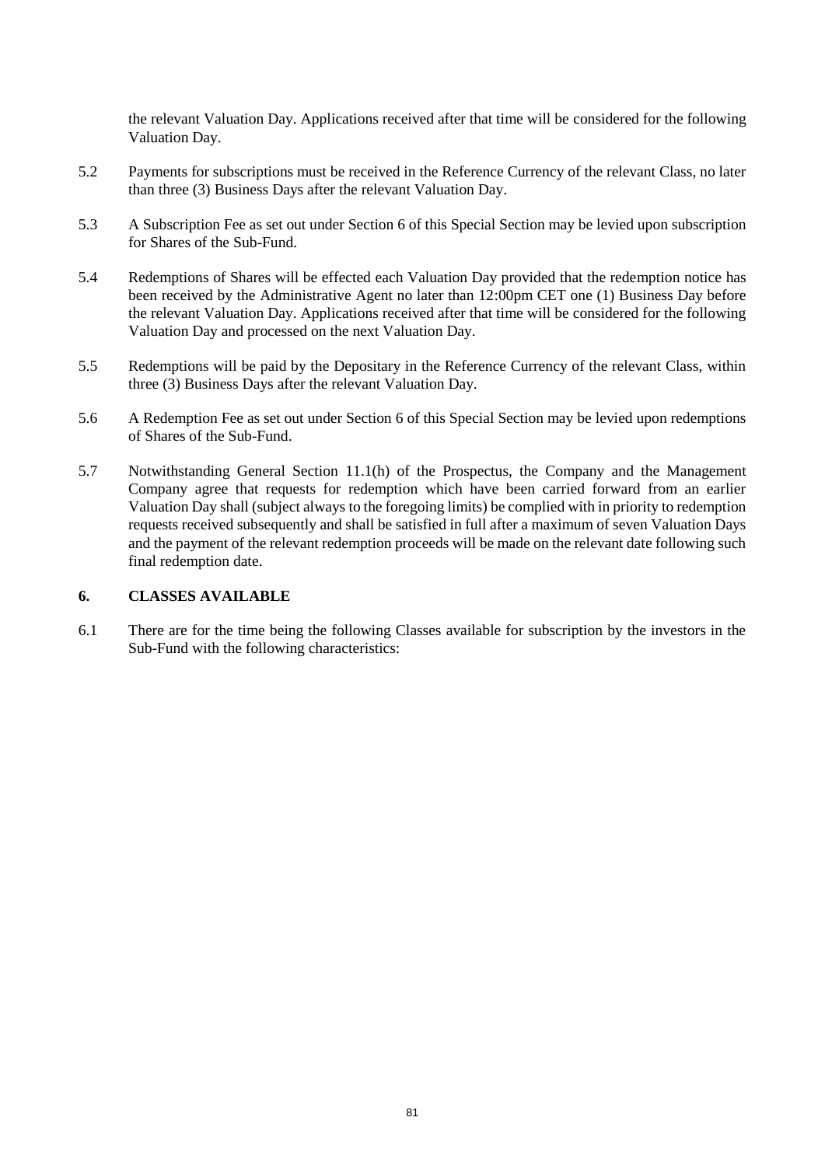the relevant Valuation Day. Applications received after that time will be considered for the following Valuation Day.

- 5.2 Payments for subscriptions must be received in the Reference Currency of the relevant Class, no later than three (3) Business Days after the relevant Valuation Day.
- 5.3 A Subscription Fee as set out under Section [6](#page-80-0) of this Special Section may be levied upon subscription for Shares of the Sub-Fund.
- 5.4 Redemptions of Shares will be effected each Valuation Day provided that the redemption notice has been received by the Administrative Agent no later than 12:00pm CET one (1) Business Day before the relevant Valuation Day. Applications received after that time will be considered for the following Valuation Day and processed on the next Valuation Day.
- 5.5 Redemptions will be paid by the Depositary in the Reference Currency of the relevant Class, within three (3) Business Days after the relevant Valuation Day.
- 5.6 A Redemption Fee as set out under Section [6](#page-80-0) of this Special Section may be levied upon redemptions of Shares of the Sub-Fund.
- 5.7 Notwithstanding General Section [11.1\(h\)](#page-46-0) of the Prospectus, the Company and the Management Company agree that requests for redemption which have been carried forward from an earlier Valuation Day shall (subject always to the foregoing limits) be complied with in priority to redemption requests received subsequently and shall be satisfied in full after a maximum of seven Valuation Days and the payment of the relevant redemption proceeds will be made on the relevant date following such final redemption date.

#### <span id="page-80-0"></span>**6. CLASSES AVAILABLE**

6.1 There are for the time being the following Classes available for subscription by the investors in the Sub-Fund with the following characteristics: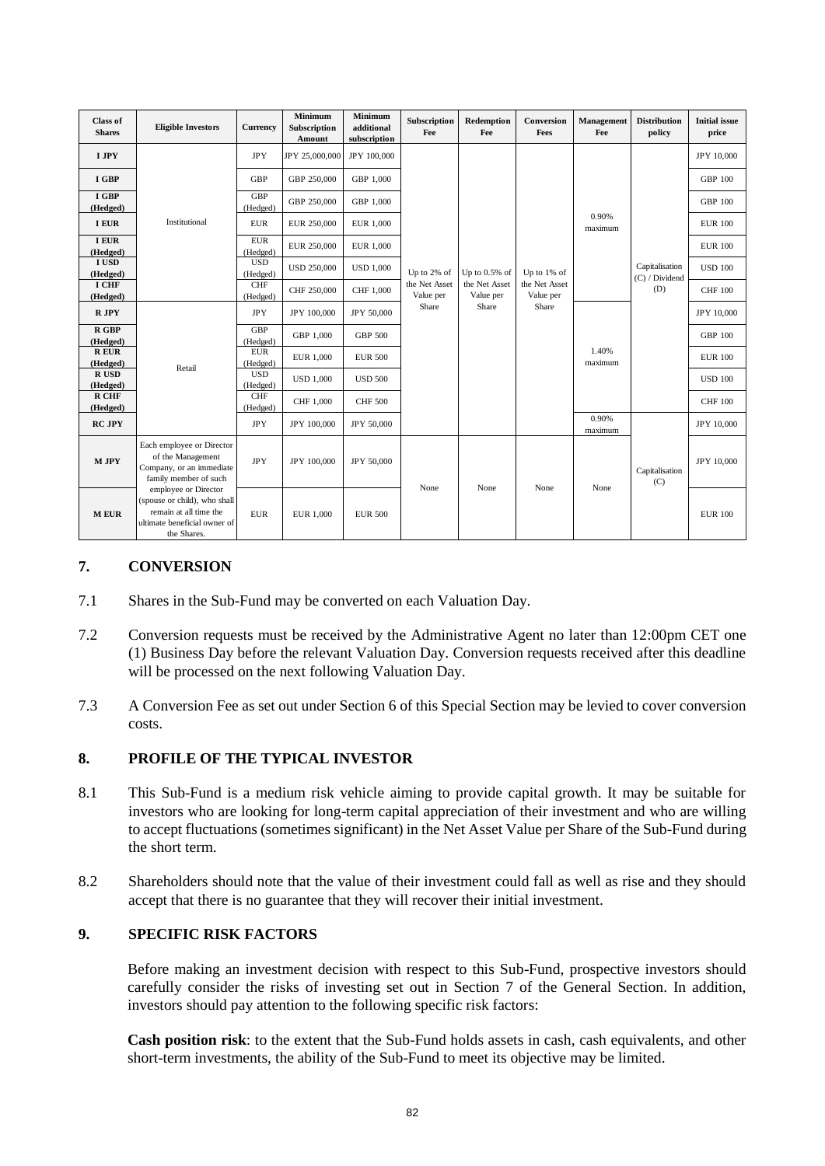| <b>Class of</b><br><b>Shares</b> | <b>Eligible Investors</b>                                                                                                     | Currency               | <b>Minimum</b><br>Subscription<br>Amount | <b>Minimum</b><br>additional<br>subscription | Subscription<br>Fee                       | Redemption<br>Fee                                       | Conversion<br>Fees                                 | Management<br>Fee | <b>Distribution</b><br>policy           | <b>Initial</b> issue<br>price |
|----------------------------------|-------------------------------------------------------------------------------------------------------------------------------|------------------------|------------------------------------------|----------------------------------------------|-------------------------------------------|---------------------------------------------------------|----------------------------------------------------|-------------------|-----------------------------------------|-------------------------------|
| I JPY                            |                                                                                                                               | <b>JPY</b>             | JPY 25,000,000                           | JPY 100,000                                  |                                           |                                                         |                                                    |                   |                                         | JPY 10,000                    |
| I GBP                            |                                                                                                                               | <b>GBP</b>             | GBP 250,000                              | GBP 1,000                                    |                                           |                                                         |                                                    |                   |                                         | <b>GBP 100</b>                |
| I GBP<br>(Hedged)                |                                                                                                                               | <b>GBP</b><br>(Hedged) | GBP 250,000                              | GBP 1,000                                    |                                           |                                                         |                                                    |                   |                                         | <b>GBP 100</b>                |
| <b>I EUR</b>                     | Institutional                                                                                                                 | <b>EUR</b>             | EUR 250,000                              | EUR 1,000                                    |                                           |                                                         |                                                    | 0.90%<br>maximum  |                                         | <b>EUR 100</b>                |
| <b>I EUR</b><br>(Hedged)         |                                                                                                                               | <b>EUR</b><br>(Hedged) | EUR 250,000                              | EUR 1,000                                    |                                           | Up to $0.5\%$ of<br>the Net Asset<br>Value per<br>Share | Up to 1% of<br>the Net Asset<br>Value per<br>Share |                   | Capitalisation<br>(C) / Dividend<br>(D) | <b>EUR 100</b>                |
| I USD<br>(Hedged)                |                                                                                                                               | <b>USD</b><br>(Hedged) | <b>USD 250,000</b>                       | <b>USD 1,000</b>                             | Up to 2% of<br>the Net Asset<br>Value per |                                                         |                                                    |                   |                                         | <b>USD 100</b>                |
| I CHF<br>(Hedged)                |                                                                                                                               | <b>CHF</b><br>(Hedged) | CHF 250,000                              | CHF 1,000                                    |                                           |                                                         |                                                    |                   |                                         | <b>CHF 100</b>                |
| R JPY                            |                                                                                                                               | <b>JPY</b>             | JPY 100,000                              | JPY 50,000                                   | Share                                     |                                                         |                                                    | 1.40%<br>maximum  |                                         | JPY 10,000                    |
| <b>R</b> GBP<br>(Hedged)         |                                                                                                                               | <b>GBP</b><br>(Hedged) | GBP 1,000                                | <b>GBP 500</b>                               |                                           |                                                         |                                                    |                   |                                         | <b>GBP 100</b>                |
| $R$ EUR<br>(Hedged)              |                                                                                                                               | <b>EUR</b><br>(Hedged) | EUR 1,000                                | <b>EUR 500</b>                               |                                           |                                                         |                                                    |                   |                                         | <b>EUR 100</b>                |
| R USD<br>(Hedged)                | Retail                                                                                                                        | <b>USD</b><br>(Hedged) | <b>USD 1,000</b>                         | <b>USD 500</b>                               |                                           |                                                         |                                                    |                   |                                         | <b>USD 100</b>                |
| <b>R CHF</b><br>(Hedged)         |                                                                                                                               | CHF<br>(Hedged)        | CHF 1,000                                | <b>CHF 500</b>                               |                                           |                                                         |                                                    |                   |                                         | <b>CHF 100</b>                |
| <b>RC JPY</b>                    |                                                                                                                               | <b>JPY</b>             | JPY 100,000                              | JPY 50,000                                   |                                           |                                                         |                                                    | 0.90%<br>maximum  |                                         | <b>JPY 10,000</b>             |
| <b>M JPY</b>                     | Each employee or Director<br>of the Management<br>Company, or an immediate<br>family member of such                           | <b>JPY</b>             | JPY 100,000                              | JPY 50,000                                   | None                                      | None                                                    | None                                               | None              | Capitalisation<br>(C)                   | JPY 10,000                    |
| <b>MEUR</b>                      | employee or Director<br>(spouse or child), who shall<br>remain at all time the<br>ultimate beneficial owner of<br>the Shares. | <b>EUR</b>             | EUR 1,000                                | <b>EUR 500</b>                               |                                           |                                                         |                                                    |                   |                                         | <b>EUR 100</b>                |

### **7. CONVERSION**

- 7.1 Shares in the Sub-Fund may be converted on each Valuation Day.
- 7.2 Conversion requests must be received by the Administrative Agent no later than 12:00pm CET one (1) Business Day before the relevant Valuation Day. Conversion requests received after this deadline will be processed on the next following Valuation Day.
- 7.3 A Conversion Fee as set out under Section [6](#page-80-0) of this Special Section may be levied to cover conversion costs.

#### **8. PROFILE OF THE TYPICAL INVESTOR**

- 8.1 This Sub-Fund is a medium risk vehicle aiming to provide capital growth. It may be suitable for investors who are looking for long-term capital appreciation of their investment and who are willing to accept fluctuations (sometimes significant) in the Net Asset Value per Share of the Sub-Fund during the short term.
- 8.2 Shareholders should note that the value of their investment could fall as well as rise and they should accept that there is no guarantee that they will recover their initial investment.

# **9. SPECIFIC RISK FACTORS**

Before making an investment decision with respect to this Sub-Fund, prospective investors should carefully consider the risks of investing set out in Section [7](#page-32-0) of the General Section. In addition, investors should pay attention to the following specific risk factors:

**Cash position risk**: to the extent that the Sub-Fund holds assets in cash, cash equivalents, and other short-term investments, the ability of the Sub-Fund to meet its objective may be limited.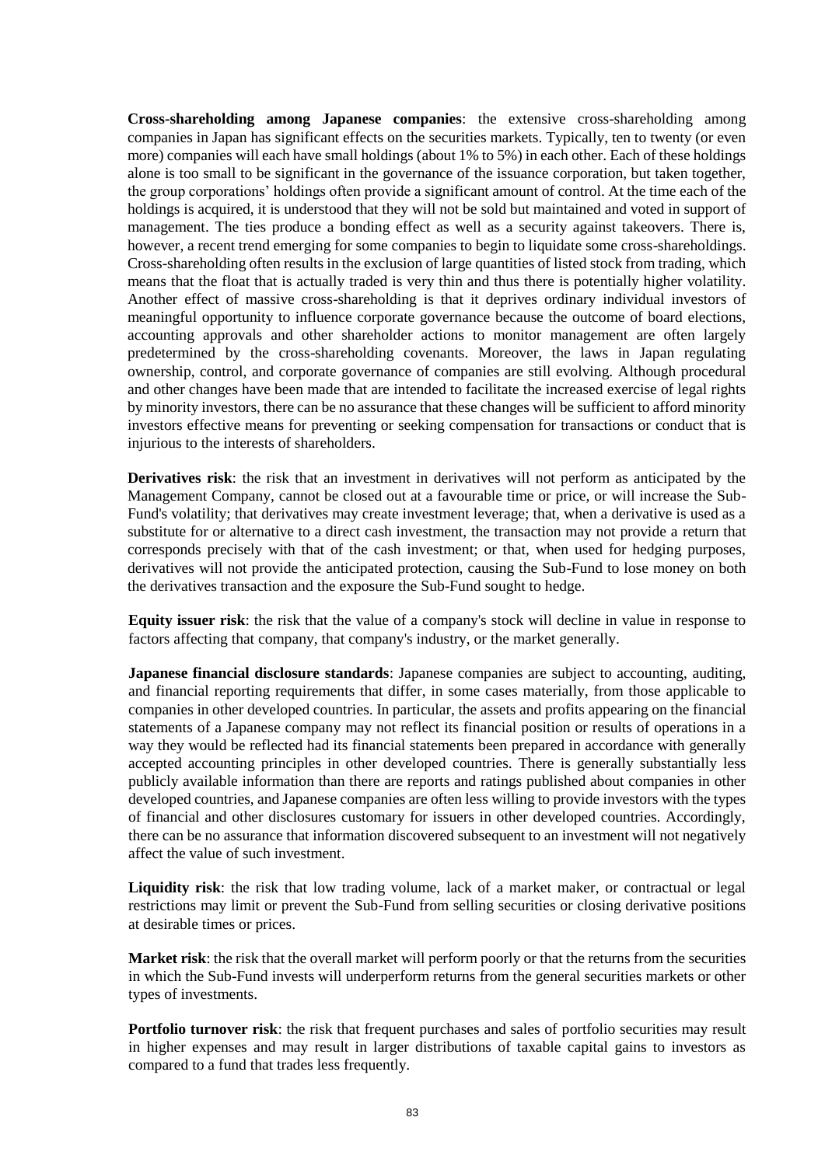**Cross-shareholding among Japanese companies**: the extensive cross-shareholding among companies in Japan has significant effects on the securities markets. Typically, ten to twenty (or even more) companies will each have small holdings (about 1% to 5%) in each other. Each of these holdings alone is too small to be significant in the governance of the issuance corporation, but taken together, the group corporations' holdings often provide a significant amount of control. At the time each of the holdings is acquired, it is understood that they will not be sold but maintained and voted in support of management. The ties produce a bonding effect as well as a security against takeovers. There is, however, a recent trend emerging for some companies to begin to liquidate some cross-shareholdings. Cross-shareholding often results in the exclusion of large quantities of listed stock from trading, which means that the float that is actually traded is very thin and thus there is potentially higher volatility. Another effect of massive cross-shareholding is that it deprives ordinary individual investors of meaningful opportunity to influence corporate governance because the outcome of board elections, accounting approvals and other shareholder actions to monitor management are often largely predetermined by the cross-shareholding covenants. Moreover, the laws in Japan regulating ownership, control, and corporate governance of companies are still evolving. Although procedural and other changes have been made that are intended to facilitate the increased exercise of legal rights by minority investors, there can be no assurance that these changes will be sufficient to afford minority investors effective means for preventing or seeking compensation for transactions or conduct that is injurious to the interests of shareholders.

**Derivatives risk**: the risk that an investment in derivatives will not perform as anticipated by the Management Company, cannot be closed out at a favourable time or price, or will increase the Sub-Fund's volatility; that derivatives may create investment leverage; that, when a derivative is used as a substitute for or alternative to a direct cash investment, the transaction may not provide a return that corresponds precisely with that of the cash investment; or that, when used for hedging purposes, derivatives will not provide the anticipated protection, causing the Sub-Fund to lose money on both the derivatives transaction and the exposure the Sub-Fund sought to hedge.

**Equity issuer risk**: the risk that the value of a company's stock will decline in value in response to factors affecting that company, that company's industry, or the market generally.

**Japanese financial disclosure standards**: Japanese companies are subject to accounting, auditing, and financial reporting requirements that differ, in some cases materially, from those applicable to companies in other developed countries. In particular, the assets and profits appearing on the financial statements of a Japanese company may not reflect its financial position or results of operations in a way they would be reflected had its financial statements been prepared in accordance with generally accepted accounting principles in other developed countries. There is generally substantially less publicly available information than there are reports and ratings published about companies in other developed countries, and Japanese companies are often less willing to provide investors with the types of financial and other disclosures customary for issuers in other developed countries. Accordingly, there can be no assurance that information discovered subsequent to an investment will not negatively affect the value of such investment.

**Liquidity risk**: the risk that low trading volume, lack of a market maker, or contractual or legal restrictions may limit or prevent the Sub-Fund from selling securities or closing derivative positions at desirable times or prices.

**Market risk**: the risk that the overall market will perform poorly or that the returns from the securities in which the Sub-Fund invests will underperform returns from the general securities markets or other types of investments.

**Portfolio turnover risk**: the risk that frequent purchases and sales of portfolio securities may result in higher expenses and may result in larger distributions of taxable capital gains to investors as compared to a fund that trades less frequently.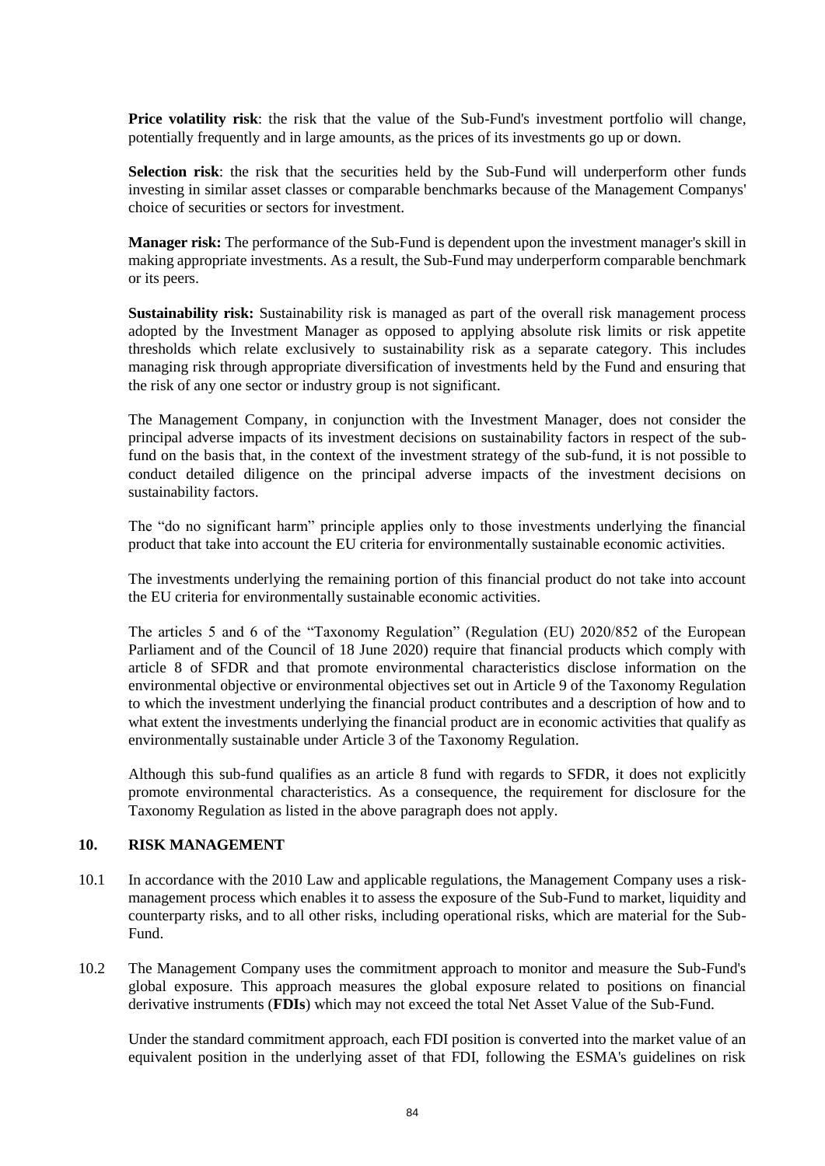**Price volatility risk**: the risk that the value of the Sub-Fund's investment portfolio will change, potentially frequently and in large amounts, as the prices of its investments go up or down.

**Selection risk**: the risk that the securities held by the Sub-Fund will underperform other funds investing in similar asset classes or comparable benchmarks because of the Management Companys' choice of securities or sectors for investment.

**Manager risk:** The performance of the Sub-Fund is dependent upon the investment manager's skill in making appropriate investments. As a result, the Sub-Fund may underperform comparable benchmark or its peers.

**Sustainability risk:** Sustainability risk is managed as part of the overall risk management process adopted by the Investment Manager as opposed to applying absolute risk limits or risk appetite thresholds which relate exclusively to sustainability risk as a separate category. This includes managing risk through appropriate diversification of investments held by the Fund and ensuring that the risk of any one sector or industry group is not significant.

The Management Company, in conjunction with the Investment Manager, does not consider the principal adverse impacts of its investment decisions on sustainability factors in respect of the subfund on the basis that, in the context of the investment strategy of the sub-fund, it is not possible to conduct detailed diligence on the principal adverse impacts of the investment decisions on sustainability factors.

The "do no significant harm" principle applies only to those investments underlying the financial product that take into account the EU criteria for environmentally sustainable economic activities.

The investments underlying the remaining portion of this financial product do not take into account the EU criteria for environmentally sustainable economic activities.

The articles 5 and 6 of the "Taxonomy Regulation" (Regulation (EU) 2020/852 of the European Parliament and of the Council of 18 June 2020) require that financial products which comply with article 8 of SFDR and that promote environmental characteristics disclose information on the environmental objective or environmental objectives set out in Article 9 of the Taxonomy Regulation to which the investment underlying the financial product contributes and a description of how and to what extent the investments underlying the financial product are in economic activities that qualify as environmentally sustainable under Article 3 of the Taxonomy Regulation.

Although this sub-fund qualifies as an article 8 fund with regards to SFDR, it does not explicitly promote environmental characteristics. As a consequence, the requirement for disclosure for the Taxonomy Regulation as listed in the above paragraph does not apply.

#### **10. RISK MANAGEMENT**

- 10.1 In accordance with the 2010 Law and applicable regulations, the Management Company uses a riskmanagement process which enables it to assess the exposure of the Sub-Fund to market, liquidity and counterparty risks, and to all other risks, including operational risks, which are material for the Sub-Fund.
- 10.2 The Management Company uses the commitment approach to monitor and measure the Sub-Fund's global exposure. This approach measures the global exposure related to positions on financial derivative instruments (**FDIs**) which may not exceed the total Net Asset Value of the Sub-Fund.

Under the standard commitment approach, each FDI position is converted into the market value of an equivalent position in the underlying asset of that FDI, following the ESMA's guidelines on risk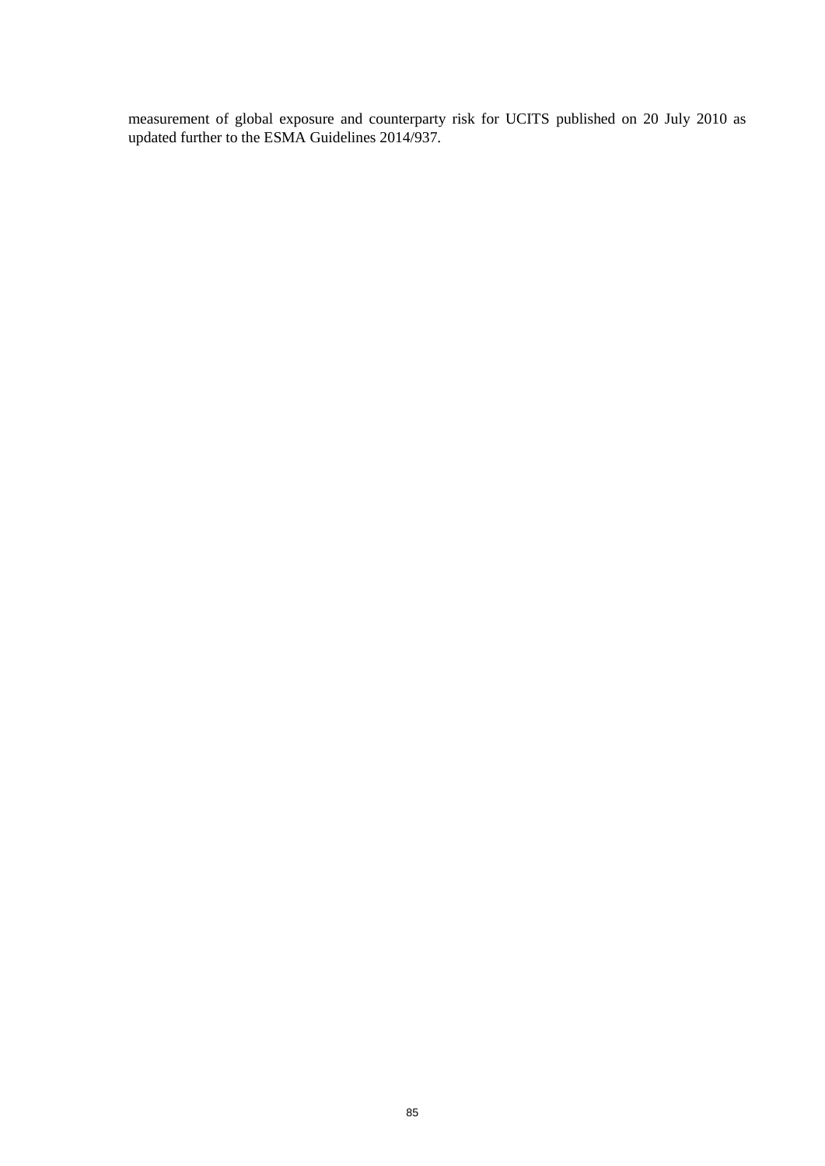measurement of global exposure and counterparty risk for UCITS published on 20 July 2010 as updated further to the ESMA Guidelines 2014/937.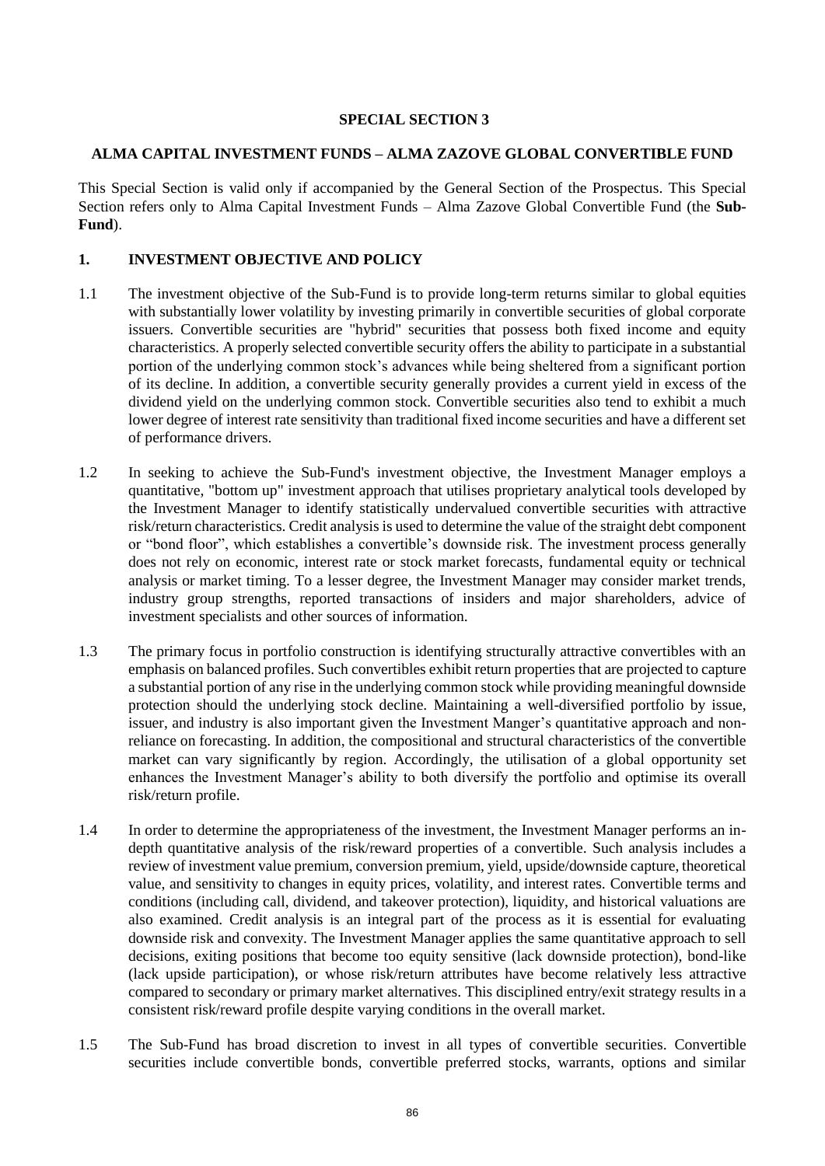### **SPECIAL SECTION 3**

#### **ALMA CAPITAL INVESTMENT FUNDS – ALMA ZAZOVE GLOBAL CONVERTIBLE FUND**

This Special Section is valid only if accompanied by the General Section of the Prospectus. This Special Section refers only to Alma Capital Investment Funds – Alma Zazove Global Convertible Fund (the **Sub-Fund**).

## **1. INVESTMENT OBJECTIVE AND POLICY**

- 1.1 The investment objective of the Sub-Fund is to provide long-term returns similar to global equities with substantially lower volatility by investing primarily in convertible securities of global corporate issuers. Convertible securities are "hybrid" securities that possess both fixed income and equity characteristics. A properly selected convertible security offers the ability to participate in a substantial portion of the underlying common stock's advances while being sheltered from a significant portion of its decline. In addition, a convertible security generally provides a current yield in excess of the dividend yield on the underlying common stock. Convertible securities also tend to exhibit a much lower degree of interest rate sensitivity than traditional fixed income securities and have a different set of performance drivers.
- 1.2 In seeking to achieve the Sub-Fund's investment objective, the Investment Manager employs a quantitative, "bottom up" investment approach that utilises proprietary analytical tools developed by the Investment Manager to identify statistically undervalued convertible securities with attractive risk/return characteristics. Credit analysis is used to determine the value of the straight debt component or "bond floor", which establishes a convertible's downside risk. The investment process generally does not rely on economic, interest rate or stock market forecasts, fundamental equity or technical analysis or market timing. To a lesser degree, the Investment Manager may consider market trends, industry group strengths, reported transactions of insiders and major shareholders, advice of investment specialists and other sources of information.
- 1.3 The primary focus in portfolio construction is identifying structurally attractive convertibles with an emphasis on balanced profiles. Such convertibles exhibit return properties that are projected to capture a substantial portion of any rise in the underlying common stock while providing meaningful downside protection should the underlying stock decline. Maintaining a well-diversified portfolio by issue, issuer, and industry is also important given the Investment Manger's quantitative approach and nonreliance on forecasting. In addition, the compositional and structural characteristics of the convertible market can vary significantly by region. Accordingly, the utilisation of a global opportunity set enhances the Investment Manager's ability to both diversify the portfolio and optimise its overall risk/return profile.
- 1.4 In order to determine the appropriateness of the investment, the Investment Manager performs an indepth quantitative analysis of the risk/reward properties of a convertible. Such analysis includes a review of investment value premium, conversion premium, yield, upside/downside capture, theoretical value, and sensitivity to changes in equity prices, volatility, and interest rates. Convertible terms and conditions (including call, dividend, and takeover protection), liquidity, and historical valuations are also examined. Credit analysis is an integral part of the process as it is essential for evaluating downside risk and convexity. The Investment Manager applies the same quantitative approach to sell decisions, exiting positions that become too equity sensitive (lack downside protection), bond-like (lack upside participation), or whose risk/return attributes have become relatively less attractive compared to secondary or primary market alternatives. This disciplined entry/exit strategy results in a consistent risk/reward profile despite varying conditions in the overall market.
- 1.5 The Sub-Fund has broad discretion to invest in all types of convertible securities. Convertible securities include convertible bonds, convertible preferred stocks, warrants, options and similar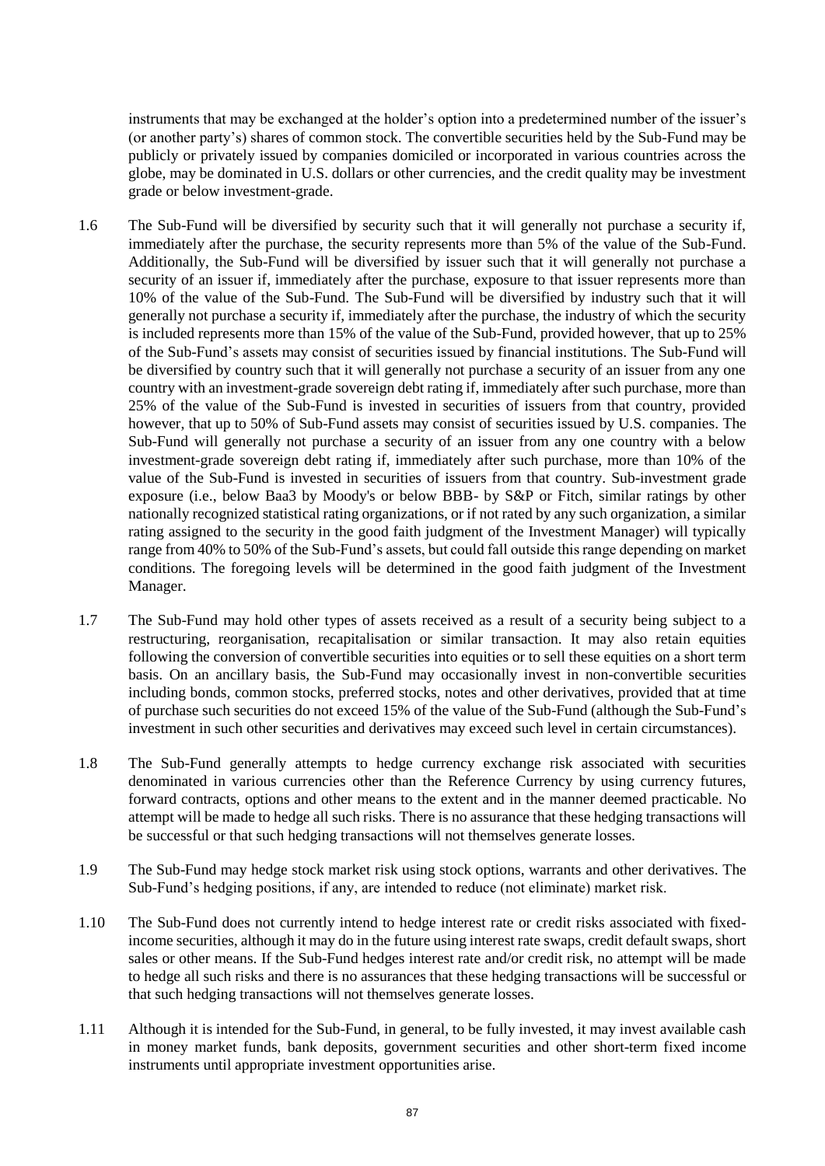instruments that may be exchanged at the holder's option into a predetermined number of the issuer's (or another party's) shares of common stock. The convertible securities held by the Sub-Fund may be publicly or privately issued by companies domiciled or incorporated in various countries across the globe, may be dominated in U.S. dollars or other currencies, and the credit quality may be investment grade or below investment-grade.

- 1.6 The Sub-Fund will be diversified by security such that it will generally not purchase a security if, immediately after the purchase, the security represents more than 5% of the value of the Sub-Fund. Additionally, the Sub-Fund will be diversified by issuer such that it will generally not purchase a security of an issuer if, immediately after the purchase, exposure to that issuer represents more than 10% of the value of the Sub-Fund. The Sub-Fund will be diversified by industry such that it will generally not purchase a security if, immediately after the purchase, the industry of which the security is included represents more than 15% of the value of the Sub-Fund, provided however, that up to 25% of the Sub-Fund's assets may consist of securities issued by financial institutions. The Sub-Fund will be diversified by country such that it will generally not purchase a security of an issuer from any one country with an investment-grade sovereign debt rating if, immediately after such purchase, more than 25% of the value of the Sub-Fund is invested in securities of issuers from that country, provided however, that up to 50% of Sub-Fund assets may consist of securities issued by U.S. companies. The Sub-Fund will generally not purchase a security of an issuer from any one country with a below investment-grade sovereign debt rating if, immediately after such purchase, more than 10% of the value of the Sub-Fund is invested in securities of issuers from that country. Sub-investment grade exposure (i.e., below Baa3 by Moody's or below BBB- by S&P or Fitch, similar ratings by other nationally recognized statistical rating organizations, or if not rated by any such organization, a similar rating assigned to the security in the good faith judgment of the Investment Manager) will typically range from 40% to 50% of the Sub-Fund's assets, but could fall outside this range depending on market conditions. The foregoing levels will be determined in the good faith judgment of the Investment Manager.
- 1.7 The Sub-Fund may hold other types of assets received as a result of a security being subject to a restructuring, reorganisation, recapitalisation or similar transaction. It may also retain equities following the conversion of convertible securities into equities or to sell these equities on a short term basis. On an ancillary basis, the Sub-Fund may occasionally invest in non-convertible securities including bonds, common stocks, preferred stocks, notes and other derivatives, provided that at time of purchase such securities do not exceed 15% of the value of the Sub-Fund (although the Sub-Fund's investment in such other securities and derivatives may exceed such level in certain circumstances).
- 1.8 The Sub-Fund generally attempts to hedge currency exchange risk associated with securities denominated in various currencies other than the Reference Currency by using currency futures, forward contracts, options and other means to the extent and in the manner deemed practicable. No attempt will be made to hedge all such risks. There is no assurance that these hedging transactions will be successful or that such hedging transactions will not themselves generate losses.
- 1.9 The Sub-Fund may hedge stock market risk using stock options, warrants and other derivatives. The Sub-Fund's hedging positions, if any, are intended to reduce (not eliminate) market risk.
- 1.10 The Sub-Fund does not currently intend to hedge interest rate or credit risks associated with fixedincome securities, although it may do in the future using interest rate swaps, credit default swaps, short sales or other means. If the Sub-Fund hedges interest rate and/or credit risk, no attempt will be made to hedge all such risks and there is no assurances that these hedging transactions will be successful or that such hedging transactions will not themselves generate losses.
- 1.11 Although it is intended for the Sub-Fund, in general, to be fully invested, it may invest available cash in money market funds, bank deposits, government securities and other short-term fixed income instruments until appropriate investment opportunities arise.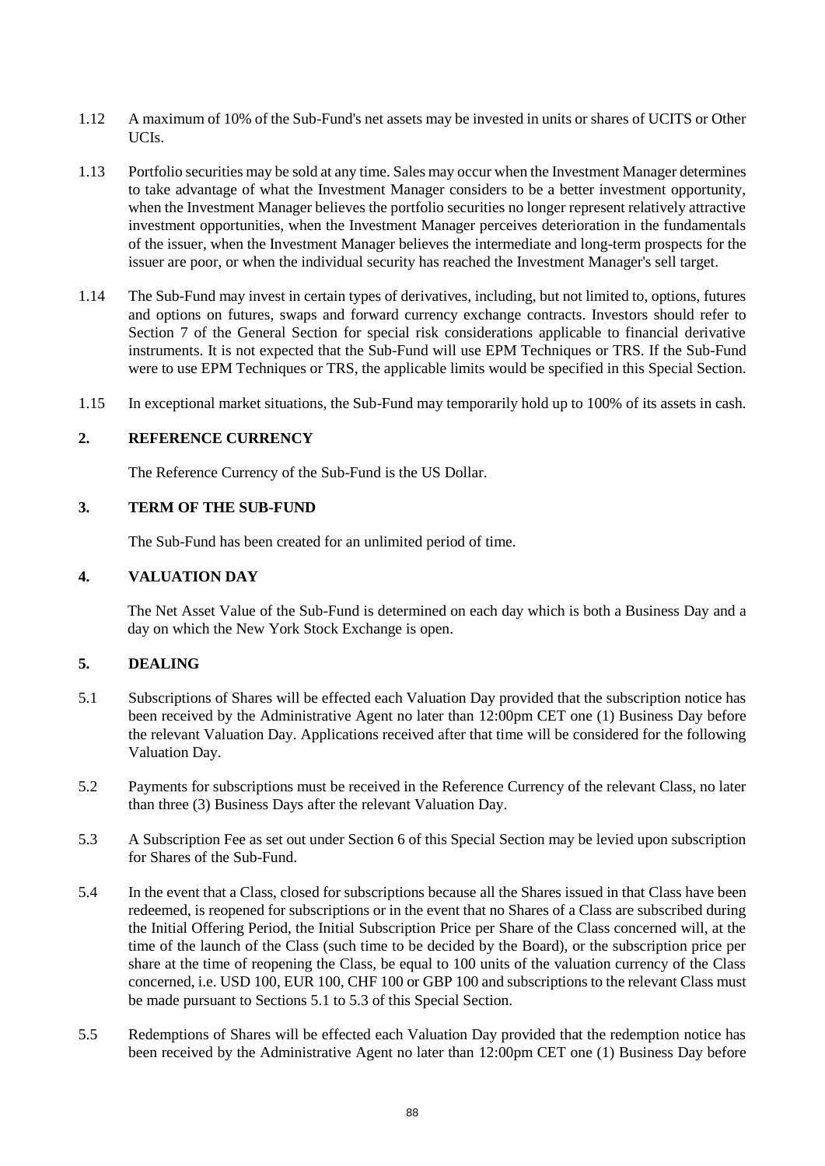- 1.12 A maximum of 10% of the Sub-Fund's net assets may be invested in units or shares of UCITS or Other UCIs.
- 1.13 Portfolio securities may be sold at any time. Sales may occur when the Investment Manager determines to take advantage of what the Investment Manager considers to be a better investment opportunity, when the Investment Manager believes the portfolio securities no longer represent relatively attractive investment opportunities, when the Investment Manager perceives deterioration in the fundamentals of the issuer, when the Investment Manager believes the intermediate and long-term prospects for the issuer are poor, or when the individual security has reached the Investment Manager's sell target.
- 1.14 The Sub-Fund may invest in certain types of derivatives, including, but not limited to, options, futures and options on futures, swaps and forward currency exchange contracts. Investors should refer to Section [7](#page-32-0) of the General Section for special risk considerations applicable to financial derivative instruments. It is not expected that the Sub-Fund will use EPM Techniques or TRS. If the Sub-Fund were to use EPM Techniques or TRS, the applicable limits would be specified in this Special Section.
- 1.15 In exceptional market situations, the Sub-Fund may temporarily hold up to 100% of its assets in cash.

#### **2. REFERENCE CURRENCY**

The Reference Currency of the Sub-Fund is the US Dollar.

## **3. TERM OF THE SUB-FUND**

The Sub-Fund has been created for an unlimited period of time.

#### **4. VALUATION DAY**

The Net Asset Value of the Sub-Fund is determined on each day which is both a Business Day and a day on which the New York Stock Exchange is open.

### **5. DEALING**

- 5.1 Subscriptions of Shares will be effected each Valuation Day provided that the subscription notice has been received by the Administrative Agent no later than 12:00pm CET one (1) Business Day before the relevant Valuation Day. Applications received after that time will be considered for the following Valuation Day.
- 5.2 Payments for subscriptions must be received in the Reference Currency of the relevant Class, no later than three (3) Business Days after the relevant Valuation Day.
- 5.3 A Subscription Fee as set out under Section 6 of this Special Section may be levied upon subscription for Shares of the Sub-Fund.
- 5.4 In the event that a Class, closed for subscriptions because all the Shares issued in that Class have been redeemed, is reopened for subscriptions or in the event that no Shares of a Class are subscribed during the Initial Offering Period, the Initial Subscription Price per Share of the Class concerned will, at the time of the launch of the Class (such time to be decided by the Board), or the subscription price per share at the time of reopening the Class, be equal to 100 units of the valuation currency of the Class concerned, i.e. USD 100, EUR 100, CHF 100 or GBP 100 and subscriptions to the relevant Class must be made pursuant to Sections 5.1 to 5.3 of this Special Section.
- 5.5 Redemptions of Shares will be effected each Valuation Day provided that the redemption notice has been received by the Administrative Agent no later than 12:00pm CET one (1) Business Day before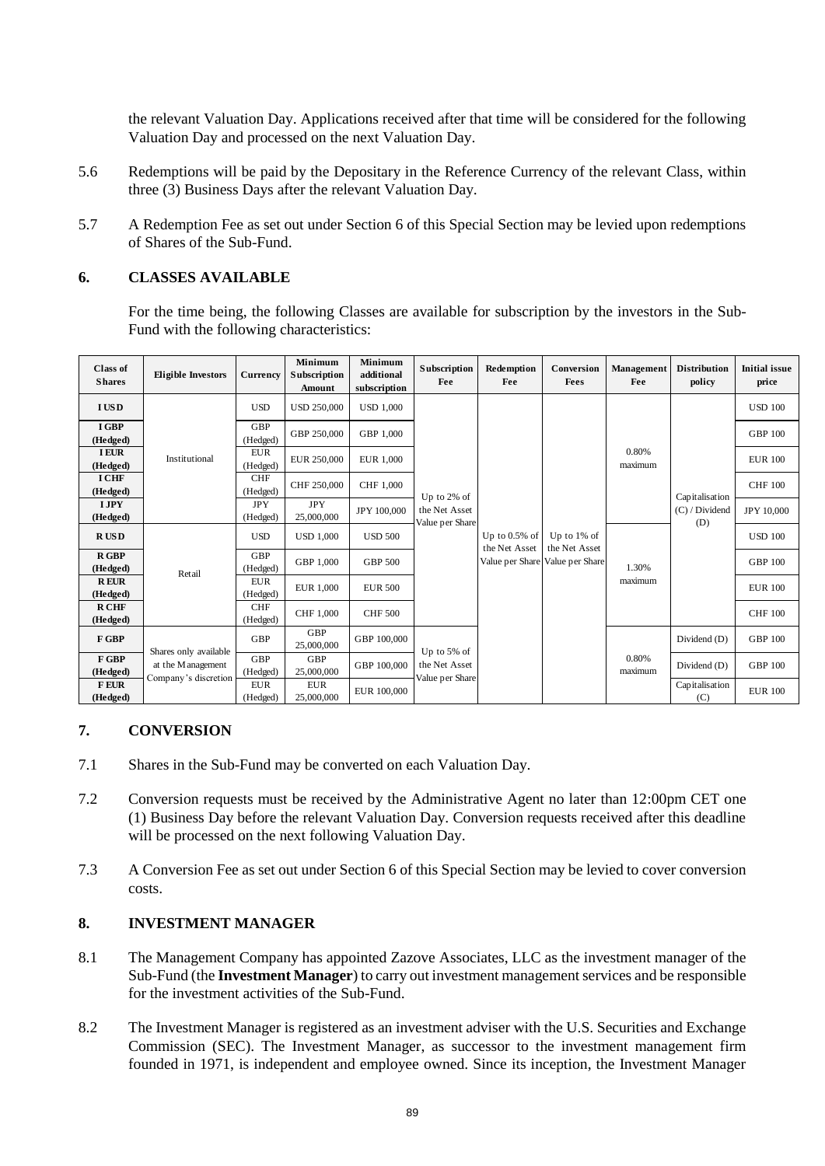the relevant Valuation Day. Applications received after that time will be considered for the following Valuation Day and processed on the next Valuation Day.

- 5.6 Redemptions will be paid by the Depositary in the Reference Currency of the relevant Class, within three (3) Business Days after the relevant Valuation Day.
- 5.7 A Redemption Fee as set out under Section 6 of this Special Section may be levied upon redemptions of Shares of the Sub-Fund.

#### **6. CLASSES AVAILABLE**

For the time being, the following Classes are available for subscription by the investors in the Sub-Fund with the following characteristics:

| <b>Class of</b><br><b>Shares</b>                                                                                                                                                                                                                                                                                                                                            | <b>Eligible Investors</b>                                                                                                                                                                                                                                                                          | <b>Currency</b>        | Minimum<br><b>Subscription</b><br>Amount | Minimum<br>additional<br>subscription | Subscription<br>Fee                             | Redemption<br>Fee                | Conversion<br>Fees               | <b>Management</b><br>Fee | <b>Distribution</b><br>policy    | <b>Initial issue</b><br>price |
|-----------------------------------------------------------------------------------------------------------------------------------------------------------------------------------------------------------------------------------------------------------------------------------------------------------------------------------------------------------------------------|----------------------------------------------------------------------------------------------------------------------------------------------------------------------------------------------------------------------------------------------------------------------------------------------------|------------------------|------------------------------------------|---------------------------------------|-------------------------------------------------|----------------------------------|----------------------------------|--------------------------|----------------------------------|-------------------------------|
| <b>IUSD</b>                                                                                                                                                                                                                                                                                                                                                                 |                                                                                                                                                                                                                                                                                                    | <b>USD</b>             | USD 250,000                              | <b>USD 1,000</b>                      |                                                 |                                  |                                  |                          | Capitalisation<br>(C) / Dividend | <b>USD 100</b>                |
| I GBP<br>(Hedged)                                                                                                                                                                                                                                                                                                                                                           |                                                                                                                                                                                                                                                                                                    | <b>GBP</b><br>(Hedged) | GBP 250,000                              | GBP 1,000                             |                                                 |                                  |                                  |                          |                                  | <b>GBP 100</b>                |
| <b>I EUR</b><br>(Hedged)                                                                                                                                                                                                                                                                                                                                                    | Institutional                                                                                                                                                                                                                                                                                      | <b>EUR</b><br>(Hedged) | EUR 250,000                              | <b>EUR 1,000</b>                      |                                                 |                                  |                                  | 0.80%<br>maximum         |                                  | <b>EUR 100</b>                |
| <b>I CHF</b><br>(Hedged)                                                                                                                                                                                                                                                                                                                                                    |                                                                                                                                                                                                                                                                                                    | CHF<br>(Hedged)        | CHF 250,000                              | CHF 1,000                             |                                                 |                                  |                                  |                          |                                  | <b>CHF 100</b>                |
| <b>I JPY</b><br>(Hedged)                                                                                                                                                                                                                                                                                                                                                    |                                                                                                                                                                                                                                                                                                    | JPY<br>(Hedged)        | JPY<br>25,000,000                        | JPY 100,000                           | Up to 2% of<br>the Net Asset                    |                                  |                                  |                          |                                  | JPY 10,000                    |
| <b>RUSD</b>                                                                                                                                                                                                                                                                                                                                                                 |                                                                                                                                                                                                                                                                                                    | <b>USD</b>             | <b>USD 1,000</b>                         | <b>USD 500</b>                        | Value per Share                                 | Up to $0.5\%$ of                 | Up to 1% of                      |                          | (D)                              | <b>USD 100</b>                |
| <b>R</b> GBP<br>(Hedged)                                                                                                                                                                                                                                                                                                                                                    |                                                                                                                                                                                                                                                                                                    | <b>GBP</b><br>(Hedged) | GBP 1,000                                | <b>GBP 500</b>                        |                                                 | the Net Asset<br>Value per Share | the Net Asset<br>Value per Share | 1.30%                    |                                  | <b>GBP 100</b>                |
| <b>REUR</b><br>(Hedged)                                                                                                                                                                                                                                                                                                                                                     | Retail                                                                                                                                                                                                                                                                                             | <b>EUR</b><br>(Hedged) | EUR 1,000                                | <b>EUR 500</b>                        |                                                 |                                  |                                  | maximum                  |                                  | <b>EUR 100</b>                |
| <b>R CHF</b><br>(Hedged)                                                                                                                                                                                                                                                                                                                                                    |                                                                                                                                                                                                                                                                                                    | <b>CHF</b><br>(Hedged) | CHF 1,000                                | <b>CHF 500</b>                        |                                                 |                                  |                                  |                          |                                  | <b>CHF 100</b>                |
| F GBP                                                                                                                                                                                                                                                                                                                                                                       |                                                                                                                                                                                                                                                                                                    | <b>GBP</b>             | GBP<br>25,000,000                        | GBP 100,000                           |                                                 |                                  |                                  | 0.80%<br>maximum         | Dividend (D)                     | <b>GBP 100</b>                |
| F GBP<br>(Hedged)                                                                                                                                                                                                                                                                                                                                                           | Shares only available<br>at the M anagement                                                                                                                                                                                                                                                        | GBP<br>(Hedged)        | GBP<br>25,000,000                        | GBP 100,000                           | Up to 5% of<br>the Net Asset<br>Value per Share |                                  |                                  |                          | Dividend (D)                     | <b>GBP 100</b>                |
| <b>FEUR</b><br>(Hedged)                                                                                                                                                                                                                                                                                                                                                     | Company's discretion                                                                                                                                                                                                                                                                               | <b>EUR</b><br>(Hedged) | <b>EUR</b><br>25,000,000                 | EUR 100,000                           |                                                 |                                  |                                  |                          | Capitalisation<br>(C)            | <b>EUR 100</b>                |
| 7.<br><b>CONVERSION</b><br>7.1<br>Shares in the Sub-Fund may be converted on each Valuation Day.<br>Conversion requests must be received by the Administrative Agent no later than 12:00pm CET one<br>7.2<br>(1) Business Day before the relevant Valuation Day. Conversion requests received after this deadline<br>will be processed on the next following Valuation Day. |                                                                                                                                                                                                                                                                                                    |                        |                                          |                                       |                                                 |                                  |                                  |                          |                                  |                               |
| 7.3                                                                                                                                                                                                                                                                                                                                                                         | A Conversion Fee as set out under Section 6 of this Special Section may be levied to cover conversion<br>costs.                                                                                                                                                                                    |                        |                                          |                                       |                                                 |                                  |                                  |                          |                                  |                               |
| 8.                                                                                                                                                                                                                                                                                                                                                                          | <b>INVESTMENT MANAGER</b>                                                                                                                                                                                                                                                                          |                        |                                          |                                       |                                                 |                                  |                                  |                          |                                  |                               |
| The Management Company has appointed Zazove Associates, LLC as the investment manager of the<br>8.1<br>Sub-Fund (the Investment Manager) to carry out investment management services and be responsible<br>for the investment activities of the Sub-Fund.                                                                                                                   |                                                                                                                                                                                                                                                                                                    |                        |                                          |                                       |                                                 |                                  |                                  |                          |                                  |                               |
| 8.2                                                                                                                                                                                                                                                                                                                                                                         | The Investment Manager is registered as an investment adviser with the U.S. Securities and Exchange<br>Commission (SEC). The Investment Manager, as successor to the investment management firm<br>founded in 1971, is independent and employee owned. Since its inception, the Investment Manager |                        |                                          |                                       |                                                 |                                  |                                  |                          |                                  |                               |

### **7. CONVERSION**

- 7.1 Shares in the Sub-Fund may be converted on each Valuation Day.
- 7.2 Conversion requests must be received by the Administrative Agent no later than 12:00pm CET one (1) Business Day before the relevant Valuation Day. Conversion requests received after this deadline will be processed on the next following Valuation Day.
- 7.3 A Conversion Fee as set out under Section 6 of this Special Section may be levied to cover conversion costs.

#### **8. INVESTMENT MANAGER**

- 8.1 The Management Company has appointed Zazove Associates, LLC as the investment manager of the Sub-Fund (the **Investment Manager**) to carry out investment management services and be responsible for the investment activities of the Sub-Fund.
- 8.2 The Investment Manager is registered as an investment adviser with the U.S. Securities and Exchange Commission (SEC). The Investment Manager, as successor to the investment management firm<br>founded in 1971, is independent and employee owned. Since its inception, the Investment Manager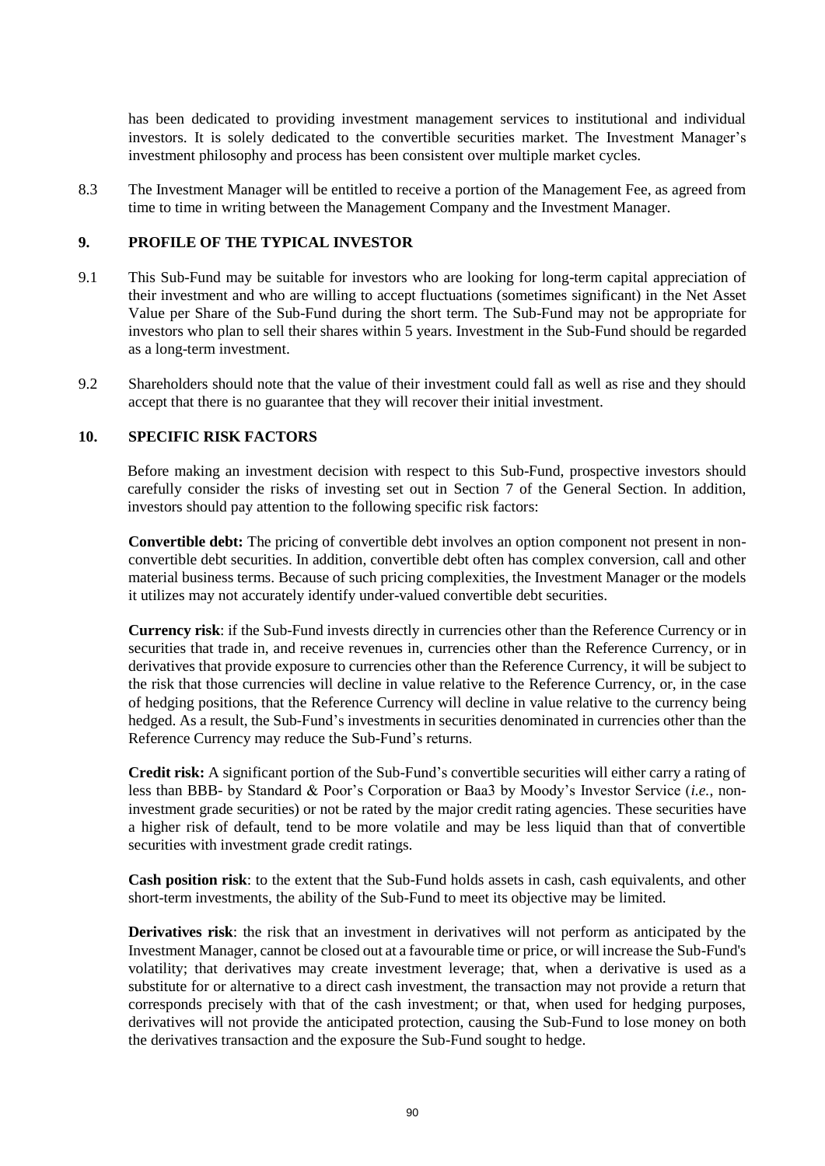has been dedicated to providing investment management services to institutional and individual investors. It is solely dedicated to the convertible securities market. The Investment Manager's investment philosophy and process has been consistent over multiple market cycles.

8.3 The Investment Manager will be entitled to receive a portion of the Management Fee, as agreed from time to time in writing between the Management Company and the Investment Manager.

#### **9. PROFILE OF THE TYPICAL INVESTOR**

- 9.1 This Sub-Fund may be suitable for investors who are looking for long-term capital appreciation of their investment and who are willing to accept fluctuations (sometimes significant) in the Net Asset Value per Share of the Sub-Fund during the short term. The Sub-Fund may not be appropriate for investors who plan to sell their shares within 5 years. Investment in the Sub-Fund should be regarded as a long-term investment.
- 9.2 Shareholders should note that the value of their investment could fall as well as rise and they should accept that there is no guarantee that they will recover their initial investment.

#### **10. SPECIFIC RISK FACTORS**

Before making an investment decision with respect to this Sub-Fund, prospective investors should carefully consider the risks of investing set out in Section [7](#page-32-0) of the General Section. In addition, investors should pay attention to the following specific risk factors:

**Convertible debt:** The pricing of convertible debt involves an option component not present in nonconvertible debt securities. In addition, convertible debt often has complex conversion, call and other material business terms. Because of such pricing complexities, the Investment Manager or the models it utilizes may not accurately identify under-valued convertible debt securities.

**Currency risk**: if the Sub-Fund invests directly in currencies other than the Reference Currency or in securities that trade in, and receive revenues in, currencies other than the Reference Currency, or in derivatives that provide exposure to currencies other than the Reference Currency, it will be subject to the risk that those currencies will decline in value relative to the Reference Currency, or, in the case of hedging positions, that the Reference Currency will decline in value relative to the currency being hedged. As a result, the Sub-Fund's investments in securities denominated in currencies other than the Reference Currency may reduce the Sub-Fund's returns.

**Credit risk:** A significant portion of the Sub-Fund's convertible securities will either carry a rating of less than BBB- by Standard & Poor's Corporation or Baa3 by Moody's Investor Service (*i.e.*, noninvestment grade securities) or not be rated by the major credit rating agencies. These securities have a higher risk of default, tend to be more volatile and may be less liquid than that of convertible securities with investment grade credit ratings.

**Cash position risk**: to the extent that the Sub-Fund holds assets in cash, cash equivalents, and other short-term investments, the ability of the Sub-Fund to meet its objective may be limited.

**Derivatives risk**: the risk that an investment in derivatives will not perform as anticipated by the Investment Manager, cannot be closed out at a favourable time or price, or will increase the Sub-Fund's volatility; that derivatives may create investment leverage; that, when a derivative is used as a substitute for or alternative to a direct cash investment, the transaction may not provide a return that corresponds precisely with that of the cash investment; or that, when used for hedging purposes, derivatives will not provide the anticipated protection, causing the Sub-Fund to lose money on both the derivatives transaction and the exposure the Sub-Fund sought to hedge.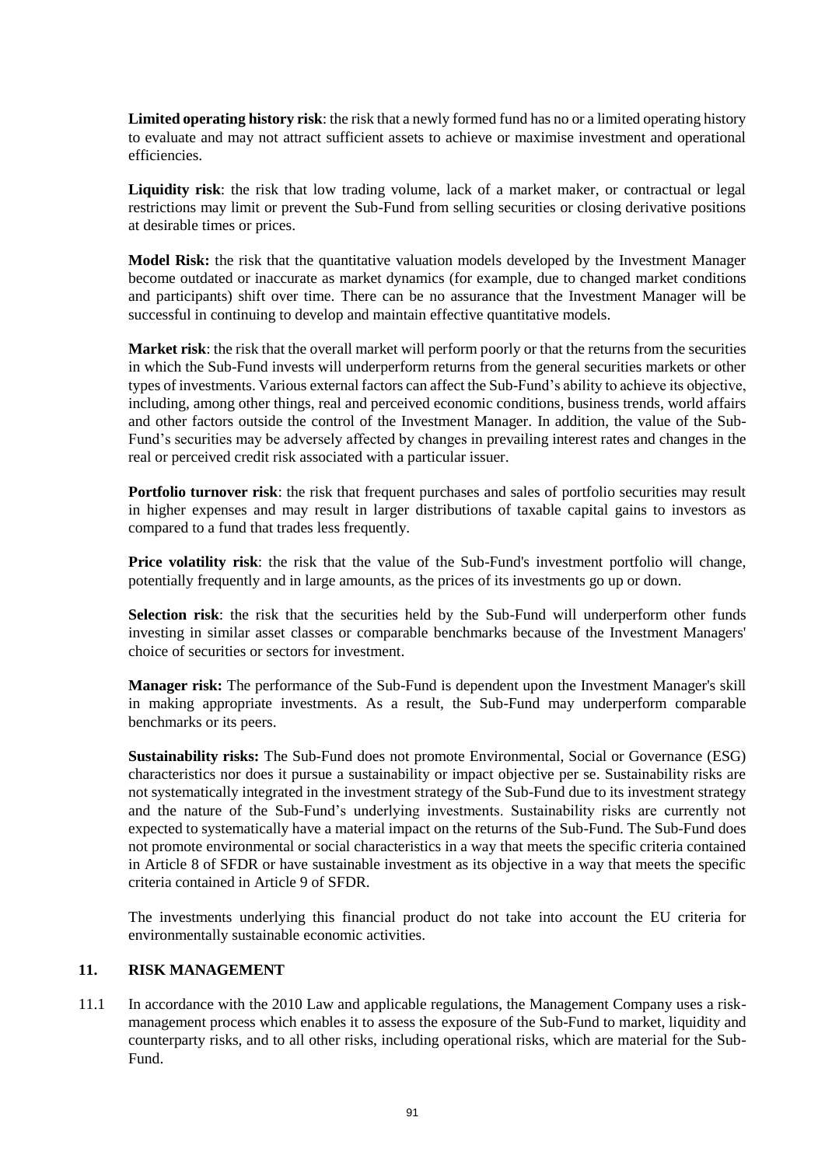**Limited operating history risk**: the risk that a newly formed fund has no or a limited operating history to evaluate and may not attract sufficient assets to achieve or maximise investment and operational efficiencies.

**Liquidity risk**: the risk that low trading volume, lack of a market maker, or contractual or legal restrictions may limit or prevent the Sub-Fund from selling securities or closing derivative positions at desirable times or prices.

**Model Risk:** the risk that the quantitative valuation models developed by the Investment Manager become outdated or inaccurate as market dynamics (for example, due to changed market conditions and participants) shift over time. There can be no assurance that the Investment Manager will be successful in continuing to develop and maintain effective quantitative models.

**Market risk**: the risk that the overall market will perform poorly or that the returns from the securities in which the Sub-Fund invests will underperform returns from the general securities markets or other types of investments. Various external factors can affect the Sub-Fund's ability to achieve its objective, including, among other things, real and perceived economic conditions, business trends, world affairs and other factors outside the control of the Investment Manager. In addition, the value of the Sub-Fund's securities may be adversely affected by changes in prevailing interest rates and changes in the real or perceived credit risk associated with a particular issuer.

**Portfolio turnover risk**: the risk that frequent purchases and sales of portfolio securities may result in higher expenses and may result in larger distributions of taxable capital gains to investors as compared to a fund that trades less frequently.

**Price volatility risk**: the risk that the value of the Sub-Fund's investment portfolio will change, potentially frequently and in large amounts, as the prices of its investments go up or down.

**Selection risk**: the risk that the securities held by the Sub-Fund will underperform other funds investing in similar asset classes or comparable benchmarks because of the Investment Managers' choice of securities or sectors for investment.

**Manager risk:** The performance of the Sub-Fund is dependent upon the Investment Manager's skill in making appropriate investments. As a result, the Sub-Fund may underperform comparable benchmarks or its peers.

**Sustainability risks:** The Sub-Fund does not promote Environmental, Social or Governance (ESG) characteristics nor does it pursue a sustainability or impact objective per se. Sustainability risks are not systematically integrated in the investment strategy of the Sub-Fund due to its investment strategy and the nature of the Sub-Fund's underlying investments. Sustainability risks are currently not expected to systematically have a material impact on the returns of the Sub-Fund. The Sub-Fund does not promote environmental or social characteristics in a way that meets the specific criteria contained in Article 8 of SFDR or have sustainable investment as its objective in a way that meets the specific criteria contained in Article 9 of SFDR.

The investments underlying this financial product do not take into account the EU criteria for environmentally sustainable economic activities.

#### **11. RISK MANAGEMENT**

11.1 In accordance with the 2010 Law and applicable regulations, the Management Company uses a riskmanagement process which enables it to assess the exposure of the Sub-Fund to market, liquidity and counterparty risks, and to all other risks, including operational risks, which are material for the Sub-Fund.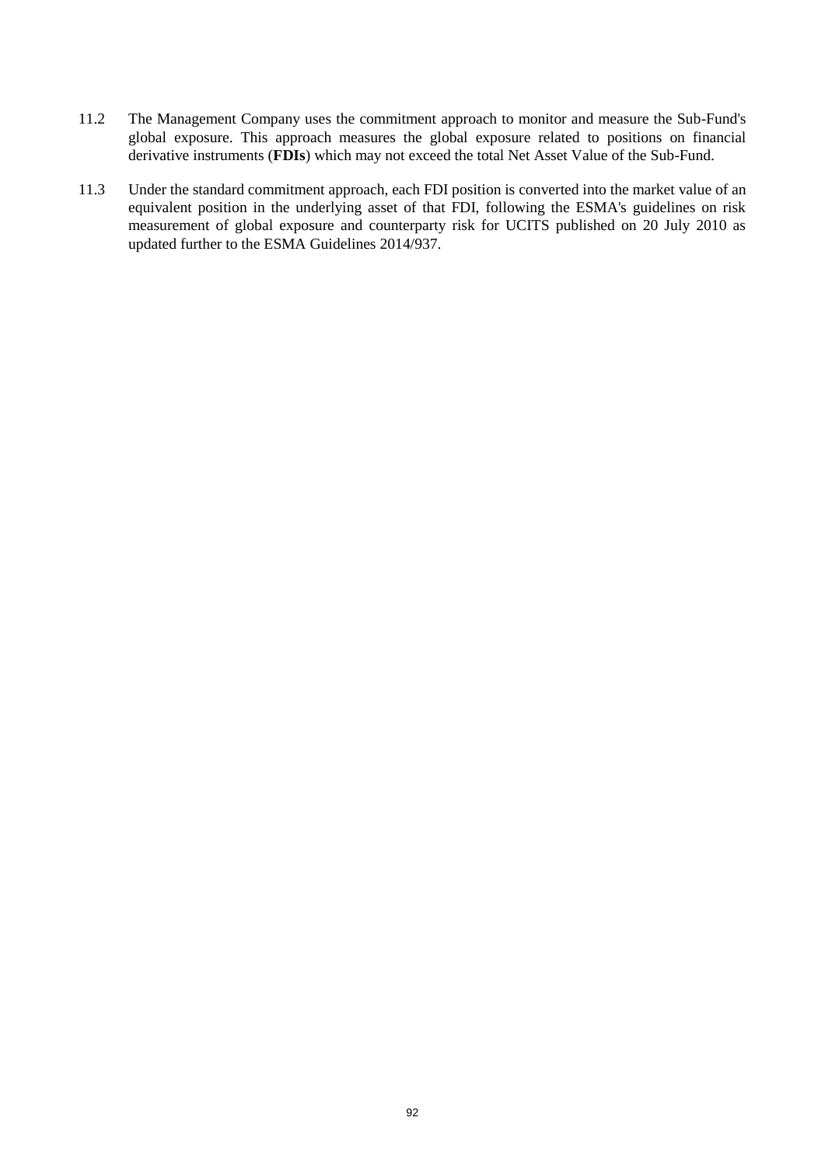- 11.2 The Management Company uses the commitment approach to monitor and measure the Sub-Fund's global exposure. This approach measures the global exposure related to positions on financial derivative instruments (**FDIs**) which may not exceed the total Net Asset Value of the Sub-Fund.
- 11.3 Under the standard commitment approach, each FDI position is converted into the market value of an equivalent position in the underlying asset of that FDI, following the ESMA's guidelines on risk measurement of global exposure and counterparty risk for UCITS published on 20 July 2010 as updated further to the ESMA Guidelines 2014/937.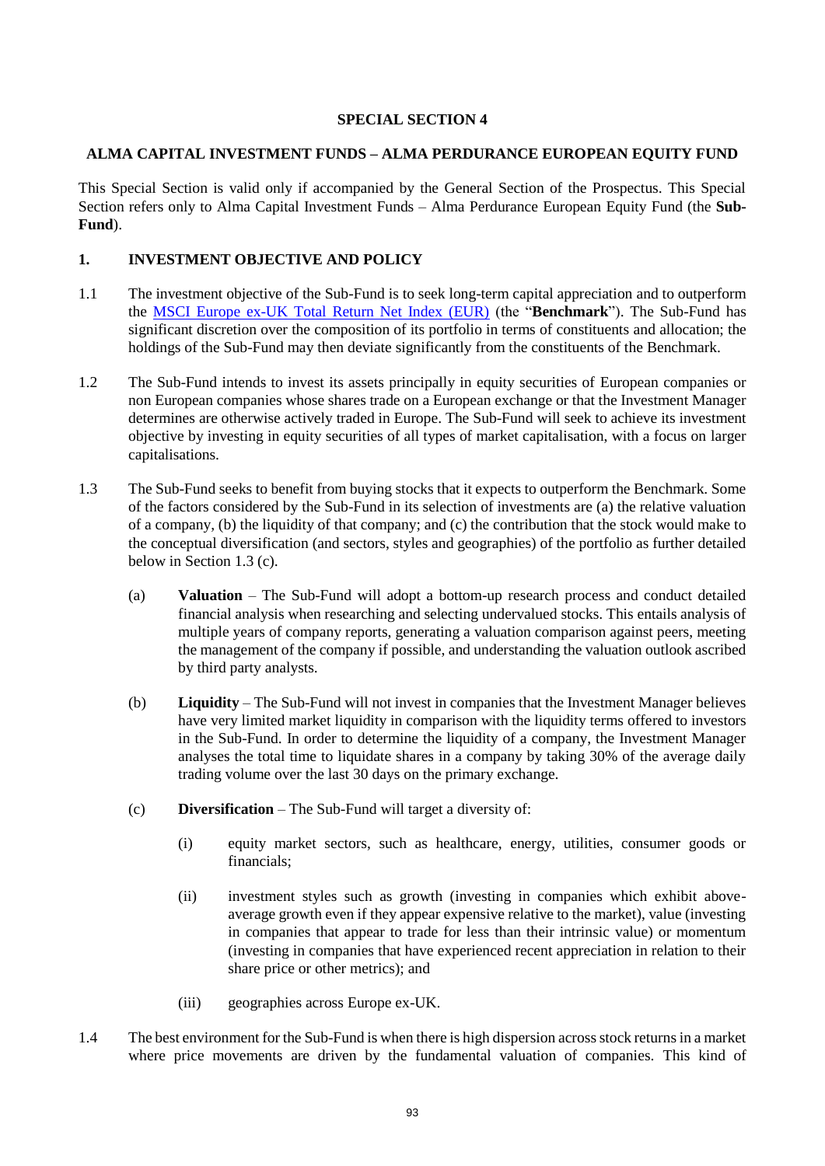## **SPECIAL SECTION 4**

#### **ALMA CAPITAL INVESTMENT FUNDS – ALMA PERDURANCE EUROPEAN EQUITY FUND**

This Special Section is valid only if accompanied by the General Section of the Prospectus. This Special Section refers only to Alma Capital Investment Funds – Alma Perdurance European Equity Fund (the **Sub-Fund**).

## **1. INVESTMENT OBJECTIVE AND POLICY**

- 1.1 The investment objective of the Sub-Fund is to seek long-term capital appreciation and to outperform the [MSCI Europe ex-UK Total Return Net Index \(EUR\)](https://www.msci.com/documents/10199/25db6f28-bd94-492b-b972-d9769bdc2db9) (the "**Benchmark**"). The Sub-Fund has significant discretion over the composition of its portfolio in terms of constituents and allocation; the holdings of the Sub-Fund may then deviate significantly from the constituents of the Benchmark.
- 1.2 The Sub-Fund intends to invest its assets principally in equity securities of European companies or non European companies whose shares trade on a European exchange or that the Investment Manager determines are otherwise actively traded in Europe. The Sub-Fund will seek to achieve its investment objective by investing in equity securities of all types of market capitalisation, with a focus on larger capitalisations.
- 1.3 The Sub-Fund seeks to benefit from buying stocks that it expects to outperform the Benchmark. Some of the factors considered by the Sub-Fund in its selection of investments are (a) the relative valuation of a company, (b) the liquidity of that company; and (c) the contribution that the stock would make to the conceptual diversification (and sectors, styles and geographies) of the portfolio as further detailed below in Section 1.3 (c).
	- (a) **Valuation** The Sub-Fund will adopt a bottom-up research process and conduct detailed financial analysis when researching and selecting undervalued stocks. This entails analysis of multiple years of company reports, generating a valuation comparison against peers, meeting the management of the company if possible, and understanding the valuation outlook ascribed by third party analysts.
	- (b) **Liquidity** The Sub-Fund will not invest in companies that the Investment Manager believes have very limited market liquidity in comparison with the liquidity terms offered to investors in the Sub-Fund. In order to determine the liquidity of a company, the Investment Manager analyses the total time to liquidate shares in a company by taking 30% of the average daily trading volume over the last 30 days on the primary exchange.
	- (c) **Diversification** The Sub-Fund will target a diversity of:
		- (i) equity market sectors, such as healthcare, energy, utilities, consumer goods or financials;
		- (ii) investment styles such as growth (investing in companies which exhibit aboveaverage growth even if they appear expensive relative to the market), value (investing in companies that appear to trade for less than their intrinsic value) or momentum (investing in companies that have experienced recent appreciation in relation to their share price or other metrics); and
		- (iii) geographies across Europe ex-UK.
- 1.4 The best environment for the Sub-Fund is when there is high dispersion across stock returns in a market where price movements are driven by the fundamental valuation of companies. This kind of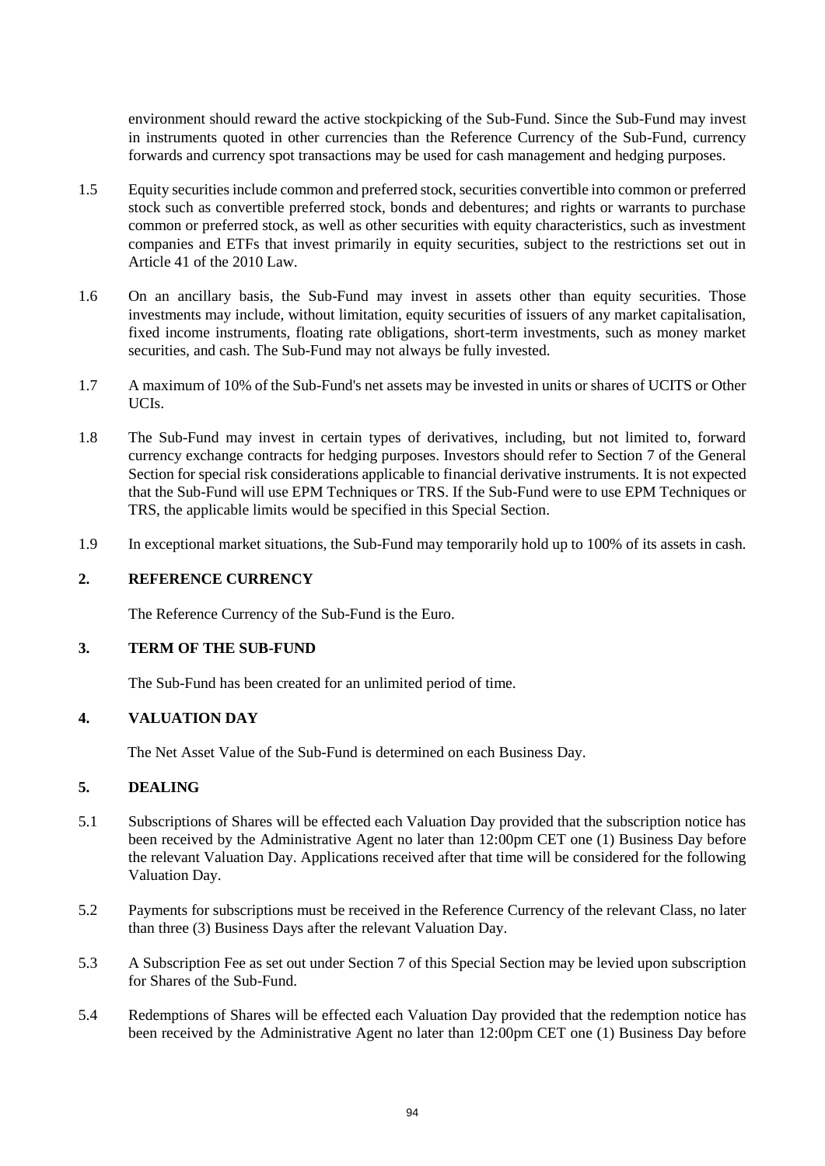environment should reward the active stockpicking of the Sub-Fund. Since the Sub-Fund may invest in instruments quoted in other currencies than the Reference Currency of the Sub-Fund, currency forwards and currency spot transactions may be used for cash management and hedging purposes.

- 1.5 Equity securities include common and preferred stock, securities convertible into common or preferred stock such as convertible preferred stock, bonds and debentures; and rights or warrants to purchase common or preferred stock, as well as other securities with equity characteristics, such as investment companies and ETFs that invest primarily in equity securities, subject to the restrictions set out in Article 41 of the 2010 Law.
- 1.6 On an ancillary basis, the Sub-Fund may invest in assets other than equity securities. Those investments may include, without limitation, equity securities of issuers of any market capitalisation, fixed income instruments, floating rate obligations, short-term investments, such as money market securities, and cash. The Sub-Fund may not always be fully invested.
- 1.7 A maximum of 10% of the Sub-Fund's net assets may be invested in units or shares of UCITS or Other UCIs.
- 1.8 The Sub-Fund may invest in certain types of derivatives, including, but not limited to, forward currency exchange contracts for hedging purposes. Investors should refer to Section [7](#page-32-0) of the General Section for special risk considerations applicable to financial derivative instruments. It is not expected that the Sub-Fund will use EPM Techniques or TRS. If the Sub-Fund were to use EPM Techniques or TRS, the applicable limits would be specified in this Special Section.
- 1.9 In exceptional market situations, the Sub-Fund may temporarily hold up to 100% of its assets in cash.

#### **2. REFERENCE CURRENCY**

The Reference Currency of the Sub-Fund is the Euro.

#### **3. TERM OF THE SUB-FUND**

The Sub-Fund has been created for an unlimited period of time.

## **4. VALUATION DAY**

The Net Asset Value of the Sub-Fund is determined on each Business Day.

### **5. DEALING**

- 5.1 Subscriptions of Shares will be effected each Valuation Day provided that the subscription notice has been received by the Administrative Agent no later than 12:00pm CET one (1) Business Day before the relevant Valuation Day. Applications received after that time will be considered for the following Valuation Day.
- 5.2 Payments for subscriptions must be received in the Reference Currency of the relevant Class, no later than three (3) Business Days after the relevant Valuation Day.
- 5.3 A Subscription Fee as set out under Section 7 of this Special Section may be levied upon subscription for Shares of the Sub-Fund.
- 5.4 Redemptions of Shares will be effected each Valuation Day provided that the redemption notice has been received by the Administrative Agent no later than 12:00pm CET one (1) Business Day before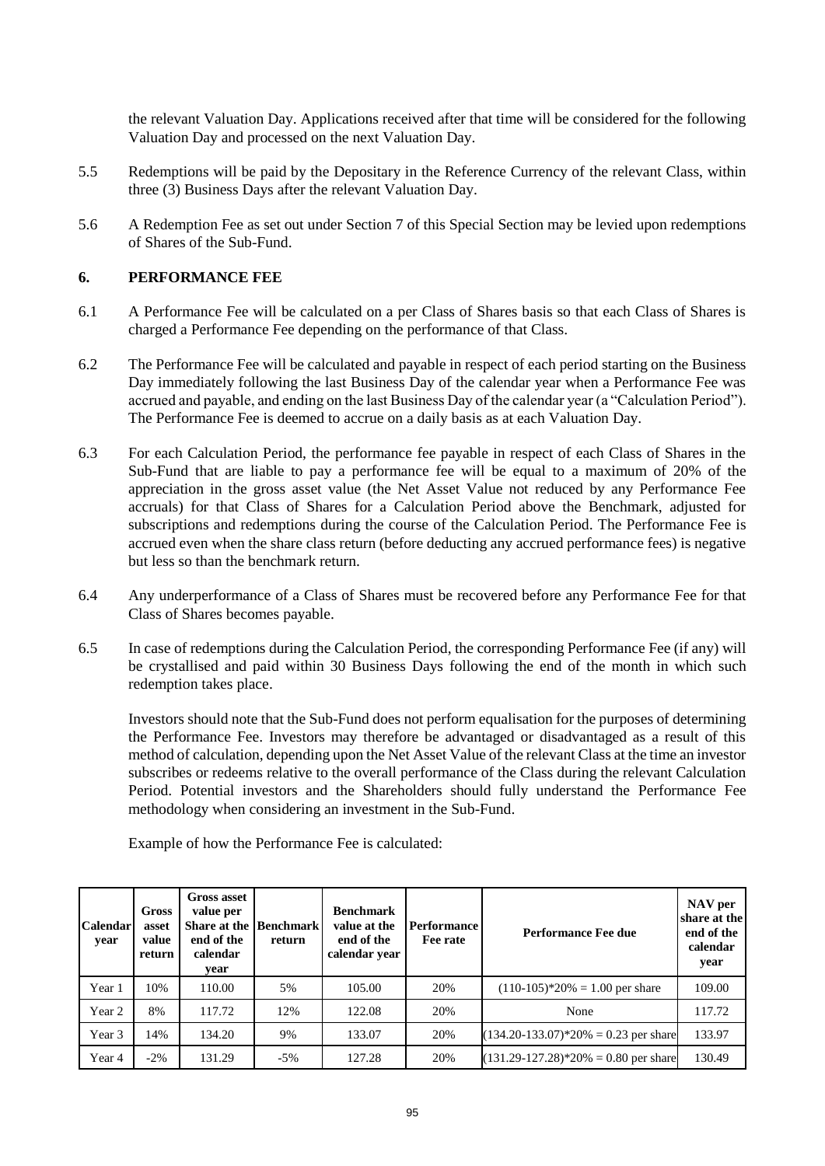the relevant Valuation Day. Applications received after that time will be considered for the following Valuation Day and processed on the next Valuation Day.

- 5.5 Redemptions will be paid by the Depositary in the Reference Currency of the relevant Class, within three (3) Business Days after the relevant Valuation Day.
- 5.6 A Redemption Fee as set out under Section 7 of this Special Section may be levied upon redemptions of Shares of the Sub-Fund.

#### **6. PERFORMANCE FEE**

- 6.1 A Performance Fee will be calculated on a per Class of Shares basis so that each Class of Shares is charged a Performance Fee depending on the performance of that Class.
- 6.2 The Performance Fee will be calculated and payable in respect of each period starting on the Business Day immediately following the last Business Day of the calendar year when a Performance Fee was accrued and payable, and ending on the last Business Day of the calendar year (a "Calculation Period"). The Performance Fee is deemed to accrue on a daily basis as at each Valuation Day.
- 6.3 For each Calculation Period, the performance fee payable in respect of each Class of Shares in the Sub-Fund that are liable to pay a performance fee will be equal to a maximum of 20% of the appreciation in the gross asset value (the Net Asset Value not reduced by any Performance Fee accruals) for that Class of Shares for a Calculation Period above the Benchmark, adjusted for subscriptions and redemptions during the course of the Calculation Period. The Performance Fee is accrued even when the share class return (before deducting any accrued performance fees) is negative but less so than the benchmark return.
- 6.4 Any underperformance of a Class of Shares must be recovered before any Performance Fee for that Class of Shares becomes payable.
- 6.5 In case of redemptions during the Calculation Period, the corresponding Performance Fee (if any) will be crystallised and paid within 30 Business Days following the end of the month in which such redemption takes place.

Investors should note that the Sub-Fund does not perform equalisation for the purposes of determining the Performance Fee. Investors may therefore be advantaged or disadvantaged as a result of this method of calculation, depending upon the Net Asset Value of the relevant Class at the time an investor subscribes or redeems relative to the overall performance of the Class during the relevant Calculation Period. Potential investors and the Shareholders should fully understand the Performance Fee methodology when considering an investment in the Sub-Fund.

| <b>Calendar</b><br>year | Gross<br>asset<br>value<br>return | <b>Gross asset</b><br>value per<br><b>Share at the Benchmark</b><br>end of the<br>calendar<br>vear | return | <b>Benchmark</b><br>value at the<br>end of the<br>calendar year | <b>Performance</b><br>Fee rate | <b>Performance Fee due</b>              | NAV per<br>share at the<br>end of the<br>calendar<br>year |
|-------------------------|-----------------------------------|----------------------------------------------------------------------------------------------------|--------|-----------------------------------------------------------------|--------------------------------|-----------------------------------------|-----------------------------------------------------------|
| Year 1                  | 10%                               | 110.00                                                                                             | 5%     | 105.00                                                          | 20%                            | $(110-105)*20\% = 1.00$ per share       | 109.00                                                    |
| Year 2                  | 8%                                | 117.72                                                                                             | 12%    | 122.08                                                          | 20%                            | None                                    | 117.72                                                    |
| Year 3                  | 14%                               | 134.20                                                                                             | 9%     | 133.07                                                          | 20%                            | $(134.20-133.07)*20\% = 0.23$ per share | 133.97                                                    |
| Year 4                  | $-2\%$                            | 131.29                                                                                             | $-5\%$ | 127.28                                                          | 20%                            | $(131.29-127.28)*20\% = 0.80$ per share | 130.49                                                    |

Example of how the Performance Fee is calculated: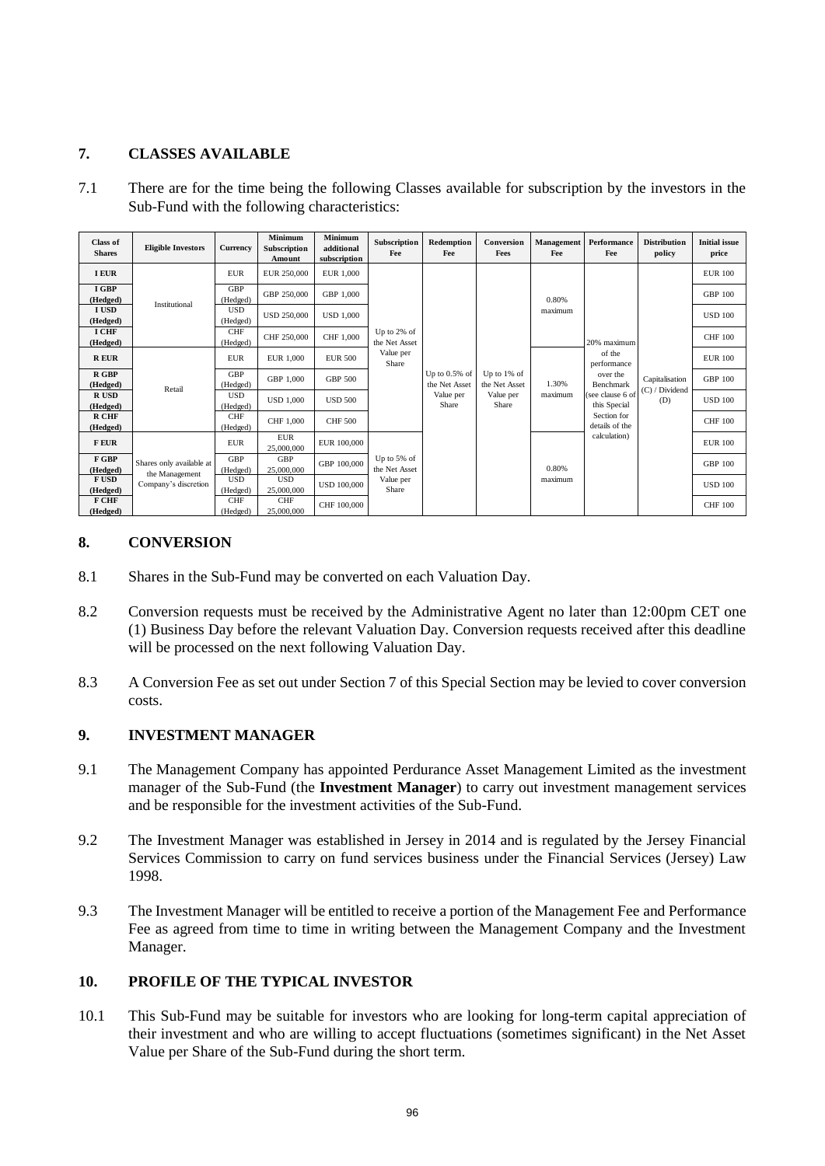## **7. CLASSES AVAILABLE**

7.1 There are for the time being the following Classes available for subscription by the investors in the Sub-Fund with the following characteristics:

| <b>Class of</b><br><b>Shares</b> | <b>Eligible Investors</b>                  | Currency               | <b>Minimum</b><br>Subscription<br>Amount | <b>Minimum</b><br>additional<br>subscription | Subscription<br>Fee                                | Redemption<br>Fee                                       | Conversion<br>Fees                                    | Management<br>Fee | Performance<br>Fee                                                                                                                                 | <b>Distribution</b><br>policy           | <b>Initial issue</b><br>price |
|----------------------------------|--------------------------------------------|------------------------|------------------------------------------|----------------------------------------------|----------------------------------------------------|---------------------------------------------------------|-------------------------------------------------------|-------------------|----------------------------------------------------------------------------------------------------------------------------------------------------|-----------------------------------------|-------------------------------|
| <b>I EUR</b>                     |                                            | <b>EUR</b>             | EUR 250,000                              | EUR 1,000                                    |                                                    |                                                         |                                                       |                   |                                                                                                                                                    |                                         | <b>EUR 100</b>                |
| I GBP<br>(Hedged)                |                                            | GBP<br>(Hedged)        | GBP 250,000                              | GBP 1,000                                    |                                                    |                                                         |                                                       | 0.80%             |                                                                                                                                                    |                                         | <b>GBP 100</b>                |
| I USD<br>(Hedged)                | Institutional                              | <b>USD</b><br>(Hedged) | <b>USD 250,000</b>                       | <b>USD 1,000</b>                             | Up to 2% of<br>the Net Asset<br>Value per<br>Share | Up to $0.5\%$ of<br>the Net Asset<br>Value per<br>Share | Up to $1\%$ of<br>the Net Asset<br>Value per<br>Share | maximum           | 20% maximum<br>of the<br>performance<br>over the<br>Benchmark<br>(see clause 6 of<br>this Special<br>Section for<br>details of the<br>calculation) | Capitalisation<br>(C) / Dividend<br>(D) | <b>USD 100</b>                |
| I CHF<br>(Hedged)                |                                            | <b>CHF</b><br>(Hedged) | CHF 250,000                              | CHF 1,000                                    |                                                    |                                                         |                                                       |                   |                                                                                                                                                    |                                         | <b>CHF 100</b>                |
| R EUR                            | Retail                                     | <b>EUR</b>             | EUR 1,000                                | <b>EUR 500</b>                               |                                                    |                                                         |                                                       | 1.30%<br>maximum  |                                                                                                                                                    |                                         | <b>EUR 100</b>                |
| R GBP<br>(Hedged)                |                                            | <b>GBP</b><br>(Hedged) | GBP 1,000                                | <b>GBP 500</b>                               |                                                    |                                                         |                                                       |                   |                                                                                                                                                    |                                         | <b>GBP 100</b>                |
| <b>R</b> USD<br>(Hedged)         |                                            | <b>USD</b><br>(Hedged) | <b>USD 1,000</b>                         | <b>USD 500</b>                               |                                                    |                                                         |                                                       |                   |                                                                                                                                                    |                                         | <b>USD 100</b>                |
| <b>R CHF</b><br>(Hedged)         |                                            | <b>CHF</b><br>(Hedged) | CHF 1,000                                | <b>CHF 500</b>                               |                                                    |                                                         |                                                       |                   |                                                                                                                                                    |                                         | <b>CHF 100</b>                |
| <b>FEUR</b>                      | Shares only available at<br>the Management | <b>EUR</b>             | <b>EUR</b><br>25,000,000                 | EUR 100,000                                  |                                                    |                                                         |                                                       | 0.80%<br>maximum  |                                                                                                                                                    |                                         | <b>EUR 100</b>                |
| F GBP<br>(Hedged)                |                                            | GBP<br>(Hedged)        | <b>GBP</b><br>25,000,000                 | GBP 100,000                                  | Up to 5% of<br>the Net Asset                       |                                                         |                                                       |                   |                                                                                                                                                    |                                         | <b>GBP 100</b>                |
| <b>F USD</b><br>(Hedged)         | Company's discretion                       | <b>USD</b><br>(Hedged) | <b>USD</b><br>25,000,000                 | <b>USD 100,000</b>                           | Value per<br>Share                                 |                                                         |                                                       |                   |                                                                                                                                                    |                                         | <b>USD 100</b>                |
| F CHF<br>(Hedged)                |                                            | <b>CHF</b><br>(Hedged) | <b>CHF</b><br>25,000,000                 | CHF 100,000                                  |                                                    |                                                         |                                                       |                   |                                                                                                                                                    |                                         | <b>CHF 100</b>                |

## **8. CONVERSION**

- 8.1 Shares in the Sub-Fund may be converted on each Valuation Day.
- 8.2 Conversion requests must be received by the Administrative Agent no later than 12:00pm CET one (1) Business Day before the relevant Valuation Day. Conversion requests received after this deadline will be processed on the next following Valuation Day.
- 8.3 A Conversion Fee as set out under Section 7 of this Special Section may be levied to cover conversion costs.

#### **9. INVESTMENT MANAGER**

- 9.1 The Management Company has appointed Perdurance Asset Management Limited as the investment manager of the Sub-Fund (the **Investment Manager**) to carry out investment management services and be responsible for the investment activities of the Sub-Fund.
- 9.2 The Investment Manager was established in Jersey in 2014 and is regulated by the Jersey Financial Services Commission to carry on fund services business under the Financial Services (Jersey) Law 1998.
- 9.3 The Investment Manager will be entitled to receive a portion of the Management Fee and Performance Fee as agreed from time to time in writing between the Management Company and the Investment Manager.

#### **10. PROFILE OF THE TYPICAL INVESTOR**

10.1 This Sub-Fund may be suitable for investors who are looking for long-term capital appreciation of their investment and who are willing to accept fluctuations (sometimes significant) in the Net Asset Value per Share of the Sub-Fund during the short term.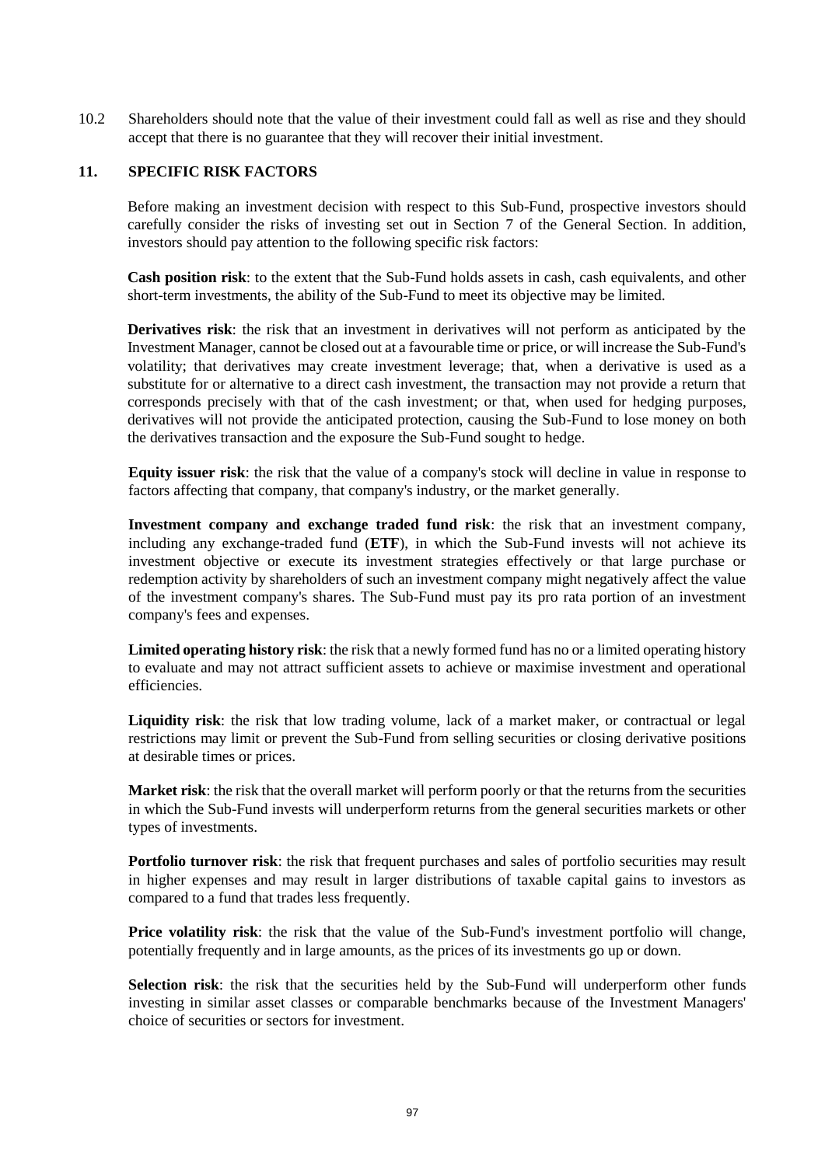10.2 Shareholders should note that the value of their investment could fall as well as rise and they should accept that there is no guarantee that they will recover their initial investment.

#### **11. SPECIFIC RISK FACTORS**

Before making an investment decision with respect to this Sub-Fund, prospective investors should carefully consider the risks of investing set out in Section [7](#page-32-0) of the General Section. In addition, investors should pay attention to the following specific risk factors:

**Cash position risk**: to the extent that the Sub-Fund holds assets in cash, cash equivalents, and other short-term investments, the ability of the Sub-Fund to meet its objective may be limited.

**Derivatives risk**: the risk that an investment in derivatives will not perform as anticipated by the Investment Manager, cannot be closed out at a favourable time or price, or will increase the Sub-Fund's volatility; that derivatives may create investment leverage; that, when a derivative is used as a substitute for or alternative to a direct cash investment, the transaction may not provide a return that corresponds precisely with that of the cash investment; or that, when used for hedging purposes, derivatives will not provide the anticipated protection, causing the Sub-Fund to lose money on both the derivatives transaction and the exposure the Sub-Fund sought to hedge.

**Equity issuer risk**: the risk that the value of a company's stock will decline in value in response to factors affecting that company, that company's industry, or the market generally.

**Investment company and exchange traded fund risk**: the risk that an investment company, including any exchange-traded fund (**ETF**), in which the Sub-Fund invests will not achieve its investment objective or execute its investment strategies effectively or that large purchase or redemption activity by shareholders of such an investment company might negatively affect the value of the investment company's shares. The Sub-Fund must pay its pro rata portion of an investment company's fees and expenses.

**Limited operating history risk**: the risk that a newly formed fund has no or a limited operating history to evaluate and may not attract sufficient assets to achieve or maximise investment and operational efficiencies.

**Liquidity risk**: the risk that low trading volume, lack of a market maker, or contractual or legal restrictions may limit or prevent the Sub-Fund from selling securities or closing derivative positions at desirable times or prices.

**Market risk**: the risk that the overall market will perform poorly or that the returns from the securities in which the Sub-Fund invests will underperform returns from the general securities markets or other types of investments.

**Portfolio turnover risk**: the risk that frequent purchases and sales of portfolio securities may result in higher expenses and may result in larger distributions of taxable capital gains to investors as compared to a fund that trades less frequently.

**Price volatility risk**: the risk that the value of the Sub-Fund's investment portfolio will change, potentially frequently and in large amounts, as the prices of its investments go up or down.

Selection risk: the risk that the securities held by the Sub-Fund will underperform other funds investing in similar asset classes or comparable benchmarks because of the Investment Managers' choice of securities or sectors for investment.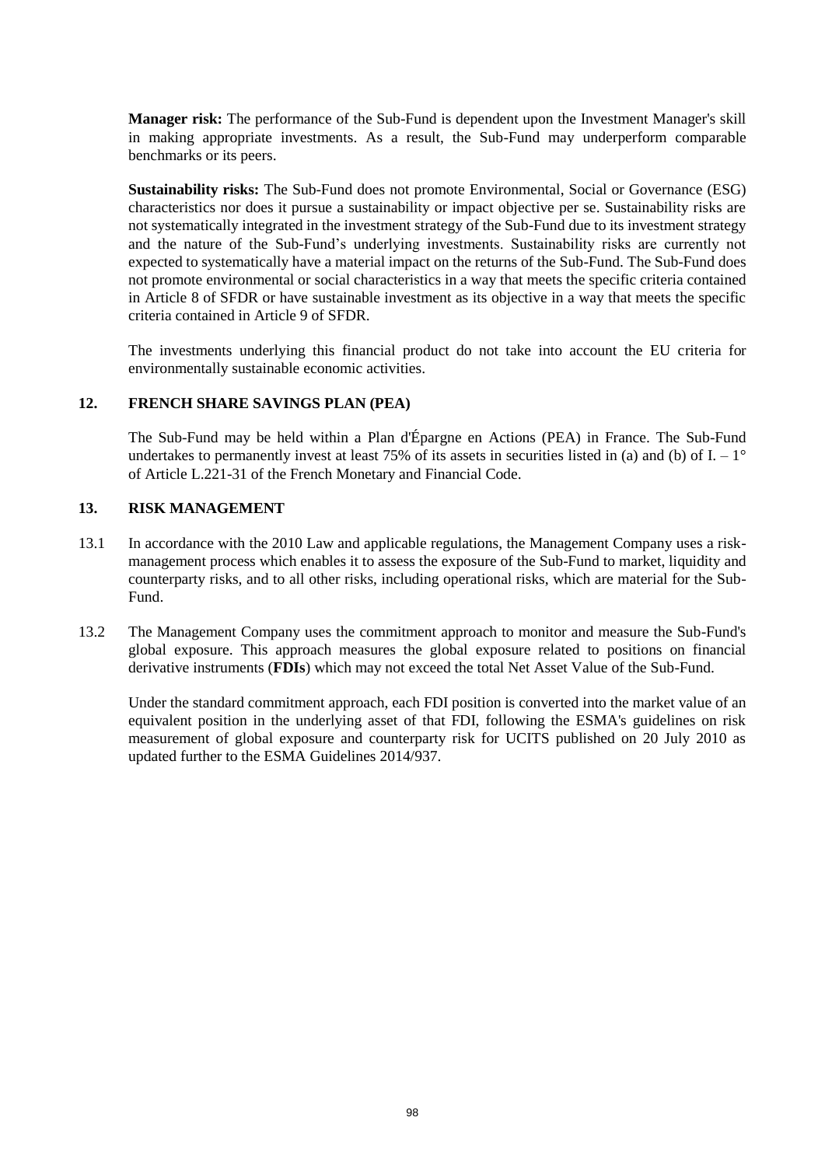**Manager risk:** The performance of the Sub-Fund is dependent upon the Investment Manager's skill in making appropriate investments. As a result, the Sub-Fund may underperform comparable benchmarks or its peers.

**Sustainability risks:** The Sub-Fund does not promote Environmental, Social or Governance (ESG) characteristics nor does it pursue a sustainability or impact objective per se. Sustainability risks are not systematically integrated in the investment strategy of the Sub-Fund due to its investment strategy and the nature of the Sub-Fund's underlying investments. Sustainability risks are currently not expected to systematically have a material impact on the returns of the Sub-Fund. The Sub-Fund does not promote environmental or social characteristics in a way that meets the specific criteria contained in Article 8 of SFDR or have sustainable investment as its objective in a way that meets the specific criteria contained in Article 9 of SFDR.

The investments underlying this financial product do not take into account the EU criteria for environmentally sustainable economic activities.

### **12. FRENCH SHARE SAVINGS PLAN (PEA)**

The Sub-Fund may be held within a Plan d'Épargne en Actions (PEA) in France. The Sub-Fund undertakes to permanently invest at least 75% of its assets in securities listed in (a) and (b) of  $I - 1^{\circ}$ of Article L.221-31 of the French Monetary and Financial Code.

#### **13. RISK MANAGEMENT**

- 13.1 In accordance with the 2010 Law and applicable regulations, the Management Company uses a riskmanagement process which enables it to assess the exposure of the Sub-Fund to market, liquidity and counterparty risks, and to all other risks, including operational risks, which are material for the Sub-Fund.
- 13.2 The Management Company uses the commitment approach to monitor and measure the Sub-Fund's global exposure. This approach measures the global exposure related to positions on financial derivative instruments (**FDIs**) which may not exceed the total Net Asset Value of the Sub-Fund.

Under the standard commitment approach, each FDI position is converted into the market value of an equivalent position in the underlying asset of that FDI, following the ESMA's guidelines on risk measurement of global exposure and counterparty risk for UCITS published on 20 July 2010 as updated further to the ESMA Guidelines 2014/937.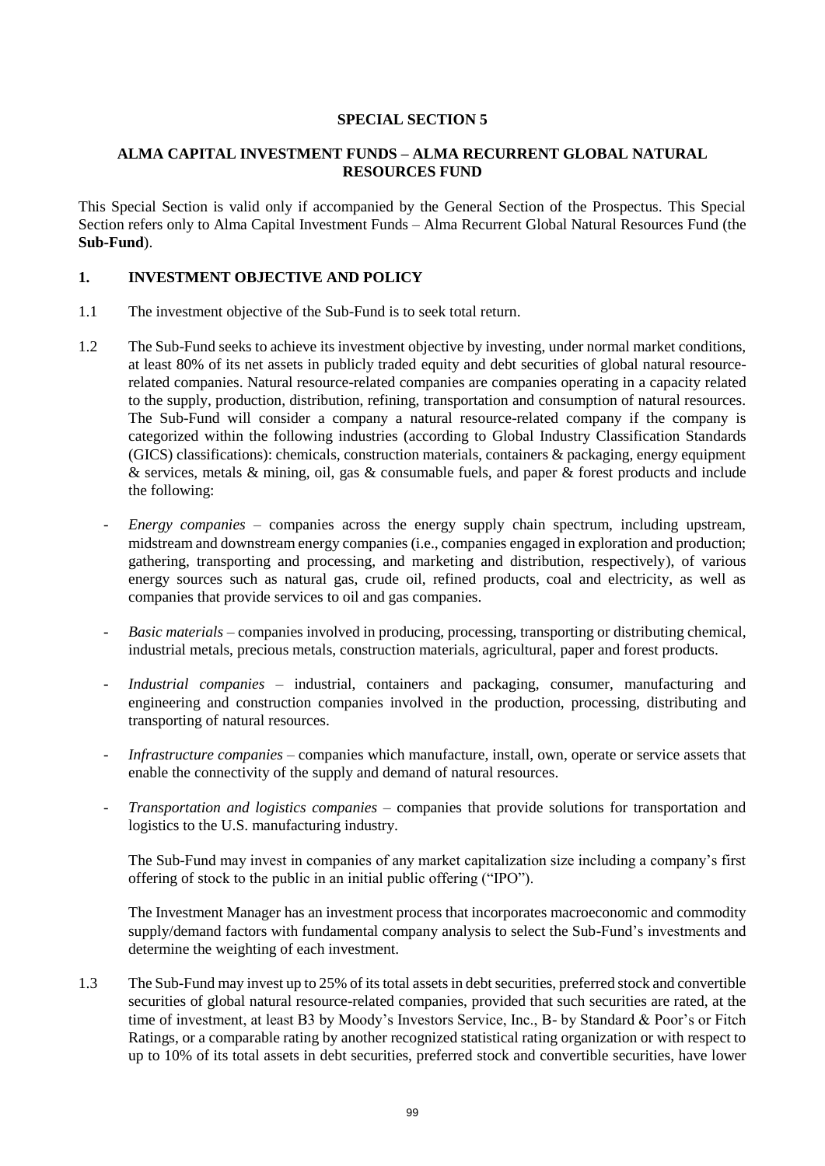### **SPECIAL SECTION 5**

### **ALMA CAPITAL INVESTMENT FUNDS – ALMA RECURRENT GLOBAL NATURAL RESOURCES FUND**

This Special Section is valid only if accompanied by the General Section of the Prospectus. This Special Section refers only to Alma Capital Investment Funds – Alma Recurrent Global Natural Resources Fund (the **Sub-Fund**).

### **1. INVESTMENT OBJECTIVE AND POLICY**

- 1.1 The investment objective of the Sub-Fund is to seek total return.
- 1.2 The Sub-Fund seeks to achieve its investment objective by investing, under normal market conditions, at least 80% of its net assets in publicly traded equity and debt securities of global natural resourcerelated companies. Natural resource-related companies are companies operating in a capacity related to the supply, production, distribution, refining, transportation and consumption of natural resources. The Sub-Fund will consider a company a natural resource-related company if the company is categorized within the following industries (according to Global Industry Classification Standards (GICS) classifications): chemicals, construction materials, containers & packaging, energy equipment & services, metals & mining, oil, gas & consumable fuels, and paper & forest products and include the following:
	- *Energy companies* companies across the energy supply chain spectrum, including upstream, midstream and downstream energy companies (i.e., companies engaged in exploration and production; gathering, transporting and processing, and marketing and distribution, respectively), of various energy sources such as natural gas, crude oil, refined products, coal and electricity, as well as companies that provide services to oil and gas companies.
	- *Basic materials* companies involved in producing, processing, transporting or distributing chemical, industrial metals, precious metals, construction materials, agricultural, paper and forest products.
	- *Industrial companies* industrial, containers and packaging, consumer, manufacturing and engineering and construction companies involved in the production, processing, distributing and transporting of natural resources.
	- *Infrastructure companies* companies which manufacture, install, own, operate or service assets that enable the connectivity of the supply and demand of natural resources.
	- *Transportation and logistics companies* companies that provide solutions for transportation and logistics to the U.S. manufacturing industry.

The Sub-Fund may invest in companies of any market capitalization size including a company's first offering of stock to the public in an initial public offering ("IPO").

The Investment Manager has an investment process that incorporates macroeconomic and commodity supply/demand factors with fundamental company analysis to select the Sub-Fund's investments and determine the weighting of each investment.

1.3 The Sub-Fund may invest up to 25% of its total assets in debt securities, preferred stock and convertible securities of global natural resource-related companies, provided that such securities are rated, at the time of investment, at least B3 by Moody's Investors Service, Inc., B- by Standard & Poor's or Fitch Ratings, or a comparable rating by another recognized statistical rating organization or with respect to up to 10% of its total assets in debt securities, preferred stock and convertible securities, have lower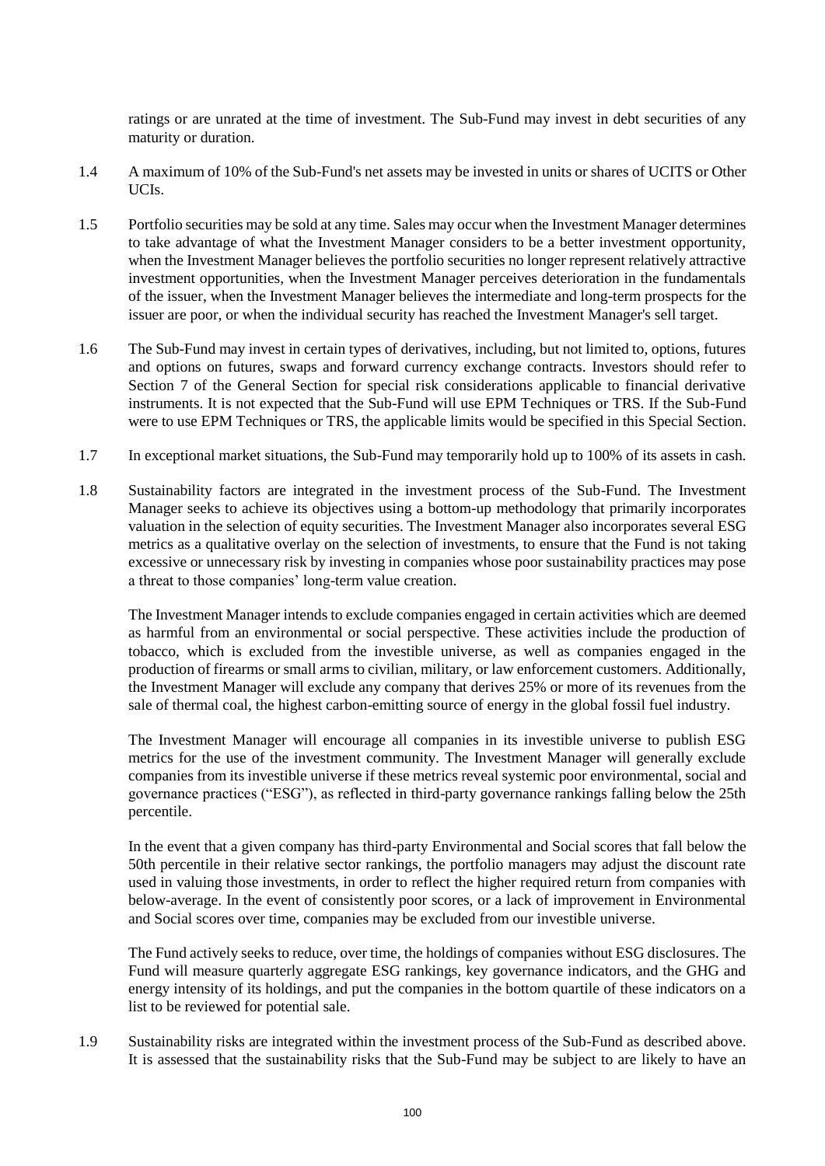ratings or are unrated at the time of investment. The Sub-Fund may invest in debt securities of any maturity or duration.

- 1.4 A maximum of 10% of the Sub-Fund's net assets may be invested in units or shares of UCITS or Other UCIs.
- 1.5 Portfolio securities may be sold at any time. Sales may occur when the Investment Manager determines to take advantage of what the Investment Manager considers to be a better investment opportunity, when the Investment Manager believes the portfolio securities no longer represent relatively attractive investment opportunities, when the Investment Manager perceives deterioration in the fundamentals of the issuer, when the Investment Manager believes the intermediate and long-term prospects for the issuer are poor, or when the individual security has reached the Investment Manager's sell target.
- 1.6 The Sub-Fund may invest in certain types of derivatives, including, but not limited to, options, futures and options on futures, swaps and forward currency exchange contracts. Investors should refer to Section [7](#page-32-0) of the General Section for special risk considerations applicable to financial derivative instruments. It is not expected that the Sub-Fund will use EPM Techniques or TRS. If the Sub-Fund were to use EPM Techniques or TRS, the applicable limits would be specified in this Special Section.
- 1.7 In exceptional market situations, the Sub-Fund may temporarily hold up to 100% of its assets in cash.
- 1.8 Sustainability factors are integrated in the investment process of the Sub-Fund. The Investment Manager seeks to achieve its objectives using a bottom-up methodology that primarily incorporates valuation in the selection of equity securities. The Investment Manager also incorporates several ESG metrics as a qualitative overlay on the selection of investments, to ensure that the Fund is not taking excessive or unnecessary risk by investing in companies whose poor sustainability practices may pose a threat to those companies' long-term value creation.

The Investment Manager intends to exclude companies engaged in certain activities which are deemed as harmful from an environmental or social perspective. These activities include the production of tobacco, which is excluded from the investible universe, as well as companies engaged in the production of firearms or small arms to civilian, military, or law enforcement customers. Additionally, the Investment Manager will exclude any company that derives 25% or more of its revenues from the sale of thermal coal, the highest carbon-emitting source of energy in the global fossil fuel industry.

The Investment Manager will encourage all companies in its investible universe to publish ESG metrics for the use of the investment community. The Investment Manager will generally exclude companies from its investible universe if these metrics reveal systemic poor environmental, social and governance practices ("ESG"), as reflected in third-party governance rankings falling below the 25th percentile.

In the event that a given company has third-party Environmental and Social scores that fall below the 50th percentile in their relative sector rankings, the portfolio managers may adjust the discount rate used in valuing those investments, in order to reflect the higher required return from companies with below-average. In the event of consistently poor scores, or a lack of improvement in Environmental and Social scores over time, companies may be excluded from our investible universe.

The Fund actively seeks to reduce, over time, the holdings of companies without ESG disclosures. The Fund will measure quarterly aggregate ESG rankings, key governance indicators, and the GHG and energy intensity of its holdings, and put the companies in the bottom quartile of these indicators on a list to be reviewed for potential sale.

1.9 Sustainability risks are integrated within the investment process of the Sub-Fund as described above. It is assessed that the sustainability risks that the Sub-Fund may be subject to are likely to have an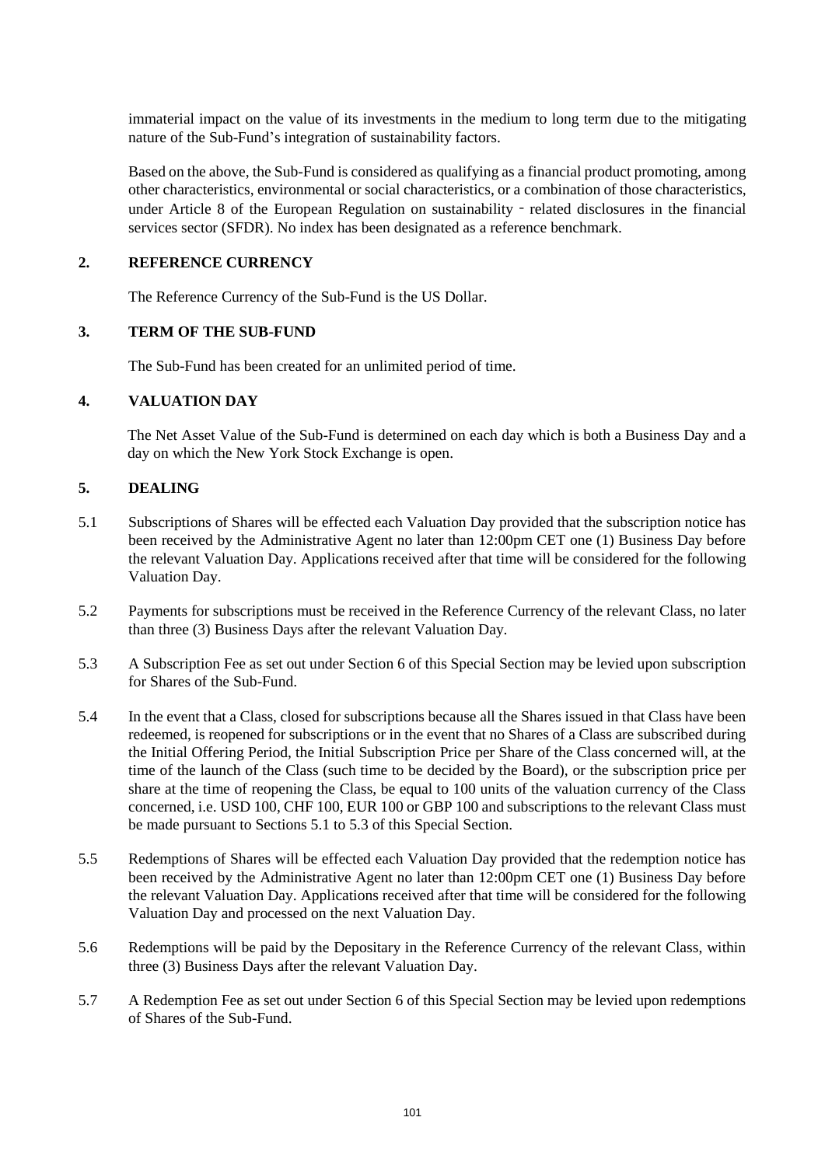immaterial impact on the value of its investments in the medium to long term due to the mitigating nature of the Sub-Fund's integration of sustainability factors.

Based on the above, the Sub-Fund is considered as qualifying as a financial product promoting, among other characteristics, environmental or social characteristics, or a combination of those characteristics, under Article 8 of the European Regulation on sustainability - related disclosures in the financial services sector (SFDR). No index has been designated as a reference benchmark.

#### **2. REFERENCE CURRENCY**

The Reference Currency of the Sub-Fund is the US Dollar.

#### **3. TERM OF THE SUB-FUND**

The Sub-Fund has been created for an unlimited period of time.

#### **4. VALUATION DAY**

The Net Asset Value of the Sub-Fund is determined on each day which is both a Business Day and a day on which the New York Stock Exchange is open.

#### **5. DEALING**

- 5.1 Subscriptions of Shares will be effected each Valuation Day provided that the subscription notice has been received by the Administrative Agent no later than 12:00pm CET one (1) Business Day before the relevant Valuation Day. Applications received after that time will be considered for the following Valuation Day.
- 5.2 Payments for subscriptions must be received in the Reference Currency of the relevant Class, no later than three (3) Business Days after the relevant Valuation Day.
- 5.3 A Subscription Fee as set out under Section 6 of this Special Section may be levied upon subscription for Shares of the Sub-Fund.
- 5.4 In the event that a Class, closed for subscriptions because all the Shares issued in that Class have been redeemed, is reopened for subscriptions or in the event that no Shares of a Class are subscribed during the Initial Offering Period, the Initial Subscription Price per Share of the Class concerned will, at the time of the launch of the Class (such time to be decided by the Board), or the subscription price per share at the time of reopening the Class, be equal to 100 units of the valuation currency of the Class concerned, i.e. USD 100, CHF 100, EUR 100 or GBP 100 and subscriptions to the relevant Class must be made pursuant to Sections 5.1 to 5.3 of this Special Section.
- 5.5 Redemptions of Shares will be effected each Valuation Day provided that the redemption notice has been received by the Administrative Agent no later than 12:00pm CET one (1) Business Day before the relevant Valuation Day. Applications received after that time will be considered for the following Valuation Day and processed on the next Valuation Day.
- 5.6 Redemptions will be paid by the Depositary in the Reference Currency of the relevant Class, within three (3) Business Days after the relevant Valuation Day.
- 5.7 A Redemption Fee as set out under Section 6 of this Special Section may be levied upon redemptions of Shares of the Sub-Fund.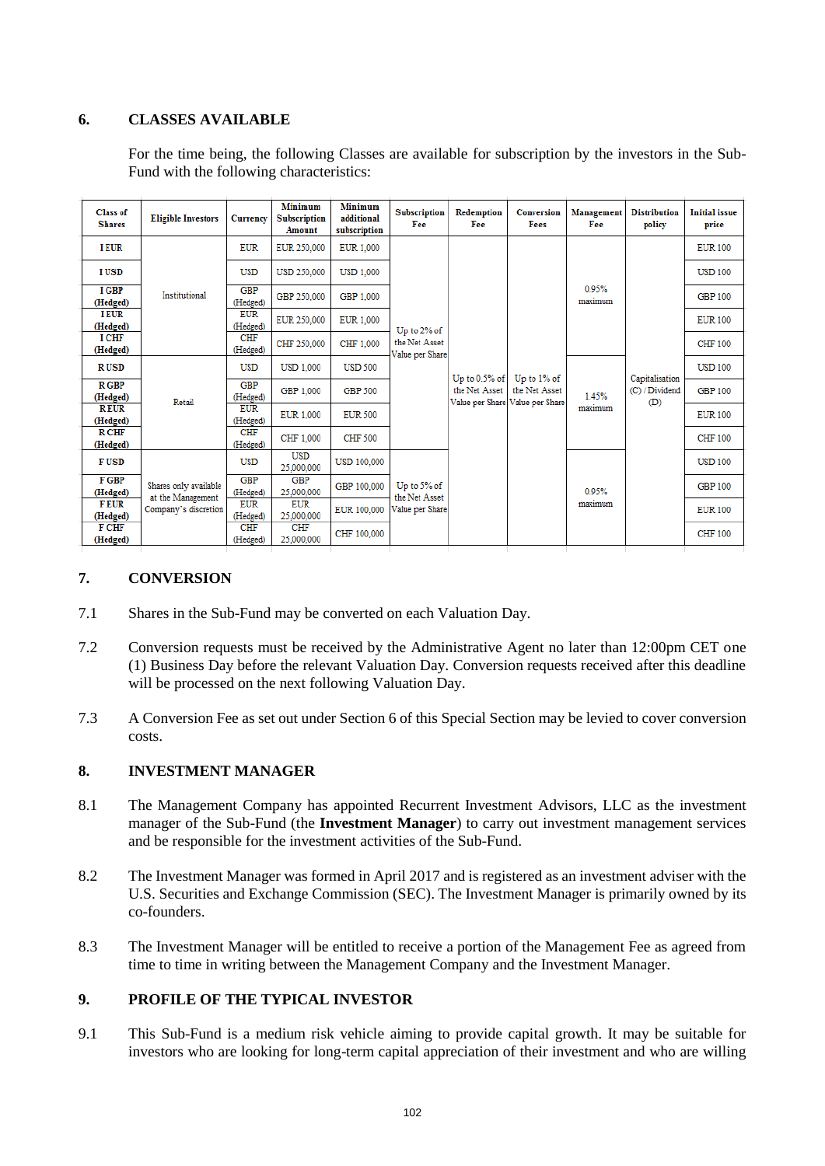## **6. CLASSES AVAILABLE**

For the time being, the following Classes are available for subscription by the investors in the Sub-Fund with the following characteristics:

| <b>Class of</b><br><b>Shares</b> | <b>Eligible Investors</b>                                          | <b>Currency</b>        | Minimum<br><b>Subscription</b><br>Amount | Minimum<br>additional<br>subscription | <b>Subscription</b><br>Fee                      | Redemption<br>Fee | <b>Conversion</b><br>Fees                        | Management<br>Fee | <b>Distribution</b><br>policy           | <b>Initial</b> issue<br>price |
|----------------------------------|--------------------------------------------------------------------|------------------------|------------------------------------------|---------------------------------------|-------------------------------------------------|-------------------|--------------------------------------------------|-------------------|-----------------------------------------|-------------------------------|
| <b>I EUR</b>                     |                                                                    | <b>EUR</b>             | EUR 250,000                              | <b>EUR 1.000</b>                      |                                                 |                   |                                                  | 0.95%<br>maximum  | Capitalisation<br>(C) / Dividend<br>(D) | <b>EUR 100</b>                |
| <b>IUSD</b>                      |                                                                    | <b>USD</b>             | <b>USD 250,000</b>                       | <b>USD 1.000</b>                      |                                                 |                   |                                                  |                   |                                         | <b>USD 100</b>                |
| I GBP<br>(Hedged)                | Institutional                                                      | <b>GBP</b><br>(Hedged) | GBP 250,000                              | GBP 1.000                             | Up to 2% of<br>the Net Asset<br>Value per Share |                   |                                                  |                   |                                         | <b>GBP 100</b>                |
| <b>I EUR</b><br>(Hedged)         |                                                                    | <b>EUR</b><br>(Hedged) | EUR 250,000                              | <b>EUR 1,000</b>                      |                                                 |                   |                                                  |                   |                                         | <b>EUR 100</b>                |
| <b>I CHF</b><br>(Hedged)         |                                                                    | <b>CHF</b><br>(Hedged) | CHF 250,000                              | CHF 1.000                             |                                                 | Up to $0.5%$ of   | Up to 1% of                                      |                   |                                         | <b>CHF 100</b>                |
| <b>RUSD</b>                      |                                                                    | <b>USD</b>             | <b>USD 1.000</b>                         | <b>USD 500</b>                        |                                                 |                   |                                                  | 1.45%<br>maximum  |                                         | <b>USD 100</b>                |
| <b>R</b> GBP<br>(Hedged)         | Retail                                                             | <b>GBP</b><br>(Hedged) | GBP 1.000                                | GBP 500                               |                                                 | the Net Asset     | the Net Asset<br>Value per Share Value per Share |                   |                                         | <b>GBP 100</b>                |
| <b>REUR</b><br>(Hedged)          |                                                                    | <b>EUR</b><br>(Hedged) | EUR 1.000                                | <b>EUR 500</b>                        |                                                 |                   |                                                  |                   |                                         | <b>EUR 100</b>                |
| <b>R CHF</b><br>(Hedged)         |                                                                    | <b>CHF</b><br>(Hedged) | CHF 1,000                                | CHF 500                               |                                                 |                   |                                                  |                   |                                         | <b>CHF 100</b>                |
| <b>FUSD</b>                      | Shares only available<br>at the Management<br>Company's discretion | <b>USD</b>             | <b>USD</b><br>25.000.000                 | <b>USD 100,000</b>                    |                                                 |                   |                                                  | 0.95%<br>maximum  |                                         | <b>USD 100</b>                |
| F GBP<br>(Hedged)                |                                                                    | <b>GBP</b><br>(Hedged) | <b>GBP</b><br>25,000,000                 | GBP 100,000                           | Up to 5% of<br>the Net Asset<br>Value per Share |                   |                                                  |                   |                                         | <b>GBP 100</b>                |
| <b>FEUR</b><br>(Hedged)          |                                                                    | <b>EUR</b><br>(Hedged) | <b>EUR</b><br>25,000,000                 | EUR 100,000                           |                                                 |                   |                                                  |                   |                                         | <b>EUR 100</b>                |
| <b>F CHF</b><br>(Hedged)         |                                                                    | <b>CHF</b><br>(Hedged) | <b>CHF</b><br>25,000,000                 | CHF 100,000                           |                                                 |                   |                                                  |                   |                                         | <b>CHF 100</b>                |

### **7. CONVERSION**

- 7.1 Shares in the Sub-Fund may be converted on each Valuation Day.
- 7.2 Conversion requests must be received by the Administrative Agent no later than 12:00pm CET one (1) Business Day before the relevant Valuation Day. Conversion requests received after this deadline will be processed on the next following Valuation Day.
- 7.3 A Conversion Fee as set out under Section 6 of this Special Section may be levied to cover conversion costs.

#### **8. INVESTMENT MANAGER**

- 8.1 The Management Company has appointed Recurrent Investment Advisors, LLC as the investment manager of the Sub-Fund (the **Investment Manager**) to carry out investment management services and be responsible for the investment activities of the Sub-Fund.
- 8.2 The Investment Manager was formed in April 2017 and is registered as an investment adviser with the U.S. Securities and Exchange Commission (SEC). The Investment Manager is primarily owned by its co-founders.
- 8.3 The Investment Manager will be entitled to receive a portion of the Management Fee as agreed from time to time in writing between the Management Company and the Investment Manager.

#### **9. PROFILE OF THE TYPICAL INVESTOR**

9.1 This Sub-Fund is a medium risk vehicle aiming to provide capital growth. It may be suitable for investors who are looking for long-term capital appreciation of their investment and who are willing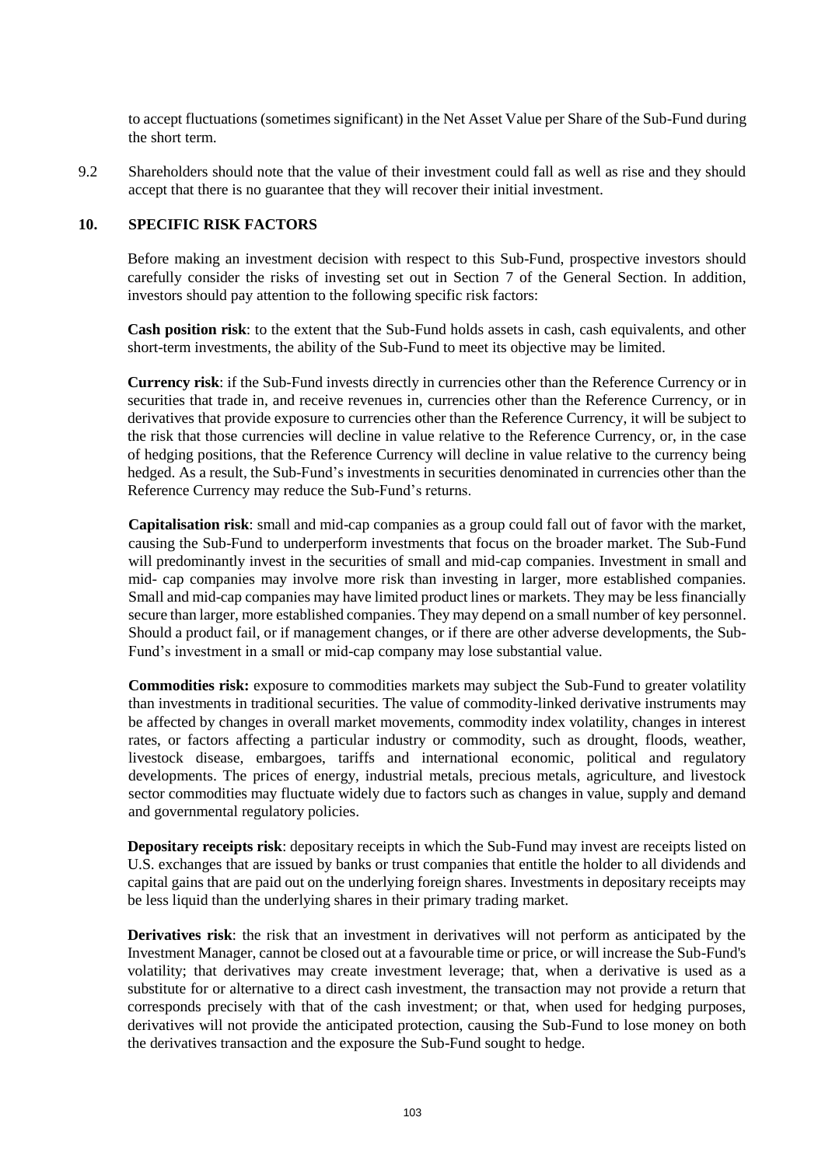to accept fluctuations (sometimes significant) in the Net Asset Value per Share of the Sub-Fund during the short term.

9.2 Shareholders should note that the value of their investment could fall as well as rise and they should accept that there is no guarantee that they will recover their initial investment.

### **10. SPECIFIC RISK FACTORS**

Before making an investment decision with respect to this Sub-Fund, prospective investors should carefully consider the risks of investing set out in Section [7](#page-32-0) of the General Section. In addition, investors should pay attention to the following specific risk factors:

**Cash position risk**: to the extent that the Sub-Fund holds assets in cash, cash equivalents, and other short-term investments, the ability of the Sub-Fund to meet its objective may be limited.

**Currency risk**: if the Sub-Fund invests directly in currencies other than the Reference Currency or in securities that trade in, and receive revenues in, currencies other than the Reference Currency, or in derivatives that provide exposure to currencies other than the Reference Currency, it will be subject to the risk that those currencies will decline in value relative to the Reference Currency, or, in the case of hedging positions, that the Reference Currency will decline in value relative to the currency being hedged. As a result, the Sub-Fund's investments in securities denominated in currencies other than the Reference Currency may reduce the Sub-Fund's returns.

**Capitalisation risk**: small and mid-cap companies as a group could fall out of favor with the market, causing the Sub-Fund to underperform investments that focus on the broader market. The Sub-Fund will predominantly invest in the securities of small and mid-cap companies. Investment in small and mid- cap companies may involve more risk than investing in larger, more established companies. Small and mid-cap companies may have limited product lines or markets. They may be less financially secure than larger, more established companies. They may depend on a small number of key personnel. Should a product fail, or if management changes, or if there are other adverse developments, the Sub-Fund's investment in a small or mid-cap company may lose substantial value.

**Commodities risk:** exposure to commodities markets may subject the Sub-Fund to greater volatility than investments in traditional securities. The value of commodity-linked derivative instruments may be affected by changes in overall market movements, commodity index volatility, changes in interest rates, or factors affecting a particular industry or commodity, such as drought, floods, weather, livestock disease, embargoes, tariffs and international economic, political and regulatory developments. The prices of energy, industrial metals, precious metals, agriculture, and livestock sector commodities may fluctuate widely due to factors such as changes in value, supply and demand and governmental regulatory policies.

**Depositary receipts risk**: depositary receipts in which the Sub-Fund may invest are receipts listed on U.S. exchanges that are issued by banks or trust companies that entitle the holder to all dividends and capital gains that are paid out on the underlying foreign shares. Investments in depositary receipts may be less liquid than the underlying shares in their primary trading market.

**Derivatives risk**: the risk that an investment in derivatives will not perform as anticipated by the Investment Manager, cannot be closed out at a favourable time or price, or will increase the Sub-Fund's volatility; that derivatives may create investment leverage; that, when a derivative is used as a substitute for or alternative to a direct cash investment, the transaction may not provide a return that corresponds precisely with that of the cash investment; or that, when used for hedging purposes, derivatives will not provide the anticipated protection, causing the Sub-Fund to lose money on both the derivatives transaction and the exposure the Sub-Fund sought to hedge.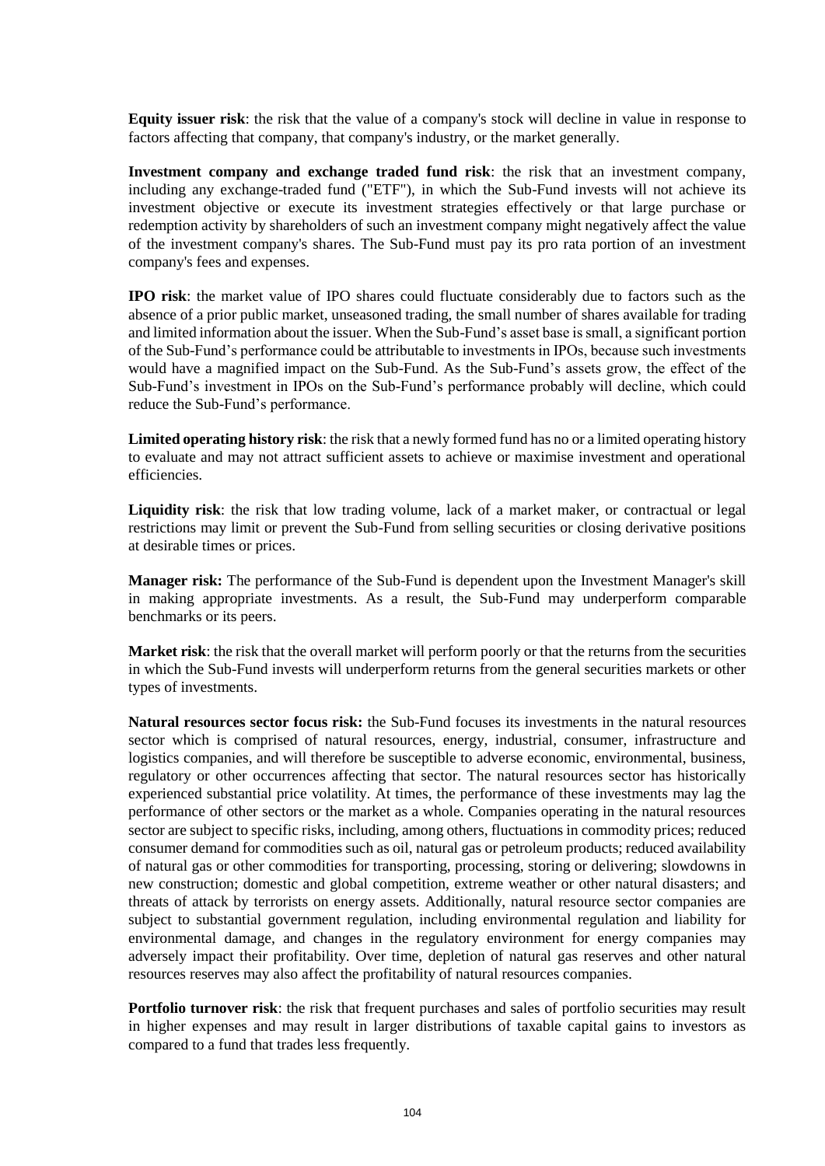**Equity issuer risk**: the risk that the value of a company's stock will decline in value in response to factors affecting that company, that company's industry, or the market generally.

**Investment company and exchange traded fund risk**: the risk that an investment company, including any exchange-traded fund ("ETF"), in which the Sub-Fund invests will not achieve its investment objective or execute its investment strategies effectively or that large purchase or redemption activity by shareholders of such an investment company might negatively affect the value of the investment company's shares. The Sub-Fund must pay its pro rata portion of an investment company's fees and expenses.

**IPO risk**: the market value of IPO shares could fluctuate considerably due to factors such as the absence of a prior public market, unseasoned trading, the small number of shares available for trading and limited information about the issuer. When the Sub-Fund's asset base is small, a significant portion of the Sub-Fund's performance could be attributable to investments in IPOs, because such investments would have a magnified impact on the Sub-Fund. As the Sub-Fund's assets grow, the effect of the Sub-Fund's investment in IPOs on the Sub-Fund's performance probably will decline, which could reduce the Sub-Fund's performance.

**Limited operating history risk**: the risk that a newly formed fund has no or a limited operating history to evaluate and may not attract sufficient assets to achieve or maximise investment and operational efficiencies.

**Liquidity risk**: the risk that low trading volume, lack of a market maker, or contractual or legal restrictions may limit or prevent the Sub-Fund from selling securities or closing derivative positions at desirable times or prices.

**Manager risk:** The performance of the Sub-Fund is dependent upon the Investment Manager's skill in making appropriate investments. As a result, the Sub-Fund may underperform comparable benchmarks or its peers.

**Market risk**: the risk that the overall market will perform poorly or that the returns from the securities in which the Sub-Fund invests will underperform returns from the general securities markets or other types of investments.

**Natural resources sector focus risk:** the Sub-Fund focuses its investments in the natural resources sector which is comprised of natural resources, energy, industrial, consumer, infrastructure and logistics companies, and will therefore be susceptible to adverse economic, environmental, business, regulatory or other occurrences affecting that sector. The natural resources sector has historically experienced substantial price volatility. At times, the performance of these investments may lag the performance of other sectors or the market as a whole. Companies operating in the natural resources sector are subject to specific risks, including, among others, fluctuations in commodity prices; reduced consumer demand for commodities such as oil, natural gas or petroleum products; reduced availability of natural gas or other commodities for transporting, processing, storing or delivering; slowdowns in new construction; domestic and global competition, extreme weather or other natural disasters; and threats of attack by terrorists on energy assets. Additionally, natural resource sector companies are subject to substantial government regulation, including environmental regulation and liability for environmental damage, and changes in the regulatory environment for energy companies may adversely impact their profitability. Over time, depletion of natural gas reserves and other natural resources reserves may also affect the profitability of natural resources companies.

**Portfolio turnover risk**: the risk that frequent purchases and sales of portfolio securities may result in higher expenses and may result in larger distributions of taxable capital gains to investors as compared to a fund that trades less frequently.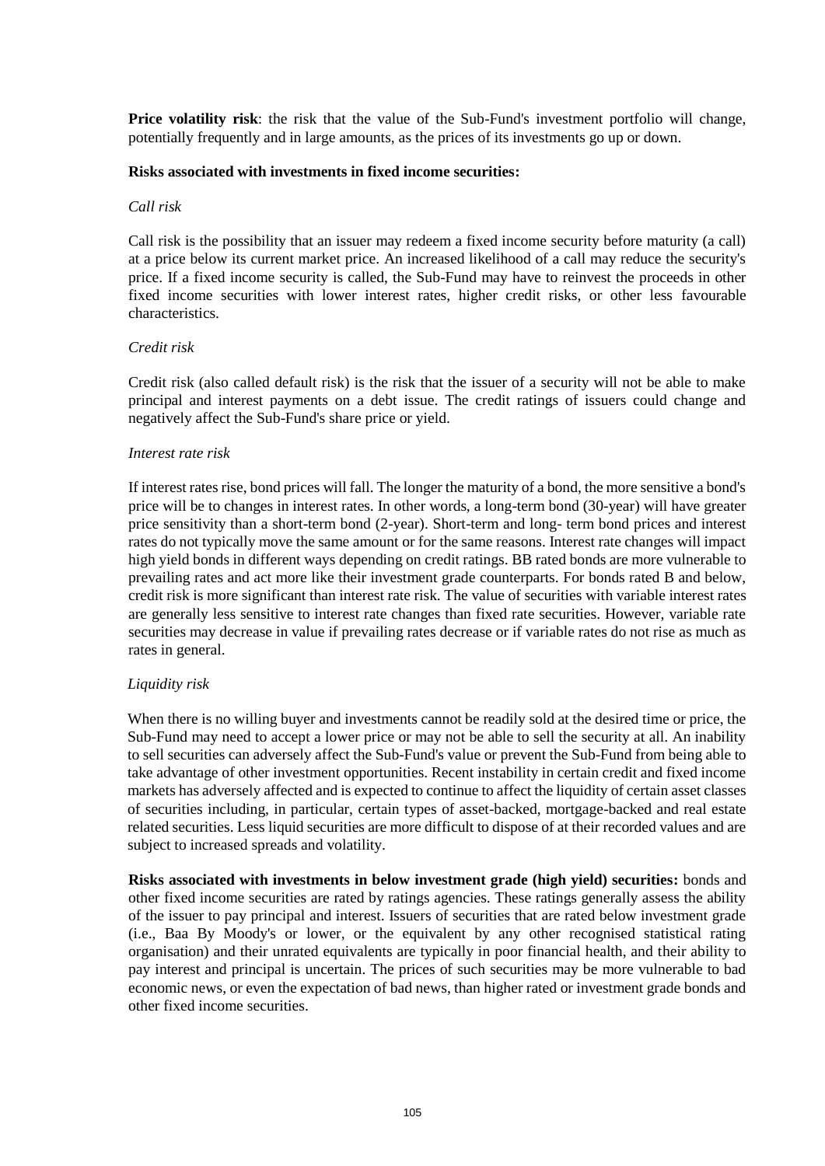**Price volatility risk**: the risk that the value of the Sub-Fund's investment portfolio will change, potentially frequently and in large amounts, as the prices of its investments go up or down.

#### **Risks associated with investments in fixed income securities:**

#### *Call risk*

Call risk is the possibility that an issuer may redeem a fixed income security before maturity (a call) at a price below its current market price. An increased likelihood of a call may reduce the security's price. If a fixed income security is called, the Sub-Fund may have to reinvest the proceeds in other fixed income securities with lower interest rates, higher credit risks, or other less favourable characteristics.

#### *Credit risk*

Credit risk (also called default risk) is the risk that the issuer of a security will not be able to make principal and interest payments on a debt issue. The credit ratings of issuers could change and negatively affect the Sub-Fund's share price or yield.

#### *Interest rate risk*

If interest rates rise, bond prices will fall. The longer the maturity of a bond, the more sensitive a bond's price will be to changes in interest rates. In other words, a long-term bond (30-year) will have greater price sensitivity than a short-term bond (2-year). Short-term and long- term bond prices and interest rates do not typically move the same amount or for the same reasons. Interest rate changes will impact high yield bonds in different ways depending on credit ratings. BB rated bonds are more vulnerable to prevailing rates and act more like their investment grade counterparts. For bonds rated B and below, credit risk is more significant than interest rate risk. The value of securities with variable interest rates are generally less sensitive to interest rate changes than fixed rate securities. However, variable rate securities may decrease in value if prevailing rates decrease or if variable rates do not rise as much as rates in general.

#### *Liquidity risk*

When there is no willing buyer and investments cannot be readily sold at the desired time or price, the Sub-Fund may need to accept a lower price or may not be able to sell the security at all. An inability to sell securities can adversely affect the Sub-Fund's value or prevent the Sub-Fund from being able to take advantage of other investment opportunities. Recent instability in certain credit and fixed income markets has adversely affected and is expected to continue to affect the liquidity of certain asset classes of securities including, in particular, certain types of asset-backed, mortgage-backed and real estate related securities. Less liquid securities are more difficult to dispose of at their recorded values and are subject to increased spreads and volatility.

**Risks associated with investments in below investment grade (high yield) securities:** bonds and other fixed income securities are rated by ratings agencies. These ratings generally assess the ability of the issuer to pay principal and interest. Issuers of securities that are rated below investment grade (i.e., Baa By Moody's or lower, or the equivalent by any other recognised statistical rating organisation) and their unrated equivalents are typically in poor financial health, and their ability to pay interest and principal is uncertain. The prices of such securities may be more vulnerable to bad economic news, or even the expectation of bad news, than higher rated or investment grade bonds and other fixed income securities.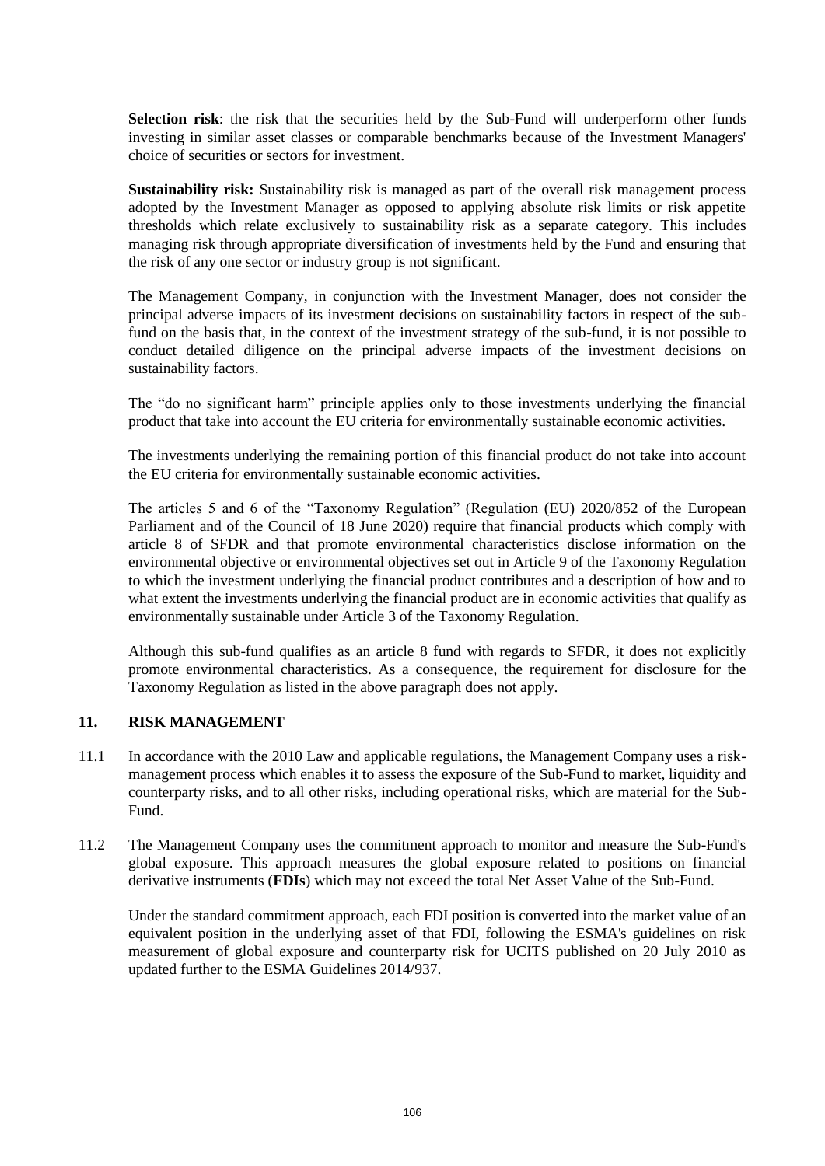**Selection risk**: the risk that the securities held by the Sub-Fund will underperform other funds investing in similar asset classes or comparable benchmarks because of the Investment Managers' choice of securities or sectors for investment.

**Sustainability risk:** Sustainability risk is managed as part of the overall risk management process adopted by the Investment Manager as opposed to applying absolute risk limits or risk appetite thresholds which relate exclusively to sustainability risk as a separate category. This includes managing risk through appropriate diversification of investments held by the Fund and ensuring that the risk of any one sector or industry group is not significant.

The Management Company, in conjunction with the Investment Manager, does not consider the principal adverse impacts of its investment decisions on sustainability factors in respect of the subfund on the basis that, in the context of the investment strategy of the sub-fund, it is not possible to conduct detailed diligence on the principal adverse impacts of the investment decisions on sustainability factors.

The "do no significant harm" principle applies only to those investments underlying the financial product that take into account the EU criteria for environmentally sustainable economic activities.

The investments underlying the remaining portion of this financial product do not take into account the EU criteria for environmentally sustainable economic activities.

The articles 5 and 6 of the "Taxonomy Regulation" (Regulation (EU) 2020/852 of the European Parliament and of the Council of 18 June 2020) require that financial products which comply with article 8 of SFDR and that promote environmental characteristics disclose information on the environmental objective or environmental objectives set out in Article 9 of the Taxonomy Regulation to which the investment underlying the financial product contributes and a description of how and to what extent the investments underlying the financial product are in economic activities that qualify as environmentally sustainable under Article 3 of the Taxonomy Regulation.

Although this sub-fund qualifies as an article 8 fund with regards to SFDR, it does not explicitly promote environmental characteristics. As a consequence, the requirement for disclosure for the Taxonomy Regulation as listed in the above paragraph does not apply.

#### **11. RISK MANAGEMENT**

- 11.1 In accordance with the 2010 Law and applicable regulations, the Management Company uses a riskmanagement process which enables it to assess the exposure of the Sub-Fund to market, liquidity and counterparty risks, and to all other risks, including operational risks, which are material for the Sub-Fund.
- 11.2 The Management Company uses the commitment approach to monitor and measure the Sub-Fund's global exposure. This approach measures the global exposure related to positions on financial derivative instruments (**FDIs**) which may not exceed the total Net Asset Value of the Sub-Fund.

Under the standard commitment approach, each FDI position is converted into the market value of an equivalent position in the underlying asset of that FDI, following the ESMA's guidelines on risk measurement of global exposure and counterparty risk for UCITS published on 20 July 2010 as updated further to the ESMA Guidelines 2014/937.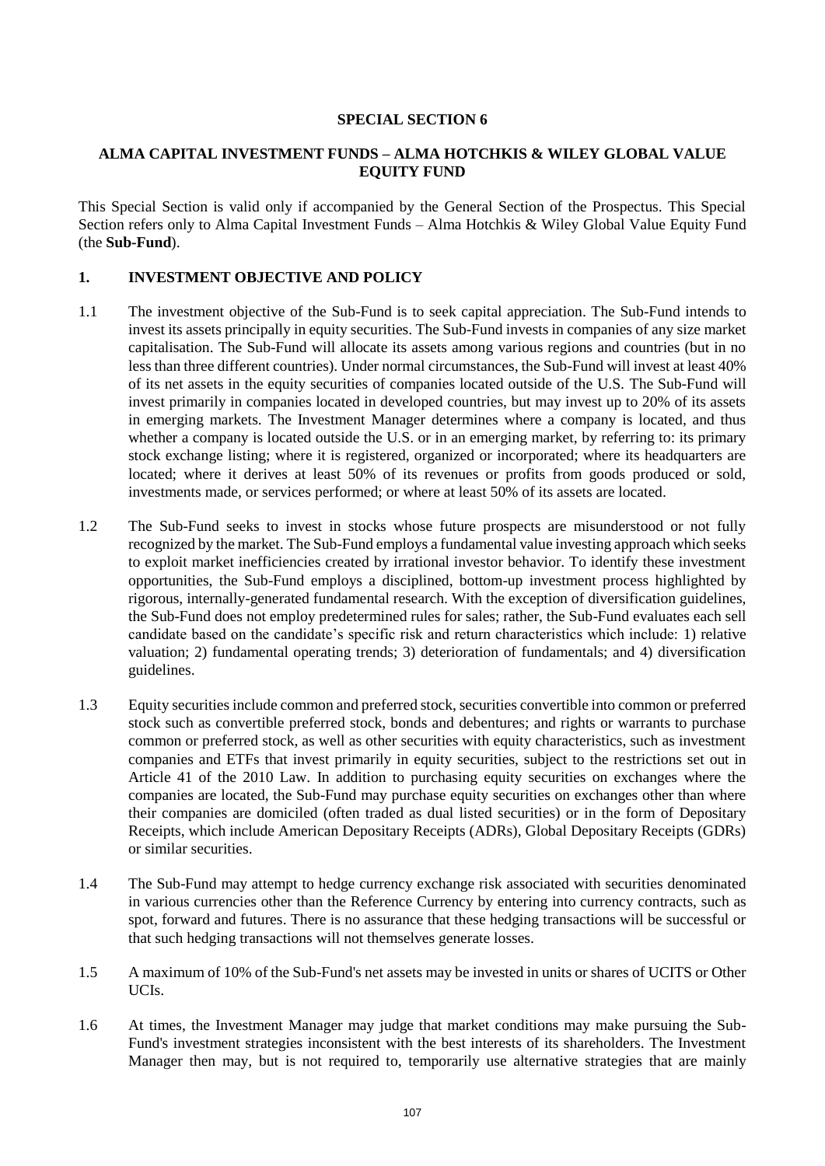#### **SPECIAL SECTION 6**

### **ALMA CAPITAL INVESTMENT FUNDS – ALMA HOTCHKIS & WILEY GLOBAL VALUE EQUITY FUND**

This Special Section is valid only if accompanied by the General Section of the Prospectus. This Special Section refers only to Alma Capital Investment Funds – Alma Hotchkis & Wiley Global Value Equity Fund (the **Sub-Fund**).

### **1. INVESTMENT OBJECTIVE AND POLICY**

- 1.1 The investment objective of the Sub-Fund is to seek capital appreciation. The Sub-Fund intends to invest its assets principally in equity securities. The Sub-Fund invests in companies of any size market capitalisation. The Sub-Fund will allocate its assets among various regions and countries (but in no less than three different countries). Under normal circumstances, the Sub-Fund will invest at least 40% of its net assets in the equity securities of companies located outside of the U.S. The Sub-Fund will invest primarily in companies located in developed countries, but may invest up to 20% of its assets in emerging markets. The Investment Manager determines where a company is located, and thus whether a company is located outside the U.S. or in an emerging market, by referring to: its primary stock exchange listing; where it is registered, organized or incorporated; where its headquarters are located; where it derives at least 50% of its revenues or profits from goods produced or sold, investments made, or services performed; or where at least 50% of its assets are located.
- 1.2 The Sub-Fund seeks to invest in stocks whose future prospects are misunderstood or not fully recognized by the market. The Sub-Fund employs a fundamental value investing approach which seeks to exploit market inefficiencies created by irrational investor behavior. To identify these investment opportunities, the Sub-Fund employs a disciplined, bottom-up investment process highlighted by rigorous, internally-generated fundamental research. With the exception of diversification guidelines, the Sub-Fund does not employ predetermined rules for sales; rather, the Sub-Fund evaluates each sell candidate based on the candidate's specific risk and return characteristics which include: 1) relative valuation; 2) fundamental operating trends; 3) deterioration of fundamentals; and 4) diversification guidelines.
- 1.3 Equity securities include common and preferred stock, securities convertible into common or preferred stock such as convertible preferred stock, bonds and debentures; and rights or warrants to purchase common or preferred stock, as well as other securities with equity characteristics, such as investment companies and ETFs that invest primarily in equity securities, subject to the restrictions set out in Article 41 of the 2010 Law. In addition to purchasing equity securities on exchanges where the companies are located, the Sub-Fund may purchase equity securities on exchanges other than where their companies are domiciled (often traded as dual listed securities) or in the form of Depositary Receipts, which include American Depositary Receipts (ADRs), Global Depositary Receipts (GDRs) or similar securities.
- 1.4 The Sub-Fund may attempt to hedge currency exchange risk associated with securities denominated in various currencies other than the Reference Currency by entering into currency contracts, such as spot, forward and futures. There is no assurance that these hedging transactions will be successful or that such hedging transactions will not themselves generate losses.
- 1.5 A maximum of 10% of the Sub-Fund's net assets may be invested in units or shares of UCITS or Other UCIs.
- 1.6 At times, the Investment Manager may judge that market conditions may make pursuing the Sub-Fund's investment strategies inconsistent with the best interests of its shareholders. The Investment Manager then may, but is not required to, temporarily use alternative strategies that are mainly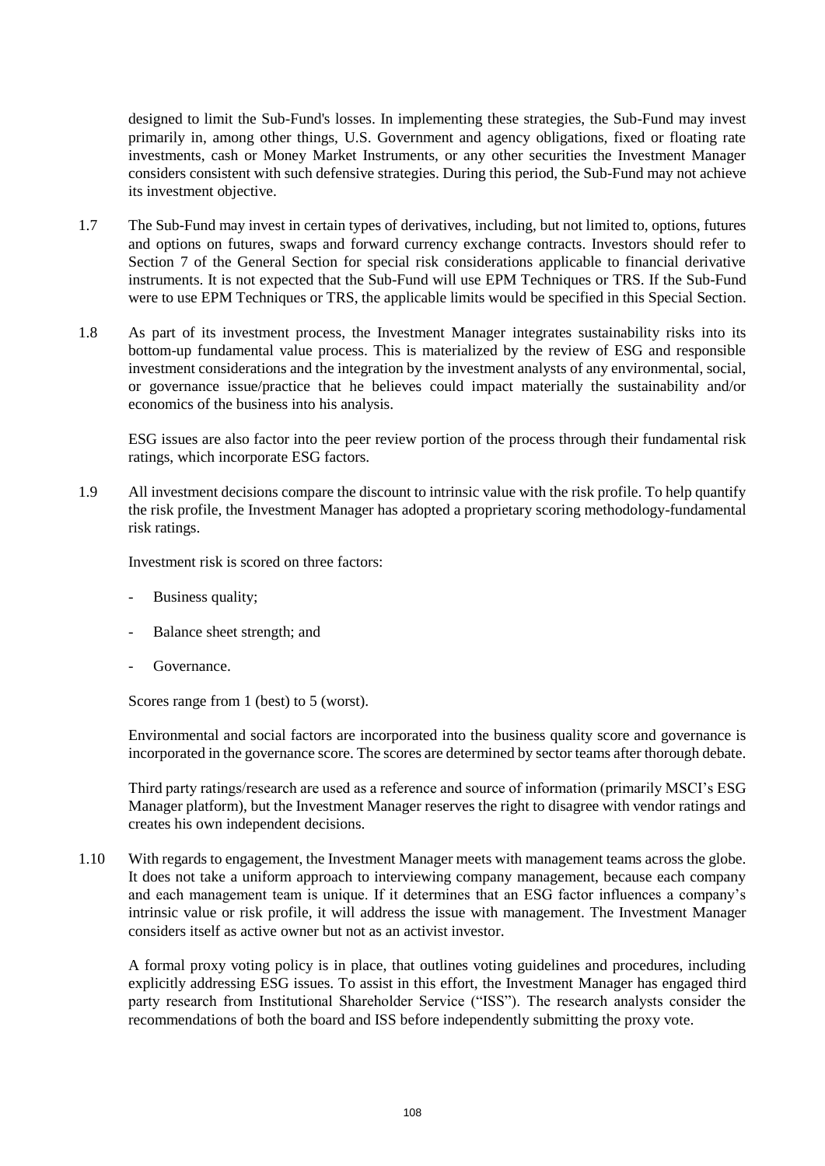designed to limit the Sub-Fund's losses. In implementing these strategies, the Sub-Fund may invest primarily in, among other things, U.S. Government and agency obligations, fixed or floating rate investments, cash or Money Market Instruments, or any other securities the Investment Manager considers consistent with such defensive strategies. During this period, the Sub-Fund may not achieve its investment objective.

- 1.7 The Sub-Fund may invest in certain types of derivatives, including, but not limited to, options, futures and options on futures, swaps and forward currency exchange contracts. Investors should refer to Section [7](#page-32-0) of the General Section for special risk considerations applicable to financial derivative instruments. It is not expected that the Sub-Fund will use EPM Techniques or TRS. If the Sub-Fund were to use EPM Techniques or TRS, the applicable limits would be specified in this Special Section.
- 1.8 As part of its investment process, the Investment Manager integrates sustainability risks into its bottom-up fundamental value process. This is materialized by the review of ESG and responsible investment considerations and the integration by the investment analysts of any environmental, social, or governance issue/practice that he believes could impact materially the sustainability and/or economics of the business into his analysis.

ESG issues are also factor into the peer review portion of the process through their fundamental risk ratings, which incorporate ESG factors.

1.9 All investment decisions compare the discount to intrinsic value with the risk profile. To help quantify the risk profile, the Investment Manager has adopted a proprietary scoring methodology-fundamental risk ratings.

Investment risk is scored on three factors:

- Business quality;
- Balance sheet strength; and
- Governance.

Scores range from 1 (best) to 5 (worst).

Environmental and social factors are incorporated into the business quality score and governance is incorporated in the governance score. The scores are determined by sector teams after thorough debate.

Third party ratings/research are used as a reference and source of information (primarily MSCI's ESG Manager platform), but the Investment Manager reserves the right to disagree with vendor ratings and creates his own independent decisions.

1.10 With regards to engagement, the Investment Manager meets with management teams across the globe. It does not take a uniform approach to interviewing company management, because each company and each management team is unique. If it determines that an ESG factor influences a company's intrinsic value or risk profile, it will address the issue with management. The Investment Manager considers itself as active owner but not as an activist investor.

A formal proxy voting policy is in place, that outlines voting guidelines and procedures, including explicitly addressing ESG issues. To assist in this effort, the Investment Manager has engaged third party research from Institutional Shareholder Service ("ISS"). The research analysts consider the recommendations of both the board and ISS before independently submitting the proxy vote.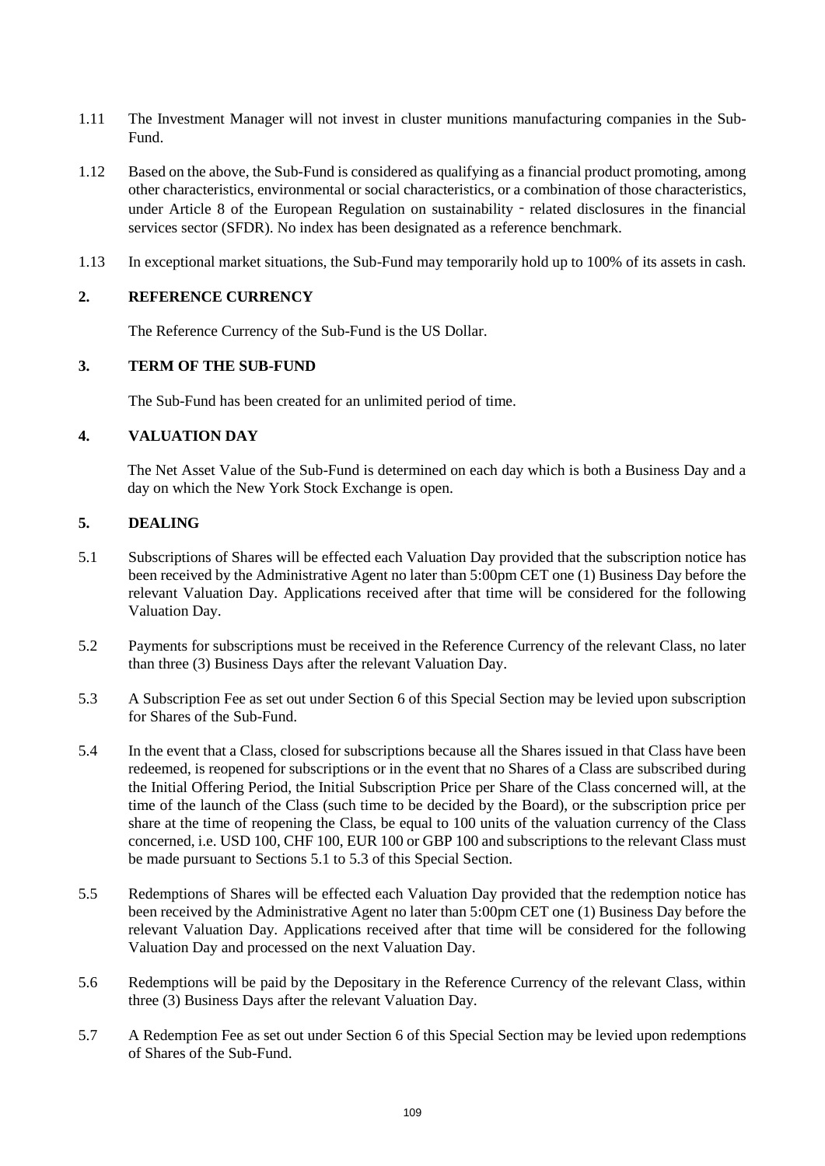- 1.11 The Investment Manager will not invest in cluster munitions manufacturing companies in the Sub-Fund.
- 1.12 Based on the above, the Sub-Fund is considered as qualifying as a financial product promoting, among other characteristics, environmental or social characteristics, or a combination of those characteristics, under Article 8 of the European Regulation on sustainability - related disclosures in the financial services sector (SFDR). No index has been designated as a reference benchmark.
- 1.13 In exceptional market situations, the Sub-Fund may temporarily hold up to 100% of its assets in cash.

## **2. REFERENCE CURRENCY**

The Reference Currency of the Sub-Fund is the US Dollar.

# **3. TERM OF THE SUB-FUND**

The Sub-Fund has been created for an unlimited period of time.

#### **4. VALUATION DAY**

The Net Asset Value of the Sub-Fund is determined on each day which is both a Business Day and a day on which the New York Stock Exchange is open.

# **5. DEALING**

- 5.1 Subscriptions of Shares will be effected each Valuation Day provided that the subscription notice has been received by the Administrative Agent no later than 5:00pm CET one (1) Business Day before the relevant Valuation Day. Applications received after that time will be considered for the following Valuation Day.
- 5.2 Payments for subscriptions must be received in the Reference Currency of the relevant Class, no later than three (3) Business Days after the relevant Valuation Day.
- 5.3 A Subscription Fee as set out under Section 6 of this Special Section may be levied upon subscription for Shares of the Sub-Fund.
- 5.4 In the event that a Class, closed for subscriptions because all the Shares issued in that Class have been redeemed, is reopened for subscriptions or in the event that no Shares of a Class are subscribed during the Initial Offering Period, the Initial Subscription Price per Share of the Class concerned will, at the time of the launch of the Class (such time to be decided by the Board), or the subscription price per share at the time of reopening the Class, be equal to 100 units of the valuation currency of the Class concerned, i.e. USD 100, CHF 100, EUR 100 or GBP 100 and subscriptions to the relevant Class must be made pursuant to Sections 5.1 to 5.3 of this Special Section.
- 5.5 Redemptions of Shares will be effected each Valuation Day provided that the redemption notice has been received by the Administrative Agent no later than 5:00pm CET one (1) Business Day before the relevant Valuation Day. Applications received after that time will be considered for the following Valuation Day and processed on the next Valuation Day.
- 5.6 Redemptions will be paid by the Depositary in the Reference Currency of the relevant Class, within three (3) Business Days after the relevant Valuation Day.
- 5.7 A Redemption Fee as set out under Section 6 of this Special Section may be levied upon redemptions of Shares of the Sub-Fund.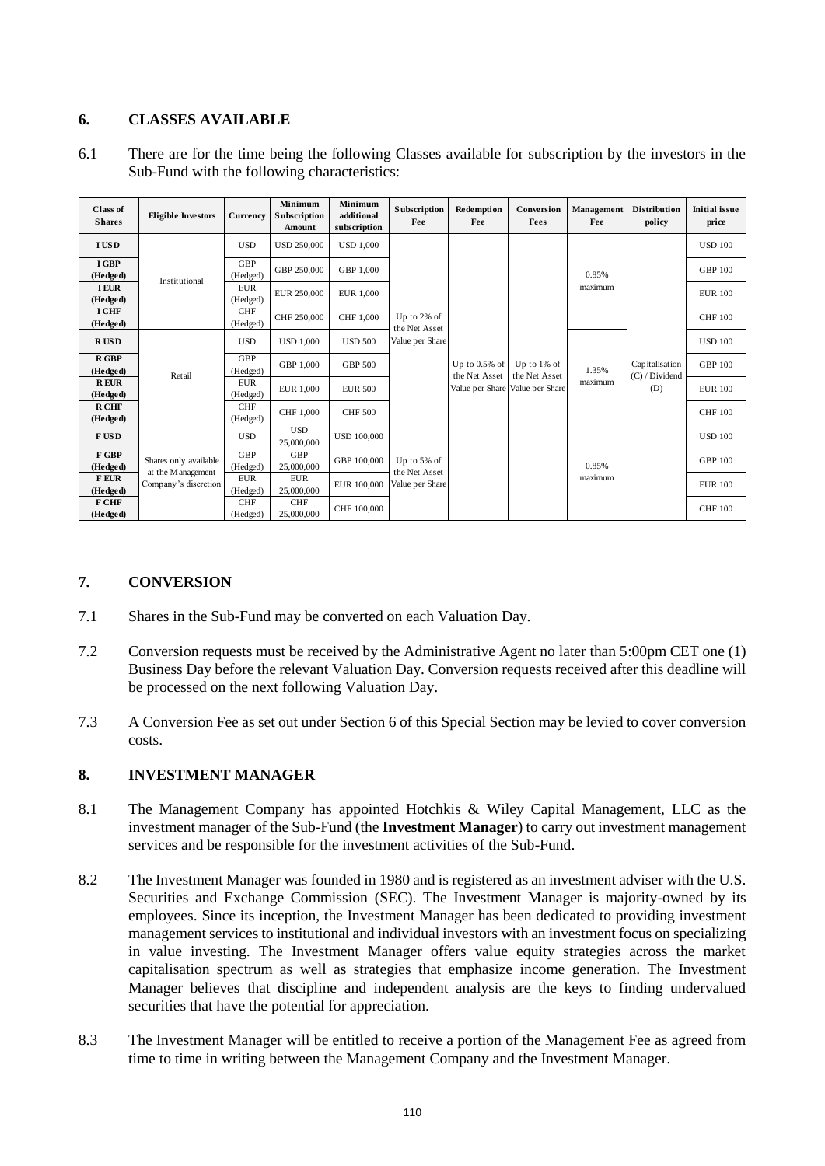# **6. CLASSES AVAILABLE**

6.1 There are for the time being the following Classes available for subscription by the investors in the Sub-Fund with the following characteristics:

| <b>Class of</b><br><b>Shares</b> | <b>Eligible Investors</b>                                           | Currency               | Minimum<br>Subscription<br>Amount | Minimum<br>additional<br>subscription | Subscription<br>Fee                             | Redemption<br>Fee                                    | Conversion<br>Fees                                 | Management<br>Fee | <b>Distribution</b><br>policy           | <b>Initial issue</b><br>price |
|----------------------------------|---------------------------------------------------------------------|------------------------|-----------------------------------|---------------------------------------|-------------------------------------------------|------------------------------------------------------|----------------------------------------------------|-------------------|-----------------------------------------|-------------------------------|
| <b>IUSD</b>                      | Institutional                                                       | <b>USD</b>             | <b>USD 250,000</b>                | <b>USD 1,000</b>                      | Up to 2% of<br>the Net Asset<br>Value per Share | Up to $0.5\%$ of<br>the Net Asset<br>Value per Share | Up to $1\%$ of<br>the Net Asset<br>Value per Share | 0.85%<br>maximum  | Capitalisation<br>(C) / Dividend<br>(D) | <b>USD 100</b>                |
| I GBP<br>(Hedged)                |                                                                     | <b>GBP</b><br>(Hedged) | GBP 250,000                       | GBP 1,000                             |                                                 |                                                      |                                                    |                   |                                         | <b>GBP 100</b>                |
| <b>IEUR</b><br>(Hedged)          |                                                                     | <b>EUR</b><br>(Hedged) | EUR 250,000                       | EUR 1.000                             |                                                 |                                                      |                                                    |                   |                                         | <b>EUR 100</b>                |
| <b>I CHF</b><br>(Hedged)         |                                                                     | <b>CHF</b><br>(Hedged) | CHF 250,000                       | CHF 1.000                             |                                                 |                                                      |                                                    |                   |                                         | <b>CHF 100</b>                |
| <b>RUSD</b>                      | Retail                                                              | <b>USD</b>             | <b>USD 1,000</b>                  | <b>USD 500</b>                        |                                                 |                                                      |                                                    | 1.35%<br>maximum  |                                         | <b>USD 100</b>                |
| R GBP<br>(Hedged)                |                                                                     | GBP<br>(Hedged)        | GBP 1,000                         | <b>GBP 500</b>                        |                                                 |                                                      |                                                    |                   |                                         | <b>GBP 100</b>                |
| <b>REUR</b><br>(Hedged)          |                                                                     | <b>EUR</b><br>(Hedged) | <b>EUR 1,000</b>                  | <b>EUR 500</b>                        |                                                 |                                                      |                                                    |                   |                                         | <b>EUR 100</b>                |
| <b>RCHF</b><br>(Hedged)          |                                                                     | <b>CHF</b><br>(Hedged) | CHF 1,000                         | <b>CHF 500</b>                        |                                                 |                                                      |                                                    |                   |                                         | <b>CHF 100</b>                |
| F US D                           | Shares only available<br>at the M anagement<br>Company's discretion | <b>USD</b>             | <b>USD</b><br>25,000,000          | <b>USD 100,000</b>                    | Up to 5% of<br>the Net Asset<br>Value per Share |                                                      |                                                    | 0.85%<br>maximum  |                                         | <b>USD 100</b>                |
| F GBP<br>(Hedged)                |                                                                     | <b>GBP</b><br>(Hedged) | <b>GBP</b><br>25,000,000          | GBP 100,000                           |                                                 |                                                      |                                                    |                   |                                         | <b>GBP 100</b>                |
| <b>FEUR</b><br>(Hedged)          |                                                                     | <b>EUR</b><br>(Hedged) | <b>EUR</b><br>25,000,000          | EUR 100,000                           |                                                 |                                                      |                                                    |                   |                                         | <b>EUR 100</b>                |
| F CHF<br>(Hedged)                |                                                                     | <b>CHF</b><br>(Hedged) | <b>CHF</b><br>25,000,000          | CHF 100,000                           |                                                 |                                                      |                                                    |                   |                                         | <b>CHF 100</b>                |

# **7. CONVERSION**

- 7.1 Shares in the Sub-Fund may be converted on each Valuation Day.
- 7.2 Conversion requests must be received by the Administrative Agent no later than 5:00pm CET one (1) Business Day before the relevant Valuation Day. Conversion requests received after this deadline will be processed on the next following Valuation Day.
- 7.3 A Conversion Fee as set out under Section 6 of this Special Section may be levied to cover conversion costs.

#### **8. INVESTMENT MANAGER**

- 8.1 The Management Company has appointed Hotchkis & Wiley Capital Management, LLC as the investment manager of the Sub-Fund (the **Investment Manager**) to carry out investment management services and be responsible for the investment activities of the Sub-Fund.
- 8.2 The Investment Manager was founded in 1980 and is registered as an investment adviser with the U.S. Securities and Exchange Commission (SEC). The Investment Manager is majority-owned by its employees. Since its inception, the Investment Manager has been dedicated to providing investment management services to institutional and individual investors with an investment focus on specializing in value investing. The Investment Manager offers value equity strategies across the market capitalisation spectrum as well as strategies that emphasize income generation. The Investment Manager believes that discipline and independent analysis are the keys to finding undervalued securities that have the potential for appreciation.
- 8.3 The Investment Manager will be entitled to receive a portion of the Management Fee as agreed from time to time in writing between the Management Company and the Investment Manager.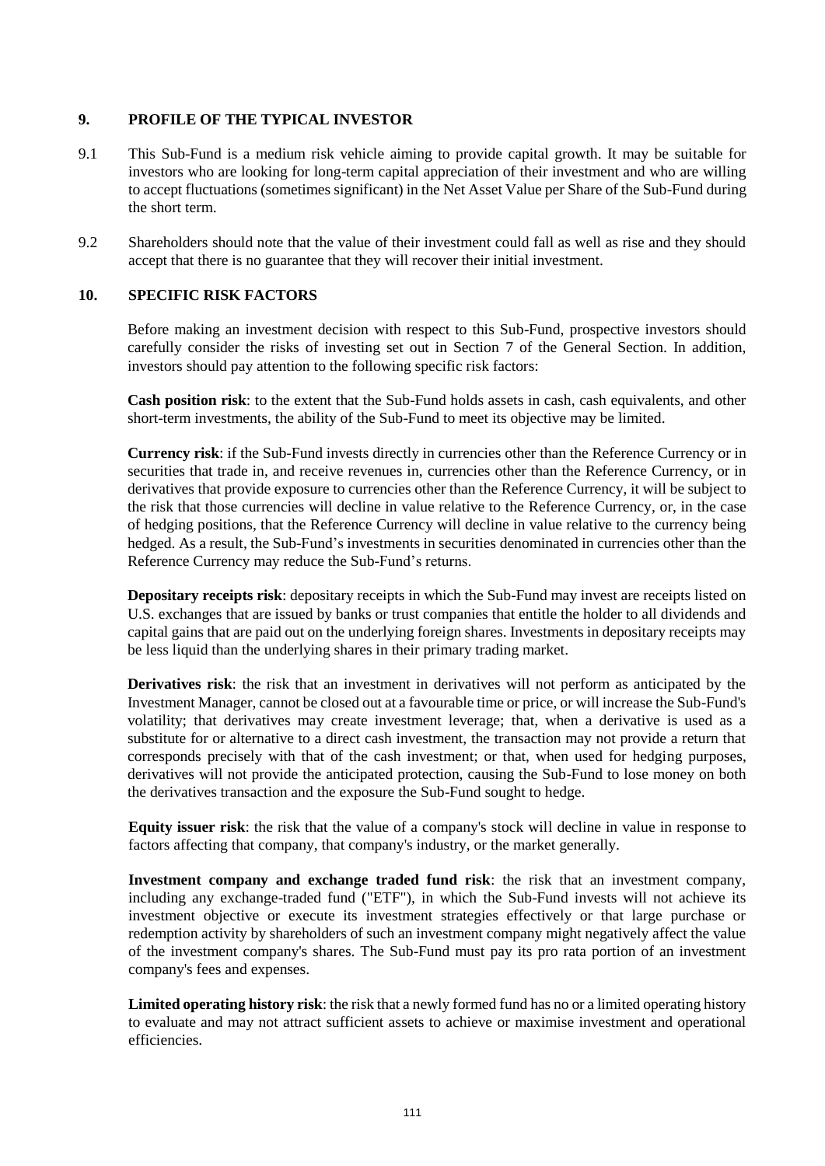# **9. PROFILE OF THE TYPICAL INVESTOR**

- 9.1 This Sub-Fund is a medium risk vehicle aiming to provide capital growth. It may be suitable for investors who are looking for long-term capital appreciation of their investment and who are willing to accept fluctuations (sometimes significant) in the Net Asset Value per Share of the Sub-Fund during the short term.
- 9.2 Shareholders should note that the value of their investment could fall as well as rise and they should accept that there is no guarantee that they will recover their initial investment.

#### **10. SPECIFIC RISK FACTORS**

Before making an investment decision with respect to this Sub-Fund, prospective investors should carefully consider the risks of investing set out in Section [7](#page-32-0) of the General Section. In addition, investors should pay attention to the following specific risk factors:

**Cash position risk**: to the extent that the Sub-Fund holds assets in cash, cash equivalents, and other short-term investments, the ability of the Sub-Fund to meet its objective may be limited.

**Currency risk**: if the Sub-Fund invests directly in currencies other than the Reference Currency or in securities that trade in, and receive revenues in, currencies other than the Reference Currency, or in derivatives that provide exposure to currencies other than the Reference Currency, it will be subject to the risk that those currencies will decline in value relative to the Reference Currency, or, in the case of hedging positions, that the Reference Currency will decline in value relative to the currency being hedged. As a result, the Sub-Fund's investments in securities denominated in currencies other than the Reference Currency may reduce the Sub-Fund's returns.

**Depositary receipts risk**: depositary receipts in which the Sub-Fund may invest are receipts listed on U.S. exchanges that are issued by banks or trust companies that entitle the holder to all dividends and capital gains that are paid out on the underlying foreign shares. Investments in depositary receipts may be less liquid than the underlying shares in their primary trading market.

**Derivatives risk**: the risk that an investment in derivatives will not perform as anticipated by the Investment Manager, cannot be closed out at a favourable time or price, or will increase the Sub-Fund's volatility; that derivatives may create investment leverage; that, when a derivative is used as a substitute for or alternative to a direct cash investment, the transaction may not provide a return that corresponds precisely with that of the cash investment; or that, when used for hedging purposes, derivatives will not provide the anticipated protection, causing the Sub-Fund to lose money on both the derivatives transaction and the exposure the Sub-Fund sought to hedge.

**Equity issuer risk**: the risk that the value of a company's stock will decline in value in response to factors affecting that company, that company's industry, or the market generally.

**Investment company and exchange traded fund risk**: the risk that an investment company, including any exchange-traded fund ("ETF"), in which the Sub-Fund invests will not achieve its investment objective or execute its investment strategies effectively or that large purchase or redemption activity by shareholders of such an investment company might negatively affect the value of the investment company's shares. The Sub-Fund must pay its pro rata portion of an investment company's fees and expenses.

**Limited operating history risk**: the risk that a newly formed fund has no or a limited operating history to evaluate and may not attract sufficient assets to achieve or maximise investment and operational efficiencies.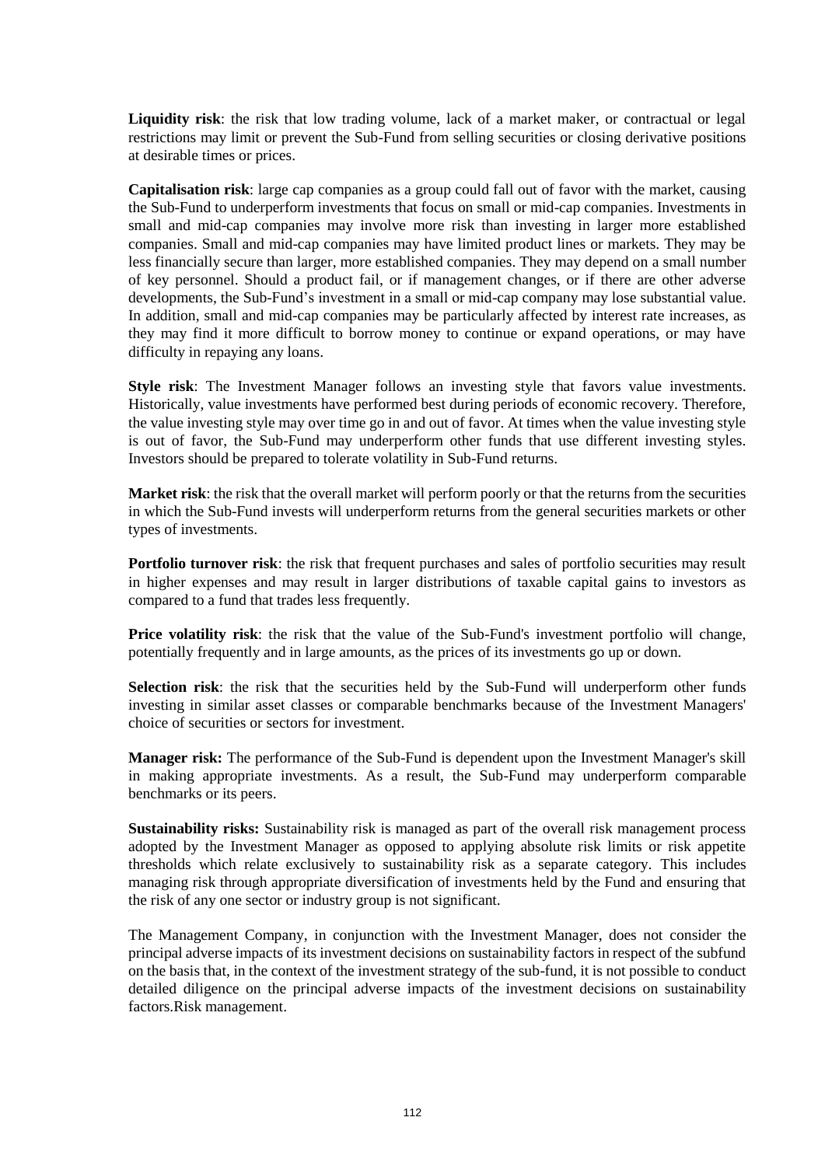**Liquidity risk**: the risk that low trading volume, lack of a market maker, or contractual or legal restrictions may limit or prevent the Sub-Fund from selling securities or closing derivative positions at desirable times or prices.

**Capitalisation risk**: large cap companies as a group could fall out of favor with the market, causing the Sub-Fund to underperform investments that focus on small or mid-cap companies. Investments in small and mid-cap companies may involve more risk than investing in larger more established companies. Small and mid-cap companies may have limited product lines or markets. They may be less financially secure than larger, more established companies. They may depend on a small number of key personnel. Should a product fail, or if management changes, or if there are other adverse developments, the Sub-Fund's investment in a small or mid-cap company may lose substantial value. In addition, small and mid-cap companies may be particularly affected by interest rate increases, as they may find it more difficult to borrow money to continue or expand operations, or may have difficulty in repaying any loans.

**Style risk**: The Investment Manager follows an investing style that favors value investments. Historically, value investments have performed best during periods of economic recovery. Therefore, the value investing style may over time go in and out of favor. At times when the value investing style is out of favor, the Sub-Fund may underperform other funds that use different investing styles. Investors should be prepared to tolerate volatility in Sub-Fund returns.

**Market risk**: the risk that the overall market will perform poorly or that the returns from the securities in which the Sub-Fund invests will underperform returns from the general securities markets or other types of investments.

**Portfolio turnover risk**: the risk that frequent purchases and sales of portfolio securities may result in higher expenses and may result in larger distributions of taxable capital gains to investors as compared to a fund that trades less frequently.

**Price volatility risk**: the risk that the value of the Sub-Fund's investment portfolio will change, potentially frequently and in large amounts, as the prices of its investments go up or down.

**Selection risk**: the risk that the securities held by the Sub-Fund will underperform other funds investing in similar asset classes or comparable benchmarks because of the Investment Managers' choice of securities or sectors for investment.

**Manager risk:** The performance of the Sub-Fund is dependent upon the Investment Manager's skill in making appropriate investments. As a result, the Sub-Fund may underperform comparable benchmarks or its peers.

**Sustainability risks:** Sustainability risk is managed as part of the overall risk management process adopted by the Investment Manager as opposed to applying absolute risk limits or risk appetite thresholds which relate exclusively to sustainability risk as a separate category. This includes managing risk through appropriate diversification of investments held by the Fund and ensuring that the risk of any one sector or industry group is not significant.

The Management Company, in conjunction with the Investment Manager, does not consider the principal adverse impacts of its investment decisions on sustainability factors in respect of the subfund on the basis that, in the context of the investment strategy of the sub-fund, it is not possible to conduct detailed diligence on the principal adverse impacts of the investment decisions on sustainability factors.Risk management.